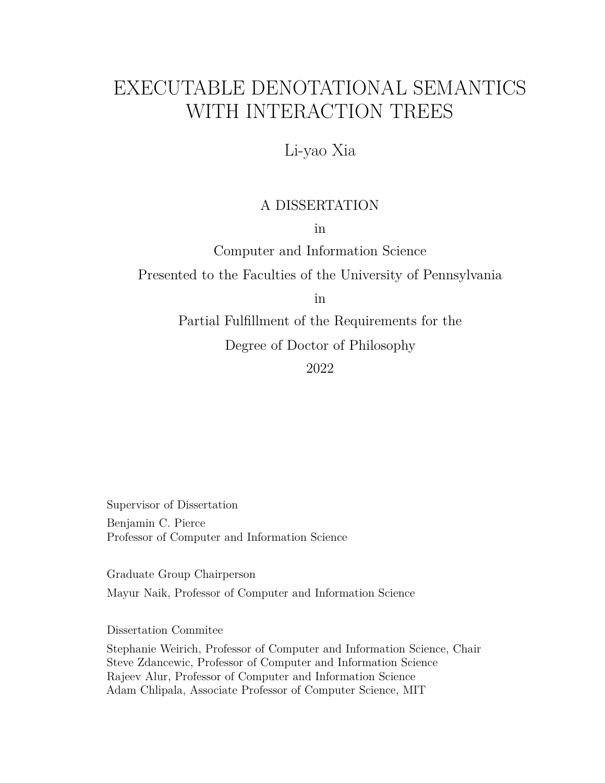# <span id="page-0-0"></span>EXECUTABLE DENOTATIONAL SEMANTICS WITH INTERACTION TREES

Li-yao Xia

## A DISSERTATION

in

Computer and Information Science

Presented to the Faculties of the University of Pennsylvania

in

Partial Fulfillment of the Requirements for the Degree of Doctor of Philosophy

2022

Supervisor of Dissertation Benjamin C. Pierce Professor of Computer and Information Science

Graduate Group Chairperson Mayur Naik, Professor of Computer and Information Science

Dissertation Commitee

Stephanie Weirich, Professor of Computer and Information Science, Chair Steve Zdancewic, Professor of Computer and Information Science Rajeev Alur, Professor of Computer and Information Science Adam Chlipala, Associate Professor of Computer Science, MIT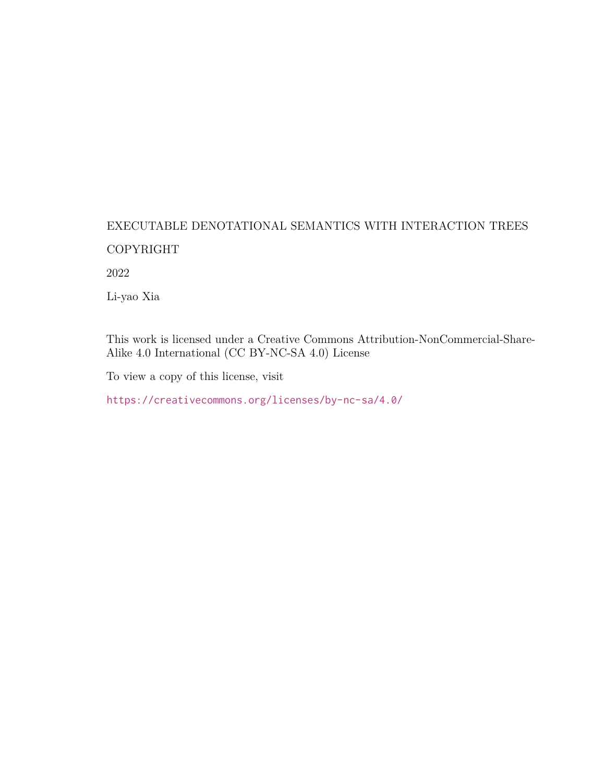## <span id="page-1-0"></span>EXECUTABLE DENOTATIONAL SEMANTICS WITH INTERACTION TREES COPYRIGHT

2022

Li-yao Xia

This work is licensed under a Creative Commons Attribution-NonCommercial-Share-Alike 4.0 International (CC BY-NC-SA 4.0) License

To view a copy of this license, visit

<https://creativecommons.org/licenses/by-nc-sa/4.0/>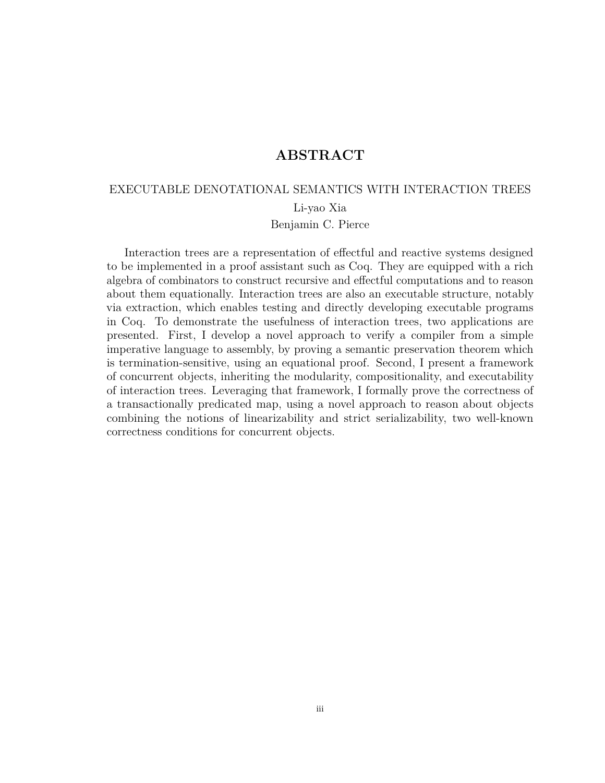## **ABSTRACT**

## <span id="page-2-0"></span>EXECUTABLE DENOTATIONAL SEMANTICS WITH INTERACTION TREES

Li-yao Xia

#### Benjamin C. Pierce

Interaction trees are a representation of effectful and reactive systems designed to be implemented in a proof assistant such as Coq. They are equipped with a rich algebra of combinators to construct recursive and effectful computations and to reason about them equationally. Interaction trees are also an executable structure, notably via extraction, which enables testing and directly developing executable programs in Coq. To demonstrate the usefulness of interaction trees, two applications are presented. First, I develop a novel approach to verify a compiler from a simple imperative language to assembly, by proving a semantic preservation theorem which is termination-sensitive, using an equational proof. Second, I present a framework of concurrent objects, inheriting the modularity, compositionality, and executability of interaction trees. Leveraging that framework, I formally prove the correctness of a transactionally predicated map, using a novel approach to reason about objects combining the notions of linearizability and strict serializability, two well-known correctness conditions for concurrent objects.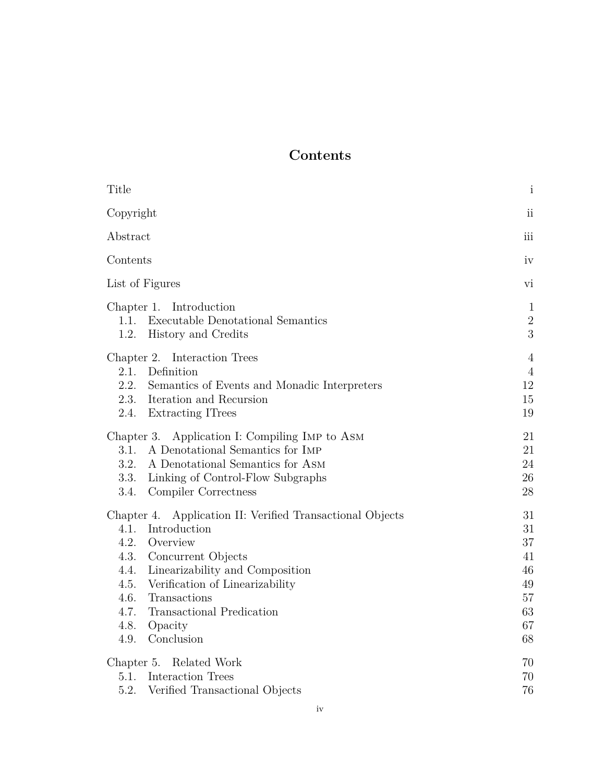## **Contents**

<span id="page-3-0"></span>

| Title                                                                                                                                                                                                                                                                                                                           | $\mathbf{i}$                                             |
|---------------------------------------------------------------------------------------------------------------------------------------------------------------------------------------------------------------------------------------------------------------------------------------------------------------------------------|----------------------------------------------------------|
| Copyright                                                                                                                                                                                                                                                                                                                       | ii                                                       |
| Abstract                                                                                                                                                                                                                                                                                                                        |                                                          |
| Contents                                                                                                                                                                                                                                                                                                                        | iv                                                       |
| List of Figures                                                                                                                                                                                                                                                                                                                 | vi                                                       |
| Chapter 1. Introduction<br><b>Executable Denotational Semantics</b><br>1.1.<br>1.2.<br>History and Credits                                                                                                                                                                                                                      | $\mathbf{1}$<br>$\overline{2}$<br>3                      |
| Chapter 2. Interaction Trees<br>2.1.<br>Definition<br>2.2.<br>Semantics of Events and Monadic Interpreters<br>2.3. Iteration and Recursion<br>2.4.<br><b>Extracting ITrees</b>                                                                                                                                                  | $\overline{4}$<br>$\overline{4}$<br>12<br>15<br>19       |
| Application I: Compiling IMP to ASM<br>Chapter 3.<br>3.1.<br>A Denotational Semantics for IMP<br>3.2.<br>A Denotational Semantics for ASM<br>3.3.<br>Linking of Control-Flow Subgraphs<br>3.4.<br>Compiler Correctness                                                                                                          | 21<br>21<br>24<br>$26\,$<br>28                           |
| Chapter 4. Application II: Verified Transactional Objects<br>Introduction<br>4.1.<br>4.2.<br>Overview<br>4.3.<br>Concurrent Objects<br>4.4.<br>Linearizability and Composition<br>4.5.<br>Verification of Linearizability<br>4.6.<br>Transactions<br>Transactional Predication<br>4.7.<br>4.8.<br>Opacity<br>Conclusion<br>4.9. | 31<br>31<br>37<br>41<br>46<br>49<br>57<br>63<br>67<br>68 |
| Chapter 5. Related Work<br>5.1. Interaction Trees<br>5.2.<br>Verified Transactional Objects                                                                                                                                                                                                                                     | 70<br>70<br>76                                           |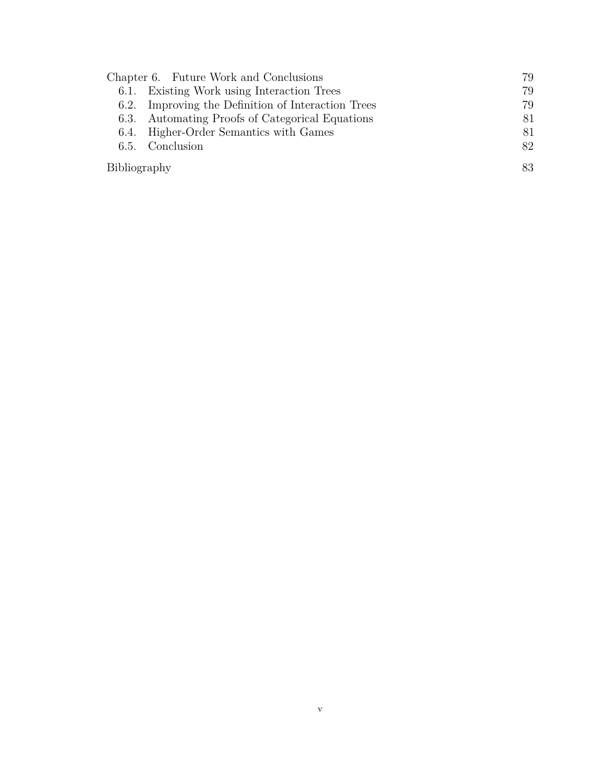| Chapter 6. Future Work and Conclusions |                                               | 79 |
|----------------------------------------|-----------------------------------------------|----|
|                                        | 6.1. Existing Work using Interaction Trees    | 79 |
| 6.2.                                   | Improving the Definition of Interaction Trees | 79 |
| 6.3.                                   | Automating Proofs of Categorical Equations    | 81 |
| 6.4.                                   | Higher-Order Semantics with Games             | 81 |
|                                        | 6.5. Conclusion                               | 82 |
| Bibliography                           |                                               | 83 |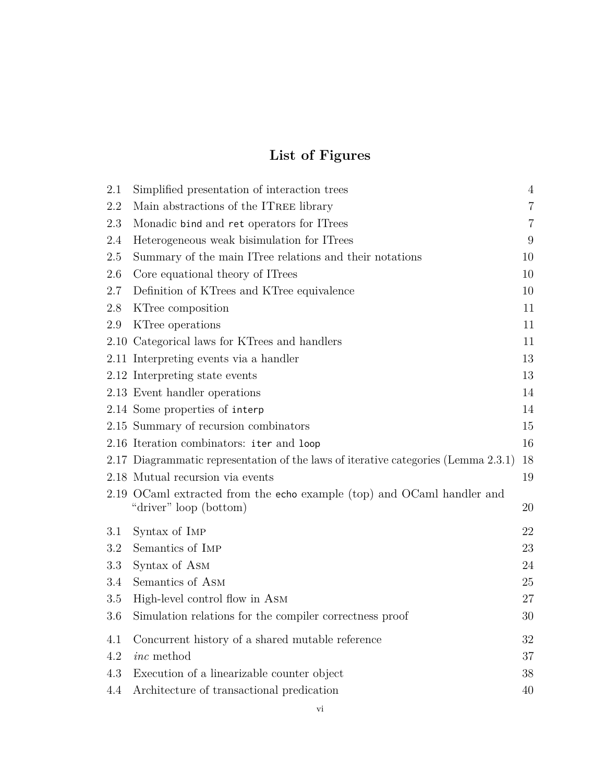## **List of Figures**

<span id="page-5-0"></span>

| 2.1     | Simplified presentation of interaction trees                                                     | $\sqrt{4}$       |
|---------|--------------------------------------------------------------------------------------------------|------------------|
| $2.2\,$ | Main abstractions of the ITREE library                                                           | $\overline{7}$   |
| 2.3     | Monadic bind and ret operators for ITrees                                                        | $\overline{7}$   |
| 2.4     | Heterogeneous weak bisimulation for ITrees                                                       | $\boldsymbol{9}$ |
| 2.5     | Summary of the main ITree relations and their notations                                          | 10               |
| 2.6     | Core equational theory of ITrees                                                                 | 10               |
| 2.7     | Definition of KTrees and KTree equivalence                                                       | 10               |
| 2.8     | KTree composition                                                                                | 11               |
| 2.9     | KTree operations                                                                                 | 11               |
|         | 2.10 Categorical laws for KTrees and handlers                                                    | 11               |
|         | 2.11 Interpreting events via a handler                                                           | 13               |
|         | 2.12 Interpreting state events                                                                   | 13               |
|         | 2.13 Event handler operations                                                                    | 14               |
|         | 2.14 Some properties of interp                                                                   | 14               |
|         | 2.15 Summary of recursion combinators                                                            | 15               |
|         | 2.16 Iteration combinators: iter and loop                                                        | 16               |
|         | 2.17 Diagrammatic representation of the laws of iterative categories (Lemma 2.3.1)               | 18               |
|         | 2.18 Mutual recursion via events                                                                 | 19               |
|         | 2.19 OCaml extracted from the echo example (top) and OCaml handler and<br>"driver" loop (bottom) | 20               |
| 3.1     | Syntax of IMP                                                                                    | 22               |
| 3.2     | Semantics of IMP                                                                                 | 23               |
| 3.3     | Syntax of ASM                                                                                    | 24               |
| 3.4     | Semantics of ASM                                                                                 | 25               |
| 3.5     | High-level control flow in ASM                                                                   | 27               |
| 3.6     | Simulation relations for the compiler correctness proof                                          | 30               |
| 4.1     | Concurrent history of a shared mutable reference                                                 | 32               |
| 4.2     | <i>inc</i> method                                                                                | 37               |
| 4.3     | Execution of a linearizable counter object                                                       | 38               |
| 4.4     | Architecture of transactional predication                                                        | 40               |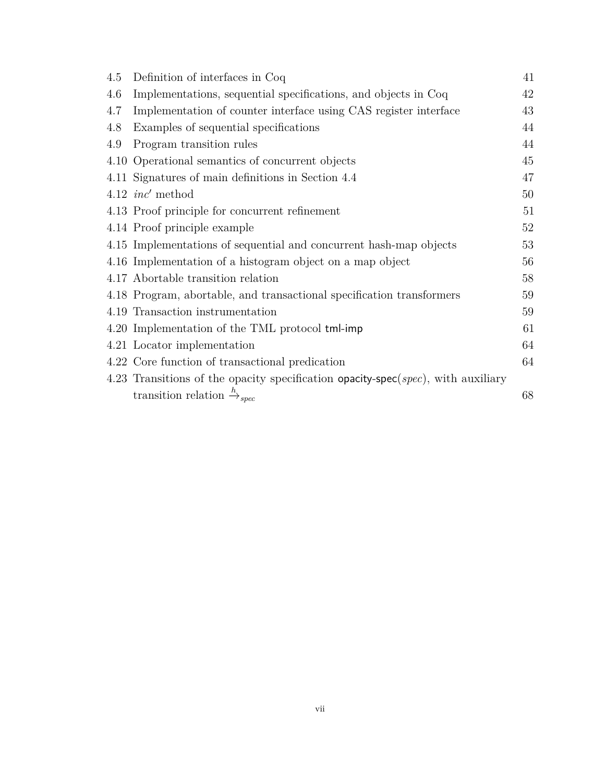| 4.5 | Definition of interfaces in Coq                                                  | 41 |
|-----|----------------------------------------------------------------------------------|----|
| 4.6 | Implementations, sequential specifications, and objects in Coq                   | 42 |
| 4.7 | Implementation of counter interface using CAS register interface                 | 43 |
| 4.8 | Examples of sequential specifications                                            | 44 |
| 4.9 | Program transition rules                                                         | 44 |
|     | 4.10 Operational semantics of concurrent objects                                 | 45 |
|     | 4.11 Signatures of main definitions in Section 4.4                               | 47 |
|     | 4.12 $inc'$ method                                                               | 50 |
|     | 4.13 Proof principle for concurrent refinement                                   | 51 |
|     | 4.14 Proof principle example                                                     | 52 |
|     | 4.15 Implementations of sequential and concurrent hash-map objects               | 53 |
|     | 4.16 Implementation of a histogram object on a map object                        | 56 |
|     | 4.17 Abortable transition relation                                               | 58 |
|     | 4.18 Program, abortable, and transactional specification transformers            | 59 |
|     | 4.19 Transaction instrumentation                                                 | 59 |
|     | 4.20 Implementation of the TML protocol tml-imp                                  | 61 |
|     | 4.21 Locator implementation                                                      | 64 |
|     | 4.22 Core function of transactional predication                                  | 64 |
|     | 4.23 Transitions of the opacity specification opacity-spec(spec), with auxiliary |    |
|     | transition relation $\stackrel{h}{\rightarrow}_{spec}$                           | 68 |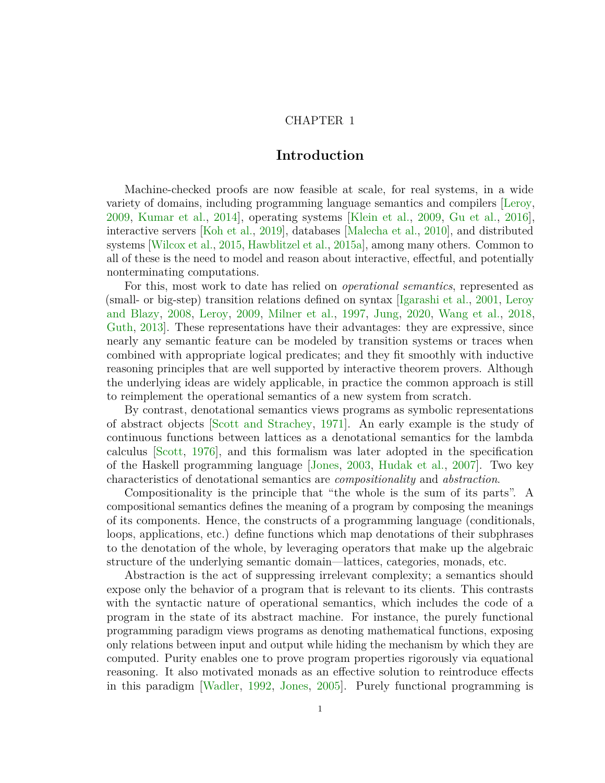## CHAPTER 1

## **Introduction**

<span id="page-7-0"></span>Machine-checked proofs are now feasible at scale, for real systems, in a wide variety of domains, including programming language semantics and compilers [\[Leroy,](#page-98-0) [2009,](#page-98-0) [Kumar et al.,](#page-97-0) [2014\]](#page-97-0), operating systems [\[Klein et al.,](#page-97-1) [2009,](#page-97-1) [Gu et al.,](#page-94-0) [2016\]](#page-94-0), interactive servers [\[Koh et al.,](#page-97-2) [2019\]](#page-97-2), databases [\[Malecha et al.,](#page-99-0) [2010\]](#page-99-0), and distributed systems [\[Wilcox et al.,](#page-103-0) [2015,](#page-103-0) [Hawblitzel et al.,](#page-95-0) [2015a\]](#page-95-0), among many others. Common to all of these is the need to model and reason about interactive, effectful, and potentially nonterminating computations.

For this, most work to date has relied on *operational semantics*, represented as (small- or big-step) transition relations defined on syntax [\[Igarashi et al.,](#page-96-0) [2001,](#page-96-0) [Leroy](#page-98-1) [and Blazy,](#page-98-1) [2008,](#page-98-1) [Leroy,](#page-98-0) [2009,](#page-98-0) [Milner et al.,](#page-100-0) [1997,](#page-100-0) [Jung,](#page-96-1) [2020,](#page-96-1) [Wang et al.,](#page-103-1) [2018,](#page-103-1) [Guth,](#page-94-1) [2013\]](#page-94-1). These representations have their advantages: they are expressive, since nearly any semantic feature can be modeled by transition systems or traces when combined with appropriate logical predicates; and they fit smoothly with inductive reasoning principles that are well supported by interactive theorem provers. Although the underlying ideas are widely applicable, in practice the common approach is still to reimplement the operational semantics of a new system from scratch.

By contrast, denotational semantics views programs as symbolic representations of abstract objects [\[Scott and Strachey,](#page-102-0) [1971\]](#page-102-0). An early example is the study of continuous functions between lattices as a denotational semantics for the lambda calculus [\[Scott,](#page-102-1) [1976\]](#page-102-1), and this formalism was later adopted in the specification of the Haskell programming language [\[Jones,](#page-96-2) [2003,](#page-96-2) [Hudak et al.,](#page-95-1) [2007\]](#page-95-1). Two key characteristics of denotational semantics are *compositionality* and *abstraction*.

Compositionality is the principle that "the whole is the sum of its parts". A compositional semantics defines the meaning of a program by composing the meanings of its components. Hence, the constructs of a programming language (conditionals, loops, applications, etc.) define functions which map denotations of their subphrases to the denotation of the whole, by leveraging operators that make up the algebraic structure of the underlying semantic domain—lattices, categories, monads, etc.

Abstraction is the act of suppressing irrelevant complexity; a semantics should expose only the behavior of a program that is relevant to its clients. This contrasts with the syntactic nature of operational semantics, which includes the code of a program in the state of its abstract machine. For instance, the purely functional programming paradigm views programs as denoting mathematical functions, exposing only relations between input and output while hiding the mechanism by which they are computed. Purity enables one to prove program properties rigorously via equational reasoning. It also motivated monads as an effective solution to reintroduce effects in this paradigm [\[Wadler,](#page-103-2) [1992,](#page-103-2) [Jones,](#page-96-3) [2005\]](#page-96-3). Purely functional programming is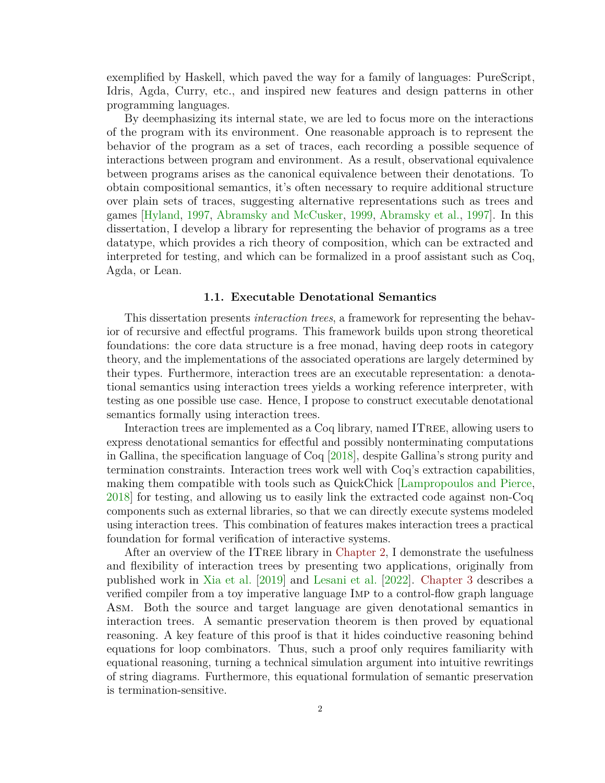exemplified by Haskell, which paved the way for a family of languages: PureScript, Idris, Agda, Curry, etc., and inspired new features and design patterns in other programming languages.

By deemphasizing its internal state, we are led to focus more on the interactions of the program with its environment. One reasonable approach is to represent the behavior of the program as a set of traces, each recording a possible sequence of interactions between program and environment. As a result, observational equivalence between programs arises as the canonical equivalence between their denotations. To obtain compositional semantics, it's often necessary to require additional structure over plain sets of traces, suggesting alternative representations such as trees and games [\[Hyland,](#page-96-4) [1997,](#page-96-4) [Abramsky and McCusker,](#page-89-1) [1999,](#page-89-1) [Abramsky et al.,](#page-89-2) [1997\]](#page-89-2). In this dissertation, I develop a library for representing the behavior of programs as a tree datatype, which provides a rich theory of composition, which can be extracted and interpreted for testing, and which can be formalized in a proof assistant such as Coq, Agda, or Lean.

#### **1.1. Executable Denotational Semantics**

<span id="page-8-0"></span>This dissertation presents *interaction trees*, a framework for representing the behavior of recursive and effectful programs. This framework builds upon strong theoretical foundations: the core data structure is a free monad, having deep roots in category theory, and the implementations of the associated operations are largely determined by their types. Furthermore, interaction trees are an executable representation: a denotational semantics using interaction trees yields a working reference interpreter, with testing as one possible use case. Hence, I propose to construct executable denotational semantics formally using interaction trees.

Interaction trees are implemented as a Coq library, named ITree, allowing users to express denotational semantics for effectful and possibly nonterminating computations in Gallina, the specification language of Coq [\[2018\]](#page-99-1), despite Gallina's strong purity and termination constraints. Interaction trees work well with Coq's extraction capabilities, making them compatible with tools such as QuickChick [\[Lampropoulos and Pierce,](#page-98-2) [2018\]](#page-98-2) for testing, and allowing us to easily link the extracted code against non-Coq components such as external libraries, so that we can directly execute systems modeled using interaction trees. This combination of features makes interaction trees a practical foundation for formal verification of interactive systems.

After an overview of the ITree library in [Chapter 2,](#page-10-0) I demonstrate the usefulness and flexibility of interaction trees by presenting two applications, originally from published work in [Xia et al.](#page-103-3) [\[2019\]](#page-103-3) and [Lesani et al.](#page-98-3) [\[2022\]](#page-98-3). [Chapter 3](#page-27-0) describes a verified compiler from a toy imperative language Imp to a control-flow graph language Asm. Both the source and target language are given denotational semantics in interaction trees. A semantic preservation theorem is then proved by equational reasoning. A key feature of this proof is that it hides coinductive reasoning behind equations for loop combinators. Thus, such a proof only requires familiarity with equational reasoning, turning a technical simulation argument into intuitive rewritings of string diagrams. Furthermore, this equational formulation of semantic preservation is termination-sensitive.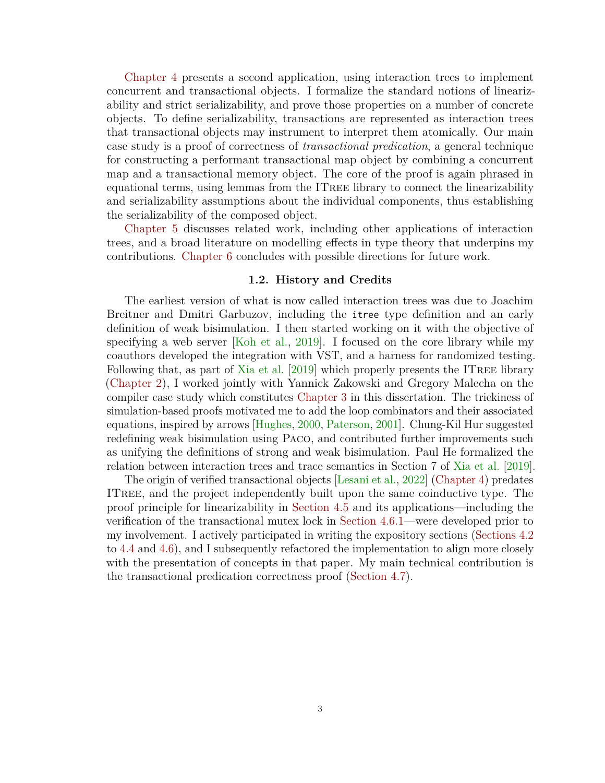[Chapter 4](#page-37-0) presents a second application, using interaction trees to implement concurrent and transactional objects. I formalize the standard notions of linearizability and strict serializability, and prove those properties on a number of concrete objects. To define serializability, transactions are represented as interaction trees that transactional objects may instrument to interpret them atomically. Our main case study is a proof of correctness of *transactional predication*, a general technique for constructing a performant transactional map object by combining a concurrent map and a transactional memory object. The core of the proof is again phrased in equational terms, using lemmas from the ITree library to connect the linearizability and serializability assumptions about the individual components, thus establishing the serializability of the composed object.

[Chapter 5](#page-76-0) discusses related work, including other applications of interaction trees, and a broad literature on modelling effects in type theory that underpins my contributions. [Chapter 6](#page-85-0) concludes with possible directions for future work.

### **1.2. History and Credits**

<span id="page-9-0"></span>The earliest version of what is now called interaction trees was due to Joachim Breitner and Dmitri Garbuzov, including the itree type definition and an early definition of weak bisimulation. I then started working on it with the objective of specifying a web server [\[Koh et al.,](#page-97-2) [2019\]](#page-97-2). I focused on the core library while my coauthors developed the integration with VST, and a harness for randomized testing. Following that, as part of [Xia et al.](#page-103-3)  $[2019]$  which properly presents the ITREE library [\(Chapter 2\)](#page-10-0), I worked jointly with Yannick Zakowski and Gregory Malecha on the compiler case study which constitutes [Chapter 3](#page-27-0) in this dissertation. The trickiness of simulation-based proofs motivated me to add the loop combinators and their associated equations, inspired by arrows [\[Hughes,](#page-95-2) [2000,](#page-95-2) [Paterson,](#page-101-0) [2001\]](#page-101-0). Chung-Kil Hur suggested redefining weak bisimulation using Paco, and contributed further improvements such as unifying the definitions of strong and weak bisimulation. Paul He formalized the relation between interaction trees and trace semantics in Section 7 of [Xia et al.](#page-103-3) [\[2019\]](#page-103-3).

The origin of verified transactional objects [\[Lesani et al.,](#page-98-3) [2022\]](#page-98-3) [\(Chapter 4\)](#page-37-0) predates ITree, and the project independently built upon the same coinductive type. The proof principle for linearizability in [Section 4.5](#page-55-0) and its applications—including the verification of the transactional mutex lock in [Section 4.6.1—](#page-67-1)were developed prior to my involvement. I actively participated in writing the expository sections [\(Sections 4.2](#page-43-0) to [4.4](#page-52-0) and [4.6\)](#page-63-0), and I subsequently refactored the implementation to align more closely with the presentation of concepts in that paper. My main technical contribution is the transactional predication correctness proof [\(Section 4.7\)](#page-69-0).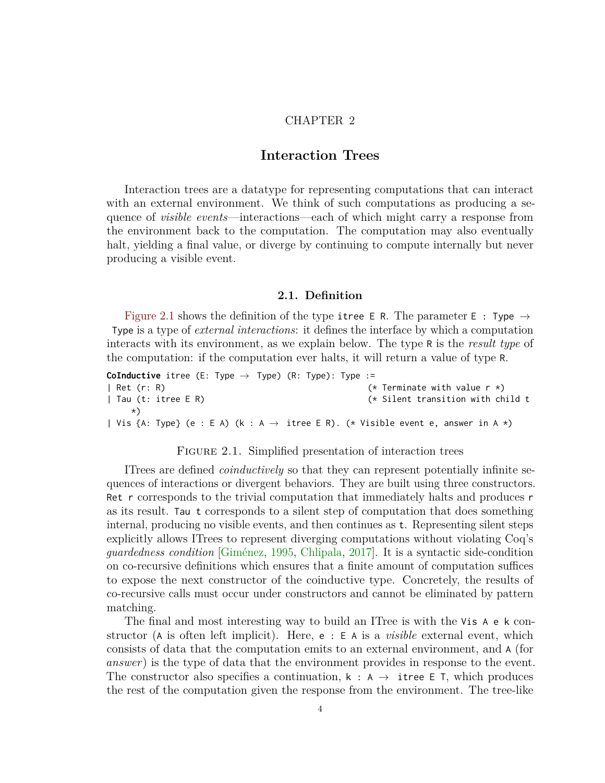## CHAPTER 2

## **Interaction Trees**

<span id="page-10-0"></span>Interaction trees are a datatype for representing computations that can interact with an external environment. We think of such computations as producing a sequence of *visible events*—interactions—each of which might carry a response from the environment back to the computation. The computation may also eventually halt, yielding a final value, or diverge by continuing to compute internally but never producing a visible event.

#### **2.1. Definition**

<span id="page-10-1"></span>[Figure 2.1](#page-10-2) shows the definition of the type itree E R. The parameter E : Type  $\rightarrow$ Type is a type of *external interactions*: it defines the interface by which a computation interacts with its environment, as we explain below. The type R is the *result type* of the computation: if the computation ever halts, it will return a value of type R.

```
CoInductive itree (E: Type → Type) (R: Type): Type :=
| Ret (r: R) (* Terminate with value r *)
| Tau (t: itree E R) (* Silent transition with child t
    *)
| Vis {A: Type} (e : E A) (k : A \rightarrow itree E R). (* Visible event e, answer in A *)
```
### FIGURE 2.1. Simplified presentation of interaction trees

ITrees are defined *coinductively* so that they can represent potentially infinite sequences of interactions or divergent behaviors. They are built using three constructors. Ret r corresponds to the trivial computation that immediately halts and produces r as its result. Tau t corresponds to a silent step of computation that does something internal, producing no visible events, and then continues as t. Representing silent steps explicitly allows ITrees to represent diverging computations without violating Coq's *guardedness condition* [\[Giménez,](#page-93-0) [1995,](#page-93-0) [Chlipala,](#page-92-0) [2017\]](#page-92-0). It is a syntactic side-condition on co-recursive definitions which ensures that a finite amount of computation suffices to expose the next constructor of the coinductive type. Concretely, the results of co-recursive calls must occur under constructors and cannot be eliminated by pattern matching.

The final and most interesting way to build an ITree is with the Vis A e k constructor (A is often left implicit). Here, e : E A is a *visible* external event, which consists of data that the computation emits to an external environment, and A (for *answer*) is the type of data that the environment provides in response to the event. The constructor also specifies a continuation,  $k : A \rightarrow$  itree E T, which produces the rest of the computation given the response from the environment. The tree-like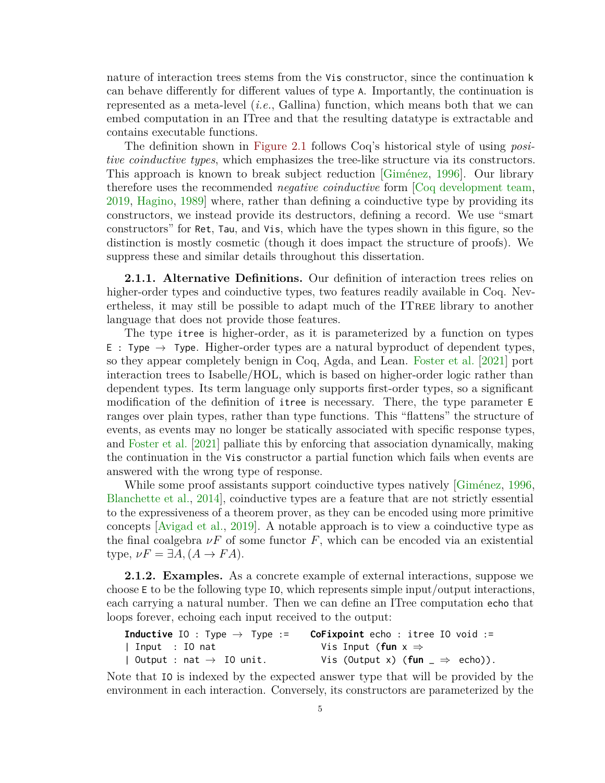nature of interaction trees stems from the Vis constructor, since the continuation k can behave differently for different values of type A. Importantly, the continuation is represented as a meta-level (*i.e.*, Gallina) function, which means both that we can embed computation in an ITree and that the resulting datatype is extractable and contains executable functions.

The definition shown in [Figure 2.1](#page-10-2) follows Coq's historical style of using *positive coinductive types*, which emphasizes the tree-like structure via its constructors. This approach is known to break subject reduction [\[Giménez,](#page-93-1) [1996\]](#page-93-1). Our library therefore uses the recommended *negative coinductive* form [\[Coq development team,](#page-99-2) [2019,](#page-99-2) [Hagino,](#page-94-2) [1989\]](#page-94-2) where, rather than defining a coinductive type by providing its constructors, we instead provide its destructors, defining a record. We use "smart constructors" for Ret, Tau, and Vis, which have the types shown in this figure, so the distinction is mostly cosmetic (though it does impact the structure of proofs). We suppress these and similar details throughout this dissertation.

**2.1.1. Alternative Definitions.** Our definition of interaction trees relies on higher-order types and coinductive types, two features readily available in Coq. Nevertheless, it may still be possible to adapt much of the ITree library to another language that does not provide those features.

The type itree is higher-order, as it is parameterized by a function on types E : Type  $\rightarrow$  Type. Higher-order types are a natural byproduct of dependent types, so they appear completely benign in Coq, Agda, and Lean. [Foster et al.](#page-93-2) [\[2021\]](#page-93-2) port interaction trees to Isabelle/HOL, which is based on higher-order logic rather than dependent types. Its term language only supports first-order types, so a significant modification of the definition of itree is necessary. There, the type parameter E ranges over plain types, rather than type functions. This "flattens" the structure of events, as events may no longer be statically associated with specific response types, and [Foster et al.](#page-93-2) [\[2021\]](#page-93-2) palliate this by enforcing that association dynamically, making the continuation in the Vis constructor a partial function which fails when events are answered with the wrong type of response.

While some proof assistants support coinductive types natively [\[Giménez,](#page-93-1) [1996,](#page-93-1) [Blanchette et al.,](#page-90-0) [2014\]](#page-90-0), coinductive types are a feature that are not strictly essential to the expressiveness of a theorem prover, as they can be encoded using more primitive concepts [\[Avigad et al.,](#page-90-1) [2019\]](#page-90-1). A notable approach is to view a coinductive type as the final coalgebra  $\nu F$  of some functor  $F$ , which can be encoded via an existential  $type, \nu F = \exists A, (A \rightarrow FA).$ 

**2.1.2. Examples.** As a concrete example of external interactions, suppose we choose E to be the following type IO, which represents simple input/output interactions, each carrying a natural number. Then we can define an ITree computation echo that loops forever, echoing each input received to the output:

| <b>Inductive</b> IO : Type $\rightarrow$ Type := | <b>CoFixpoint</b> echo : itree IO void $:=$ |
|--------------------------------------------------|---------------------------------------------|
| Input : IO nat                                   | Vis Input (fun $x \Rightarrow$              |
| Output : nat $\rightarrow$ IO unit.              | Vis (Output x) (fun $\Rightarrow$ echo)).   |

Note that IO is indexed by the expected answer type that will be provided by the environment in each interaction. Conversely, its constructors are parameterized by the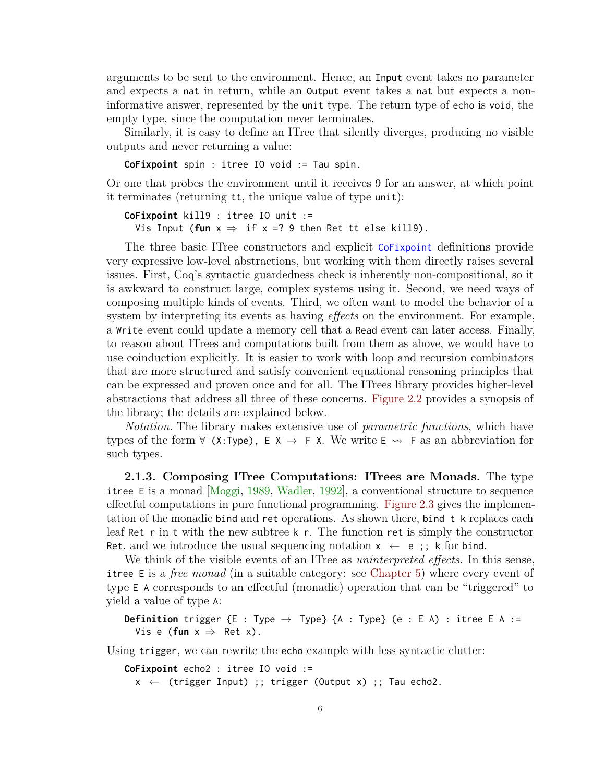arguments to be sent to the environment. Hence, an Input event takes no parameter and expects a nat in return, while an Output event takes a nat but expects a noninformative answer, represented by the unit type. The return type of echo is void, the empty type, since the computation never terminates.

Similarly, it is easy to define an ITree that silently diverges, producing no visible outputs and never returning a value:

**CoFixpoint** spin : itree IO void := Tau spin.

Or one that probes the environment until it receives 9 for an answer, at which point it terminates (returning tt, the unique value of type unit):

**CoFixpoint** kill9 : itree IO unit := Vis Input (fun  $x \Rightarrow$  if  $x = ?$  9 then Ret tt else kill9).

The three basic ITree constructors and explicit CoFixpoint definitions provide very expressive low-level abstractions, but working with them directly raises several issues. First, Coq's syntactic guardedness check is inherently non-compositional, so it is awkward to construct large, complex systems using it. Second, we need ways of composing multiple kinds of events. Third, we often want to model the behavior of a system by interpreting its events as having *effects* on the environment. For example, a Write event could update a memory cell that a Read event can later access. Finally, to reason about ITrees and computations built from them as above, we would have to use coinduction explicitly. It is easier to work with loop and recursion combinators that are more structured and satisfy convenient equational reasoning principles that can be expressed and proven once and for all. The ITrees library provides higher-level abstractions that address all three of these concerns. [Figure 2.2](#page-13-0) provides a synopsis of the library; the details are explained below.

*Notation.* The library makes extensive use of *parametric functions*, which have types of the form  $\forall$  (X:Type),  $\in X \rightarrow F X$ . We write  $\in \infty$  F as an abbreviation for such types.

**2.1.3. Composing ITree Computations: ITrees are Monads.** The type itree E is a monad [\[Moggi,](#page-100-1) [1989,](#page-100-1) [Wadler,](#page-103-2) [1992\]](#page-103-2), a conventional structure to sequence effectful computations in pure functional programming. [Figure 2.3](#page-13-1) gives the implementation of the monadic bind and ret operations. As shown there, bind t k replaces each leaf Ret r in t with the new subtree k r. The function ret is simply the constructor Ret, and we introduce the usual sequencing notation  $x \leftarrow e$ ;; k for bind.

We think of the visible events of an ITree as *uninterpreted effects*. In this sense, itree E is a *free monad* (in a suitable category: see [Chapter 5\)](#page-76-0) where every event of type E A corresponds to an effectful (monadic) operation that can be "triggered" to yield a value of type A:

```
Definition trigger \{E : Type \rightarrow Type\} \{A : Type\} (e : E A) : itree E A :=Vis e (fun x \Rightarrow Ret x).
```
Using trigger, we can rewrite the echo example with less syntactic clutter:

```
CoFixpoint echo2 : itree IO void :=
  x \leftarrow (trigger Input) ;; trigger (Output x) ;; Tau echo2.
```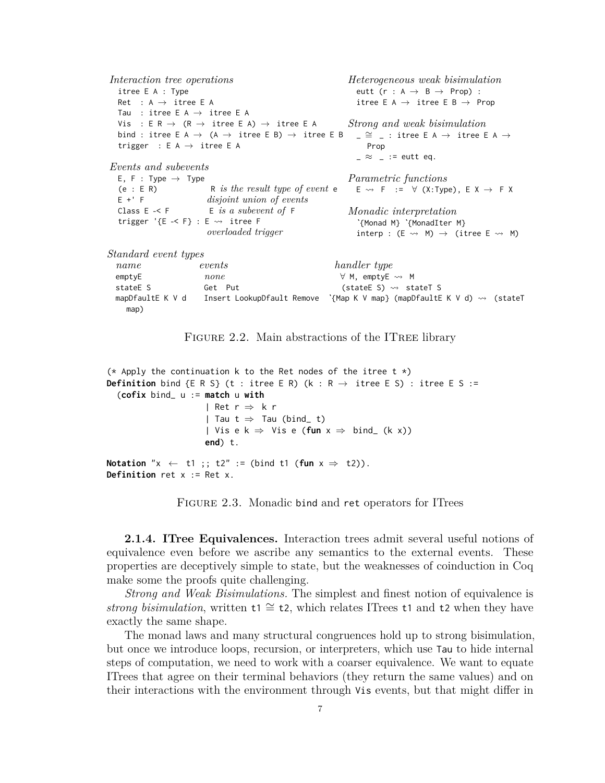```
Interaction tree operations
  itree E A : Type
  Ret : A \rightarrow itree E A
  Tau : itree E A \rightarrow itree E A
  Vis : E R \rightarrow (R \rightarrow itree E A) \rightarrow itree E A
  bind : itree E A \rightarrow (A \rightarrow itree E B) \rightarrow itree E B
  trigger : E A \rightarrow itree E A
Events and subevents
  E, F : Type \rightarrow Type
  (e : E R) R is the result type of event e
  E +' F disjoint union of events
  Class E \prec F E is a subevent of Ftrigger '\{E \prec F\} : E \leadsto itree F
                        overloaded trigger
                                                           Heterogeneous weak bisimulation
                                                              eutt (r : A \rightarrow B \rightarrow Prop):
                                                              itree E A \rightarrow itree E B \rightarrow Prop
                                                           Strong and weak bisimulation
                                                             \angle \cong \angle : itree E A \rightarrow itree E A \rightarrowProp
                                                              \geq \approx \geq := eutt eq.
                                                           Parametric functions
                                                             E \rightsquigarrow F := \forall (X:Type), E X \rightarrow F X
                                                           Monadic interpretation
                                                              ˋ{Monad M} ˋ{MonadIter M}
                                                              \text{interp} : (E \leadsto M) \rightarrow (\text{itree } E \leadsto M)Standard event types
  name events handler type
  emptyE none none \forall M, emptyE ↔ M
  stateE S Get Put \qquad \qquad (stateE S) \rightsquigarrow stateT S
  mapDfaultE K V d Insert LookupDfault Remove ˋ{Map K V map} (mapDfaultE K V d) ⇝ (stateT
    map)
```


```
(* Apply the continuation k to the Ret nodes of the itree t \star)
Definition bind {E R S} (t : itree E R) (k : R \rightarrow itree E S) : itree E S :=
  (cofix bind_ u := match u with
                        | Ret r \Rightarrow k r| Tau t \Rightarrow Tau (bind_ t)
                        | Vis e k \Rightarrow Vis e (fun x \Rightarrow bind<sub>_</sub> (k x))
                        end) t.
Notation "x \leftarrow t1;; t2" := (bind t1 (fun x \Rightarrow t2)).
Definition ret x := Ret x.
```
FIGURE 2.3. Monadic bind and ret operators for ITrees

**2.1.4. ITree Equivalences.** Interaction trees admit several useful notions of equivalence even before we ascribe any semantics to the external events. These properties are deceptively simple to state, but the weaknesses of coinduction in Coq make some the proofs quite challenging.

*Strong and Weak Bisimulations.* The simplest and finest notion of equivalence is *strong bisimulation*, written t1 ≅ t2, which relates ITrees t1 and t2 when they have exactly the same shape.

The monad laws and many structural congruences hold up to strong bisimulation, but once we introduce loops, recursion, or interpreters, which use Tau to hide internal steps of computation, we need to work with a coarser equivalence. We want to equate ITrees that agree on their terminal behaviors (they return the same values) and on their interactions with the environment through Vis events, but that might differ in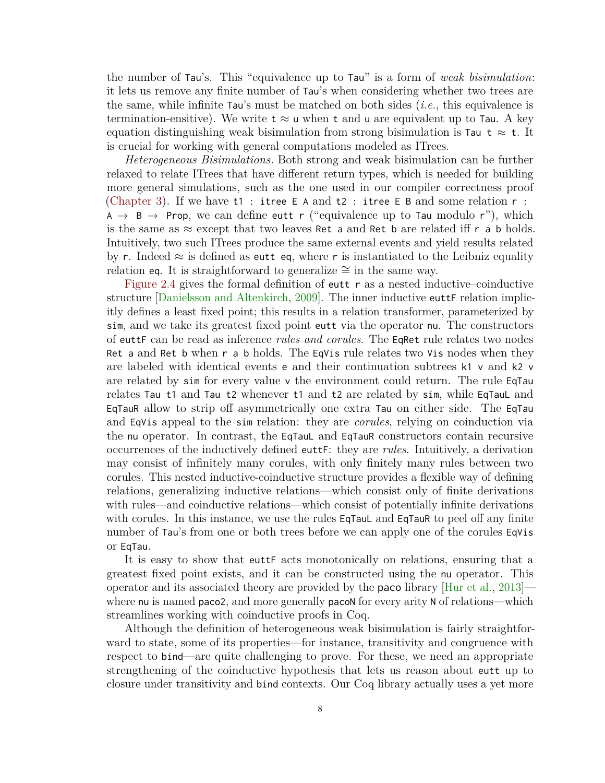the number of Tau's. This "equivalence up to Tau" is a form of *weak bisimulation*: it lets us remove any finite number of Tau's when considering whether two trees are the same, while infinite Tau's must be matched on both sides (*i.e.*, this equivalence is termination-ensitive). We write  $t \approx u$  when t and u are equivalent up to Tau. A key equation distinguishing weak bisimulation from strong bisimulation is Tau  $t \approx t$ . It is crucial for working with general computations modeled as ITrees.

*Heterogeneous Bisimulations.* Both strong and weak bisimulation can be further relaxed to relate ITrees that have different return types, which is needed for building more general simulations, such as the one used in our compiler correctness proof [\(Chapter 3\)](#page-27-0). If we have  $t1$ : itree E A and  $t2$ : itree E B and some relation  $r$ :  $A \rightarrow B \rightarrow$  Prop, we can define eutt r ("equivalence up to Tau modulo r"), which is the same as  $\approx$  except that two leaves Ret a and Ret b are related iff r a b holds. Intuitively, two such ITrees produce the same external events and yield results related by r. Indeed  $\approx$  is defined as eutt eq, where r is instantiated to the Leibniz equality relation eq. It is straightforward to generalize  $\cong$  in the same way.

[Figure 2.4](#page-15-0) gives the formal definition of eutt r as a nested inductive–coinductive structure [\[Danielsson and Altenkirch,](#page-92-1) [2009\]](#page-92-1). The inner inductive euttF relation implicitly defines a least fixed point; this results in a relation transformer, parameterized by sim, and we take its greatest fixed point eutt via the operator nu. The constructors of euttF can be read as inference *rules and corules*. The EqRet rule relates two nodes Ret a and Ret b when r a b holds. The EqVis rule relates two Vis nodes when they are labeled with identical events e and their continuation subtrees k1 v and k2 v are related by sim for every value v the environment could return. The rule EqTau relates Tau t1 and Tau t2 whenever t1 and t2 are related by sim, while EqTauL and EqTauR allow to strip off asymmetrically one extra Tau on either side. The EqTau and EqVis appeal to the sim relation: they are *corules*, relying on coinduction via the nu operator. In contrast, the EqTauL and EqTauR constructors contain recursive occurrences of the inductively defined euttF: they are *rules*. Intuitively, a derivation may consist of infinitely many corules, with only finitely many rules between two corules. This nested inductive-coinductive structure provides a flexible way of defining relations, generalizing inductive relations—which consist only of finite derivations with rules—and coinductive relations—which consist of potentially infinite derivations with corules. In this instance, we use the rules EqTauL and EqTauR to peel off any finite number of Tau's from one or both trees before we can apply one of the corules EqVis or EqTau.

It is easy to show that euttF acts monotonically on relations, ensuring that a greatest fixed point exists, and it can be constructed using the nu operator. This operator and its associated theory are provided by the paco library [\[Hur et al.,](#page-96-5) [2013\]](#page-96-5) where nu is named paco2, and more generally pacoN for every arity N of relations—which streamlines working with coinductive proofs in Coq.

Although the definition of heterogeneous weak bisimulation is fairly straightforward to state, some of its properties—for instance, transitivity and congruence with respect to bind—are quite challenging to prove. For these, we need an appropriate strengthening of the coinductive hypothesis that lets us reason about eutt up to closure under transitivity and bind contexts. Our Coq library actually uses a yet more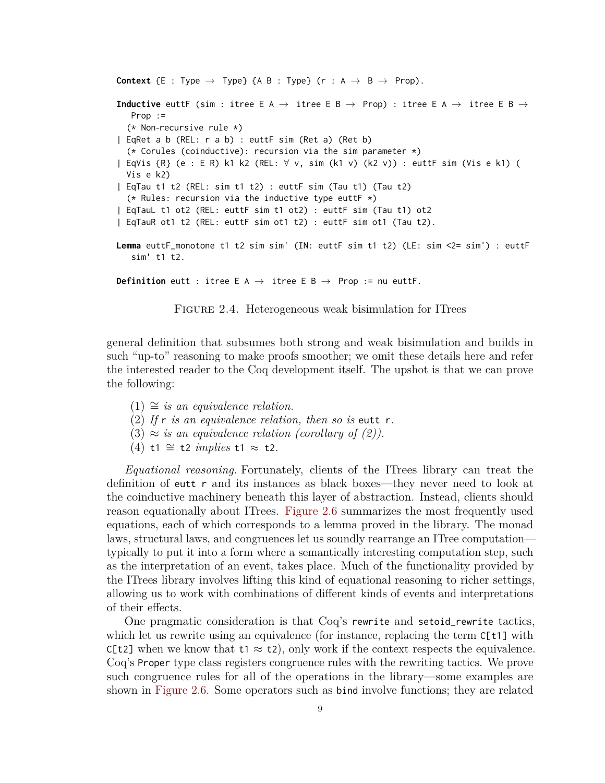```
Context {E : Type \rightarrow Type} {A B : Type} (r : A \rightarrow B \rightarrow Prop).
Inductive euttF (sim : itree E A \rightarrow itree E B \rightarrow Prop) : itree E A \rightarrow itree E B \rightarrowProp :=
  (* Non-recursive rule *)
| EqRet a b (REL: r a b) : euttF sim (Ret a) (Ret b)
  (* Corules (coinductive): recursion via the sim parameter *)
| EqVis {R} (e : E R) k1 k2 (REL: ∀ v, sim (k1 v) (k2 v)) : euttF sim (Vis e k1) (
  Vis e k2)
| EqTau t1 t2 (REL: sim t1 t2) : euttF sim (Tau t1) (Tau t2)
  (* Rules: recursion via the inductive type euttF *)
| EqTauL t1 ot2 (REL: euttF sim t1 ot2) : euttF sim (Tau t1) ot2
| EqTauR ot1 t2 (REL: euttF sim ot1 t2) : euttF sim ot1 (Tau t2).
Lemma euttF_monotone t1 t2 sim sim' (IN: euttF sim t1 t2) (LE: sim <2= sim') : euttF
   sim' t1 t2.
Definition eutt : itree E A \rightarrow itree E B \rightarrow Prop := nu euttF.
            FIGURE 2.4. Heterogeneous weak bisimulation for ITrees
```
general definition that subsumes both strong and weak bisimulation and builds in such "up-to" reasoning to make proofs smoother; we omit these details here and refer the interested reader to the Coq development itself. The upshot is that we can prove the following:

- $(1) ≅$  *is an equivalence relation.*
- (2) *If* r *is an equivalence relation, then so is* eutt r*.*
- $(3) \approx i$ s an equivalence relation (corollary of  $(2)$ ).
- (4) t1 ∼= t2 *implies* t1 ≈ t2*.*

*Equational reasoning.* Fortunately, clients of the ITrees library can treat the definition of eutt r and its instances as black boxes—they never need to look at the coinductive machinery beneath this layer of abstraction. Instead, clients should reason equationally about ITrees. [Figure 2.6](#page-16-1) summarizes the most frequently used equations, each of which corresponds to a lemma proved in the library. The monad laws, structural laws, and congruences let us soundly rearrange an ITree computation typically to put it into a form where a semantically interesting computation step, such as the interpretation of an event, takes place. Much of the functionality provided by the ITrees library involves lifting this kind of equational reasoning to richer settings, allowing us to work with combinations of different kinds of events and interpretations of their effects.

One pragmatic consideration is that Coq's rewrite and setoid\_rewrite tactics, which let us rewrite using an equivalence (for instance, replacing the term  $C[t1]$  with C[t2] when we know that  $t_1 \approx t_2$ , only work if the context respects the equivalence. Coq's Proper type class registers congruence rules with the rewriting tactics. We prove such congruence rules for all of the operations in the library—some examples are shown in [Figure 2.6.](#page-16-1) Some operators such as bind involve functions; they are related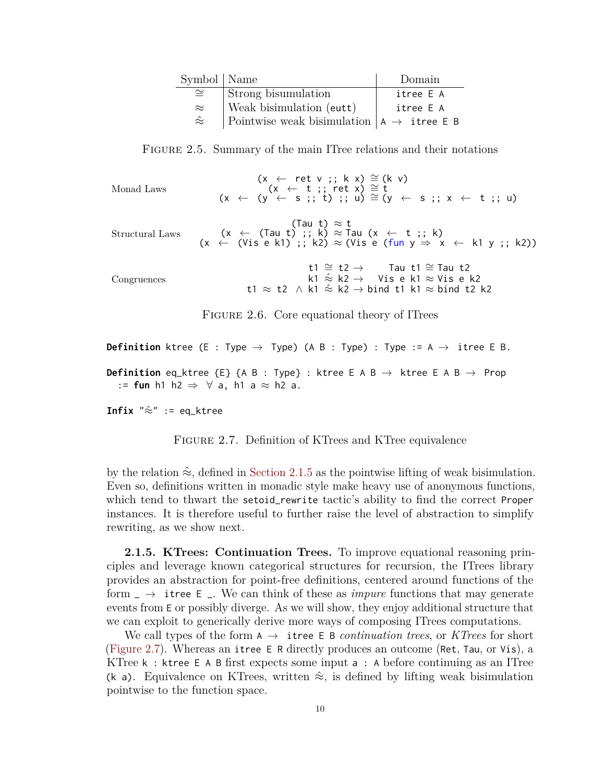<span id="page-16-0"></span>

| Symbol   Name   |                                                        | Domain    |
|-----------------|--------------------------------------------------------|-----------|
| $\cong$         | Strong bisumulation                                    | itree E A |
| $\approx$       | Weak bisimulation (eutt)                               | itree E A |
| $\hat{\approx}$ | Pointwise weak bisimulation $ A \rightarrow$ itree E B |           |

Figure 2.5. Summary of the main ITree relations and their notations

<span id="page-16-1"></span>

| Monad Laws      | $(x \leftarrow \text{ret } v ;; k x) \cong (k v)$<br>$(x \leftarrow t ;; \text{ ret } x) \cong t$<br>$(x \leftarrow (y \leftarrow s ;; t) ;; u) \approx (y \leftarrow s ;; x \leftarrow t ;; u)$          |
|-----------------|-----------------------------------------------------------------------------------------------------------------------------------------------------------------------------------------------------------|
| Structural Laws | (Tau t) $\approx$ t<br>$(x \leftarrow$ (Tau t) ;; k) $\approx$ Tau $(x \leftarrow$ t ;; k)<br>$(x \leftarrow$ (Vis e k1) ;; k2) $\approx$ (Vis e (fun $y \Rightarrow x \leftarrow$ k1 y ;; k2))           |
| Congruences     | t1 $\cong$ t2 $\rightarrow$ Tau t1 $\cong$ Tau t2<br>k1 $\hat{\approx}$ k2 $\rightarrow$ Visek1 $\approx$ Visek2<br>t1 $\approx$ t2 $\land$ k1 $\approx$ k2 $\rightarrow$ bind t1 k1 $\approx$ bind t2 k2 |

FIGURE 2.6. Core equational theory of ITrees

<span id="page-16-2"></span>**Definition** 
$$
\text{three} \ (E : Type \rightarrow Type)
$$
 (A B : Type) : Type := A \rightarrow itree E B.

\n**Definition**  $\text{eq\_ktree} \ \{E\} \ \{A \ B : Type\}$  :  $\text{ktree} \ E \ A \ B \rightarrow \text{ktree} \ E \ A \ B \rightarrow \text{Prop}$ 

\n:= **fun**  $\text{h1} \ \text{h2} \Rightarrow \forall \ a, \ h1 \ a \approx h2 \ a.$ 

**Infix**  $"\hat{\approx}"$  := eq\_ktree

FIGURE 2.7. Definition of KTrees and KTree equivalence

by the relation  $\hat{\approx}$ , defined in [Section 2.1.5](#page-16-3) as the pointwise lifting of weak bisimulation. Even so, definitions written in monadic style make heavy use of anonymous functions, which tend to thwart the setoid\_rewrite tactic's ability to find the correct Proper instances. It is therefore useful to further raise the level of abstraction to simplify rewriting, as we show next.

<span id="page-16-3"></span>**2.1.5. KTrees: Continuation Trees.** To improve equational reasoning principles and leverage known categorical structures for recursion, the ITrees library provides an abstraction for point-free definitions, centered around functions of the form  $\Box \rightarrow$  itree E  $\Box$ . We can think of these as *impure* functions that may generate events from E or possibly diverge. As we will show, they enjoy additional structure that we can exploit to generically derive more ways of composing ITrees computations.

We call types of the form  $A \rightarrow$  itree E B *continuation trees*, or *KTrees* for short [\(Figure 2.7\)](#page-16-2). Whereas an itree E R directly produces an outcome (Ret, Tau, or Vis), a KTree k : ktree E A B first expects some input a : A before continuing as an ITree (k a). Equivalence on KTrees, written  $\hat{\approx}$ , is defined by lifting weak bisimulation pointwise to the function space.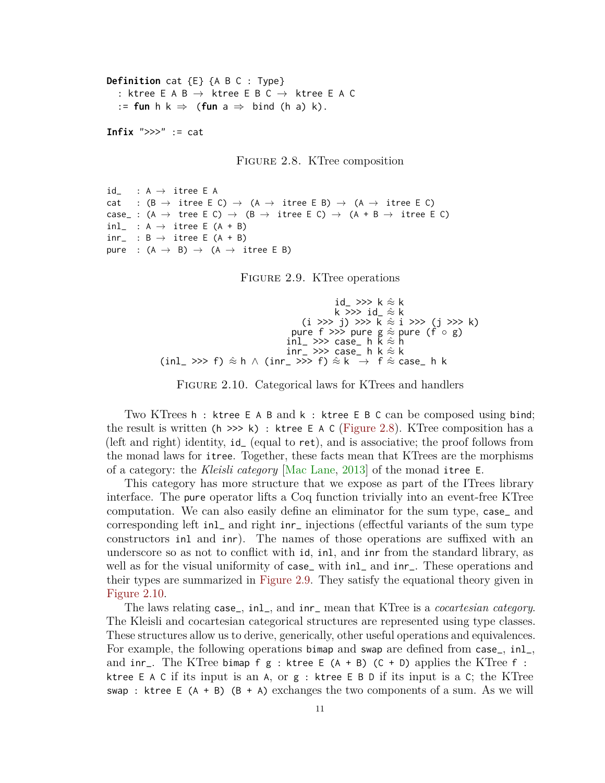<span id="page-17-0"></span>**Definition** cat {E} {A B C : Type} : ktree E A B  $\rightarrow$  ktree E B C  $\rightarrow$  ktree E A C := **fun**  $h$  k  $\Rightarrow$  (**fun**  $a \Rightarrow$  bind (h a) k).

**Infix** ">>>" := cat

Figure 2.8. KTree composition

```
id_ : A \rightarrow itree E A
cat : (B \to itree E C) \to (A \to itree E B) \to (A \to itree E C)
case_: (A \rightarrow tree E C) \rightarrow (B \rightarrow itree E C) \rightarrow (A + B \rightarrow itree E C)
inl_ : A \rightarrow itree E (A + B)
inv_{-} : B \rightarrow itree E (A + B)
pure : (A \rightarrow B) \rightarrow (A \rightarrow itree E B)
```
Figure 2.9. KTree operations

```
id_\gg k \hat{\approx} k
                                                               k >>> id_ ≈ˆ k
                                                   (i \gg j) \gg \bar{k} \approx i \gg (j \gg k)pure f >>> pure g \approx pure (f \circ g)
                                             inl_ >>> case_ h \breve{\mathsf{k}} \stackrel{\scriptscriptstyle\triangle}{\scriptscriptstyle\triangle} h
                                             inr_ \gg case_ h k \hat{\approx} k
(inl_ >>> f) \hat{\approx} h \wedge (inr_ >>> f) \hat{\approx} k \rightarrow f \hat{\approx} case_ h k
```
FIGURE 2.10. Categorical laws for KTrees and handlers

Two KTrees h : ktree E A B and k : ktree E B C can be composed using bind; the result is written ( $h \gg h$ ) : ktree E A C [\(Figure 2.8\)](#page-17-0). KTree composition has a (left and right) identity, id\_ (equal to ret), and is associative; the proof follows from the monad laws for itree. Together, these facts mean that KTrees are the morphisms of a category: the *Kleisli category* [\[Mac Lane,](#page-99-3) [2013\]](#page-99-3) of the monad itree E.

This category has more structure that we expose as part of the ITrees library interface. The pure operator lifts a Coq function trivially into an event-free KTree computation. We can also easily define an eliminator for the sum type, case\_ and corresponding left inl\_ and right inr\_ injections (effectful variants of the sum type constructors inl and inr). The names of those operations are suffixed with an underscore so as not to conflict with id, inl, and inr from the standard library, as well as for the visual uniformity of case\_ with inl\_ and inr\_. These operations and their types are summarized in [Figure 2.9.](#page-17-1) They satisfy the equational theory given in [Figure 2.10.](#page-17-2)

The laws relating case\_, inl\_, and inr\_ mean that KTree is a *cocartesian category*. The Kleisli and cocartesian categorical structures are represented using type classes. These structures allow us to derive, generically, other useful operations and equivalences. For example, the following operations bimap and swap are defined from case\_, inl\_, and inr\_. The KTree bimap f g : ktree E  $(A + B)$  (C + D) applies the KTree f : ktree E A C if its input is an A, or g : ktree E B D if its input is a C; the KTree swap : ktree E  $(A + B)$   $(B + A)$  exchanges the two components of a sum. As we will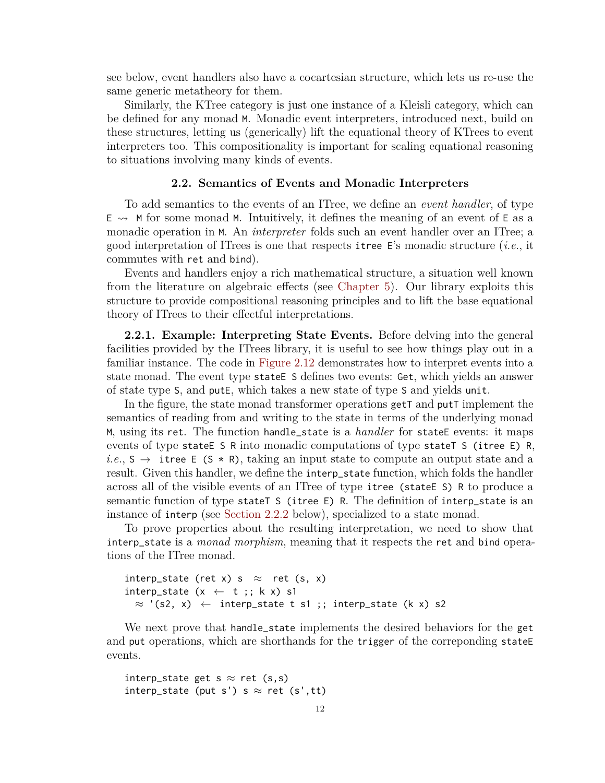see below, event handlers also have a cocartesian structure, which lets us re-use the same generic metatheory for them.

Similarly, the KTree category is just one instance of a Kleisli category, which can be defined for any monad M. Monadic event interpreters, introduced next, build on these structures, letting us (generically) lift the equational theory of KTrees to event interpreters too. This compositionality is important for scaling equational reasoning to situations involving many kinds of events.

#### **2.2. Semantics of Events and Monadic Interpreters**

<span id="page-18-0"></span>To add semantics to the events of an ITree, we define an *event handler*, of type  $E \leftrightarrow M$  for some monad M. Intuitively, it defines the meaning of an event of E as a monadic operation in M. An *interpreter* folds such an event handler over an ITree; a good interpretation of ITrees is one that respects itree E's monadic structure (*i.e.*, it commutes with ret and bind).

Events and handlers enjoy a rich mathematical structure, a situation well known from the literature on algebraic effects (see [Chapter 5\)](#page-76-0). Our library exploits this structure to provide compositional reasoning principles and to lift the base equational theory of ITrees to their effectful interpretations.

**2.2.1. Example: Interpreting State Events.** Before delving into the general facilities provided by the ITrees library, it is useful to see how things play out in a familiar instance. The code in [Figure 2.12](#page-19-1) demonstrates how to interpret events into a state monad. The event type stateE S defines two events: Get, which yields an answer of state type S, and putE, which takes a new state of type S and yields unit.

In the figure, the state monad transformer operations getT and putT implement the semantics of reading from and writing to the state in terms of the underlying monad M, using its ret. The function handle\_state is a *handler* for stateE events: it maps events of type stateE S R into monadic computations of type stateT S (itree E) R,  $i.e., S \rightarrow$  itree E (S  $\star$  R), taking an input state to compute an output state and a result. Given this handler, we define the interp\_state function, which folds the handler across all of the visible events of an ITree of type itree (stateE S) R to produce a semantic function of type stateT S (itree E) R. The definition of interp\_state is an instance of interp (see [Section 2.2.2](#page-19-2) below), specialized to a state monad.

To prove properties about the resulting interpretation, we need to show that interp\_state is a *monad morphism*, meaning that it respects the ret and bind operations of the ITree monad.

```
interp_state (ret x) s \approx ret (s, x)
interp_state (x \leftarrow t ; k x) s1
  \approx '(s2, x) \leftarrow interp_state t s1 ;; interp_state (k x) s2
```
We next prove that handle\_state implements the desired behaviors for the get and put operations, which are shorthands for the trigger of the correponding state events.

```
interp_state get s \approx ret (s,s)
interp_state (put s') s \approx ret (s',tt)
```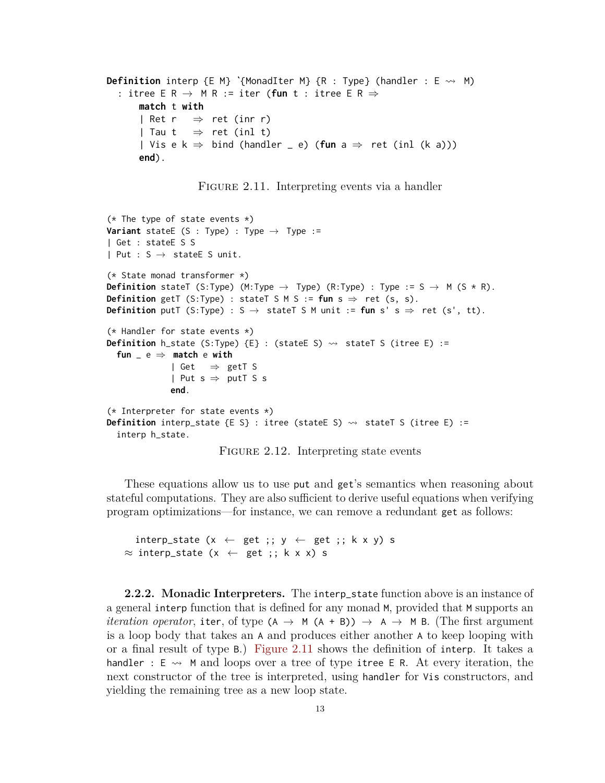```
Definition interp {E M} ˋ{MonadIter M} {R : Type} (handler : E ⇝ M)
  : itree E R → M R := iter (fun t : itree E R ⇒
      match t with
      | Ret r \Rightarrow ret (inr r)
      | Tau t \Rightarrow ret (inl t)
      | Vis e k \Rightarrow bind (handler _ e) (fun a \Rightarrow ret (inl (k a)))
      end).
```
FIGURE 2.11. Interpreting events via a handler

```
(* The type of state events *)Variant stateE (S : Type) : Type \rightarrow Type :=
| Get : stateE S S
| Put : S \rightarrow stateE S unit.
(* State monad transformer *)
Definition stateT (S:Type) (M:Type \rightarrow Type) (R:Type) : Type := S \rightarrow M (S \star R).
Definition getT (S:Type) : stateT S M S := fun s \Rightarrow ret (s, s).
Definition putT (S:Type) : S \rightarrow stateT S M unit := fun s' s \Rightarrow ret (s', tt).
(* Handler for state events *)
Definition h_state (S:Type) \{E\} : (stateE S) \rightsquigarrow stateT S (itree E) :=
  fun _ e ⇒ match e with
              | Get \Rightarrow getT S
               | Put s \Rightarrow putT S s
               end.
(* Interpreter for state events *)
Definition interp_state {E S} : itree (stateE S) \rightsquigarrow stateT S (itree E) :=
  interp h_state.
```
FIGURE 2.12. Interpreting state events

These equations allow us to use put and get's semantics when reasoning about stateful computations. They are also sufficient to derive useful equations when verifying program optimizations—for instance, we can remove a redundant get as follows:

interp\_state (x  $\leftarrow$  get ;; y  $\leftarrow$  get ;; k x y) s  $\approx$  interp\_state (x  $\leftarrow$  get ;; k x x) s

<span id="page-19-2"></span>**2.2.2. Monadic Interpreters.** The interp\_state function above is an instance of a general interp function that is defined for any monad M, provided that M supports an *iteration operator*, iter, of type  $(A \rightarrow M (A + B)) \rightarrow A \rightarrow M B$ . (The first argument is a loop body that takes an A and produces either another A to keep looping with or a final result of type B.) [Figure 2.11](#page-19-0) shows the definition of interp. It takes a handler :  $E \rightarrow M$  and loops over a tree of type itree E R. At every iteration, the next constructor of the tree is interpreted, using handler for Vis constructors, and yielding the remaining tree as a new loop state.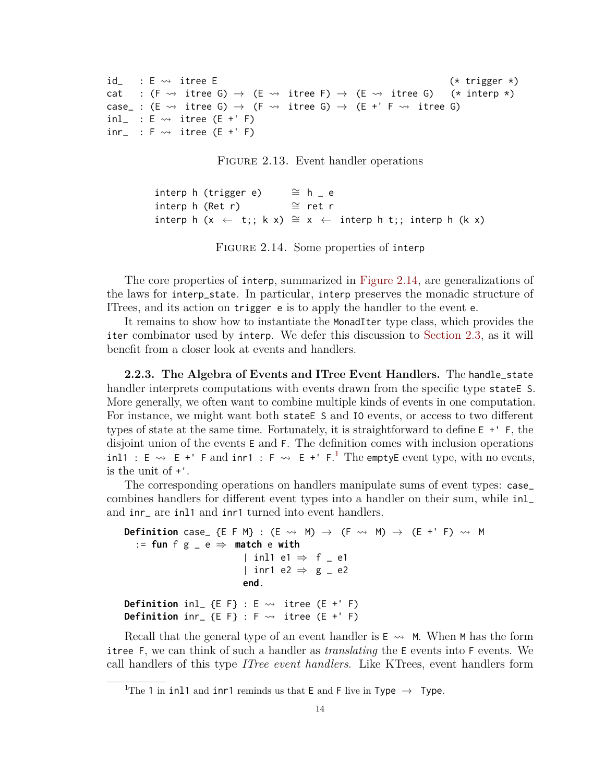```
id \quad : E \rightsquigarrow \text{ three } E (* trigger *)
cat : (F \rightsquigarrow itree G) \rightarrow (E \rightsquigarrow itree F) \rightarrow (E \rightsquigarrow itree G) (* interp *)
case_ : (E \rightsquigarrow itree G) \rightarrow (F \rightsquigarrow itree G) \rightarrow (E +' F \rightsquigarrow itree G)
inl_{-} : E \rightarrow itree (E + ' F)inv_{-} : F \rightsquigarrow itree (E +' F)
```
FIGURE 2.13. Event handler operations

```
interp h (trigger e) \simeq h - e
interp h (Ret r) ≅ ret r
interp h (x ← t;; k x) \cong x ← interp h t;; interp h (k x)
```
FIGURE 2.14. Some properties of interp

The core properties of interp, summarized in [Figure 2.14,](#page-20-1) are generalizations of the laws for interp\_state. In particular, interp preserves the monadic structure of ITrees, and its action on trigger e is to apply the handler to the event e.

It remains to show how to instantiate the MonadIter type class, which provides the iter combinator used by interp. We defer this discussion to [Section 2.3,](#page-21-0) as it will benefit from a closer look at events and handlers.

**2.2.3. The Algebra of Events and ITree Event Handlers.** The handle\_state handler interprets computations with events drawn from the specific type states S. More generally, we often want to combine multiple kinds of events in one computation. For instance, we might want both state ES and IO events, or access to two different types of state at the same time. Fortunately, it is straightforward to define E +' F, the disjoint union of the events E and F. The definition comes with inclusion operations inl[1](#page-20-2) : E  $\rightsquigarrow$  E +' F and inr1 : F  $\rightsquigarrow$  E +' F.<sup>1</sup> The emptyE event type, with no events, is the unit of +'.

The corresponding operations on handlers manipulate sums of event types: case\_ combines handlers for different event types into a handler on their sum, while inl\_ and inr\_ are inl1 and inr1 turned into event handlers.

```
Definition case_ {E F M} : (E \rightsquigarrow M) \rightarrow (F \rightsquigarrow M) \rightarrow (E +' F) \rightsquigarrow M
   := fun f g = e \Rightarrow match e with
                                 | inl1 e1 \Rightarrow f = e1
                                 | inr1 e2 \Rightarrow g = e2
                                 end.
Definition inl {E F} : E \rightsquigarrow itree (E +' F)
Definition \text{inr}_{-} {E F} : F \rightsquigarrow itree (E +' F)
```
Recall that the general type of an event handler is  $E \rightarrow M$ . When M has the form itree F, we can think of such a handler as *translating* the E events into F events. We call handlers of this type *ITree event handlers*. Like KTrees, event handlers form

<span id="page-20-2"></span><sup>&</sup>lt;sup>1</sup>The 1 in in11 and inr1 reminds us that E and F live in Type  $\rightarrow$  Type.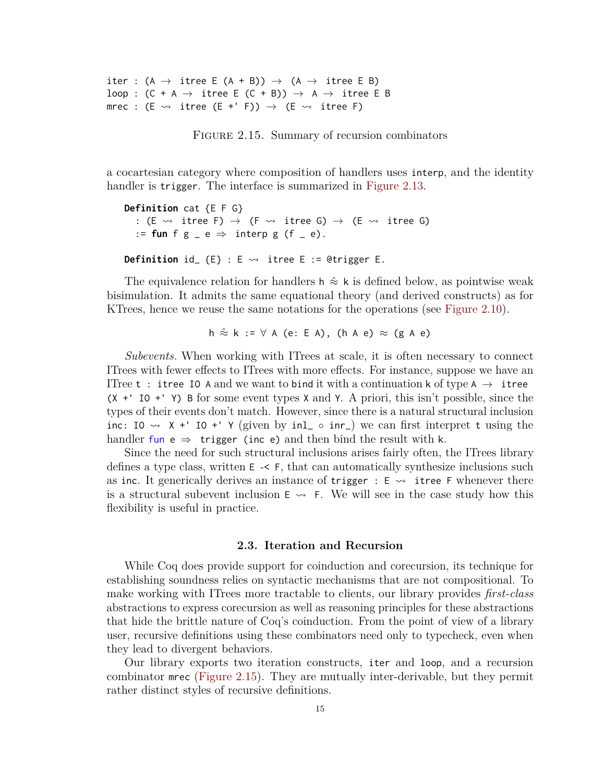<span id="page-21-1"></span>iter :  $(A \rightarrow$  itree E  $(A + B)) \rightarrow (A \rightarrow$  itree E B) loop :  $(C + A \rightarrow$  itree E  $(C + B)) \rightarrow A \rightarrow$  itree E B mrec : (E  $\rightsquigarrow$  itree (E +' F))  $\rightarrow$  (E  $\rightsquigarrow$  itree F)

FIGURE 2.15. Summary of recursion combinators

a cocartesian category where composition of handlers uses interp, and the identity handler is trigger. The interface is summarized in [Figure 2.13.](#page-20-0)

**Definition** cat {E F G} : (E  $\rightsquigarrow$  itree F)  $\rightarrow$  (F  $\rightsquigarrow$  itree G)  $\rightarrow$  (E  $\rightsquigarrow$  itree G) := fun f  $g$   $\ge$   $e$   $\Rightarrow$  interp  $g$  (f  $\ge$   $e$ ). **Definition** id\_  $\{E\}$  : E  $\rightsquigarrow$  itree E := @trigger E.

The equivalence relation for handlers h  $\approx$  k is defined below, as pointwise weak bisimulation. It admits the same equational theory (and derived constructs) as for KTrees, hence we reuse the same notations for the operations (see [Figure 2.10\)](#page-17-2).

h  $\hat{\approx}$  k :=  $\forall$  A (e: E A), (h A e)  $\approx$  (g A e)

*Subevents.* When working with ITrees at scale, it is often necessary to connect ITrees with fewer effects to ITrees with more effects. For instance, suppose we have an ITree t : itree IO A and we want to bind it with a continuation k of type A  $\rightarrow$  itree  $(X +' I0 +' Y)$  B for some event types X and Y. A priori, this isn't possible, since the types of their events don't match. However, since there is a natural structural inclusion inc: IO  $\rightsquigarrow$  X +' IO +' Y (given by inl\_ ∘ inr\_) we can first interpret t using the handler fun e  $\Rightarrow$  trigger (inc e) and then bind the result with k.

Since the need for such structural inclusions arises fairly often, the ITrees library defines a type class, written  $E \leq F$ , that can automatically synthesize inclusions such as inc. It generically derives an instance of trigger :  $E \rightarrow$  itree F whenever there is a structural subevent inclusion  $E \rightarrow F$ . We will see in the case study how this flexibility is useful in practice.

#### **2.3. Iteration and Recursion**

<span id="page-21-0"></span>While Coq does provide support for coinduction and corecursion, its technique for establishing soundness relies on syntactic mechanisms that are not compositional. To make working with ITrees more tractable to clients, our library provides *first-class* abstractions to express corecursion as well as reasoning principles for these abstractions that hide the brittle nature of Coq's coinduction. From the point of view of a library user, recursive definitions using these combinators need only to typecheck, even when they lead to divergent behaviors.

Our library exports two iteration constructs, iter and loop, and a recursion combinator mrec [\(Figure 2.15\)](#page-21-1). They are mutually inter-derivable, but they permit rather distinct styles of recursive definitions.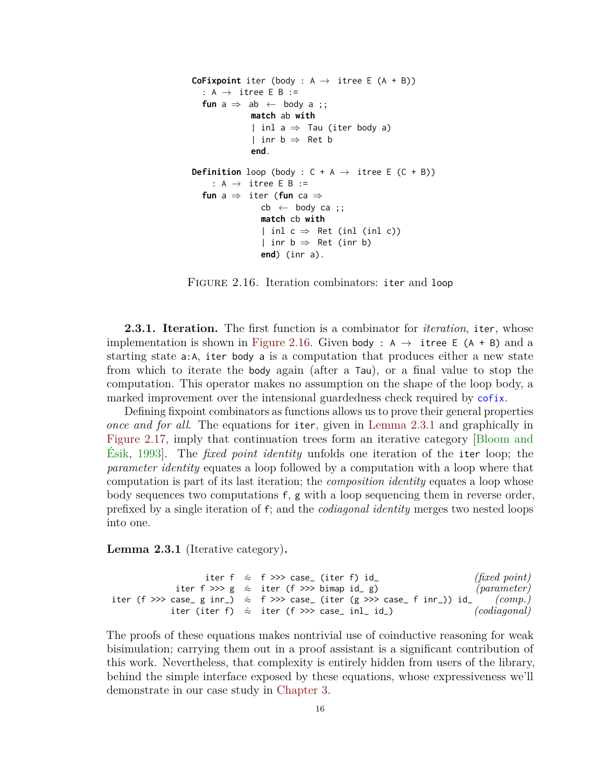```
CoFixpoint iter (body : A \rightarrow itree E (A + B))
  : A \rightarrow itree E B :=
  fun a \Rightarrow ab \leftarrow body a;
              match ab with
               | inl a \Rightarrow Tau (iter body a)
               | inr b \Rightarrow Ret b
               end.
Definition loop (body : C + A \rightarrow itree E (C + B))
     : A \rightarrow itree E B :=
  fun a ⇒ iter (fun ca ⇒
                 cb \leftarrow body ca;
                 match cb with
                 | inl c \Rightarrow Ret (inl (inl c))
                 | inr b \Rightarrow Ret (inr b)
                 end) (inr a).
```
Figure 2.16. Iteration combinators: iter and loop

**2.3.1. Iteration.** The first function is a combinator for *iteration*, iter, whose implementation is shown in [Figure 2.16.](#page-22-0) Given body :  $A \rightarrow$  itree E (A + B) and a starting state a:A, iter body a is a computation that produces either a new state from which to iterate the body again (after a Tau), or a final value to stop the computation. This operator makes no assumption on the shape of the loop body, a marked improvement over the intensional guardedness check required by cofix.

Defining fixpoint combinators as functions allows us to prove their general properties *once and for all*. The equations for iter, given in [Lemma 2.3.1](#page-22-1) and graphically in [Figure 2.17,](#page-24-0) imply that continuation trees form an iterative category [\[Bloom and](#page-90-2) [Ésik,](#page-90-2) [1993\]](#page-90-2). The *fixed point identity* unfolds one iteration of the iter loop; the *parameter identity* equates a loop followed by a computation with a loop where that computation is part of its last iteration; the *composition identity* equates a loop whose body sequences two computations f, g with a loop sequencing them in reverse order, prefixed by a single iteration of f; and the *codiagonal identity* merges two nested loops into one.

<span id="page-22-1"></span>**Lemma 2.3.1** (Iterative category)**.**

```
iter f \approx f \gg case<sub></sub> (iter f) id (fixed point)
           iter f \gg g \approx iter (f \gg) bimap id_g) (parameter)
iter (f >>> case_ g inr_) \approx f >>> case_ (iter (g >>> case_ f inr_)) id_ (comp.)iter (iter f) ≈ˆ iter (f >>> case_ inl_ id_) (codiagonal)
```
The proofs of these equations makes nontrivial use of coinductive reasoning for weak bisimulation; carrying them out in a proof assistant is a significant contribution of this work. Nevertheless, that complexity is entirely hidden from users of the library, behind the simple interface exposed by these equations, whose expressiveness we'll demonstrate in our case study in [Chapter 3.](#page-27-0)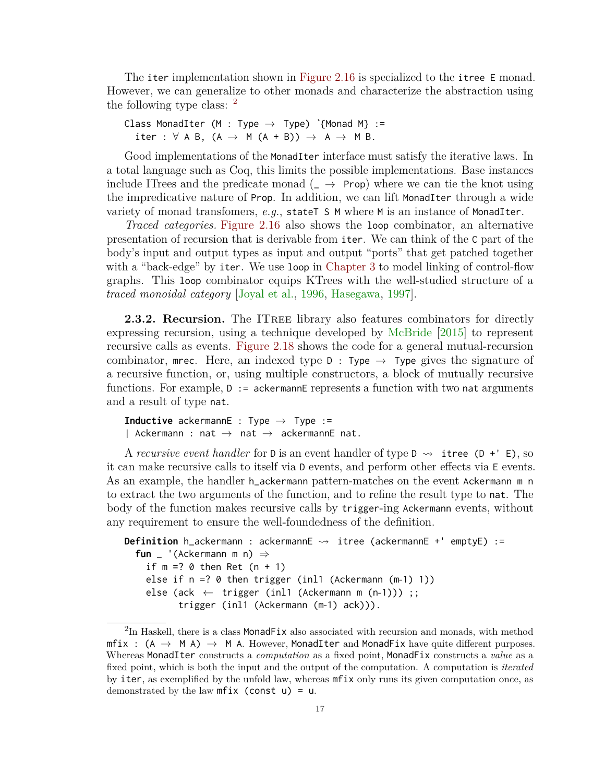The iter implementation shown in [Figure 2.16](#page-22-0) is specialized to the itree E monad. However, we can generalize to other monads and characterize the abstraction using the following type class:  $<sup>2</sup>$  $<sup>2</sup>$  $<sup>2</sup>$ </sup>

```
Class MonadIter (M : Type → Type) ˋ{Monad M} :=
  iter : \forall A B, (A \rightarrow M (A + B)) \rightarrow A \rightarrow M B.
```
Good implementations of the MonadIter interface must satisfy the iterative laws. In a total language such as Coq, this limits the possible implementations. Base instances include ITrees and the predicate monad  $($   $\rightarrow$  Prop) where we can tie the knot using the impredicative nature of Prop. In addition, we can lift MonadIter through a wide variety of monad transfomers, *e.g.*, stateT S M where M is an instance of MonadIter.

*Traced categories.* [Figure 2.16](#page-22-0) also shows the loop combinator, an alternative presentation of recursion that is derivable from iter. We can think of the C part of the body's input and output types as input and output "ports" that get patched together with a "back-edge" by iter. We use loop in [Chapter 3](#page-27-0) to model linking of control-flow graphs. This loop combinator equips KTrees with the well-studied structure of a *traced monoidal category* [\[Joyal et al.,](#page-96-6) [1996,](#page-96-6) [Hasegawa,](#page-94-3) [1997\]](#page-94-3).

**2.3.2. Recursion.** The ITREE library also features combinators for directly expressing recursion, using a technique developed by [McBride](#page-99-4) [\[2015\]](#page-99-4) to represent recursive calls as events. [Figure 2.18](#page-25-1) shows the code for a general mutual-recursion combinator, mee. Here, an indexed type  $D : Type \rightarrow Type$  gives the signature of a recursive function, or, using multiple constructors, a block of mutually recursive functions. For example,  $D := a$ ckermannE represents a function with two nat arguments and a result of type nat.

**Inductive** ackermannE : Type  $\rightarrow$  Type := | Ackermann : nat  $\rightarrow$  nat  $\rightarrow$  ackermannE nat.

A *recursive event handler* for D is an event handler of type D  $\rightsquigarrow$  itree (D + 'E), so it can make recursive calls to itself via D events, and perform other effects via E events. As an example, the handler h\_ackermann pattern-matches on the event Ackermann m n to extract the two arguments of the function, and to refine the result type to nat. The body of the function makes recursive calls by trigger-ing Ackermann events, without any requirement to ensure the well-foundedness of the definition.

```
Definition h_ackermann : ackermannE <sub>→</sub> itree (ackermannE +' emptyE) :=
  fun _ '(Ackermann m n) ⇒
    if m = ? 0 then Ret (n + 1)else if n =? 0 then trigger (inl1 (Ackermann (m-1) 1))
    else (ack \leftarrow trigger (inl1 (Ackermann m (n-1))) ;;
          trigger (inl1 (Ackermann (m-1) ack))).
```
<span id="page-23-0"></span> ${}^{2}\text{In}$  Haskell, there is a class MonadFix also associated with recursion and monads, with method  $mfix$ :  $(A \rightarrow M A) \rightarrow M A$ . However, MonadIter and MonadFix have quite different purposes. Whereas MonadIter constructs a *computation* as a fixed point, MonadFix constructs a *value* as a fixed point, which is both the input and the output of the computation. A computation is *iterated* by iter, as exemplified by the unfold law, whereas mfix only runs its given computation once, as demonstrated by the law  $mfix$  (const  $u$ ) =  $u$ .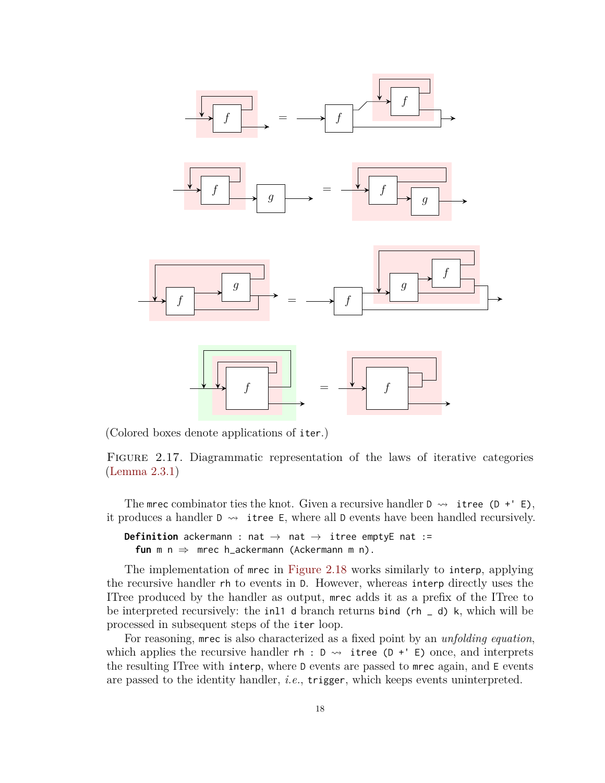<span id="page-24-0"></span>

(Colored boxes denote applications of iter.)

FIGURE 2.17. Diagrammatic representation of the laws of iterative categories [\(Lemma 2.3.1\)](#page-22-1)

The mrec combinator ties the knot. Given a recursive handler  $D \rightarrow i$  itree (D +' E), it produces a handler  $D \rightsquigarrow$  itree E, where all D events have been handled recursively.

**Definition** ackermann : nat  $\rightarrow$  nat  $\rightarrow$  itree emptyE nat := **fun** m n ⇒ mrec h\_ackermann (Ackermann m n).

The implementation of mrec in [Figure 2.18](#page-25-1) works similarly to interp, applying the recursive handler rh to events in D. However, whereas interp directly uses the ITree produced by the handler as output, mrec adds it as a prefix of the ITree to be interpreted recursively: the inl1 d branch returns bind ( $rh = d$ ) k, which will be processed in subsequent steps of the iter loop.

For reasoning, mrec is also characterized as a fixed point by an *unfolding equation*, which applies the recursive handler  $rh : D \rightarrow$  itree (D +' E) once, and interprets the resulting ITree with interp, where D events are passed to mrec again, and E events are passed to the identity handler, *i.e.*, trigger, which keeps events uninterpreted.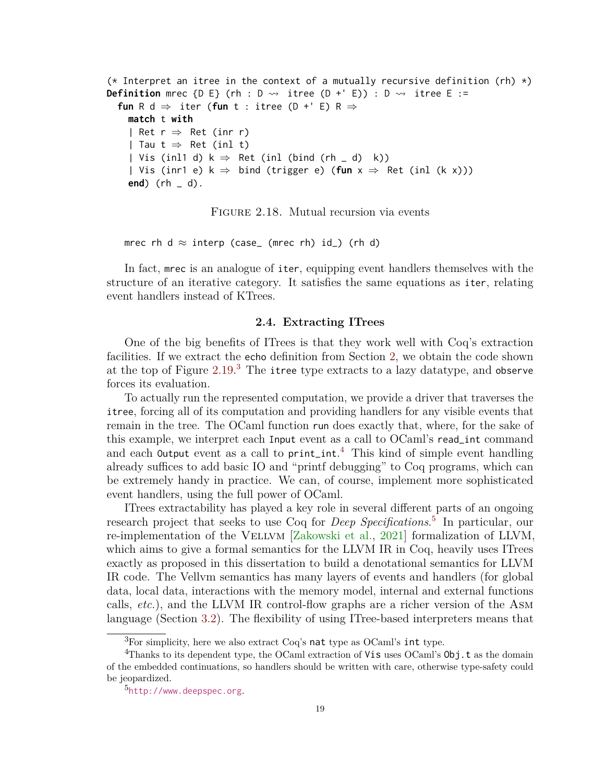```
(* Interpret an itree in the context of a mutually recursive definition (rh) \star)
Definition mrec {D E} (rh : D \rightsquigarrow itree (D +' E)) : D \rightsquigarrow itree E :=
  fun R d \Rightarrow iter (fun t : itree (D +' E) R \Rightarrowmatch t with
    | Ret r \Rightarrow Ret (inr r)
    | Tau t \Rightarrow Ret (inl t)
    | Vis (inl1 d) k \Rightarrow Ret (inl (bind (rh _ d) k))
    | Vis (inr1 e) k ⇒ bind (trigger e) (fun x ⇒ Ret (inl (k x)))
    end) (rh _ d).
```
Figure 2.18. Mutual recursion via events

mrec rh d  $\approx$  interp (case\_ (mrec rh) id\_) (rh d)

In fact, mrec is an analogue of iter, equipping event handlers themselves with the structure of an iterative category. It satisfies the same equations as iter, relating event handlers instead of KTrees.

#### **2.4. Extracting ITrees**

<span id="page-25-0"></span>One of the big benefits of ITrees is that they work well with Coq's extraction facilities. If we extract the echo definition from Section [2,](#page-10-0) we obtain the code shown at the top of Figure  $2.19.^3$  $2.19.^3$  $2.19.^3$  The itree type extracts to a lazy datatype, and observe forces its evaluation.

To actually run the represented computation, we provide a driver that traverses the itree, forcing all of its computation and providing handlers for any visible events that remain in the tree. The OCaml function run does exactly that, where, for the sake of this example, we interpret each Input event as a call to OCaml's read\_int command and each Output event as a call to print\_int. [4](#page-25-3) This kind of simple event handling already suffices to add basic IO and "printf debugging" to Coq programs, which can be extremely handy in practice. We can, of course, implement more sophisticated event handlers, using the full power of OCaml.

ITrees extractability has played a key role in several different parts of an ongoing research project that seeks to use Coq for *Deep Specifications*. [5](#page-25-4) In particular, our re-implementation of the VELLVM [\[Zakowski et al.,](#page-104-0) [2021\]](#page-104-0) formalization of LLVM, which aims to give a formal semantics for the LLVM IR in Coq, heavily uses ITrees exactly as proposed in this dissertation to build a denotational semantics for LLVM IR code. The Vellvm semantics has many layers of events and handlers (for global data, local data, interactions with the memory model, internal and external functions calls, *etc.*), and the LLVM IR control-flow graphs are a richer version of the Asm language (Section [3.2\)](#page-30-0). The flexibility of using ITree-based interpreters means that

<span id="page-25-3"></span><span id="page-25-2"></span> ${}^{3}$ For simplicity, here we also extract Coq's nat type as OCaml's int type.

<sup>&</sup>lt;sup>4</sup>Thanks to its dependent type, the OCaml extraction of Vis uses OCaml's 0bj.t as the domain of the embedded continuations, so handlers should be written with care, otherwise type-safety could be jeopardized.

<span id="page-25-4"></span><sup>5</sup> <http://www.deepspec.org>.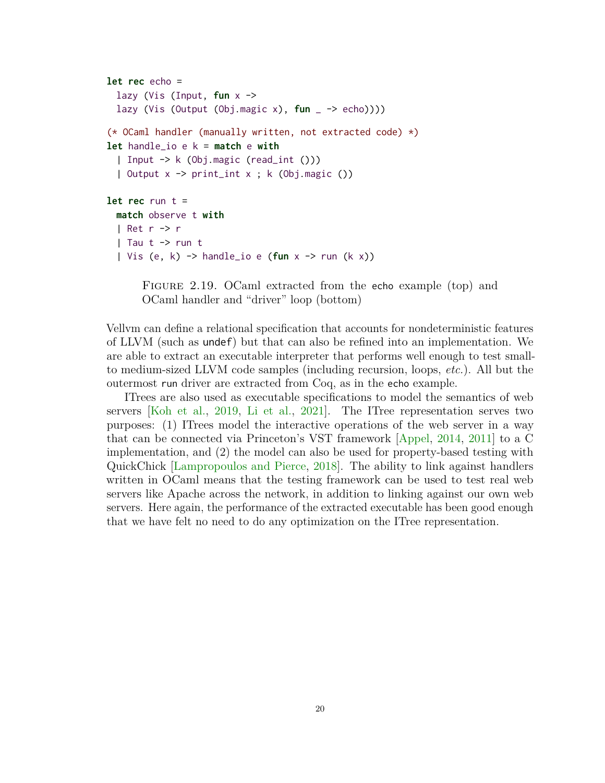```
let rec echo =
  lazy (Vis (Input, fun x ->
 lazy (Vis (Output (Obj.magic x), fun _ -> echo))))
(* OCaml handler (manually written, not extracted code) *)
let handle_io e k = match e with
  | Input -> k (Obj.magic (read_int ()))
  | Output x -> print_int x ; k (Obj.magic ())
let rec run t =
 match observe t with
  | Ret r -> r
  | Tau t \rightarrow run t
  | Vis (e, k) -> handle_io e (fun x -> run (k x))
```
FIGURE 2.19. OCaml extracted from the echo example (top) and OCaml handler and "driver" loop (bottom)

Vellvm can define a relational specification that accounts for nondeterministic features of LLVM (such as undef) but that can also be refined into an implementation. We are able to extract an executable interpreter that performs well enough to test smallto medium-sized LLVM code samples (including recursion, loops, *etc.*). All but the outermost run driver are extracted from Coq, as in the echo example.

ITrees are also used as executable specifications to model the semantics of web servers [\[Koh et al.,](#page-97-2) [2019,](#page-97-2) [Li et al.,](#page-98-4) [2021\]](#page-98-4). The ITree representation serves two purposes: (1) ITrees model the interactive operations of the web server in a way that can be connected via Princeton's VST framework [\[Appel,](#page-90-3) [2014,](#page-90-3) [2011\]](#page-89-3) to a C implementation, and (2) the model can also be used for property-based testing with QuickChick [\[Lampropoulos and Pierce,](#page-98-2) [2018\]](#page-98-2). The ability to link against handlers written in OCaml means that the testing framework can be used to test real web servers like Apache across the network, in addition to linking against our own web servers. Here again, the performance of the extracted executable has been good enough that we have felt no need to do any optimization on the ITree representation.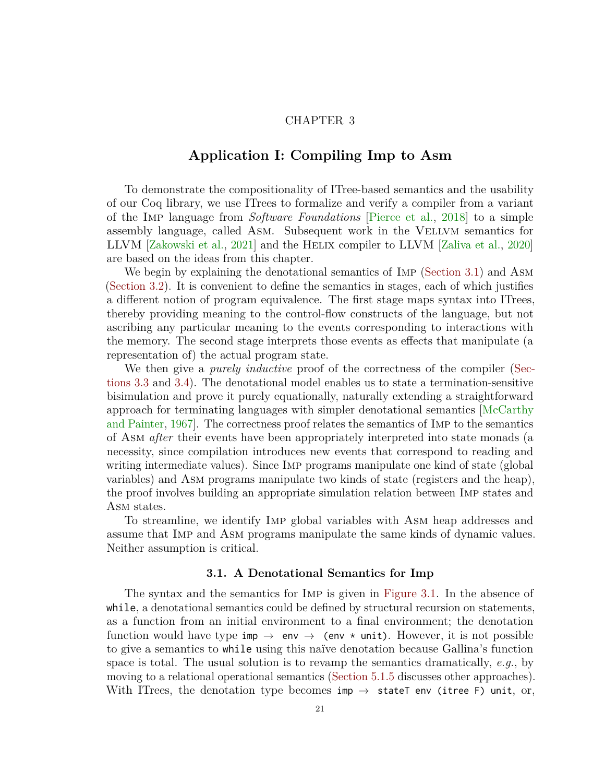## CHAPTER 3

## <span id="page-27-0"></span>**Application I: Compiling Imp to Asm**

To demonstrate the compositionality of ITree-based semantics and the usability of our Coq library, we use ITrees to formalize and verify a compiler from a variant of the Imp language from *Software Foundations* [\[Pierce et al.,](#page-101-1) [2018\]](#page-101-1) to a simple assembly language, called Asm. Subsequent work in the Vellvm semantics for LLVM [\[Zakowski et al.,](#page-104-0) [2021\]](#page-104-0) and the Helix compiler to LLVM [\[Zaliva et al.,](#page-104-1) [2020\]](#page-104-1) are based on the ideas from this chapter.

We begin by explaining the denotational semantics of IMP [\(Section 3.1\)](#page-27-1) and ASM [\(Section 3.2\)](#page-30-0). It is convenient to define the semantics in stages, each of which justifies a different notion of program equivalence. The first stage maps syntax into ITrees, thereby providing meaning to the control-flow constructs of the language, but not ascribing any particular meaning to the events corresponding to interactions with the memory. The second stage interprets those events as effects that manipulate (a representation of) the actual program state.

We then give a *purely inductive* proof of the correctness of the compiler [\(Sec](#page-32-0)[tions 3.3](#page-32-0) and [3.4\)](#page-34-0). The denotational model enables us to state a termination-sensitive bisimulation and prove it purely equationally, naturally extending a straightforward approach for terminating languages with simpler denotational semantics [\[McCarthy](#page-99-5) [and Painter,](#page-99-5) [1967\]](#page-99-5). The correctness proof relates the semantics of Imp to the semantics of Asm *after* their events have been appropriately interpreted into state monads (a necessity, since compilation introduces new events that correspond to reading and writing intermediate values). Since Imp programs manipulate one kind of state (global variables) and Asm programs manipulate two kinds of state (registers and the heap), the proof involves building an appropriate simulation relation between Imp states and ASM states.

To streamline, we identify Imp global variables with Asm heap addresses and assume that Imp and Asm programs manipulate the same kinds of dynamic values. Neither assumption is critical.

### **3.1. A Denotational Semantics for Imp**

<span id="page-27-1"></span>The syntax and the semantics for Imp is given in [Figure 3.1.](#page-28-0) In the absence of while, a denotational semantics could be defined by structural recursion on statements, as a function from an initial environment to a final environment; the denotation function would have type imp  $\rightarrow$  env  $\rightarrow$  (env  $*$  unit). However, it is not possible to give a semantics to while using this naïve denotation because Gallina's function space is total. The usual solution is to revamp the semantics dramatically, *e.g.*, by moving to a relational operational semantics [\(Section 5.1.5](#page-81-0) discusses other approaches). With ITrees, the denotation type becomes imp  $\rightarrow$  stateT env (itree F) unit, or,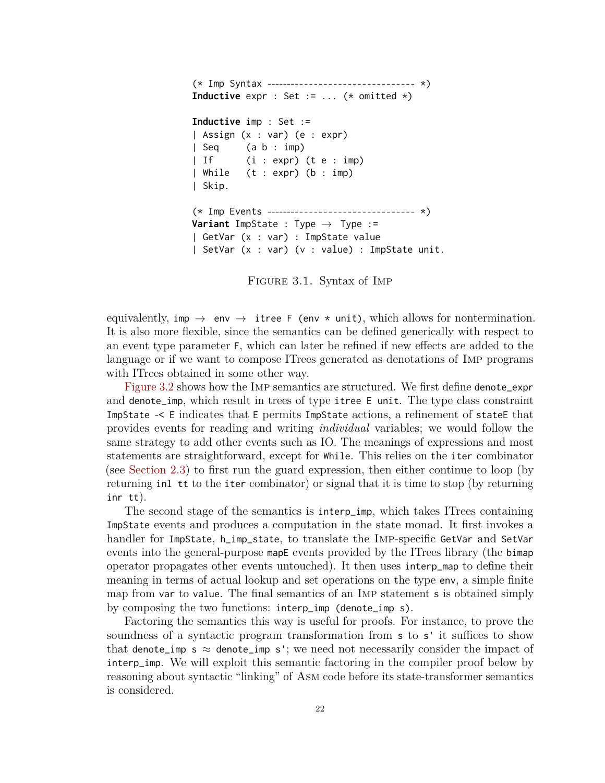```
(* Imp Syntax -------------------------------- *)
Inductive expr : Set := ... (* omitted *)
Inductive imp : Set :=
| Assign (x : var) (e : expr)
| Seq (a b : imp)
| If (i : expr) (t e : imp)| While (t : expr) (b : imp)
| Skip.
(* Imp Events -------------------------------- *)
Variant ImpState : Type \rightarrow Type :=
| GetVar (x : var) : ImpState value
| SetVar (x : var) (v : value) : ImpState unit.
```
Figure 3.1. Syntax of Imp

equivalently, imp  $\rightarrow$  env  $\rightarrow$  itree F (env  $*$  unit), which allows for nontermination. It is also more flexible, since the semantics can be defined generically with respect to an event type parameter F, which can later be refined if new effects are added to the language or if we want to compose ITrees generated as denotations of Imp programs with ITrees obtained in some other way.

[Figure 3.2](#page-29-0) shows how the Imp semantics are structured. We first define denote\_expr and denote\_imp, which result in trees of type itree E unit. The type class constraint ImpState -< E indicates that E permits ImpState actions, a refinement of stateE that provides events for reading and writing *individual* variables; we would follow the same strategy to add other events such as IO. The meanings of expressions and most statements are straightforward, except for While. This relies on the iter combinator (see [Section 2.3\)](#page-21-0) to first run the guard expression, then either continue to loop (by returning inl tt to the iter combinator) or signal that it is time to stop (by returning inr tt).

The second stage of the semantics is interp\_imp, which takes ITrees containing ImpState events and produces a computation in the state monad. It first invokes a handler for ImpState, h\_imp\_state, to translate the Imp-specific GetVar and SetVar events into the general-purpose mapE events provided by the ITrees library (the bimap operator propagates other events untouched). It then uses interp\_map to define their meaning in terms of actual lookup and set operations on the type env, a simple finite map from var to value. The final semantics of an Imp statement s is obtained simply by composing the two functions: interp\_imp (denote\_imp s).

Factoring the semantics this way is useful for proofs. For instance, to prove the soundness of a syntactic program transformation from s to s' it suffices to show that denote\_imp s  $\approx$  denote\_imp s'; we need not necessarily consider the impact of interp\_imp. We will exploit this semantic factoring in the compiler proof below by reasoning about syntactic "linking" of Asm code before its state-transformer semantics is considered.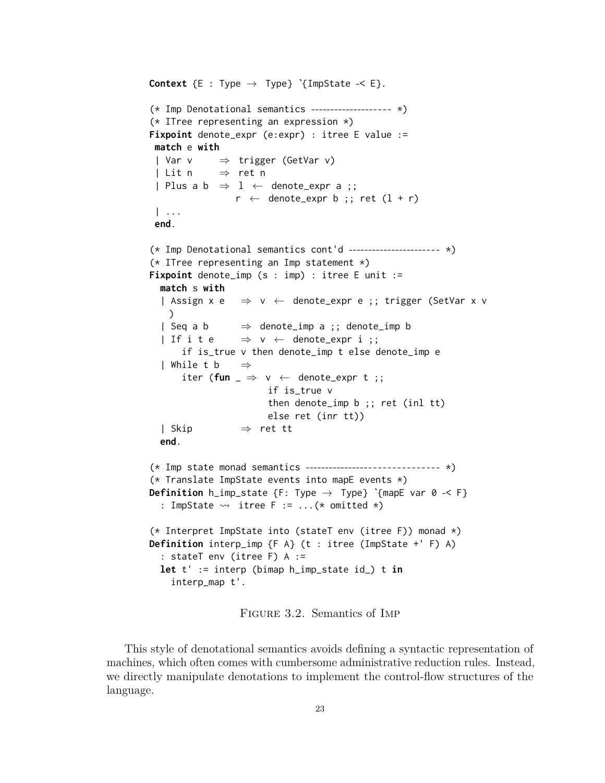```
Context \{E : \text{Type} \rightarrow \text{Type}\} \{ \text{ImpState} \prec E \}.(* Imp Denotational semantics -------------------- *)
(* ITree representing an expression *)
Fixpoint denote_expr (e:expr) : itree E value :=
 match e with
 | Var v \Rightarrow trigger (GetVar v)
 | Lit n \Rightarrow ret n
 | Plus a b \Rightarrow 1 \leftarrow denote_expr a ;;
                  r \leftarrow denote_expr b ;; ret (1 + r)| ...
 end.
(* Imp Denotational semantics cont'd ----------------------- *)
(* ITree representing an Imp statement *)
Fixpoint denote_imp (s : imp) : itree E unit :=
  match s with
  | Assign x e \Rightarrow v \leftarrow denote_expr e ;; trigger (SetVar x v
    \mathcal{L}| Seq a b \Rightarrow denote_imp a ;; denote_imp b
  | If i t e \Rightarrow v \leftarrow denote_expr i ;;
      if is_true v then denote_imp t else denote_imp e
  | While t b \Rightarrowiter (fun \Rightarrow v \leftarrow denote_expr t ;;
                         if is_true v
                         then denote_imp b ;; ret (inl tt)
                         else ret (inr tt))
  | Skip ⇒ ret tt
  end.
(* Imp state monad semantics ------------------------------- *)
(* Translate ImpState events into mapE events *)
Definition h_imp_state {F: Type \rightarrow Type} `{mapE var 0 -< F}
  : ImpState \rightsquigarrow itree F := ...(* omitted *)
(* Interpret ImpState into (stateT env (itree F)) monad *)
Definition interp_imp {F A} (t : itree (ImpState +' F) A)
  : stateT env (itree F) A :=
  let t' := interp (bimap h_imp_state id_) t in
    interp_map t'.
```
Figure 3.2. Semantics of Imp

This style of denotational semantics avoids defining a syntactic representation of machines, which often comes with cumbersome administrative reduction rules. Instead, we directly manipulate denotations to implement the control-flow structures of the language.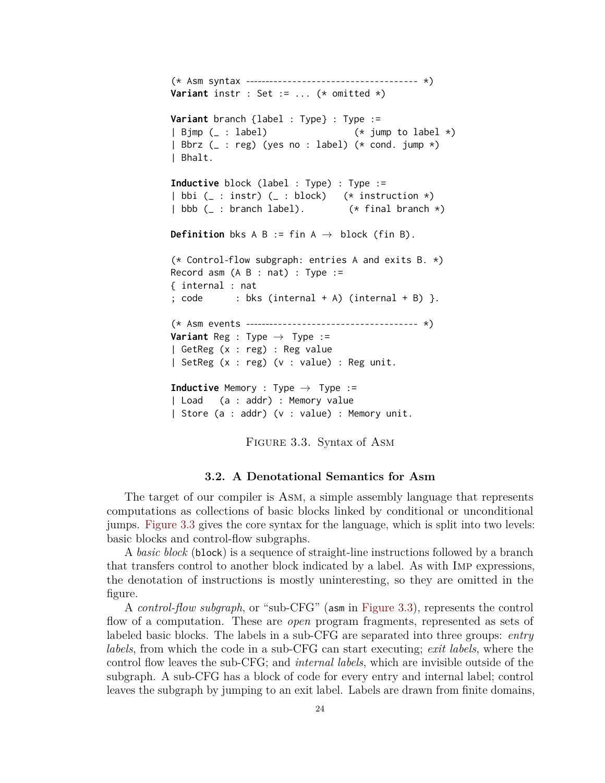```
(* Asm syntax ------------------------------------- *)
Variant instr : Set := ... (* omitted *)
Variant branch {label : Type} : Type :=
| Bjmp (_ : label) (* jump to label *)
| Bbrz (_ : reg) (yes no : label) (* cond. jump *)
| Bhalt.
Inductive block (label : Type) : Type :=
| bbi (_ : instr) (_ : block) (* instruction *)
| bbb (_ : branch label). (* final branch *)
Definition bks A B := fin A \rightarrow block (fin B).
(* Control-flow subgraph: entries A and exits B. *)
Record asm (A \ B : nat) : Type :={ internal : nat
; code : bks (internal + A) (internal + B) .
(* Asm events ------------------------------------- *)
Variant Reg : Type \rightarrow Type :=
| GetReg (x : reg) : Reg value
| SetReg (x : reg) (v : value) : Reg unit.
Inductive Memory : Type \rightarrow Type :=
| Load (a : addr) : Memory value
| Store (a : addr) (v : value) : Memory unit.
```
FIGURE 3.3. Syntax of ASM

#### **3.2. A Denotational Semantics for Asm**

<span id="page-30-0"></span>The target of our compiler is Asm, a simple assembly language that represents computations as collections of basic blocks linked by conditional or unconditional jumps. [Figure 3.3](#page-30-1) gives the core syntax for the language, which is split into two levels: basic blocks and control-flow subgraphs.

A *basic block* (block) is a sequence of straight-line instructions followed by a branch that transfers control to another block indicated by a label. As with Imp expressions, the denotation of instructions is mostly uninteresting, so they are omitted in the figure.

A *control-flow subgraph*, or "sub-CFG" (asm in [Figure 3.3\)](#page-30-1), represents the control flow of a computation. These are *open* program fragments, represented as sets of labeled basic blocks. The labels in a sub-CFG are separated into three groups: *entry labels*, from which the code in a sub-CFG can start executing; *exit labels*, where the control flow leaves the sub-CFG; and *internal labels*, which are invisible outside of the subgraph. A sub-CFG has a block of code for every entry and internal label; control leaves the subgraph by jumping to an exit label. Labels are drawn from finite domains,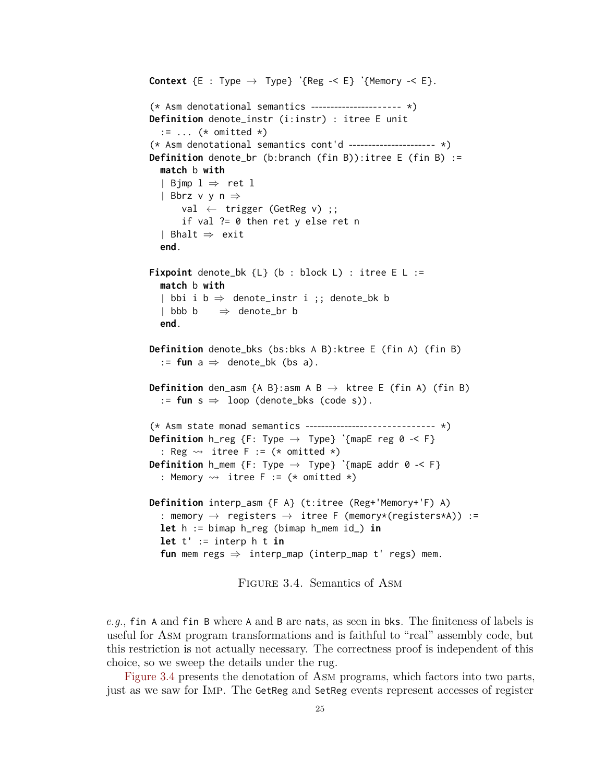```
Context \{E : Type \rightarrow Type\} \{Reg -< E\} \{Memory -< E\}.(* Asm denotational semantics ---------------------- *)
Definition denote_instr (i:instr) : itree E unit
  := \ldots (* omitted *)
(* Asm denotational semantics cont'd ---------------------- *)
Definition denote_br (b:branch (fin B)):itree E (fin B) :=
  match b with
  | Bjmp l \Rightarrow ret l| Bbrz v y n ⇒
      val \leftarrow trigger (GetReg v);
       if val ?= 0 then ret y else ret n
  | Bhalt ⇒ exit
  end.
Fixpoint denote_bk {L} (b : block L) : itree E L :=
  match b with
  | bbi i b \Rightarrow denote_instr i ;; denote_bk b
  | bbb b \Rightarrow denote_br b
  end.
Definition denote_bks (bs:bks A B):ktree E (fin A) (fin B)
  := fun a \Rightarrow denote_bk (bs a).
Definition den_asm {A B}:asm A B \rightarrow ktree E (fin A) (fin B)
  := fun s \Rightarrow loop (denote_bks (code s)).
(* Asm state monad semantics ------------------------------ *)
Definition h_reg {F: Type → Type} ˋ{mapE reg 0 -< F}
  : Reg \rightsquigarrow itree F := (* omitted *)
Definition h_mem \{F: Type \rightarrow Type\} ´{mapE addr \emptyset -< F}
  : Memory \rightsquigarrow itree F := (* omitted *)
Definition interp_asm {F A} (t:itree (Reg+'Memory+'F) A)
  : memory \rightarrow registers \rightarrow itree F (memory*(registers*A)) :=
  let h := bimap h_reg (bimap h_mem id_) in
  let t' := interp h t in
  fun mem regs ⇒ interp_map (interp_map t' regs) mem.
```
Figure 3.4. Semantics of Asm

*e.g.*, fin A and fin B where A and B are nats, as seen in bks. The finiteness of labels is useful for Asm program transformations and is faithful to "real" assembly code, but this restriction is not actually necessary. The correctness proof is independent of this choice, so we sweep the details under the rug.

[Figure 3.4](#page-31-0) presents the denotation of Asm programs, which factors into two parts, just as we saw for Imp. The GetReg and SetReg events represent accesses of register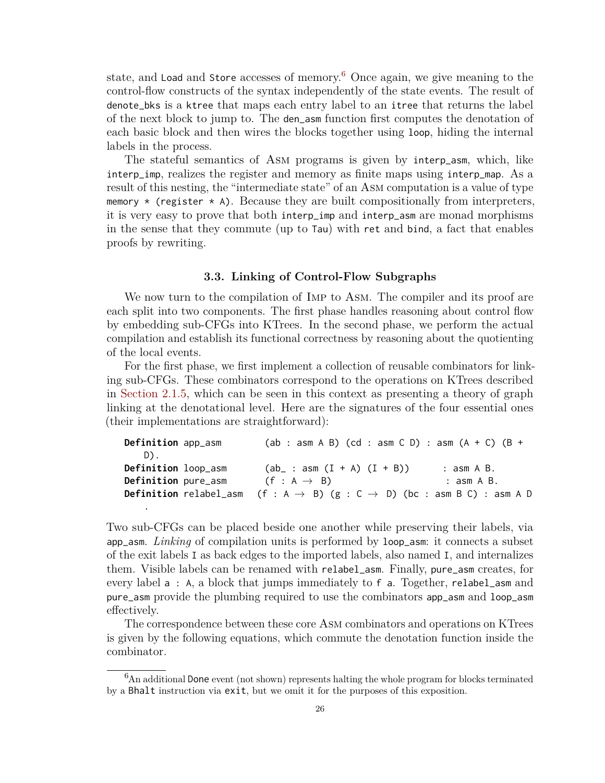state, and Load and Store accesses of memory.<sup>[6](#page-32-1)</sup> Once again, we give meaning to the control-flow constructs of the syntax independently of the state events. The result of denote\_bks is a ktree that maps each entry label to an itree that returns the label of the next block to jump to. The den\_asm function first computes the denotation of each basic block and then wires the blocks together using loop, hiding the internal labels in the process.

The stateful semantics of Asm programs is given by interp\_asm, which, like interp\_imp, realizes the register and memory as finite maps using interp\_map. As a result of this nesting, the "intermediate state" of an Asm computation is a value of type memory  $\star$  (register  $\star$  A). Because they are built compositionally from interpreters, it is very easy to prove that both interp\_imp and interp\_asm are monad morphisms in the sense that they commute (up to Tau) with ret and bind, a fact that enables proofs by rewriting.

#### **3.3. Linking of Control-Flow Subgraphs**

<span id="page-32-0"></span>We now turn to the compilation of IMP to ASM. The compiler and its proof are each split into two components. The first phase handles reasoning about control flow by embedding sub-CFGs into KTrees. In the second phase, we perform the actual compilation and establish its functional correctness by reasoning about the quotienting of the local events.

For the first phase, we first implement a collection of reusable combinators for linking sub-CFGs. These combinators correspond to the operations on KTrees described in [Section 2.1.5,](#page-16-3) which can be seen in this context as presenting a theory of graph linking at the denotational level. Here are the signatures of the four essential ones (their implementations are straightforward):

| Definition app_asm  | $(ab : asm A B) (cd : asm C D) : asm (A + C) (B +$                                                     |            |
|---------------------|--------------------------------------------------------------------------------------------------------|------------|
| D).                 |                                                                                                        |            |
| Definition loop_asm | $(ab_$ : asm $(I + A)$ $(I + B))$                                                                      | : asm A B. |
| Definition pure_asm | $(f : A \rightarrow B)$                                                                                | : asm A B. |
|                     | <b>Definition</b> relabel_asm (f : A $\rightarrow$ B) (g : C $\rightarrow$ D) (bc : asm B C) : asm A D |            |
| ٠                   |                                                                                                        |            |

Two sub-CFGs can be placed beside one another while preserving their labels, via app\_asm. *Linking* of compilation units is performed by loop\_asm: it connects a subset of the exit labels I as back edges to the imported labels, also named I, and internalizes them. Visible labels can be renamed with relabel\_asm. Finally, pure\_asm creates, for every label a : A, a block that jumps immediately to f a. Together, relabel\_asm and pure\_asm provide the plumbing required to use the combinators app\_asm and loop\_asm effectively.

The correspondence between these core Asm combinators and operations on KTrees is given by the following equations, which commute the denotation function inside the combinator.

<span id="page-32-1"></span> $6$ An additional Done event (not shown) represents halting the whole program for blocks terminated by a Bhalt instruction via exit, but we omit it for the purposes of this exposition.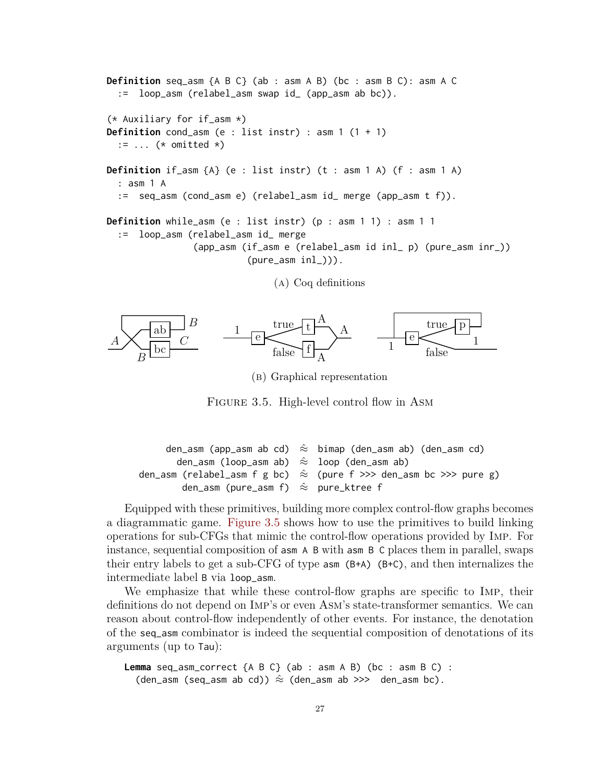<span id="page-33-0"></span>**Definition** seq\_asm {A B C} (ab : asm A B) (bc : asm B C): asm A C := loop\_asm (relabel\_asm swap id\_ (app\_asm ab bc)). (\* Auxiliary for if\_asm \*) **Definition** cond\_asm (e : list instr) : asm  $1(1 + 1)$ := ... (\* omitted \*) **Definition** if\_asm {A} (e : list instr) (t : asm 1 A) (f : asm 1 A) : asm 1 A := seq\_asm (cond\_asm e) (relabel\_asm id\_ merge (app\_asm t f)). **Definition** while\_asm (e : list instr) (p : asm 1 1) : asm 1 1 := loop\_asm (relabel\_asm id\_ merge (app\_asm (if\_asm e (relabel\_asm id inl\_ p) (pure\_asm inr\_))  $(pure\_asm inl_{})).$ 

```
(a) Coq definitions
```


(b) Graphical representation

FIGURE 3.5. High-level control flow in ASM

```
den_asm (app_asm ab cd) \hat{\approx} bimap (den_asm ab) (den_asm cd)
        den_asm (loop_asm ab) \hat{\approx} loop (den_asm ab)
den_asm (relabel_asm f g bc) \hat{\approx} (pure f >>> den_asm bc >>> pure g)
         den_asm (pure_asm f) \hat{\approx} pure_ktree f
```
Equipped with these primitives, building more complex control-flow graphs becomes a diagrammatic game. [Figure 3.5](#page-33-0) shows how to use the primitives to build linking operations for sub-CFGs that mimic the control-flow operations provided by Imp. For instance, sequential composition of asm A B with asm B C places them in parallel, swaps their entry labels to get a sub-CFG of type  $\alpha$ sm (B+A) (B+C), and then internalizes the intermediate label B via loop\_asm.

We emphasize that while these control-flow graphs are specific to Imp, their definitions do not depend on Imp's or even Asm's state-transformer semantics. We can reason about control-flow independently of other events. For instance, the denotation of the seq\_asm combinator is indeed the sequential composition of denotations of its arguments (up to Tau):

```
Lemma seq_asm_correct {A B C} (ab : asm A B) (bc : asm B C) :
  (den_asm (seq_asm ab cd)) \hat{\approx} (den_asm ab >>> den_asm bc).
```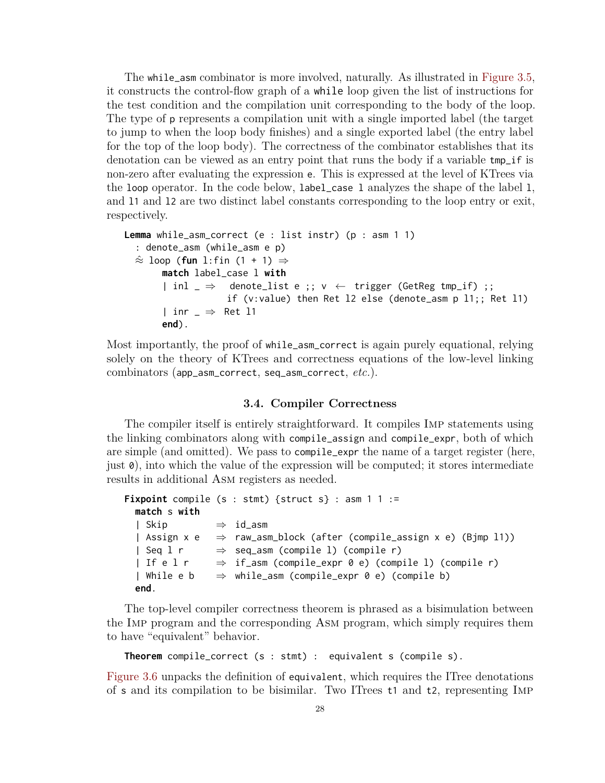The while\_asm combinator is more involved, naturally. As illustrated in [Figure 3.5,](#page-33-0) it constructs the control-flow graph of a while loop given the list of instructions for the test condition and the compilation unit corresponding to the body of the loop. The type of p represents a compilation unit with a single imported label (the target to jump to when the loop body finishes) and a single exported label (the entry label for the top of the loop body). The correctness of the combinator establishes that its denotation can be viewed as an entry point that runs the body if a variable tmp\_if is non-zero after evaluating the expression e. This is expressed at the level of KTrees via the loop operator. In the code below, label\_case l analyzes the shape of the label l, and l1 and l2 are two distinct label constants corresponding to the loop entry or exit, respectively.

```
Lemma while_asm_correct (e : list instr) (p : asm 1 1)
  : denote_asm (while_asm e p)
  ≈ˆ loop (fun l:fin (1 + 1) ⇒
       match label_case l with
       | inl \Rightarrow denote_list e ;; v \leftarrow trigger (GetReg tmp_if) ;;
                    if (v:value) then Ret l2 else (denote_asm p l1;; Ret l1)
       | inr \Rightarrow Ret 11
       end).
```
Most importantly, the proof of while\_asm\_correct is again purely equational, relying solely on the theory of KTrees and correctness equations of the low-level linking combinators (app\_asm\_correct, seq\_asm\_correct, *etc.*).

## **3.4. Compiler Correctness**

<span id="page-34-0"></span>The compiler itself is entirely straightforward. It compiles Imp statements using the linking combinators along with compile\_assign and compile\_expr, both of which are simple (and omitted). We pass to compile\_expr the name of a target register (here, just 0), into which the value of the expression will be computed; it stores intermediate results in additional Asm registers as needed.

```
Fixpoint compile (s : stmt) {struct s} : asm 1 1 :=
  match s with
  | Skip ⇒ id_asm
  | Assign x e \Rightarrow raw_asm_block (after (compile_assign x e) (Bjmp l1))
  | Seq l r \Rightarrow seq_asm (compile 1) (compile r)
  | If e l r \Rightarrow if_asm (compile_expr 0 e) (compile l) (compile r)
  | While e b \Rightarrow while_asm (compile_expr 0 e) (compile b)
  end.
```
The top-level compiler correctness theorem is phrased as a bisimulation between the Imp program and the corresponding Asm program, which simply requires them to have "equivalent" behavior.

```
Theorem compile_correct (s : stmt) : equivalent s (compile s).
```
[Figure 3.6](#page-36-0) unpacks the definition of equivalent, which requires the ITree denotations of s and its compilation to be bisimilar. Two ITrees t1 and t2, representing Imp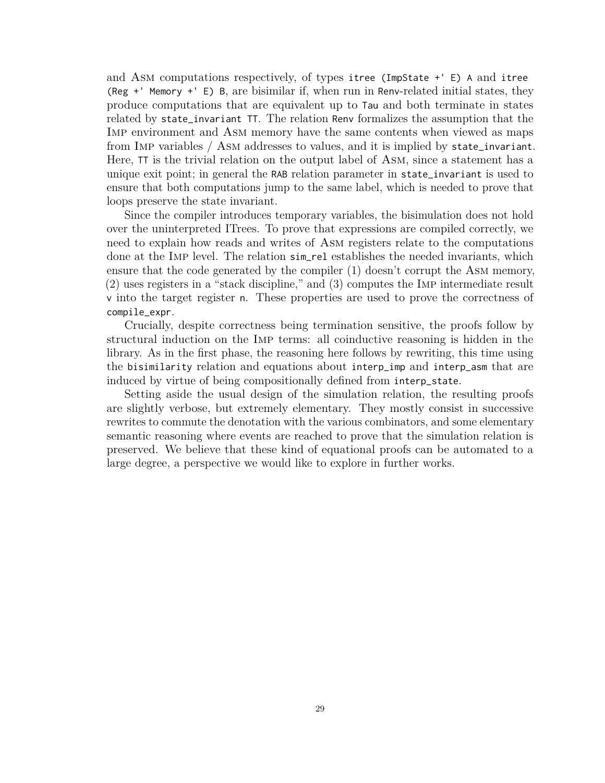and Asm computations respectively, of types itree (ImpState +' E) A and itree (Reg +' Memory +' E) B, are bisimilar if, when run in Renv-related initial states, they produce computations that are equivalent up to Tau and both terminate in states related by state\_invariant TT. The relation Renv formalizes the assumption that the Imp environment and Asm memory have the same contents when viewed as maps from Imp variables / Asm addresses to values, and it is implied by state\_invariant. Here, TT is the trivial relation on the output label of Asm, since a statement has a unique exit point; in general the RAB relation parameter in state\_invariant is used to ensure that both computations jump to the same label, which is needed to prove that loops preserve the state invariant.

Since the compiler introduces temporary variables, the bisimulation does not hold over the uninterpreted ITrees. To prove that expressions are compiled correctly, we need to explain how reads and writes of Asm registers relate to the computations done at the Imp level. The relation sim\_rel establishes the needed invariants, which ensure that the code generated by the compiler (1) doesn't corrupt the Asm memory, (2) uses registers in a "stack discipline," and (3) computes the Imp intermediate result v into the target register n. These properties are used to prove the correctness of compile\_expr.

Crucially, despite correctness being termination sensitive, the proofs follow by structural induction on the Imp terms: all coinductive reasoning is hidden in the library. As in the first phase, the reasoning here follows by rewriting, this time using the bisimilarity relation and equations about interp\_imp and interp\_asm that are induced by virtue of being compositionally defined from interp\_state.

Setting aside the usual design of the simulation relation, the resulting proofs are slightly verbose, but extremely elementary. They mostly consist in successive rewrites to commute the denotation with the various combinators, and some elementary semantic reasoning where events are reached to prove that the simulation relation is preserved. We believe that these kind of equational proofs can be automated to a large degree, a perspective we would like to explore in further works.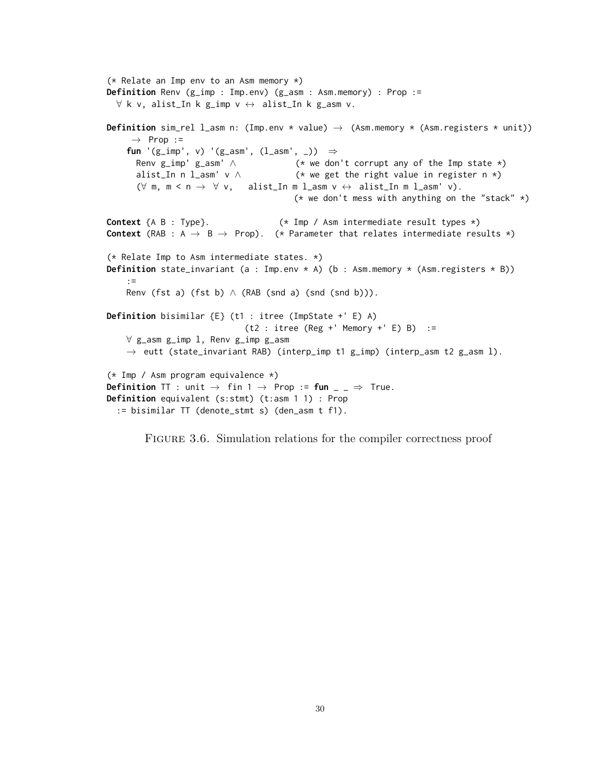```
(* Relate an Imp env to an Asm memory *)
Definition Renv (g_imp : Imp.env) (g_asm : Asm.memory) : Prop :=
  \forall k v, alist_In k g_imp v \leftrightarrow alist_In k g_asm v.
Definition sim_rel 1_asm n: (Imp.env * value) \rightarrow (Asm.memory * (Asm.registers * unit))
      \rightarrow Prop :=
    fun '(g_imp', v) '(g_asm', (l_asm', _)) ⇒
      Renv g_imp' g_asm' \land (* we don't corrupt any of the Imp state *)
       alist_In n l_asm' v \wedge (* we get the right value in register n *)
       (\forall \mathsf{m}, \mathsf{m} \leq \mathsf{n} \rightarrow \forall \mathsf{v}, \mathsf{alist\_In} \mathsf{m} \mathsf{l\_asm} \mathsf{v} \leftrightarrow \mathsf{alist\_In} \mathsf{m} \mathsf{l\_asm'} \mathsf{v}).(* we don't mess with anything on the "stack" *)
Context {A B : Type}. (*) (* Imp / Asm intermediate result types *)
Context (RAB : A \rightarrow B \rightarrow Prop). (* Parameter that relates intermediate results *)
(* Relate Imp to Asm intermediate states. *)
Definition state_invariant (a : Imp.env * A) (b : Asm.memory * (Asm.registers * B))
    :=
    Renv (fst a) (fst b) \wedge (RAB (snd a) (snd (snd b))).
Definition bisimilar {E} (t1 : itree (ImpState +' E) A)
                                 (t2 : itree (Reg +' Memory +' E) B) :=∀ g_asm g_imp l, Renv g_imp g_asm
    \rightarrow eutt (state_invariant RAB) (interp_imp t1 g_imp) (interp_asm t2 g_asm l).
(* Imp / Asm program equivalence *)
Definition TT : unit \rightarrow fin 1 \rightarrow Prop := fun \overline{a} \rightarrow \overline{b} True.
Definition equivalent (s:stmt) (t:asm 1 1) : Prop
  := bisimilar TT (denote_stmt s) (den_asm t f1).
```
FIGURE 3.6. Simulation relations for the compiler correctness proof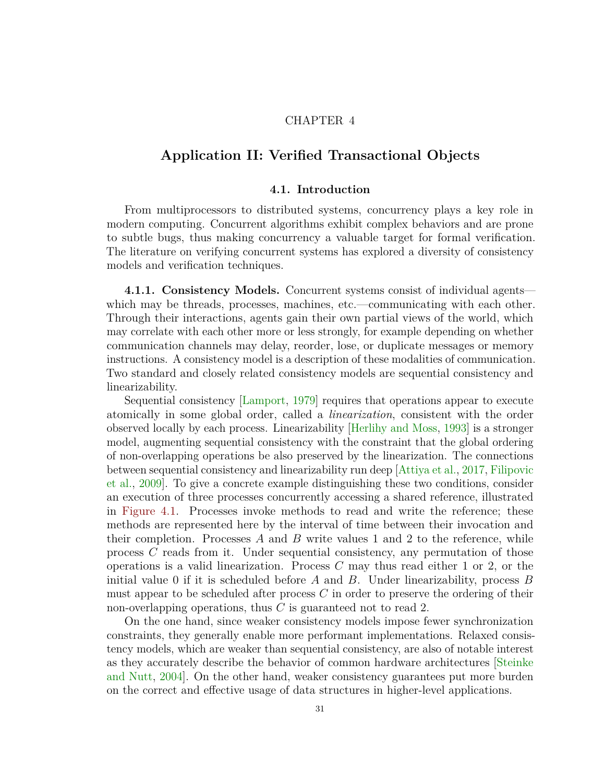## CHAPTER 4

# **Application II: Verified Transactional Objects**

### **4.1. Introduction**

From multiprocessors to distributed systems, concurrency plays a key role in modern computing. Concurrent algorithms exhibit complex behaviors and are prone to subtle bugs, thus making concurrency a valuable target for formal verification. The literature on verifying concurrent systems has explored a diversity of consistency models and verification techniques.

**4.1.1. Consistency Models.** Concurrent systems consist of individual agents which may be threads, processes, machines, etc.—communicating with each other. Through their interactions, agents gain their own partial views of the world, which may correlate with each other more or less strongly, for example depending on whether communication channels may delay, reorder, lose, or duplicate messages or memory instructions. A consistency model is a description of these modalities of communication. Two standard and closely related consistency models are sequential consistency and linearizability.

Sequential consistency [\[Lamport,](#page-98-0) [1979\]](#page-98-0) requires that operations appear to execute atomically in some global order, called a *linearization*, consistent with the order observed locally by each process. Linearizability [\[Herlihy and Moss,](#page-95-0) [1993\]](#page-95-0) is a stronger model, augmenting sequential consistency with the constraint that the global ordering of non-overlapping operations be also preserved by the linearization. The connections between sequential consistency and linearizability run deep [\[Attiya et al.,](#page-90-0) [2017,](#page-90-0) [Filipovic](#page-92-0) [et al.,](#page-92-0) [2009\]](#page-92-0). To give a concrete example distinguishing these two conditions, consider an execution of three processes concurrently accessing a shared reference, illustrated in [Figure 4.1.](#page-38-0) Processes invoke methods to read and write the reference; these methods are represented here by the interval of time between their invocation and their completion. Processes *A* and *B* write values 1 and 2 to the reference, while process *C* reads from it. Under sequential consistency, any permutation of those operations is a valid linearization. Process *C* may thus read either 1 or 2, or the initial value 0 if it is scheduled before *A* and *B*. Under linearizability, process *B* must appear to be scheduled after process *C* in order to preserve the ordering of their non-overlapping operations, thus *C* is guaranteed not to read 2.

On the one hand, since weaker consistency models impose fewer synchronization constraints, they generally enable more performant implementations. Relaxed consistency models, which are weaker than sequential consistency, are also of notable interest as they accurately describe the behavior of common hardware architectures [\[Steinke](#page-102-0) [and Nutt,](#page-102-0) [2004\]](#page-102-0). On the other hand, weaker consistency guarantees put more burden on the correct and effective usage of data structures in higher-level applications.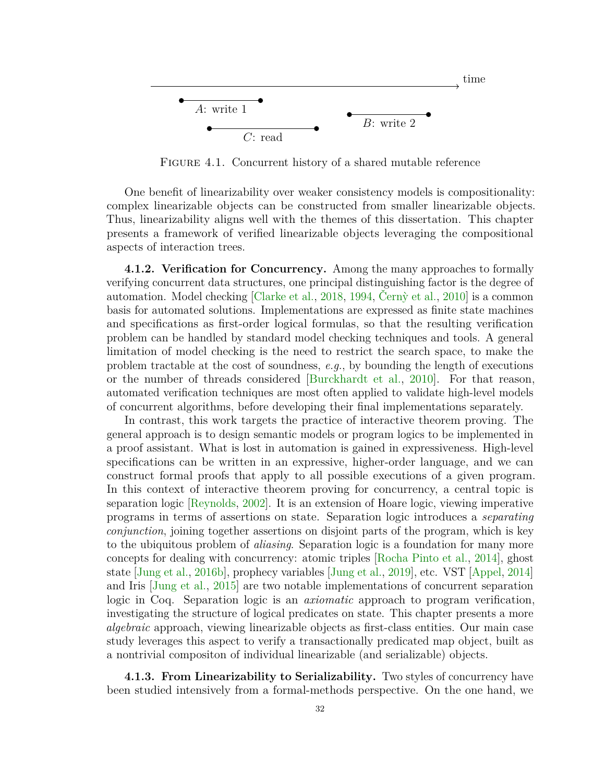<span id="page-38-0"></span>

FIGURE 4.1. Concurrent history of a shared mutable reference

One benefit of linearizability over weaker consistency models is compositionality: complex linearizable objects can be constructed from smaller linearizable objects. Thus, linearizability aligns well with the themes of this dissertation. This chapter presents a framework of verified linearizable objects leveraging the compositional aspects of interaction trees.

**4.1.2. Verification for Concurrency.** Among the many approaches to formally verifying concurrent data structures, one principal distinguishing factor is the degree of automation. Model checking [\[Clarke et al.,](#page-92-1) [2018,](#page-92-1) [1994,](#page-92-2) Cerny et al., [2010\]](#page-91-0) is a common basis for automated solutions. Implementations are expressed as finite state machines and specifications as first-order logical formulas, so that the resulting verification problem can be handled by standard model checking techniques and tools. A general limitation of model checking is the need to restrict the search space, to make the problem tractable at the cost of soundness, *e.g.*, by bounding the length of executions or the number of threads considered [\[Burckhardt et al.,](#page-91-1) [2010\]](#page-91-1). For that reason, automated verification techniques are most often applied to validate high-level models of concurrent algorithms, before developing their final implementations separately.

In contrast, this work targets the practice of interactive theorem proving. The general approach is to design semantic models or program logics to be implemented in a proof assistant. What is lost in automation is gained in expressiveness. High-level specifications can be written in an expressive, higher-order language, and we can construct formal proofs that apply to all possible executions of a given program. In this context of interactive theorem proving for concurrency, a central topic is separation logic [\[Reynolds,](#page-101-0) [2002\]](#page-101-0). It is an extension of Hoare logic, viewing imperative programs in terms of assertions on state. Separation logic introduces a *separating conjunction*, joining together assertions on disjoint parts of the program, which is key to the ubiquitous problem of *aliasing*. Separation logic is a foundation for many more concepts for dealing with concurrency: atomic triples [\[Rocha Pinto et al.,](#page-102-1) [2014\]](#page-102-1), ghost state [\[Jung et al.,](#page-96-0) [2016b\]](#page-96-0), prophecy variables [\[Jung et al.,](#page-97-0) [2019\]](#page-97-0), etc. VST [\[Appel,](#page-90-1) [2014\]](#page-90-1) and Iris [\[Jung et al.,](#page-96-1) [2015\]](#page-96-1) are two notable implementations of concurrent separation logic in Coq. Separation logic is an *axiomatic* approach to program verification, investigating the structure of logical predicates on state. This chapter presents a more *algebraic* approach, viewing linearizable objects as first-class entities. Our main case study leverages this aspect to verify a transactionally predicated map object, built as a nontrivial compositon of individual linearizable (and serializable) objects.

**4.1.3. From Linearizability to Serializability.** Two styles of concurrency have been studied intensively from a formal-methods perspective. On the one hand, we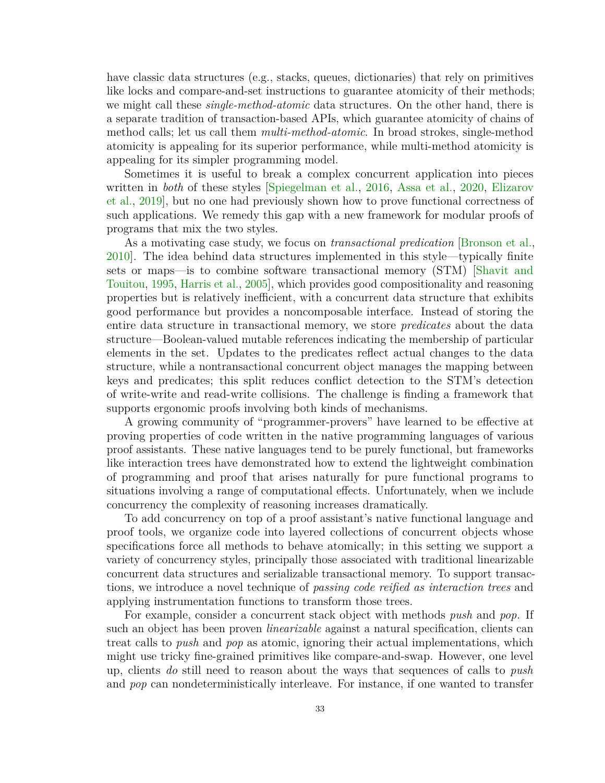have classic data structures (e.g., stacks, queues, dictionaries) that rely on primitives like locks and compare-and-set instructions to guarantee atomicity of their methods; we might call these *single-method-atomic* data structures. On the other hand, there is a separate tradition of transaction-based APIs, which guarantee atomicity of chains of method calls; let us call them *multi-method-atomic*. In broad strokes, single-method atomicity is appealing for its superior performance, while multi-method atomicity is appealing for its simpler programming model.

Sometimes it is useful to break a complex concurrent application into pieces written in *both* of these styles [\[Spiegelman et al.,](#page-102-2) [2016,](#page-102-2) [Assa et al.,](#page-90-2) [2020,](#page-90-2) [Elizarov](#page-92-3) [et al.,](#page-92-3) [2019\]](#page-92-3), but no one had previously shown how to prove functional correctness of such applications. We remedy this gap with a new framework for modular proofs of programs that mix the two styles.

As a motivating case study, we focus on *transactional predication* [\[Bronson et al.,](#page-91-2) [2010\]](#page-91-2). The idea behind data structures implemented in this style—typically finite sets or maps—is to combine software transactional memory (STM) [\[Shavit and](#page-102-3) [Touitou,](#page-102-3) [1995,](#page-102-3) [Harris et al.,](#page-94-0) [2005\]](#page-94-0), which provides good compositionality and reasoning properties but is relatively inefficient, with a concurrent data structure that exhibits good performance but provides a noncomposable interface. Instead of storing the entire data structure in transactional memory, we store *predicates* about the data structure—Boolean-valued mutable references indicating the membership of particular elements in the set. Updates to the predicates reflect actual changes to the data structure, while a nontransactional concurrent object manages the mapping between keys and predicates; this split reduces conflict detection to the STM's detection of write-write and read-write collisions. The challenge is finding a framework that supports ergonomic proofs involving both kinds of mechanisms.

A growing community of "programmer-provers" have learned to be effective at proving properties of code written in the native programming languages of various proof assistants. These native languages tend to be purely functional, but frameworks like interaction trees have demonstrated how to extend the lightweight combination of programming and proof that arises naturally for pure functional programs to situations involving a range of computational effects. Unfortunately, when we include concurrency the complexity of reasoning increases dramatically.

To add concurrency on top of a proof assistant's native functional language and proof tools, we organize code into layered collections of concurrent objects whose specifications force all methods to behave atomically; in this setting we support a variety of concurrency styles, principally those associated with traditional linearizable concurrent data structures and serializable transactional memory. To support transactions, we introduce a novel technique of *passing code reified as interaction trees* and applying instrumentation functions to transform those trees.

For example, consider a concurrent stack object with methods *push* and *pop*. If such an object has been proven *linearizable* against a natural specification, clients can treat calls to *push* and *pop* as atomic, ignoring their actual implementations, which might use tricky fine-grained primitives like compare-and-swap. However, one level up, clients *do* still need to reason about the ways that sequences of calls to *push* and *pop* can nondeterministically interleave. For instance, if one wanted to transfer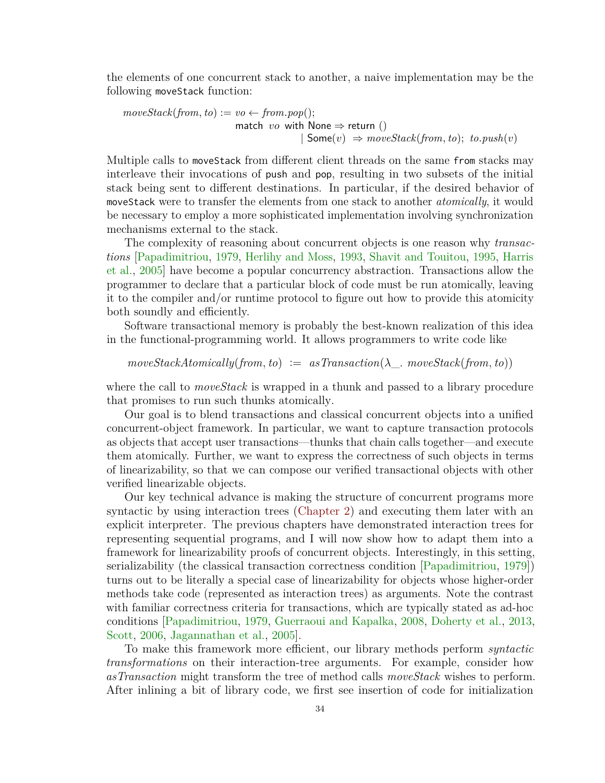the elements of one concurrent stack to another, a naive implementation may be the following moveStack function:

$$
moveStack(from, to) := vo \leftarrow from.pop();
$$
  
match *vo* with None  $\Rightarrow$  return ()  
 | Some(*v*)  $\Rightarrow$  moveStack(from, to); to.push(*v*)

Multiple calls to moveStack from different client threads on the same from stacks may interleave their invocations of push and pop, resulting in two subsets of the initial stack being sent to different destinations. In particular, if the desired behavior of moveStack were to transfer the elements from one stack to another *atomically*, it would be necessary to employ a more sophisticated implementation involving synchronization mechanisms external to the stack.

The complexity of reasoning about concurrent objects is one reason why *transactions* [\[Papadimitriou,](#page-101-1) [1979,](#page-101-1) [Herlihy and Moss,](#page-95-0) [1993,](#page-95-0) [Shavit and Touitou,](#page-102-3) [1995,](#page-102-3) [Harris](#page-94-0) [et al.,](#page-94-0) [2005\]](#page-94-0) have become a popular concurrency abstraction. Transactions allow the programmer to declare that a particular block of code must be run atomically, leaving it to the compiler and/or runtime protocol to figure out how to provide this atomicity both soundly and efficiently.

Software transactional memory is probably the best-known realization of this idea in the functional-programming world. It allows programmers to write code like

$$
moveStackAtomically(from, to) := asTransaction(\lambda_-, moveStack(from, to))
$$

where the call to *moveStack* is wrapped in a thunk and passed to a library procedure that promises to run such thunks atomically.

Our goal is to blend transactions and classical concurrent objects into a unified concurrent-object framework. In particular, we want to capture transaction protocols as objects that accept user transactions—thunks that chain calls together—and execute them atomically. Further, we want to express the correctness of such objects in terms of linearizability, so that we can compose our verified transactional objects with other verified linearizable objects.

Our key technical advance is making the structure of concurrent programs more syntactic by using interaction trees [\(Chapter 2\)](#page-10-0) and executing them later with an explicit interpreter. The previous chapters have demonstrated interaction trees for representing sequential programs, and I will now show how to adapt them into a framework for linearizability proofs of concurrent objects. Interestingly, in this setting, serializability (the classical transaction correctness condition [\[Papadimitriou,](#page-101-1) [1979\]](#page-101-1)) turns out to be literally a special case of linearizability for objects whose higher-order methods take code (represented as interaction trees) as arguments. Note the contrast with familiar correctness criteria for transactions, which are typically stated as ad-hoc conditions [\[Papadimitriou,](#page-101-1) [1979,](#page-101-1) [Guerraoui and Kapalka,](#page-94-1) [2008,](#page-94-1) [Doherty et al.,](#page-92-4) [2013,](#page-92-4) [Scott,](#page-102-4) [2006,](#page-102-4) [Jagannathan et al.,](#page-96-2) [2005\]](#page-96-2).

To make this framework more efficient, our library methods perform *syntactic transformations* on their interaction-tree arguments. For example, consider how *asTransaction* might transform the tree of method calls *moveStack* wishes to perform. After inlining a bit of library code, we first see insertion of code for initialization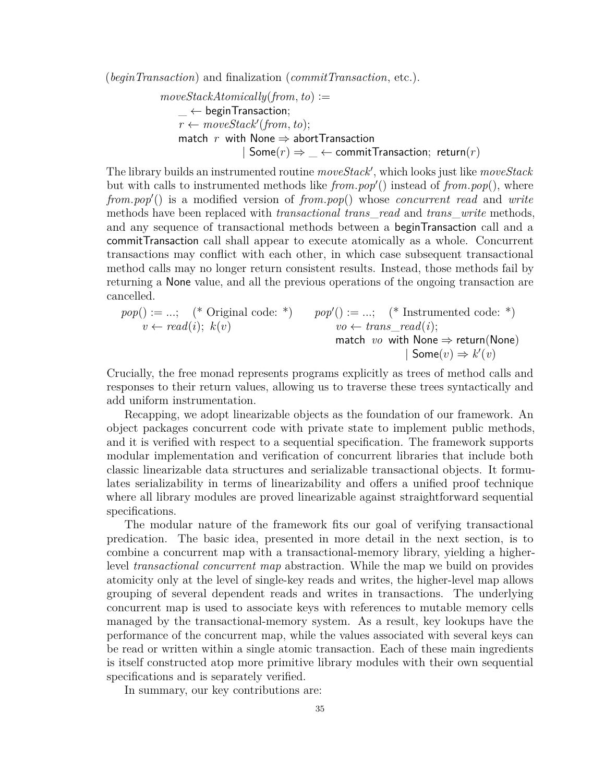(*beginTransaction*) and finalization (*commitTransaction*, etc.).

$$
moveStackAtomically(from, to) :=
$$
\n
$$
- \leftarrow \text{beginTransaction};
$$
\n
$$
r \leftarrow moveStack'(from, to);
$$
\n
$$
r \text{ with None} \Rightarrow \text{abortTransaction}
$$
\n
$$
| \text{ Some}(r) \Rightarrow \_ \leftarrow \text{commitTransaction}; \text{ return}(r)
$$

The library builds an instrumented routine *moveStack*′ , which looks just like *moveStack* but with calls to instrumented methods like *from.pop*′ () instead of *from.pop*(), where *from.pop*′ () is a modified version of *from.pop*() whose *concurrent read* and *write* methods have been replaced with *transactional trans*\_*read* and *trans*\_*write* methods, and any sequence of transactional methods between a beginTransaction call and a commitTransaction call shall appear to execute atomically as a whole. Concurrent transactions may conflict with each other, in which case subsequent transactional method calls may no longer return consistent results. Instead, those methods fail by returning a None value, and all the previous operations of the ongoing transaction are cancelled.

$$
pop() := \dots; \quad (*\text{ Original code: }^*)\qquad pop') := \dots; \quad (*\text{ Instrumented code: }^*)\qquad v \leftarrow read(i); \quad k(v) \qquad \qquad pop'() := \dots; \quad (*\text{ Instrumented code: }^*)\qquad \qquad v \leftarrow trans\_read(i); \qquad \qquad \text{match} \quad vo \text{ with None} \Rightarrow \text{return(\text{None})} \qquad | \text{ Some}(v) \Rightarrow k'(v)
$$

Crucially, the free monad represents programs explicitly as trees of method calls and responses to their return values, allowing us to traverse these trees syntactically and add uniform instrumentation.

Recapping, we adopt linearizable objects as the foundation of our framework. An object packages concurrent code with private state to implement public methods, and it is verified with respect to a sequential specification. The framework supports modular implementation and verification of concurrent libraries that include both classic linearizable data structures and serializable transactional objects. It formulates serializability in terms of linearizability and offers a unified proof technique where all library modules are proved linearizable against straightforward sequential specifications.

The modular nature of the framework fits our goal of verifying transactional predication. The basic idea, presented in more detail in the next section, is to combine a concurrent map with a transactional-memory library, yielding a higherlevel *transactional concurrent map* abstraction. While the map we build on provides atomicity only at the level of single-key reads and writes, the higher-level map allows grouping of several dependent reads and writes in transactions. The underlying concurrent map is used to associate keys with references to mutable memory cells managed by the transactional-memory system. As a result, key lookups have the performance of the concurrent map, while the values associated with several keys can be read or written within a single atomic transaction. Each of these main ingredients is itself constructed atop more primitive library modules with their own sequential specifications and is separately verified.

In summary, our key contributions are: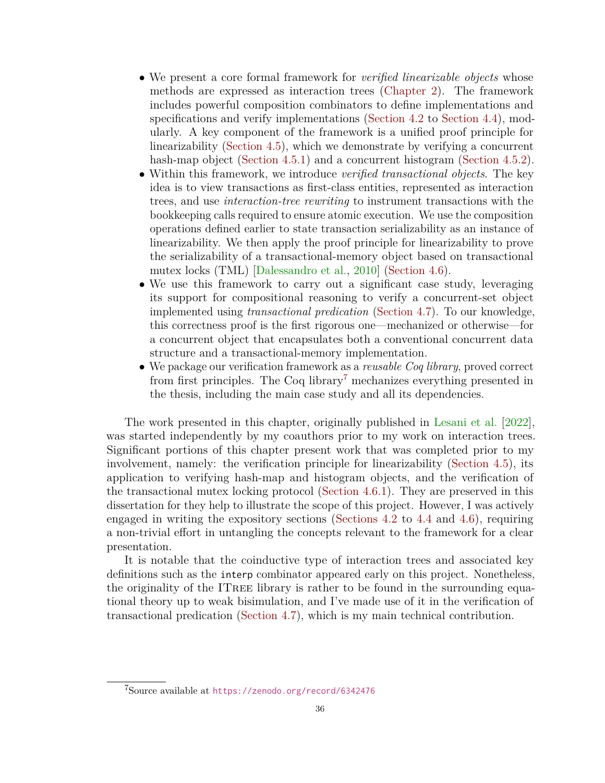- We present a core formal framework for *verified linearizable objects* whose methods are expressed as interaction trees [\(Chapter 2\)](#page-10-0). The framework includes powerful composition combinators to define implementations and specifications and verify implementations [\(Section 4.2](#page-43-0) to [Section 4.4\)](#page-52-0), modularly. A key component of the framework is a unified proof principle for linearizability [\(Section 4.5\)](#page-55-0), which we demonstrate by verifying a concurrent hash-map object [\(Section 4.5.1\)](#page-60-0) and a concurrent histogram [\(Section 4.5.2\)](#page-62-0).
- Within this framework, we introduce *verified transactional objects*. The key idea is to view transactions as first-class entities, represented as interaction trees, and use *interaction-tree rewriting* to instrument transactions with the bookkeeping calls required to ensure atomic execution. We use the composition operations defined earlier to state transaction serializability as an instance of linearizability. We then apply the proof principle for linearizability to prove the serializability of a transactional-memory object based on transactional mutex locks (TML) [\[Dalessandro et al.,](#page-92-5) [2010\]](#page-92-5) [\(Section 4.6\)](#page-63-0).
- We use this framework to carry out a significant case study, leveraging its support for compositional reasoning to verify a concurrent-set object implemented using *transactional predication* [\(Section 4.7\)](#page-69-0). To our knowledge, this correctness proof is the first rigorous one—mechanized or otherwise—for a concurrent object that encapsulates both a conventional concurrent data structure and a transactional-memory implementation.
- We package our verification framework as a *reusable Coq library*, proved correct from first principles. The Coq library<sup>[7](#page-42-0)</sup> mechanizes everything presented in the thesis, including the main case study and all its dependencies.

The work presented in this chapter, originally published in [Lesani et al.](#page-98-1) [\[2022\]](#page-98-1), was started independently by my coauthors prior to my work on interaction trees. Significant portions of this chapter present work that was completed prior to my involvement, namely: the verification principle for linearizability [\(Section 4.5\)](#page-55-0), its application to verifying hash-map and histogram objects, and the verification of the transactional mutex locking protocol [\(Section 4.6.1\)](#page-67-0). They are preserved in this dissertation for they help to illustrate the scope of this project. However, I was actively engaged in writing the expository sections [\(Sections 4.2](#page-43-0) to [4.4](#page-52-0) and [4.6\)](#page-63-0), requiring a non-trivial effort in untangling the concepts relevant to the framework for a clear presentation.

It is notable that the coinductive type of interaction trees and associated key definitions such as the interp combinator appeared early on this project. Nonetheless, the originality of the ITree library is rather to be found in the surrounding equational theory up to weak bisimulation, and I've made use of it in the verification of transactional predication [\(Section 4.7\)](#page-69-0), which is my main technical contribution.

<span id="page-42-0"></span><sup>7</sup>Source available at <https://zenodo.org/record/6342476>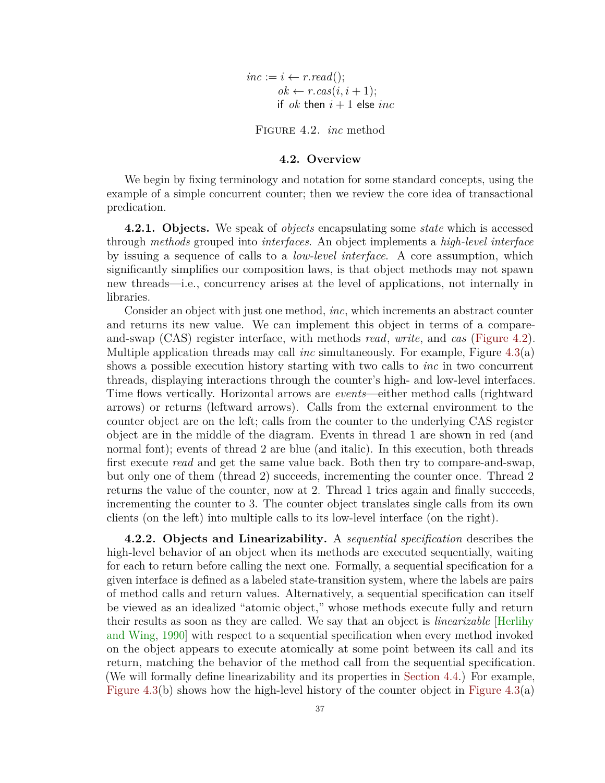$inc := i \leftarrow r.read$ ;  $ok \leftarrow r \cdot \text{cas}(i, i+1);$ if *ok* then  $i + 1$  else *inc* 

Figure 4.2. *inc* method

#### **4.2. Overview**

<span id="page-43-1"></span><span id="page-43-0"></span>We begin by fixing terminology and notation for some standard concepts, using the example of a simple concurrent counter; then we review the core idea of transactional predication.

**4.2.1. Objects.** We speak of *objects* encapsulating some *state* which is accessed through *methods* grouped into *interfaces*. An object implements a *high-level interface* by issuing a sequence of calls to a *low-level interface*. A core assumption, which significantly simplifies our composition laws, is that object methods may not spawn new threads—i.e., concurrency arises at the level of applications, not internally in libraries.

Consider an object with just one method, *inc*, which increments an abstract counter and returns its new value. We can implement this object in terms of a compareand-swap (CAS) register interface, with methods *read*, *write*, and *cas* [\(Figure 4.2\)](#page-43-1). Multiple application threads may call *inc* simultaneously. For example, Figure [4.3\(](#page-44-0)a) shows a possible execution history starting with two calls to *inc* in two concurrent threads, displaying interactions through the counter's high- and low-level interfaces. Time flows vertically. Horizontal arrows are *events*—either method calls (rightward arrows) or returns (leftward arrows). Calls from the external environment to the counter object are on the left; calls from the counter to the underlying CAS register object are in the middle of the diagram. Events in thread 1 are shown in red (and normal font); events of thread 2 are blue (and italic). In this execution, both threads first execute *read* and get the same value back. Both then try to compare-and-swap, but only one of them (thread 2) succeeds, incrementing the counter once. Thread 2 returns the value of the counter, now at 2. Thread 1 tries again and finally succeeds, incrementing the counter to 3. The counter object translates single calls from its own clients (on the left) into multiple calls to its low-level interface (on the right).

**4.2.2. Objects and Linearizability.** A *sequential specification* describes the high-level behavior of an object when its methods are executed sequentially, waiting for each to return before calling the next one. Formally, a sequential specification for a given interface is defined as a labeled state-transition system, where the labels are pairs of method calls and return values. Alternatively, a sequential specification can itself be viewed as an idealized "atomic object," whose methods execute fully and return their results as soon as they are called. We say that an object is *linearizable* [\[Herlihy](#page-95-1) [and Wing,](#page-95-1) [1990\]](#page-95-1) with respect to a sequential specification when every method invoked on the object appears to execute atomically at some point between its call and its return, matching the behavior of the method call from the sequential specification. (We will formally define linearizability and its properties in [Section 4.4.](#page-52-0)) For example, [Figure 4.3\(](#page-44-0)b) shows how the high-level history of the counter object in Figure 4.3(a)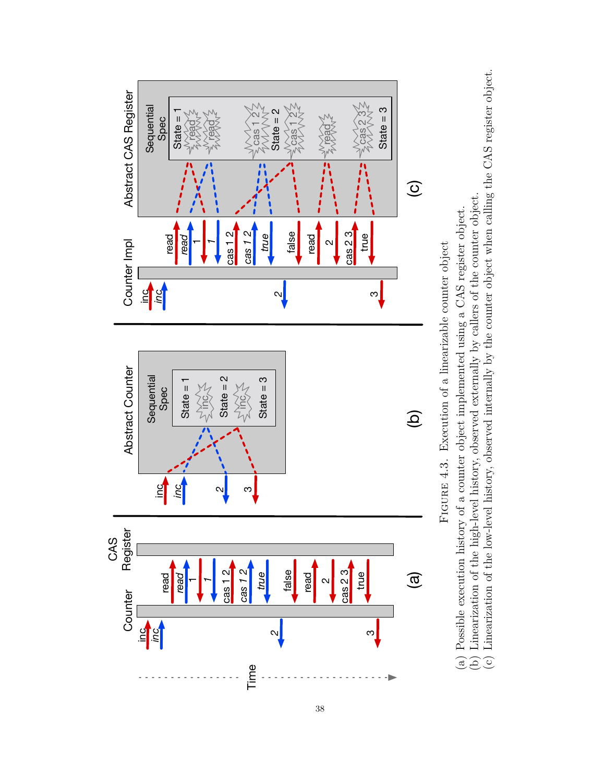<span id="page-44-0"></span>

38

FIGURE 4.3. Execution of a linearizable counter object Figure 4.3. Execution of a linearizable counter object (a) Possible execution history of a counter object implemented using a CAS register object.

(b) Linearization of the high-level history, observed externally by callers of the counter object.

(a) Possible execution history of a counter object implemented using a CAS register object.<br>(b) Linearization of the high-level history, observed externally by callers of the counter object.<br>(c) Linearization of the low-l (c) Linearization of the low-level history, observed internally by the counter object when calling the CAS register object.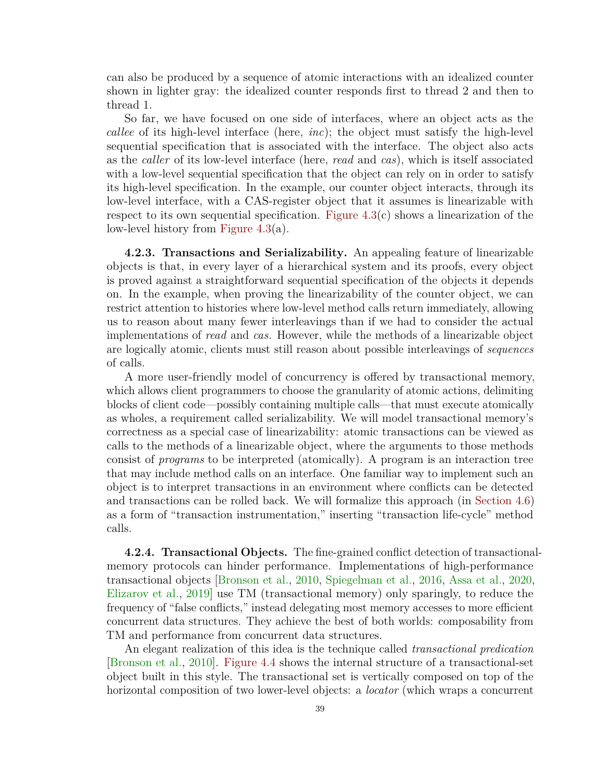can also be produced by a sequence of atomic interactions with an idealized counter shown in lighter gray: the idealized counter responds first to thread 2 and then to thread 1.

So far, we have focused on one side of interfaces, where an object acts as the *callee* of its high-level interface (here, *inc*); the object must satisfy the high-level sequential specification that is associated with the interface. The object also acts as the *caller* of its low-level interface (here, *read* and *cas*), which is itself associated with a low-level sequential specification that the object can rely on in order to satisfy its high-level specification. In the example, our counter object interacts, through its low-level interface, with a CAS-register object that it assumes is linearizable with respect to its own sequential specification. Figure  $4.3(c)$  shows a linearization of the low-level history from [Figure 4.3\(](#page-44-0)a).

**4.2.3. Transactions and Serializability.** An appealing feature of linearizable objects is that, in every layer of a hierarchical system and its proofs, every object is proved against a straightforward sequential specification of the objects it depends on. In the example, when proving the linearizability of the counter object, we can restrict attention to histories where low-level method calls return immediately, allowing us to reason about many fewer interleavings than if we had to consider the actual implementations of *read* and *cas*. However, while the methods of a linearizable object are logically atomic, clients must still reason about possible interleavings of *sequences* of calls.

A more user-friendly model of concurrency is offered by transactional memory, which allows client programmers to choose the granularity of atomic actions, delimiting blocks of client code—possibly containing multiple calls—that must execute atomically as wholes, a requirement called serializability. We will model transactional memory's correctness as a special case of linearizability: atomic transactions can be viewed as calls to the methods of a linearizable object, where the arguments to those methods consist of *programs* to be interpreted (atomically). A program is an interaction tree that may include method calls on an interface. One familiar way to implement such an object is to interpret transactions in an environment where conflicts can be detected and transactions can be rolled back. We will formalize this approach (in [Section 4.6\)](#page-63-0) as a form of "transaction instrumentation," inserting "transaction life-cycle" method calls.

**4.2.4. Transactional Objects.** The fine-grained conflict detection of transactionalmemory protocols can hinder performance. Implementations of high-performance transactional objects [\[Bronson et al.,](#page-91-2) [2010,](#page-91-2) [Spiegelman et al.,](#page-102-2) [2016,](#page-102-2) [Assa et al.,](#page-90-2) [2020,](#page-90-2) [Elizarov et al.,](#page-92-3) [2019\]](#page-92-3) use TM (transactional memory) only sparingly, to reduce the frequency of "false conflicts," instead delegating most memory accesses to more efficient concurrent data structures. They achieve the best of both worlds: composability from TM and performance from concurrent data structures.

An elegant realization of this idea is the technique called *transactional predication* [\[Bronson et al.,](#page-91-2) [2010\]](#page-91-2). [Figure 4.4](#page-46-0) shows the internal structure of a transactional-set object built in this style. The transactional set is vertically composed on top of the horizontal composition of two lower-level objects: a *locator* (which wraps a concurrent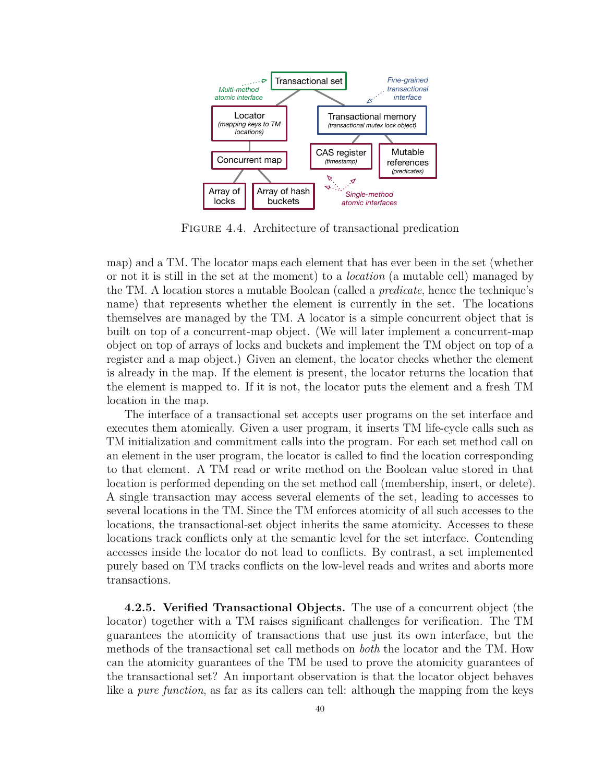<span id="page-46-0"></span>

Figure 4.4. Architecture of transactional predication

map) and a TM. The locator maps each element that has ever been in the set (whether or not it is still in the set at the moment) to a *location* (a mutable cell) managed by the TM. A location stores a mutable Boolean (called a *predicate*, hence the technique's name) that represents whether the element is currently in the set. The locations themselves are managed by the TM. A locator is a simple concurrent object that is built on top of a concurrent-map object. (We will later implement a concurrent-map object on top of arrays of locks and buckets and implement the TM object on top of a register and a map object.) Given an element, the locator checks whether the element is already in the map. If the element is present, the locator returns the location that the element is mapped to. If it is not, the locator puts the element and a fresh TM location in the map.

The interface of a transactional set accepts user programs on the set interface and executes them atomically. Given a user program, it inserts TM life-cycle calls such as TM initialization and commitment calls into the program. For each set method call on an element in the user program, the locator is called to find the location corresponding to that element. A TM read or write method on the Boolean value stored in that location is performed depending on the set method call (membership, insert, or delete). A single transaction may access several elements of the set, leading to accesses to several locations in the TM. Since the TM enforces atomicity of all such accesses to the locations, the transactional-set object inherits the same atomicity. Accesses to these locations track conflicts only at the semantic level for the set interface. Contending accesses inside the locator do not lead to conflicts. By contrast, a set implemented purely based on TM tracks conflicts on the low-level reads and writes and aborts more transactions.

**4.2.5. Verified Transactional Objects.** The use of a concurrent object (the locator) together with a TM raises significant challenges for verification. The TM guarantees the atomicity of transactions that use just its own interface, but the methods of the transactional set call methods on *both* the locator and the TM. How can the atomicity guarantees of the TM be used to prove the atomicity guarantees of the transactional set? An important observation is that the locator object behaves like a *pure function*, as far as its callers can tell: although the mapping from the keys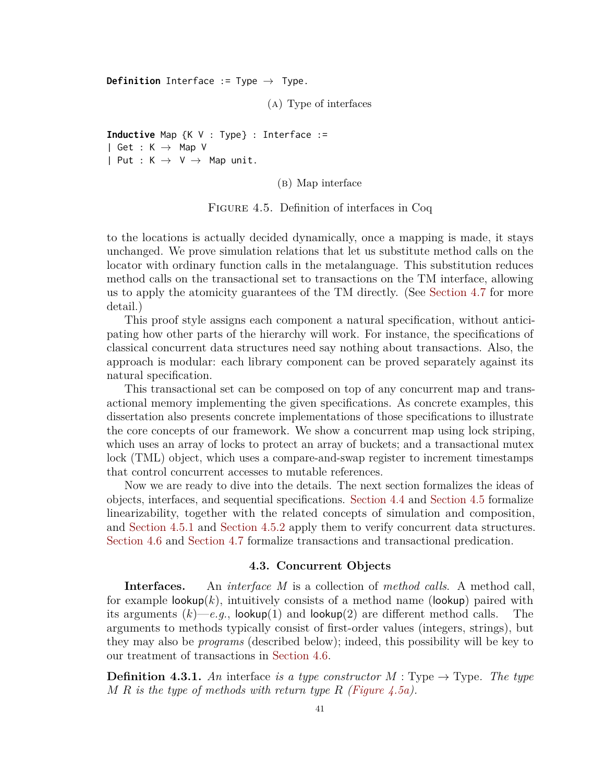<span id="page-47-0"></span>**Definition** Interface := Type → Type.

(a) Type of interfaces

**Inductive** Map {K V : Type} : Interface := | Get :  $K \rightarrow Map V$ | Put :  $K \rightarrow V \rightarrow Map$  unit.

(b) Map interface

Figure 4.5. Definition of interfaces in Coq

to the locations is actually decided dynamically, once a mapping is made, it stays unchanged. We prove simulation relations that let us substitute method calls on the locator with ordinary function calls in the metalanguage. This substitution reduces method calls on the transactional set to transactions on the TM interface, allowing us to apply the atomicity guarantees of the TM directly. (See [Section 4.7](#page-69-0) for more detail.)

This proof style assigns each component a natural specification, without anticipating how other parts of the hierarchy will work. For instance, the specifications of classical concurrent data structures need say nothing about transactions. Also, the approach is modular: each library component can be proved separately against its natural specification.

This transactional set can be composed on top of any concurrent map and transactional memory implementing the given specifications. As concrete examples, this dissertation also presents concrete implementations of those specifications to illustrate the core concepts of our framework. We show a concurrent map using lock striping, which uses an array of locks to protect an array of buckets; and a transactional mutex lock (TML) object, which uses a compare-and-swap register to increment timestamps that control concurrent accesses to mutable references.

Now we are ready to dive into the details. The next section formalizes the ideas of objects, interfaces, and sequential specifications. [Section 4.4](#page-52-0) and [Section 4.5](#page-55-0) formalize linearizability, together with the related concepts of simulation and composition, and [Section 4.5.1](#page-60-0) and [Section 4.5.2](#page-62-0) apply them to verify concurrent data structures. [Section 4.6](#page-63-0) and [Section 4.7](#page-69-0) formalize transactions and transactional predication.

### **4.3. Concurrent Objects**

<span id="page-47-1"></span>**Interfaces.** An *interface M* is a collection of *method calls*. A method call, for example  $\text{lookup}(k)$ , intuitively consists of a method name (lookup) paired with its arguments  $(k)$ —*e.g.*, lookup(1) and lookup(2) are different method calls. The arguments to methods typically consist of first-order values (integers, strings), but they may also be *programs* (described below); indeed, this possibility will be key to our treatment of transactions in [Section 4.6.](#page-63-0)

**Definition 4.3.1.** An interface is a type constructor  $M$ : Type  $\rightarrow$  Type. The type *M R is the type of methods with return type R [\(Figure 4.5a\)](#page-47-0).*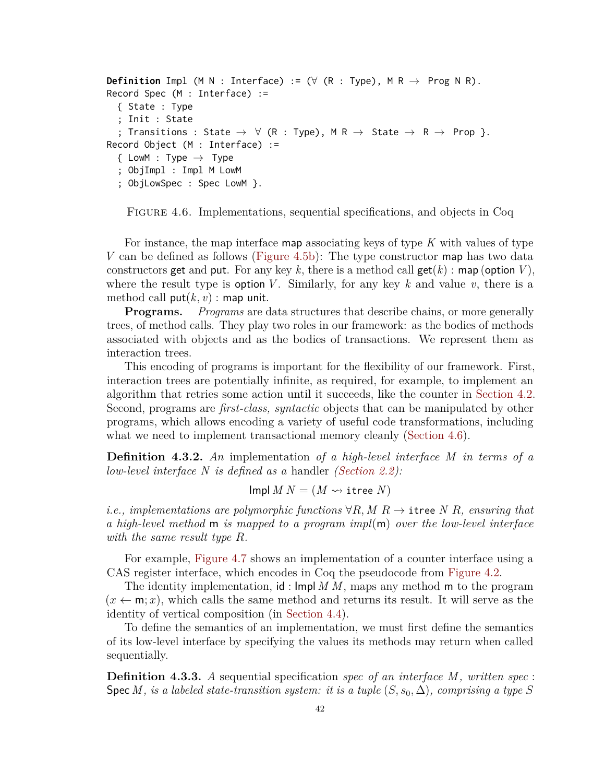```
Definition Impl (M N : Interface) := (\forall (R : Type), M R \rightarrow Prog N R).
Record Spec (M : Interface) :=
  { State : Type
  ; Init : State
  ; Transitions : State \rightarrow \forall (R : Type), M R \rightarrow State \rightarrow R \rightarrow Prop }.
Record Object (M : Interface) :=
  \{ LowM : Type \rightarrow Type
  ; ObjImpl : Impl M LowM
  ; ObjLowSpec : Spec LowM }.
```
Figure 4.6. Implementations, sequential specifications, and objects in Coq

For instance, the map interface map associating keys of type *K* with values of type *V* can be defined as follows [\(Figure 4.5b\)](#page-47-0): The type constructor map has two data constructors get and put. For any key k, there is a method call get(k) : map (option V), where the result type is option *V*. Similarly, for any key  $k$  and value  $v$ , there is a method call  $put(k, v)$ : map unit.

**Programs.** *Programs* are data structures that describe chains, or more generally trees, of method calls. They play two roles in our framework: as the bodies of methods associated with objects and as the bodies of transactions. We represent them as interaction trees.

This encoding of programs is important for the flexibility of our framework. First, interaction trees are potentially infinite, as required, for example, to implement an algorithm that retries some action until it succeeds, like the counter in [Section 4.2.](#page-43-0) Second, programs are *first-class, syntactic* objects that can be manipulated by other programs, which allows encoding a variety of useful code transformations, including what we need to implement transactional memory cleanly [\(Section 4.6\)](#page-63-0).

**Definition 4.3.2.** *An* implementation *of a high-level interface M in terms of a low-level interface N is defined as a* handler *[\(Section 2.2\)](#page-18-0):*

$$
Impl M N = (M \rightsquigarrow \text{itree } N)
$$

*i.e., implementations are polymorphic functions*  $\forall R, M, R \rightarrow$  itree *N R, ensuring that a high-level method* m *is mapped to a program impl*(m) *over the low-level interface with the same result type R.*

For example, [Figure 4.7](#page-49-0) shows an implementation of a counter interface using a CAS register interface, which encodes in Coq the pseudocode from [Figure 4.2.](#page-43-1)

The identity implementation, id : Impl *M M*, maps any method m to the program  $(x \leftarrow m; x)$ , which calls the same method and returns its result. It will serve as the identity of vertical composition (in [Section 4.4\)](#page-52-0).

To define the semantics of an implementation, we must first define the semantics of its low-level interface by specifying the values its methods may return when called sequentially.

**Definition 4.3.3.** *A* sequential specification *spec of an interface M, written spec* : Spec *M*, is a labeled state-transition system: it is a tuple  $(S, s_0, \Delta)$ , comprising a type S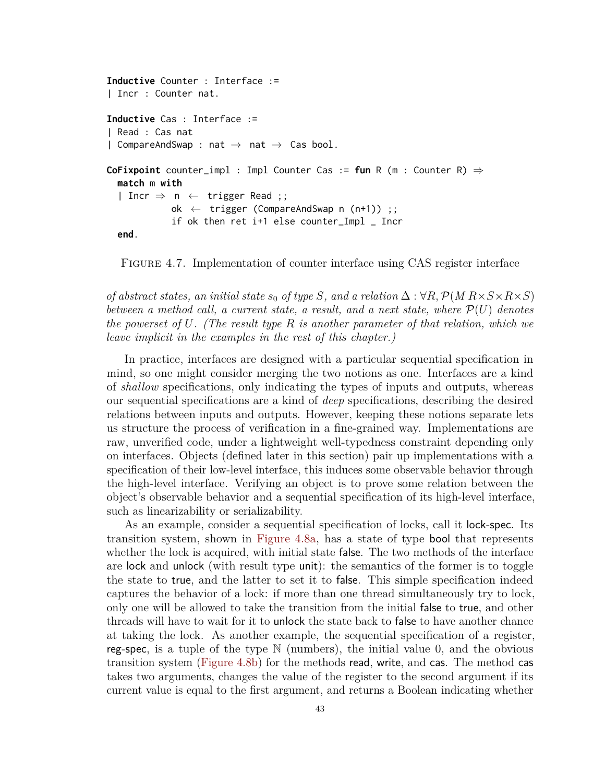```
Inductive Counter : Interface :=
| Incr : Counter nat.
Inductive Cas : Interface :=
| Read : Cas nat
| CompareAndSwap : nat \rightarrow nat \rightarrow Cas bool.
CoFixpoint counter_impl : Impl Counter Cas := fun R (m : Counter R) ⇒
  match m with
  | Incr \Rightarrow n \leftarrow trigger Read ;;
             ok \leftarrow trigger (CompareAndSwap n (n+1)) ;;
             if ok then ret i+1 else counter_Impl _ Incr
  end.
```
Figure 4.7. Implementation of counter interface using CAS register interface

*of abstract states, an initial state s*<sub>0</sub> *of type S, and a relation*  $\Delta$  :  $\forall R, \mathcal{P}(M \times S \times R \times S)$ *between a method call, a current state, a result, and a next state, where* P(*U*) *denotes the powerset of U. (The result type R is another parameter of that relation, which we leave implicit in the examples in the rest of this chapter.)*

In practice, interfaces are designed with a particular sequential specification in mind, so one might consider merging the two notions as one. Interfaces are a kind of *shallow* specifications, only indicating the types of inputs and outputs, whereas our sequential specifications are a kind of *deep* specifications, describing the desired relations between inputs and outputs. However, keeping these notions separate lets us structure the process of verification in a fine-grained way. Implementations are raw, unverified code, under a lightweight well-typedness constraint depending only on interfaces. Objects (defined later in this section) pair up implementations with a specification of their low-level interface, this induces some observable behavior through the high-level interface. Verifying an object is to prove some relation between the object's observable behavior and a sequential specification of its high-level interface, such as linearizability or serializability.

As an example, consider a sequential specification of locks, call it lock-spec. Its transition system, shown in [Figure 4.8a,](#page-50-0) has a state of type bool that represents whether the lock is acquired, with initial state false. The two methods of the interface are lock and unlock (with result type unit): the semantics of the former is to toggle the state to true, and the latter to set it to false. This simple specification indeed captures the behavior of a lock: if more than one thread simultaneously try to lock, only one will be allowed to take the transition from the initial false to true, and other threads will have to wait for it to unlock the state back to false to have another chance at taking the lock. As another example, the sequential specification of a register, reg-spec, is a tuple of the type  $\mathbb N$  (numbers), the initial value 0, and the obvious transition system [\(Figure 4.8b\)](#page-50-0) for the methods read, write, and cas. The method cas takes two arguments, changes the value of the register to the second argument if its current value is equal to the first argument, and returns a Boolean indicating whether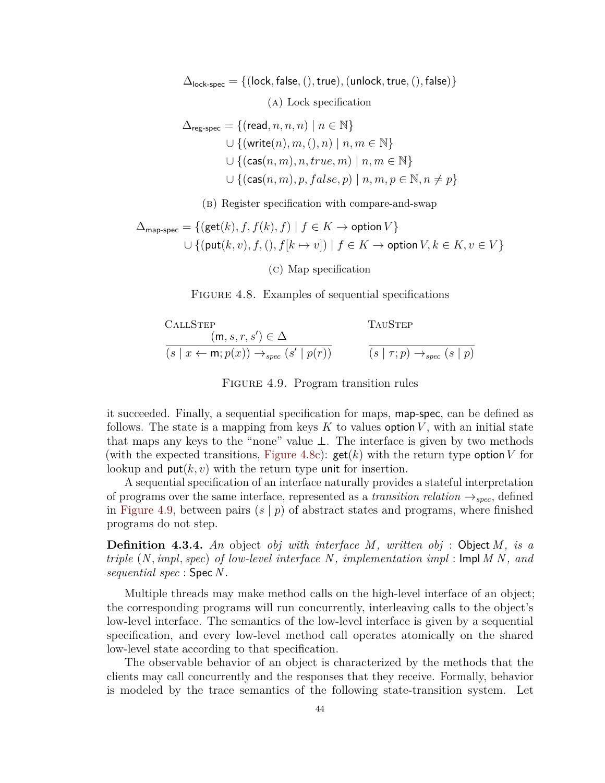<span id="page-50-0"></span> $\Delta_{\text{lock-spec}} = \{(\text{lock}, \text{false},(), \text{true}), (\text{unlock}, \text{true},(), \text{false})\}$ (a) Lock specification

$$
\Delta_{\text{reg-spec}} = \{(\text{read}, n, n, n) \mid n \in \mathbb{N}\}\
$$
  

$$
\cup \{(\text{write}(n), m, (), n) \mid n, m \in \mathbb{N}\}\
$$
  

$$
\cup \{(\text{cas}(n, m), n, true, m) \mid n, m \in \mathbb{N}\}\
$$
  

$$
\cup \{(\text{cas}(n, m), p, false, p) \mid n, m, p \in \mathbb{N}, n \neq p\}\
$$

(b) Register specification with compare-and-swap

$$
\Delta_{\text{map-spec}} = \{ (\text{get}(k), f, f(k), f) \mid f \in K \to \text{option } V \}
$$
  

$$
\cup \{ (\text{put}(k, v), f, (), f[k \mapsto v]) \mid f \in K \to \text{option } V, k \in K, v \in V \}
$$

(c) Map specification

FIGURE 4.8. Examples of sequential specifications

<span id="page-50-1"></span>CALLSTEP

\n
$$
\frac{(\mathsf{m}, s, r, s') \in \Delta}{(s \mid x \leftarrow \mathsf{m}; p(x)) \rightarrow_{spec} (s' \mid p(r))}
$$
\nTAUSTEP

\n
$$
\frac{}{(s \mid \tau; p) \rightarrow_{spec} (s \mid p)}
$$

FIGURE 4.9. Program transition rules

it succeeded. Finally, a sequential specification for maps, map-spec, can be defined as follows. The state is a mapping from keys  $K$  to values option  $V$ , with an initial state that maps any keys to the "none" value  $\perp$ . The interface is given by two methods (with the expected transitions, [Figure 4.8c\)](#page-50-0):  $\text{get}(k)$  with the return type option V for lookup and  $\text{put}(k, v)$  with the return type unit for insertion.

A sequential specification of an interface naturally provides a stateful interpretation of programs over the same interface, represented as a *transition relation*  $\rightarrow_{spec}$ , defined in [Figure 4.9,](#page-50-1) between pairs  $(s | p)$  of abstract states and programs, where finished programs do not step.

**Definition 4.3.4.** *An* object *obj with interface M, written obj* : Object *M, is a triple* (*N, impl, spec*) *of low-level interface N, implementation impl* : Impl *M N, and sequential spec* : Spec *N.*

Multiple threads may make method calls on the high-level interface of an object; the corresponding programs will run concurrently, interleaving calls to the object's low-level interface. The semantics of the low-level interface is given by a sequential specification, and every low-level method call operates atomically on the shared low-level state according to that specification.

The observable behavior of an object is characterized by the methods that the clients may call concurrently and the responses that they receive. Formally, behavior is modeled by the trace semantics of the following state-transition system. Let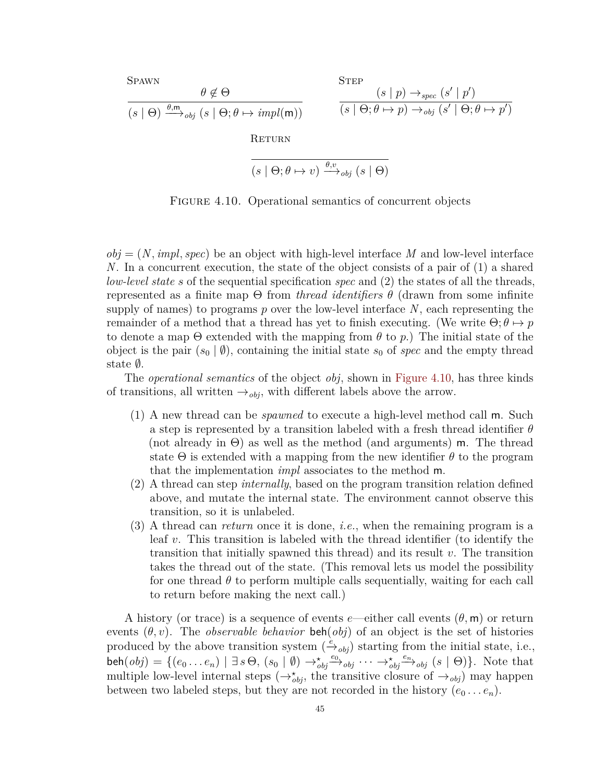<span id="page-51-0"></span>**SPAWN**  $\theta \notin \Theta$  $(s | \Theta) \xrightarrow{\theta, m}{}_{obj} (s | \Theta; \theta \mapsto impl(m))$ **STEP**  $(s | p) \rightarrow_{spec} (s' | p')$  $(s | \Theta; \theta \mapsto p) \rightarrow_{\text{obj}} (s' | \Theta; \theta \mapsto p')$ RETURN

$$
(s \mid \Theta; \theta \mapsto v) \xrightarrow{\theta, v} {}_{obj} (s \mid \Theta)
$$

FIGURE 4.10. Operational semantics of concurrent objects

 $obj = (N, impl, spec)$  be an object with high-level interface *M* and low-level interface *N*. In a concurrent execution, the state of the object consists of a pair of (1) a shared *low-level state s* of the sequential specification *spec* and (2) the states of all the threads, represented as a finite map Θ from *thread identifiers θ* (drawn from some infinite supply of names) to programs *p* over the low-level interface *N*, each representing the remainder of a method that a thread has yet to finish executing. (We write  $\Theta$ ;  $\theta \mapsto p$ to denote a map  $\Theta$  extended with the mapping from  $\theta$  to  $p$ .) The initial state of the object is the pair  $(s_0 | \emptyset)$ , containing the initial state  $s_0$  of *spec* and the empty thread state ∅.

The *operational semantics* of the object *obj*, shown in [Figure 4.10,](#page-51-0) has three kinds of transitions, all written  $\rightarrow_{obj}$ , with different labels above the arrow.

- (1) A new thread can be *spawned* to execute a high-level method call m. Such a step is represented by a transition labeled with a fresh thread identifier *θ* (not already in  $\Theta$ ) as well as the method (and arguments) m. The thread state  $\Theta$  is extended with a mapping from the new identifier  $\theta$  to the program that the implementation *impl* associates to the method m.
- (2) A thread can step *internally*, based on the program transition relation defined above, and mutate the internal state. The environment cannot observe this transition, so it is unlabeled.
- (3) A thread can *return* once it is done, *i.e.*, when the remaining program is a leaf *v*. This transition is labeled with the thread identifier (to identify the transition that initially spawned this thread) and its result *v*. The transition takes the thread out of the state. (This removal lets us model the possibility for one thread *θ* to perform multiple calls sequentially, waiting for each call to return before making the next call.)

A history (or trace) is a sequence of events *e*—either call events (*θ,* m) or return events  $(\theta, v)$ . The *observable behavior* beh $(o\dot{b})$  of an object is the set of histories produced by the above transition system  $(\frac{e}{\rightarrow}_{obj})$  starting from the initial state, i.e.,  $\mathsf{beh}(obj) = \{ (e_0 \ldots e_n) \mid \exists s \Theta, (s_0 \mid \emptyset) \rightarrow^*_{obj} \xrightarrow{e_0} \neg_j \neg_j \rightarrow^*_{obj} \xrightarrow{e_n} \neg_j \neg_j s_j \mid s \mid \Theta) \}.$  Note that multiple low-level internal steps  $(\rightarrow_{obj}^*$ , the transitive closure of  $\rightarrow_{obj}$ ) may happen between two labeled steps, but they are not recorded in the history  $(e_0 \ldots e_n)$ .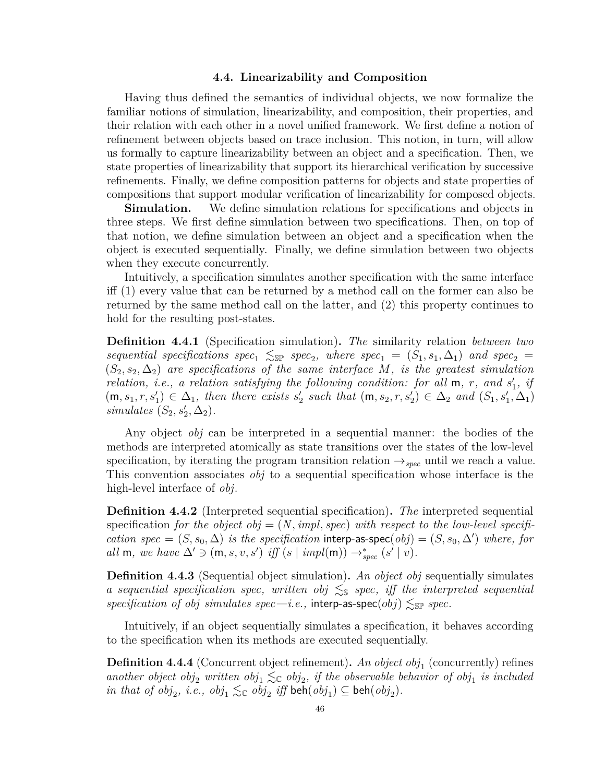### **4.4. Linearizability and Composition**

<span id="page-52-0"></span>Having thus defined the semantics of individual objects, we now formalize the familiar notions of simulation, linearizability, and composition, their properties, and their relation with each other in a novel unified framework. We first define a notion of refinement between objects based on trace inclusion. This notion, in turn, will allow us formally to capture linearizability between an object and a specification. Then, we state properties of linearizability that support its hierarchical verification by successive refinements. Finally, we define composition patterns for objects and state properties of compositions that support modular verification of linearizability for composed objects.

**Simulation.** We define simulation relations for specifications and objects in three steps. We first define simulation between two specifications. Then, on top of that notion, we define simulation between an object and a specification when the object is executed sequentially. Finally, we define simulation between two objects when they execute concurrently.

Intuitively, a specification simulates another specification with the same interface iff (1) every value that can be returned by a method call on the former can also be returned by the same method call on the latter, and (2) this property continues to hold for the resulting post-states.

**Definition 4.4.1** (Specification simulation)**.** *The* similarity relation *between two*  $sequential\,\,\,specifications\,\,\,spec_1\,\,\lesssim_{\mathbb{S}^p}\,\,\,spec_2,\,\,\,where\,\,\,spec_1 = (S_1, s_1, \Delta_1)\,\,\,and\,\,\,spec_2 =$  $(S_2, s_2, \Delta_2)$  are specifications of the same interface M, is the greatest simulation *relation, i.e., a relation satisfying the following condition: for all*  $m$ *, r, and*  $s'_{1}$ *, if*  $(m, s_1, r, s'_1) \in \Delta_1$ , then there exists  $s'_2$  such that  $(m, s_2, r, s'_2) \in \Delta_2$  and  $(S_1, s'_1, \Delta_1)$  $simulates (S_2, s'_2, \Delta_2).$ 

Any object *obj* can be interpreted in a sequential manner: the bodies of the methods are interpreted atomically as state transitions over the states of the low-level specification, by iterating the program transition relation  $\rightarrow_{spec}$  until we reach a value. This convention associates *obj* to a sequential specification whose interface is the high-level interface of *obj*.

**Definition 4.4.2** (Interpreted sequential specification)**.** *The* interpreted sequential specification *for the object obj*  $= (N, impl, spec)$  *with respect to the low-level specification*  $spec = (S, s_0, \Delta)$  *is the specification* interp-as-spec $(obj) = (S, s_0, \Delta')$  *where, for all* **m**, we have  $\Delta' \ni (\mathsf{m}, s, v, s')$  *iff*  $(s | \mathit{impl}(\mathsf{m})) \rightarrow_{spec}^* (s' | v)$ *.* 

**Definition 4.4.3** (Sequential object simulation)**.** *An object obj* sequentially simulates *a sequential specification spec, written obj* ≲<sup>S</sup> *spec, iff the interpreted sequential*  $specification$  *of obj*  $simulates$   $spec$ —*i.e.*,  $inter_{\text{p-}}$  **as-spec**(*obj*)  $\leq_{\text{SP}}$   $spec$ .

Intuitively, if an object sequentially simulates a specification, it behaves according to the specification when its methods are executed sequentially.

**Definition 4.4.4** (Concurrent object refinement). An object obj<sub>1</sub> (concurrently) refines another object  $obj_2$  written  $obj_1 \leq_C obj_2$ , if the observable behavior of  $obj_1$  is included  $\int$ *in that of*  $obj_2$ *, i.e.,*  $obj_1 \lesssim_{\mathbb{C}} obj_2$  *iff*  $\text{beh}(obj_1) \subseteq \text{beh}(obj_2)$ *.*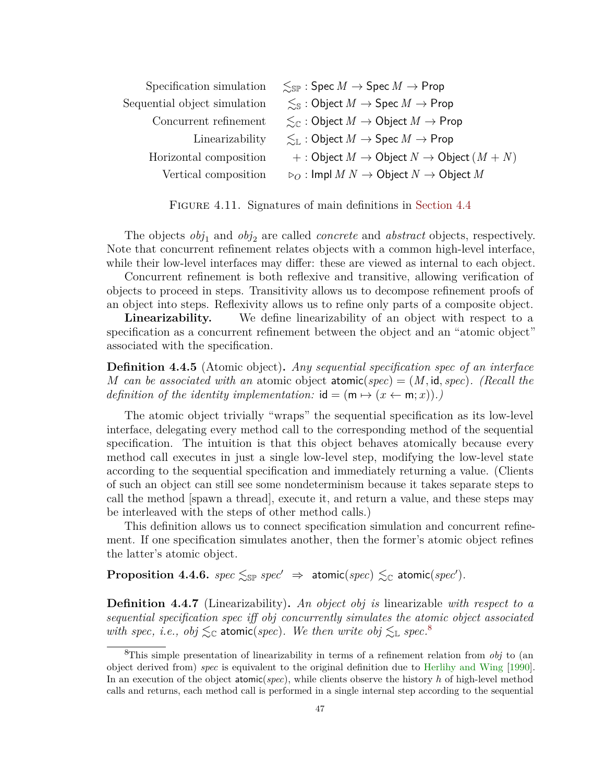| Specification simulation     | $\leq_{\mathbb{SP}}$ : Spec $M \to \mathsf{Spec} M \to \mathsf{Prop}$              |
|------------------------------|------------------------------------------------------------------------------------|
| Sequential object simulation | $\leq_{\mathbb{S}}$ : Object $M \to \operatorname{Spec} M \to \operatorname{Prop}$ |
| Concurrent refinement        | $\leq_{\mathbb{C}}$ : Object $M \to$ Object $M \to$ Prop                           |
| Linearizability              | $\leq_{\mathbb{L}}$ : Object $M \to \text{Spec } M \to \text{Prop}$                |
| Horizontal composition       | $+ :$ Object $M \to$ Object $N \to$ Object $(M + N)$                               |
| Vertical composition         | $\rho_O$ : Impl $M N \to \text{Object } N \to \text{Object } M$                    |

FIGURE 4.11. Signatures of main definitions in [Section 4.4](#page-52-0)

The objects  $obj_1$  and  $obj_2$  are called *concrete* and *abstract* objects, respectively. Note that concurrent refinement relates objects with a common high-level interface, while their low-level interfaces may differ: these are viewed as internal to each object.

Concurrent refinement is both reflexive and transitive, allowing verification of objects to proceed in steps. Transitivity allows us to decompose refinement proofs of an object into steps. Reflexivity allows us to refine only parts of a composite object.

**Linearizability.** We define linearizability of an object with respect to a specification as a concurrent refinement between the object and an "atomic object" associated with the specification.

**Definition 4.4.5** (Atomic object)**.** *Any sequential specification spec of an interface M* can be associated with an atomic object atomic(spec) =  $(M, id, spec)$ . (Recall the *definition of the identity implementation:*  $id = (m \mapsto (x \leftarrow m; x))$ .

The atomic object trivially "wraps" the sequential specification as its low-level interface, delegating every method call to the corresponding method of the sequential specification. The intuition is that this object behaves atomically because every method call executes in just a single low-level step, modifying the low-level state according to the sequential specification and immediately returning a value. (Clients of such an object can still see some nondeterminism because it takes separate steps to call the method [spawn a thread], execute it, and return a value, and these steps may be interleaved with the steps of other method calls.)

This definition allows us to connect specification simulation and concurrent refinement. If one specification simulates another, then the former's atomic object refines the latter's atomic object.

 $\bf{Proposition 4.4.6.}$   $spec \lesssim_{\mathbb{SP}} spec' \Rightarrow atomic(spec) \lesssim_{\mathbb{C}} atomic(spec').$ 

**Definition 4.4.7** (Linearizability)**.** *An object obj is* linearizable *with respect to a sequential specification spec iff obj concurrently simulates the atomic object associated* with *spec, i.e.,*  $obj \leq_C$  **atomic**(*spec*). We then write  $obj \leq_L spec$ <sup>[8](#page-53-0)</sup>

<span id="page-53-0"></span><sup>8</sup>This simple presentation of linearizability in terms of a refinement relation from *obj* to (an object derived from) *spec* is equivalent to the original definition due to [Herlihy and Wing](#page-95-1) [\[1990\]](#page-95-1). In an execution of the object atomic(*spec*), while clients observe the history *h* of high-level method calls and returns, each method call is performed in a single internal step according to the sequential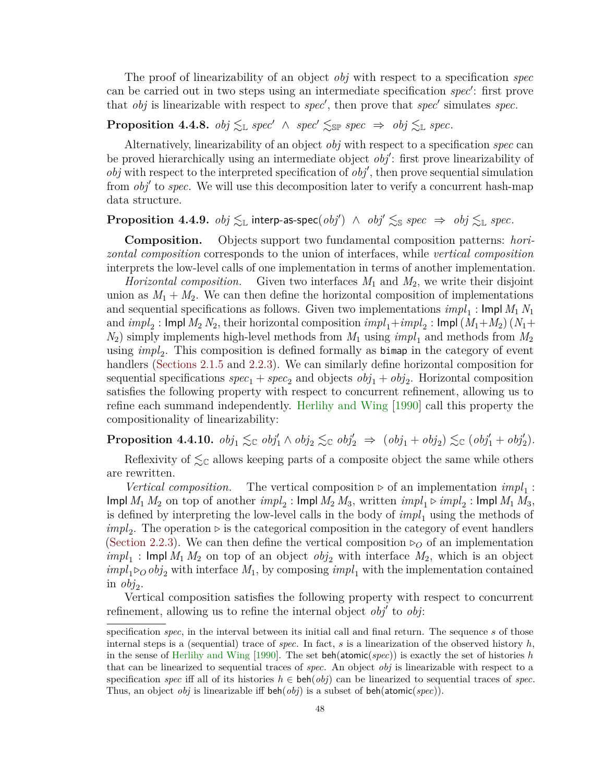The proof of linearizability of an object *obj* with respect to a specification *spec* can be carried out in two steps using an intermediate specification *spec*′ : first prove that *obj* is linearizable with respect to *spec*′ , then prove that *spec*′ simulates *spec*.

# **Proposition 4.4.8.**  $obj \leq_L spec' \land spec' \leq_{\mathbb{S}P} spec \Rightarrow obj \leq_L spec$ .

Alternatively, linearizability of an object *obj* with respect to a specification *spec* can be proved hierarchically using an intermediate object *obj*′ : first prove linearizability of *obj* with respect to the interpreted specification of *obj*′ , then prove sequential simulation from *obj*′ to *spec*. We will use this decomposition later to verify a concurrent hash-map data structure.

# <span id="page-54-0"></span> $\bf{Proposition 4.4.9.}$   $obj \lesssim_{\mathbb{L}} \text{interp-as-spec}(obj') \ \wedge \ obj' \lesssim_{\mathbb{S}} spec \ \Rightarrow \ obj \lesssim_{\mathbb{L}} spec.$

**Composition.** Objects support two fundamental composition patterns: *horizontal composition* corresponds to the union of interfaces, while *vertical composition* interprets the low-level calls of one implementation in terms of another implementation.

*Horizontal composition.* Given two interfaces *M*<sup>1</sup> and *M*2, we write their disjoint union as  $M_1 + M_2$ . We can then define the horizontal composition of implementations and sequential specifications as follows. Given two implementations  $impl_1$  : Impl  $M_1$   $N_1$ and  $impl_2$ : Impl  $M_2$   $N_2$ , their horizontal composition  $impl_1 + impl_2$ : Impl  $(M_1 + M_2)$   $(N_1 +$  $N_2$ ) simply implements high-level methods from  $M_1$  using  $impl_1$  and methods from  $M_2$ using *impl*<sub>2</sub>. This composition is defined formally as bimap in the category of event handlers [\(Sections 2.1.5](#page-16-0) and [2.2.3\)](#page-20-0). We can similarly define horizontal composition for sequential specifications  $spec_1 + spec_2$  and objects  $obj_1 + obj_2$ . Horizontal composition satisfies the following property with respect to concurrent refinement, allowing us to refine each summand independently. [Herlihy and Wing](#page-95-1) [\[1990\]](#page-95-1) call this property the compositionality of linearizability:

**Proposition 4.4.10.**  $obj_1 \lesssim_{\mathbb{C}} obj'_1 \wedge obj_2 \lesssim_{\mathbb{C}} obj'_2 \Rightarrow (obj_1 + obj_2) \lesssim_{\mathbb{C}} (obj'_1 + obj'_2)$ .

Reflexivity of  $\leq_{\mathbb{C}}$  allows keeping parts of a composite object the same while others are rewritten.

*Vertical composition.* The vertical composition  $\rhd$  of an implementation  $impl_1$ :  $\mathsf{Impl}\ M_1\ M_2$  on top of another  $\mathit{impl}_2$ :  $\mathsf{Impl}\ M_2\ M_3$ , written  $\mathit{impl}_1 \triangleright \mathit{impl}_2$ :  $\mathsf{Impl}\ M_1\ M_3,$ is defined by interpreting the low-level calls in the body of  $impl_1$  using the methods of  $impl_2$ . The operation  $\triangleright$  is the categorical composition in the category of event handlers [\(Section 2.2.3\)](#page-20-0). We can then define the vertical composition  $\rho$  of an implementation  $impl_1$ : Impl  $M_1 M_2$  on top of an object  $obj_2$  with interface  $M_2$ , which is an object  $impl_1 \triangleright_{\mathcal{O}} obj_2$  with interface  $M_1$ , by composing  $impl_1$  with the implementation contained in  $\omega_{j_2}$ .

Vertical composition satisfies the following property with respect to concurrent refinement, allowing us to refine the internal object *obj*′ to *obj*:

specification *spec*, in the interval between its initial call and final return. The sequence *s* of those internal steps is a (sequential) trace of *spec*. In fact, *s* is a linearization of the observed history  $h$ , in the sense of [Herlihy and Wing](#page-95-1) [\[1990\]](#page-95-1). The set beh(atomic(*spec*)) is exactly the set of histories *h* that can be linearized to sequential traces of *spec*. An object *obj* is linearizable with respect to a specification *spec* iff all of its histories  $h \in \text{beh}(obj)$  can be linearized to sequential traces of *spec*. Thus, an object *obj* is linearizable iff beh(*obj*) is a subset of beh(atomic(*spec*)).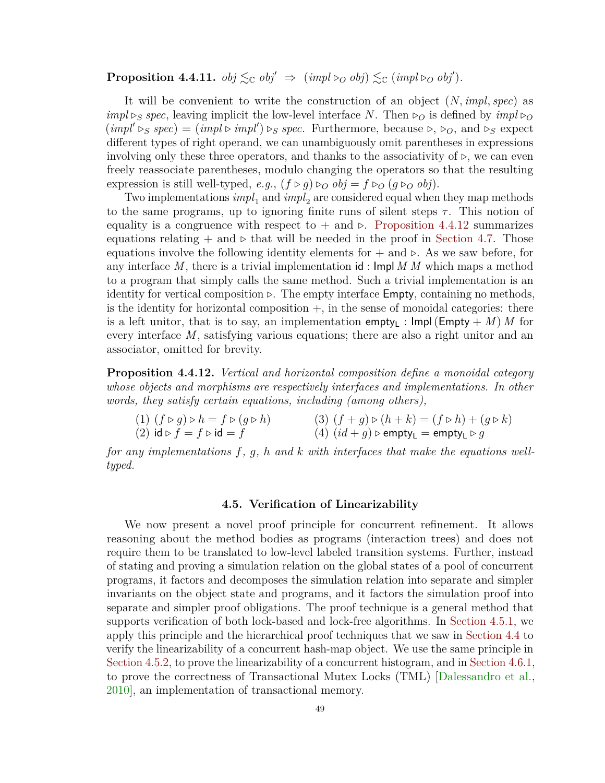**Proposition 4.4.11.**  $obj \leq_{\mathbb{C}} obj' \Rightarrow (impl \triangleright_{O} obj) \leq_{\mathbb{C}} (impl \triangleright_{O} obj')$ .

It will be convenient to write the construction of an object (*N, impl, spec*) as  $impl \, \triangleright$ *S spec*, leaving implicit the low-level interface *N*. Then  $\triangleright$ *O* is defined by  $impl \, \triangleright$ *O*  $(impl' \triangleright_S spec) = (impl \triangleright impl') \triangleright_S spec.$  Furthermore, because  $\triangleright, \triangleright_O$ , and  $\triangleright_S$  expect different types of right operand, we can unambiguously omit parentheses in expressions involving only these three operators, and thanks to the associativity of  $\rho$ , we can even freely reassociate parentheses, modulo changing the operators so that the resulting expression is still well-typed, *e.g.*,  $(f \triangleright g) \triangleright_{O} obj = f \triangleright_{O} (g \triangleright_{O} obj)$ .

Two implementations  $impl_1$  and  $impl_2$  are considered equal when they map methods to the same programs, up to ignoring finite runs of silent steps  $\tau$ . This notion of equality is a congruence with respect to  $+$  and  $\triangleright$ . [Proposition 4.4.12](#page-55-1) summarizes equations relating  $+$  and  $\triangleright$  that will be needed in the proof in [Section 4.7.](#page-69-0) Those equations involve the following identity elements for + and *▷*. As we saw before, for any interface *M*, there is a trivial implementation id : Impl *M M* which maps a method to a program that simply calls the same method. Such a trivial implementation is an identity for vertical composition *▷*. The empty interface Empty, containing no methods, is the identity for horizontal composition  $+$ , in the sense of monoidal categories: there is a left unitor, that is to say, an implementation empty<sub>1</sub> :  $\textsf{Impl}(\textsf{Empty} + M)$  *M* for every interface *M*, satisfying various equations; there are also a right unitor and an associator, omitted for brevity.

<span id="page-55-1"></span>**Proposition 4.4.12.** *Vertical and horizontal composition define a monoidal category whose objects and morphisms are respectively interfaces and implementations. In other words, they satisfy certain equations, including (among others),*

(1)  $(f \triangleright g) \triangleright h = f \triangleright (g \triangleright h)$  (3)  $(f + g) \triangleright (h + k) = (f \triangleright h) + (g \triangleright k)$ 

 $(2)$  id  $\triangleright$   $f = f \triangleright$  id  $= f$  (4)  $(id + g) \triangleright$  empty<sub>L</sub>  $=$  empty<sub>L</sub>  $\triangleright$   $g$ 

*for any implementations f, g, h and k with interfaces that make the equations welltyped.*

### **4.5. Verification of Linearizability**

<span id="page-55-0"></span>We now present a novel proof principle for concurrent refinement. It allows reasoning about the method bodies as programs (interaction trees) and does not require them to be translated to low-level labeled transition systems. Further, instead of stating and proving a simulation relation on the global states of a pool of concurrent programs, it factors and decomposes the simulation relation into separate and simpler invariants on the object state and programs, and it factors the simulation proof into separate and simpler proof obligations. The proof technique is a general method that supports verification of both lock-based and lock-free algorithms. In [Section 4.5.1,](#page-60-0) we apply this principle and the hierarchical proof techniques that we saw in [Section 4.4](#page-52-0) to verify the linearizability of a concurrent hash-map object. We use the same principle in [Section 4.5.2,](#page-62-0) to prove the linearizability of a concurrent histogram, and in [Section 4.6.1,](#page-67-0) to prove the correctness of Transactional Mutex Locks (TML) [\[Dalessandro et al.,](#page-92-5) [2010\]](#page-92-5), an implementation of transactional memory.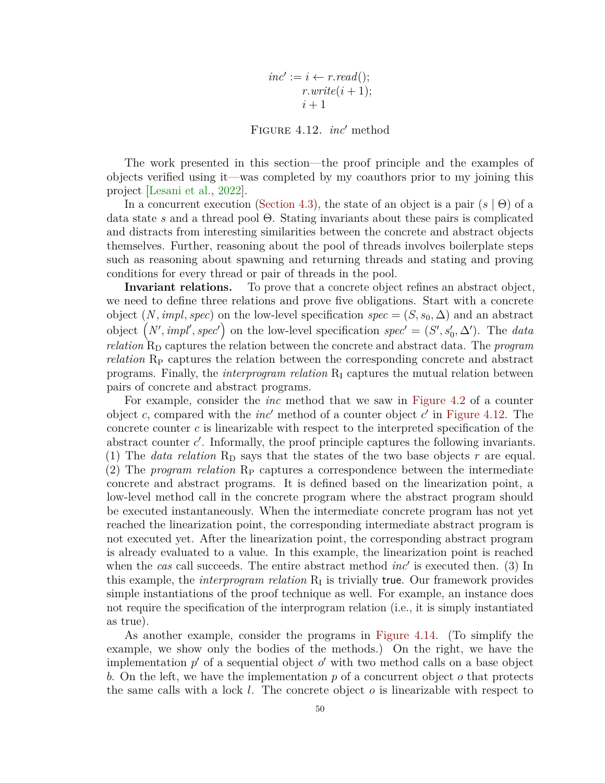$inc' := i \leftarrow r.read();$  $r.write(i+1);$  $i+1$ 

Figure 4.12. *inc*′ method

<span id="page-56-0"></span>The work presented in this section—the proof principle and the examples of objects verified using it—was completed by my coauthors prior to my joining this project [\[Lesani et al.,](#page-98-1) [2022\]](#page-98-1).

In a concurrent execution [\(Section 4.3\)](#page-47-1), the state of an object is a pair (*s* | Θ) of a data state *s* and a thread pool Θ. Stating invariants about these pairs is complicated and distracts from interesting similarities between the concrete and abstract objects themselves. Further, reasoning about the pool of threads involves boilerplate steps such as reasoning about spawning and returning threads and stating and proving conditions for every thread or pair of threads in the pool.

**Invariant relations.** To prove that a concrete object refines an abstract object, we need to define three relations and prove five obligations. Start with a concrete object  $(N, impl, spec)$  on the low-level specification  $spec = (S, s_0, \Delta)$  and an abstract object  $(N', impl', spec')$  on the low-level specification  $spec' = (S', s'_0, \Delta')$ . The *data relation*  $R_D$  captures the relation between the concrete and abstract data. The *program relation* R<sub>P</sub> captures the relation between the corresponding concrete and abstract programs. Finally, the *interprogram relation*  $R<sub>I</sub>$  captures the mutual relation between pairs of concrete and abstract programs.

For example, consider the *inc* method that we saw in [Figure 4.2](#page-43-1) of a counter object  $c$ , compared with the  $inc'$  method of a counter object  $c'$  in [Figure 4.12.](#page-56-0) The concrete counter *c* is linearizable with respect to the interpreted specification of the abstract counter *c*'. Informally, the proof principle captures the following invariants. (1) The *data relation*  $R<sub>D</sub>$  says that the states of the two base objects r are equal. (2) The *program relation* R<sub>P</sub> captures a correspondence between the intermediate concrete and abstract programs. It is defined based on the linearization point, a low-level method call in the concrete program where the abstract program should be executed instantaneously. When the intermediate concrete program has not yet reached the linearization point, the corresponding intermediate abstract program is not executed yet. After the linearization point, the corresponding abstract program is already evaluated to a value. In this example, the linearization point is reached when the *cas* call succeeds. The entire abstract method *inc*′ is executed then. (3) In this example, the *interprogram relation*  $R_I$  is trivially true. Our framework provides simple instantiations of the proof technique as well. For example, an instance does not require the specification of the interprogram relation (i.e., it is simply instantiated as true).

As another example, consider the programs in [Figure 4.14.](#page-58-0) (To simplify the example, we show only the bodies of the methods.) On the right, we have the implementation  $p'$  of a sequential object  $o'$  with two method calls on a base object *b*. On the left, we have the implementation *p* of a concurrent object *o* that protects the same calls with a lock *l*. The concrete object *o* is linearizable with respect to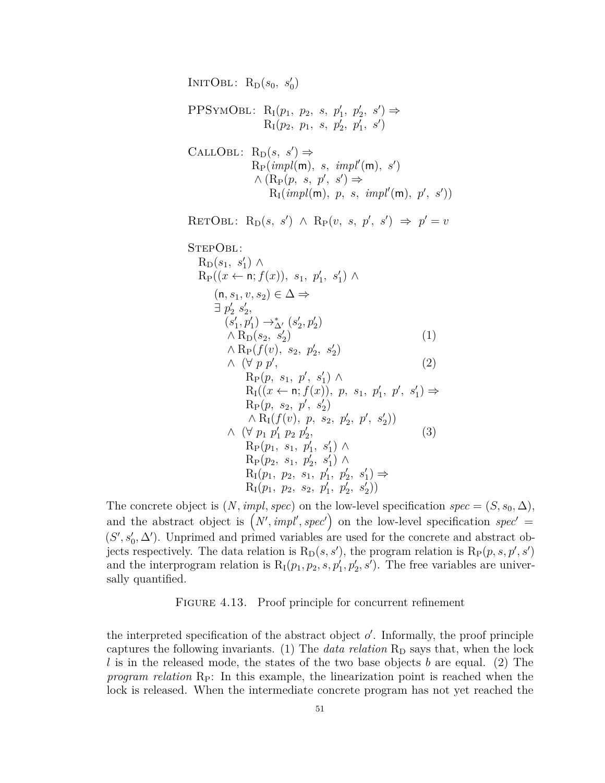<span id="page-57-0"></span>INITOBL:  $R_D(s_0, s'_0)$  $PPSYMOBL: R<sub>I</sub>(p<sub>1</sub>, p<sub>2</sub>, s, p'<sub>1</sub>, p'<sub>2</sub>, s') \Rightarrow$  $R_1(p_2, p_1, s, p'_2, p'_1, s')$ CALLOBL:  $R_D(s, s') \Rightarrow$  ${\rm R}_{\rm P}(\textit{impl}(\mathsf{m}),\,\,s,\,\,\textit{impl}'(\mathsf{m}),\,\,s')$  $\wedge (\mathrm{R}_{\mathrm{P}}(p, s, p', s')) \Rightarrow$  $R_I(\textit{impl(m)},\textit{p},\textit{s},\textit{impl}'(\mathsf{m}),\textit{p}',\textit{s}'))$ RETOBL:  $R_D(s, s') \wedge R_P(v, s, p', s') \Rightarrow p' = v$ StepObl:  $R_D(s_1, s'_1) \wedge$  $R_P((x \leftarrow n; f(x)), s_1, p'_1, s'_1) \wedge$  $(n, s<sub>1</sub>, v, s<sub>2</sub>) ∈ ∆ ⇒$  $\exists p'_2 s'_2,$  $(s_1',p_1')\rightarrow^\ast_{\Delta'} (s_2',p_2')$  $∧$  R<sub>D</sub> $(s_2, s'_2)$ )  $(1)$  $\wedge$  R<sub>P</sub>( $f(v)$ , s<sub>2</sub>, p'<sub>2</sub>, s'<sub>2</sub>) ∧ (∀ *p p*′ *,* (2)  $R_P(p, s_1, p', s'_1) \wedge$  $R_I((x \leftarrow n; f(x)), p, s_1, p'_1, p', s'_1) \Rightarrow$  $R_P(p, s_2, p', s'_2)$  $\wedge$  R<sub>I</sub> $(f(v), p, s_2, p'_2, p', s'_2)$ ∧ (∀  $p_1$   $p'_1$   $p_2$   $p'_2$ *,* (3)  $R_P(p_1, s_1, p'_1, s'_1) \wedge$  $R_P(p_2, s_1, p'_2, s'_1) \wedge$  $R_1(p_1, p_2, s_1, p'_1, p'_2, s'_1) \Rightarrow$  $R_I(p_1, p_2, s_2, p'_1, p'_2, s'_2)$ 

The concrete object is  $(N, impl, spec)$  on the low-level specification  $spec = (S, s_0, \Delta)$ , and the abstract object is  $(N', impl', spec')$  on the low-level specification *spec'* =  $(S', s'_0, \Delta')$ . Unprimed and primed variables are used for the concrete and abstract objects respectively. The data relation is  $R_D(s, s')$ , the program relation is  $R_P(p, s, p', s')$ and the interprogram relation is  $R_1(p_1, p_2, s, p'_1, p'_2, s')$ . The free variables are universally quantified.

### FIGURE 4.13. Proof principle for concurrent refinement

the interpreted specification of the abstract object  $o'$ . Informally, the proof principle captures the following invariants.  $(1)$  The *data relation*  $R<sub>D</sub>$  says that, when the lock *l* is in the released mode, the states of the two base objects *b* are equal. (2) The *program relation*  $R_P$ : In this example, the linearization point is reached when the lock is released. When the intermediate concrete program has not yet reached the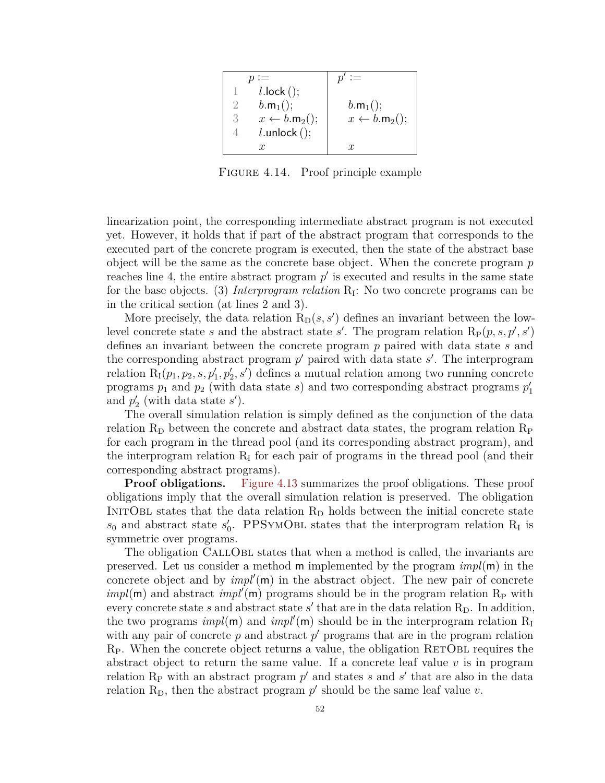<span id="page-58-0"></span>

|               | $l$ .lock $()$ ;                  |                         |
|---------------|-----------------------------------|-------------------------|
|               | $b.m_1$ ();                       | $b.m_1$ ();             |
| $\mathcal{S}$ | $x \leftarrow b.\mathsf{m}_2()$ ; | $x \leftarrow b.m_2();$ |
|               | $l.$ unlock $()$ ;                |                         |
|               | x                                 | x.                      |

FIGURE 4.14. Proof principle example

linearization point, the corresponding intermediate abstract program is not executed yet. However, it holds that if part of the abstract program that corresponds to the executed part of the concrete program is executed, then the state of the abstract base object will be the same as the concrete base object. When the concrete program *p* reaches line 4, the entire abstract program  $p'$  is executed and results in the same state for the base objects. (3) *Interprogram relation*  $R_I$ : No two concrete programs can be in the critical section (at lines 2 and 3).

More precisely, the data relation  $R_D(s, s')$  defines an invariant between the lowlevel concrete state *s* and the abstract state *s'*. The program relation  $R_P(p, s, p', s')$ defines an invariant between the concrete program *p* paired with data state *s* and the corresponding abstract program  $p'$  paired with data state  $s'$ . The interprogram relation  $R_1(p_1, p_2, s, p'_1, p'_2, s')$  defines a mutual relation among two running concrete programs  $p_1$  and  $p_2$  (with data state  $s$ ) and two corresponding abstract programs  $p'_1$ and  $p_2'$  (with data state  $s'$ ).

The overall simulation relation is simply defined as the conjunction of the data relation  $R_D$  between the concrete and abstract data states, the program relation  $R_P$ for each program in the thread pool (and its corresponding abstract program), and the interprogram relation  $R_I$  for each pair of programs in the thread pool (and their corresponding abstract programs).

**Proof obligations.** [Figure 4.13](#page-57-0) summarizes the proof obligations. These proof obligations imply that the overall simulation relation is preserved. The obligation INITOBL states that the data relation  $R_D$  holds between the initial concrete state  $s_0$  and abstract state  $s'_0$ . PPSYMOBL states that the interprogram relation R<sub>I</sub> is symmetric over programs.

The obligation CALLOBL states that when a method is called, the invariants are preserved. Let us consider a method m implemented by the program *impl*(m) in the concrete object and by *impl*′ (m) in the abstract object. The new pair of concrete  $impl(m)$  and abstract  $impl(m)$  programs should be in the program relation  $R_P$  with every concrete state  $s$  and abstract state  $s'$  that are in the data relation  $R_D$ . In addition, the two programs  $impl(m)$  and  $impl'(m)$  should be in the interprogram relation  $R_I$ with any pair of concrete  $p$  and abstract  $p'$  programs that are in the program relation  $R_P$ . When the concrete object returns a value, the obligation  $RETOBL$  requires the abstract object to return the same value. If a concrete leaf value  $v$  is in program relation  $R_P$  with an abstract program  $p'$  and states  $s$  and  $s'$  that are also in the data relation  $R_D$ , then the abstract program  $p'$  should be the same leaf value  $v$ .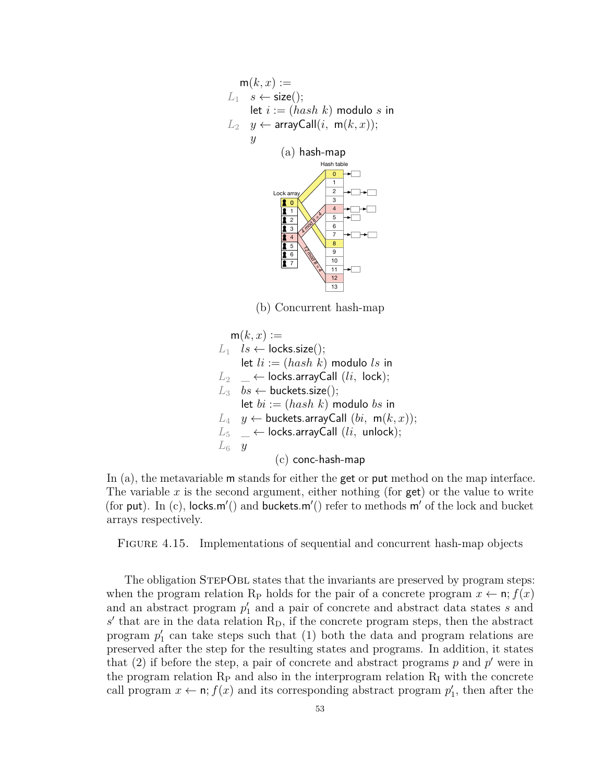<span id="page-59-0"></span>
$$
m(k, x) :=
$$
\n
$$
L_1 \quad s \leftarrow \text{size}();
$$
\n
$$
let \quad i := (hash \ k) \text{ modulo } s \text{ in}
$$
\n
$$
L_2 \quad y \leftarrow \text{arrayCall}(i, \ m(k, x));
$$
\n
$$
y
$$
\n(a) hash-map\n
$$
1
$$
\n
$$
k
$$
\n
$$
k
$$
\n
$$
k
$$
\n
$$
k
$$
\n
$$
k
$$
\n
$$
k
$$
\n
$$
k
$$
\n
$$
k
$$
\n
$$
k
$$
\n
$$
k
$$
\n
$$
k
$$
\n
$$
k
$$
\n
$$
k
$$
\n
$$
k
$$
\n
$$
k
$$
\n
$$
k
$$
\n
$$
k
$$
\n
$$
k
$$
\n
$$
k
$$
\n
$$
k
$$
\n
$$
k
$$
\n
$$
k
$$
\n
$$
k
$$
\n
$$
k
$$
\n
$$
k
$$
\n
$$
k
$$
\n
$$
k
$$
\n
$$
k
$$
\n
$$
k
$$
\n
$$
k
$$
\n
$$
k
$$
\n
$$
k
$$
\n
$$
k
$$
\n
$$
k
$$
\n
$$
k
$$
\n
$$
k
$$
\n
$$
k
$$
\n
$$
k
$$
\n
$$
k
$$
\n
$$
k
$$
\n
$$
k
$$
\n
$$
k
$$
\n
$$
k
$$
\n
$$
k
$$
\n
$$
k
$$
\n
$$
k
$$
\n
$$
k
$$
\n
$$
k
$$
\n
$$
k
$$
\n
$$
k
$$
\n
$$
k
$$
\n
$$
k
$$
\n
$$
k
$$
\n
$$
k
$$
\n
$$
k
$$
\n
$$
k
$$
\n
$$
k
$$
\n
$$
k
$$

(b) Concurrent hash-map

$$
\begin{array}{ll}\nm(k,x) :=\\ \nL_1 & l s \leftarrow \text{locks.size}();\\ \n\text{let } li := (hash k) \text{ modulo } ls \text{ in}\\ \nL_2 & \leftarrow \text{locks.arrayCall } (li, \text{ lock});\\ \nL_3 & bs \leftarrow \text{ buckets.size}();\\ \n\text{let } bi := (hash k) \text{ modulo } bs \text{ in}\\ \nL_4 & y \leftarrow \text{ buckets.arrayCall } (bi, \text{ m}(k, x));\\ \nL_5 & \leftarrow \text{locks.arrayCall } (li, \text{ unlock});\\ \nL_6 & y\n\end{array}
$$
\n
$$
\begin{array}{ll}\n\text{(c) conc-hash-map}\n\end{array}
$$

In (a), the metavariable m stands for either the get or put method on the map interface. The variable  $x$  is the second argument, either nothing (for  $get$ ) or the value to write (for put). In (c), locks*.*m′ () and buckets*.*m′ () refer to methods m′ of the lock and bucket arrays respectively.

Figure 4.15. Implementations of sequential and concurrent hash-map objects

The obligation STEPOBL states that the invariants are preserved by program steps: when the program relation R<sub>P</sub> holds for the pair of a concrete program  $x \leftarrow \mathbf{n}$ ;  $f(x)$ and an abstract program  $p'_1$  and a pair of concrete and abstract data states  $s$  and  $s'$  that are in the data relation  $R_D$ , if the concrete program steps, then the abstract program  $p'_1$  can take steps such that  $(1)$  both the data and program relations are preserved after the step for the resulting states and programs. In addition, it states that  $(2)$  if before the step, a pair of concrete and abstract programs  $p$  and  $p'$  were in the program relation  $R_P$  and also in the interprogram relation  $R_I$  with the concrete call program  $x \leftarrow \mathbf{n}$ ;  $f(x)$  and its corresponding abstract program  $p'_1$ , then after the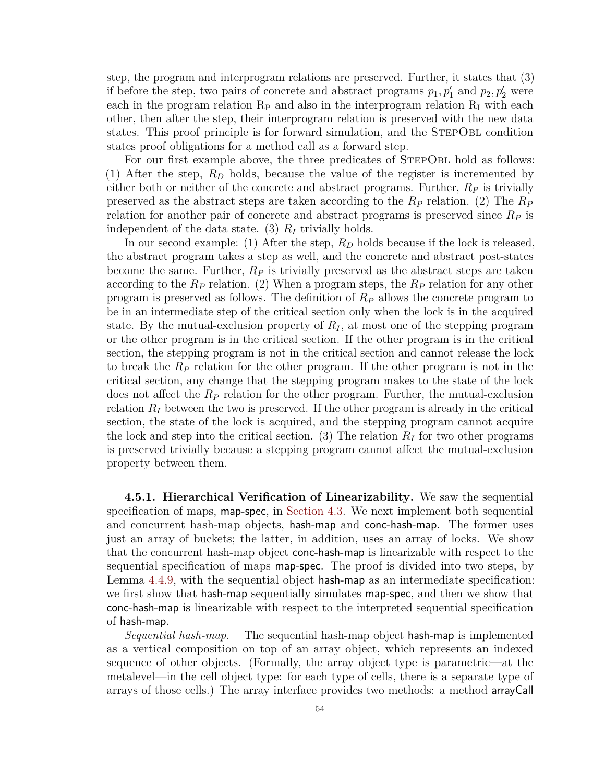step, the program and interprogram relations are preserved. Further, it states that (3) if before the step, two pairs of concrete and abstract programs  $p_1, p'_1$  and  $p_2, p'_2$  were each in the program relation  $R_P$  and also in the interprogram relation  $R_I$  with each other, then after the step, their interprogram relation is preserved with the new data states. This proof principle is for forward simulation, and the StepObl condition states proof obligations for a method call as a forward step.

For our first example above, the three predicates of STEPOBL hold as follows: (1) After the step, *R<sup>D</sup>* holds, because the value of the register is incremented by either both or neither of the concrete and abstract programs. Further, *R<sup>P</sup>* is trivially preserved as the abstract steps are taken according to the *R<sup>P</sup>* relation. (2) The *R<sup>P</sup>* relation for another pair of concrete and abstract programs is preserved since *R<sup>P</sup>* is independent of the data state. (3) *R<sup>I</sup>* trivially holds.

In our second example: (1) After the step,  $R_D$  holds because if the lock is released, the abstract program takes a step as well, and the concrete and abstract post-states become the same. Further, *R<sup>P</sup>* is trivially preserved as the abstract steps are taken according to the *R<sup>P</sup>* relation. (2) When a program steps, the *R<sup>P</sup>* relation for any other program is preserved as follows. The definition of *R<sup>P</sup>* allows the concrete program to be in an intermediate step of the critical section only when the lock is in the acquired state. By the mutual-exclusion property of  $R_I$ , at most one of the stepping program or the other program is in the critical section. If the other program is in the critical section, the stepping program is not in the critical section and cannot release the lock to break the *R<sup>P</sup>* relation for the other program. If the other program is not in the critical section, any change that the stepping program makes to the state of the lock does not affect the *R<sup>P</sup>* relation for the other program. Further, the mutual-exclusion relation  $R_I$  between the two is preserved. If the other program is already in the critical section, the state of the lock is acquired, and the stepping program cannot acquire the lock and step into the critical section. (3) The relation  $R_I$  for two other programs is preserved trivially because a stepping program cannot affect the mutual-exclusion property between them.

<span id="page-60-0"></span>**4.5.1. Hierarchical Verification of Linearizability.** We saw the sequential specification of maps, map-spec, in [Section 4.3.](#page-47-1) We next implement both sequential and concurrent hash-map objects, hash-map and conc-hash-map. The former uses just an array of buckets; the latter, in addition, uses an array of locks. We show that the concurrent hash-map object conc-hash-map is linearizable with respect to the sequential specification of maps map-spec. The proof is divided into two steps, by Lemma [4.4.9,](#page-54-0) with the sequential object hash-map as an intermediate specification: we first show that hash-map sequentially simulates map-spec, and then we show that conc-hash-map is linearizable with respect to the interpreted sequential specification of hash-map.

*Sequential hash-map.* The sequential hash-map object hash-map is implemented as a vertical composition on top of an array object, which represents an indexed sequence of other objects. (Formally, the array object type is parametric—at the metalevel—in the cell object type: for each type of cells, there is a separate type of arrays of those cells.) The array interface provides two methods: a method arrayCall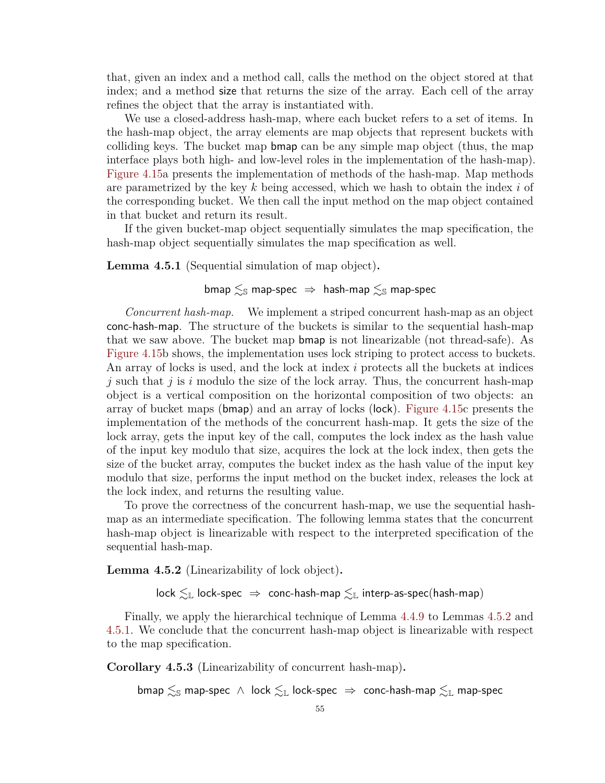that, given an index and a method call, calls the method on the object stored at that index; and a method size that returns the size of the array. Each cell of the array refines the object that the array is instantiated with.

We use a closed-address hash-map, where each bucket refers to a set of items. In the hash-map object, the array elements are map objects that represent buckets with colliding keys. The bucket map bmap can be any simple map object (thus, the map interface plays both high- and low-level roles in the implementation of the hash-map). [Figure 4.15a](#page-59-0) presents the implementation of methods of the hash-map. Map methods are parametrized by the key *k* being accessed, which we hash to obtain the index *i* of the corresponding bucket. We then call the input method on the map object contained in that bucket and return its result.

If the given bucket-map object sequentially simulates the map specification, the hash-map object sequentially simulates the map specification as well.

<span id="page-61-1"></span>**Lemma 4.5.1** (Sequential simulation of map object)**.**

# bmap  $\leq_{\mathbb{S}}$  map-spec  $\Rightarrow$  hash-map  $\leq_{\mathbb{S}}$  map-spec

*Concurrent hash-map.* We implement a striped concurrent hash-map as an object conc-hash-map. The structure of the buckets is similar to the sequential hash-map that we saw above. The bucket map bmap is not linearizable (not thread-safe). As [Figure 4.15b](#page-59-0) shows, the implementation uses lock striping to protect access to buckets. An array of locks is used, and the lock at index *i* protects all the buckets at indices *j* such that *j* is *i* modulo the size of the lock array. Thus, the concurrent hash-map object is a vertical composition on the horizontal composition of two objects: an array of bucket maps (bmap) and an array of locks (lock). [Figure 4.15c](#page-59-0) presents the implementation of the methods of the concurrent hash-map. It gets the size of the lock array, gets the input key of the call, computes the lock index as the hash value of the input key modulo that size, acquires the lock at the lock index, then gets the size of the bucket array, computes the bucket index as the hash value of the input key modulo that size, performs the input method on the bucket index, releases the lock at the lock index, and returns the resulting value.

To prove the correctness of the concurrent hash-map, we use the sequential hashmap as an intermediate specification. The following lemma states that the concurrent hash-map object is linearizable with respect to the interpreted specification of the sequential hash-map.

<span id="page-61-0"></span>**Lemma 4.5.2** (Linearizability of lock object)**.**

 $lock \lesssim_{\mathbb{L}} lock\text{-spec} \Rightarrow conc\text{-hash-map} \lesssim_{\mathbb{L}} interp\text{-}as\text{-spec(hash-map)}$ 

Finally, we apply the hierarchical technique of Lemma [4.4.9](#page-54-0) to Lemmas [4.5.2](#page-61-0) and [4.5.1.](#page-61-1) We conclude that the concurrent hash-map object is linearizable with respect to the map specification.

**Corollary 4.5.3** (Linearizability of concurrent hash-map)**.**

bmap  $\leq_{\mathbb{S}}$  map-spec  $\wedge$  lock  $\leq_{\mathbb{L}}$  lock-spec  $\Rightarrow$  conc-hash-map  $\leq_{\mathbb{L}}$  map-spec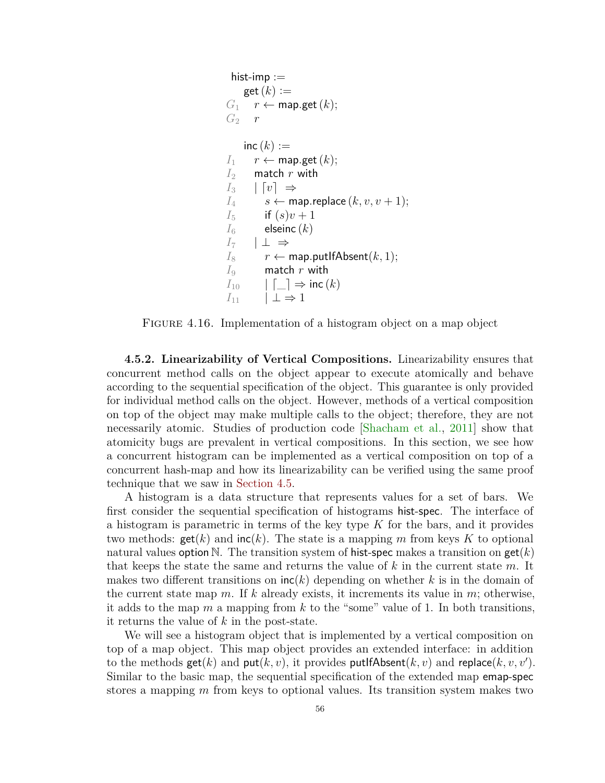```
hist-imp :=get(k) :=G_1 r ← map.get (k);
G_2 r
   inc(k) :=I1 r ← map.get(k);
I2 match r with
I_3 | [v] \RightarrowI_4 s ← map.replace (k, v, v + 1);
I<sub>5</sub> if (s)v + 1I_6 elseinc (k)I_7 | ⊥ ⇒
I<sup>8</sup> r ← map.putIfAbsent(k, 1);
I9 match r with
I_{10} |\Box \Rightarrow inc (k)I_{11} \perp \Rightarrow 1
```
FIGURE 4.16. Implementation of a histogram object on a map object

<span id="page-62-0"></span>**4.5.2. Linearizability of Vertical Compositions.** Linearizability ensures that concurrent method calls on the object appear to execute atomically and behave according to the sequential specification of the object. This guarantee is only provided for individual method calls on the object. However, methods of a vertical composition on top of the object may make multiple calls to the object; therefore, they are not necessarily atomic. Studies of production code [\[Shacham et al.,](#page-102-5) [2011\]](#page-102-5) show that atomicity bugs are prevalent in vertical compositions. In this section, we see how a concurrent histogram can be implemented as a vertical composition on top of a concurrent hash-map and how its linearizability can be verified using the same proof technique that we saw in [Section 4.5.](#page-55-0)

A histogram is a data structure that represents values for a set of bars. We first consider the sequential specification of histograms hist-spec. The interface of a histogram is parametric in terms of the key type *K* for the bars, and it provides two methods:  $\text{get}(k)$  and  $\text{inc}(k)$ . The state is a mapping m from keys K to optional natural values option N. The transition system of hist-spec makes a transition on get(*k*) that keeps the state the same and returns the value of *k* in the current state *m*. It makes two different transitions on inc(*k*) depending on whether *k* is in the domain of the current state map *m*. If *k* already exists, it increments its value in *m*; otherwise, it adds to the map *m* a mapping from *k* to the "some" value of 1. In both transitions, it returns the value of *k* in the post-state.

We will see a histogram object that is implemented by a vertical composition on top of a map object. This map object provides an extended interface: in addition to the methods  $\textsf{get}(k)$  and  $\textsf{put}(k, v)$ , it provides  $\textsf{putIfAbsent}(k, v)$  and  $\textsf{replace}(k, v, v')$ . Similar to the basic map, the sequential specification of the extended map emap-spec stores a mapping *m* from keys to optional values. Its transition system makes two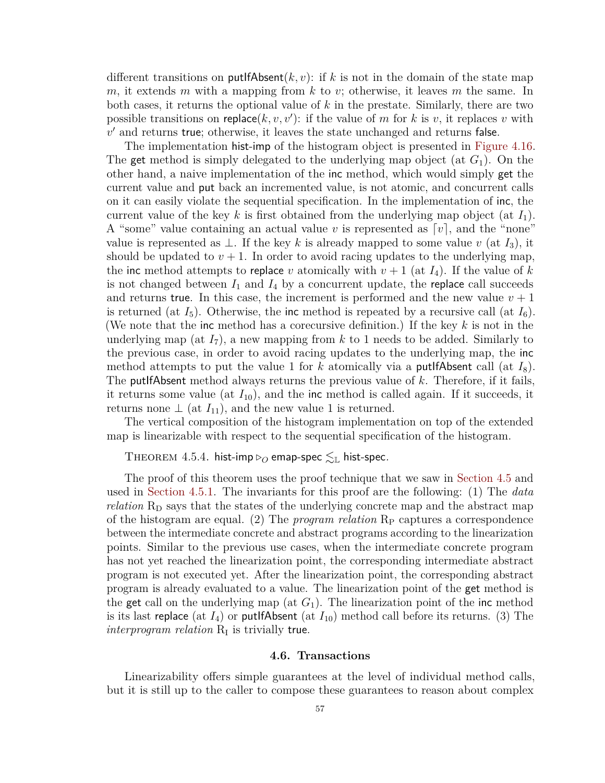different transitions on put  $\text{HAsent}(k, v)$ : if k is not in the domain of the state map *m*, it extends *m* with a mapping from *k* to *v*; otherwise, it leaves *m* the same. In both cases, it returns the optional value of *k* in the prestate. Similarly, there are two possible transitions on replace $(k, v, v')$ : if the value of *m* for *k* is *v*, it replaces *v* with  $v'$  and returns true; otherwise, it leaves the state unchanged and returns false.

The implementation hist-imp of the histogram object is presented in [Figure 4.16.](#page-62-1) The get method is simply delegated to the underlying map object (at *G*1). On the other hand, a naive implementation of the inc method, which would simply get the current value and put back an incremented value, is not atomic, and concurrent calls on it can easily violate the sequential specification. In the implementation of inc, the current value of the key *k* is first obtained from the underlying map object (at *I*1). A "some" value containing an actual value *v* is represented as [*v*], and the "none" value is represented as  $\perp$ . If the key k is already mapped to some value v (at  $I_3$ ), it should be updated to  $v + 1$ . In order to avoid racing updates to the underlying map, the inc method attempts to replace *v* atomically with  $v + 1$  (at  $I_4$ ). If the value of *k* is not changed between  $I_1$  and  $I_4$  by a concurrent update, the replace call succeeds and returns true. In this case, the increment is performed and the new value  $v + 1$ is returned (at  $I_5$ ). Otherwise, the inc method is repeated by a recursive call (at  $I_6$ ). (We note that the inc method has a corecursive definition.) If the key *k* is not in the underlying map (at  $I_7$ ), a new mapping from  $k$  to 1 needs to be added. Similarly to the previous case, in order to avoid racing updates to the underlying map, the inc method attempts to put the value 1 for k atomically via a **putifAbsent** call (at  $I_8$ ). The putIfAbsent method always returns the previous value of *k*. Therefore, if it fails, it returns some value (at  $I_{10}$ ), and the inc method is called again. If it succeeds, it returns none  $\perp$  (at  $I_{11}$ ), and the new value 1 is returned.

The vertical composition of the histogram implementation on top of the extended map is linearizable with respect to the sequential specification of the histogram.

THEOREM 4.5.4. hist-imp  $\triangleright_O$  emap-spec  $\lesssim_{\mathbb{L}}$  hist-spec.

The proof of this theorem uses the proof technique that we saw in [Section 4.5](#page-55-0) and used in [Section 4.5.1.](#page-60-0) The invariants for this proof are the following: (1) The *data relation* R<sub>D</sub> says that the states of the underlying concrete map and the abstract map of the histogram are equal. (2) The *program relation* R<sub>P</sub> captures a correspondence between the intermediate concrete and abstract programs according to the linearization points. Similar to the previous use cases, when the intermediate concrete program has not yet reached the linearization point, the corresponding intermediate abstract program is not executed yet. After the linearization point, the corresponding abstract program is already evaluated to a value. The linearization point of the get method is the get call on the underlying map (at  $G_1$ ). The linearization point of the inc method is its last replace (at  $I_4$ ) or putifAbsent (at  $I_{10}$ ) method call before its returns. (3) The  $interprogram$   $relation$   $R_I$  is trivially true.

#### **4.6. Transactions**

<span id="page-63-0"></span>Linearizability offers simple guarantees at the level of individual method calls, but it is still up to the caller to compose these guarantees to reason about complex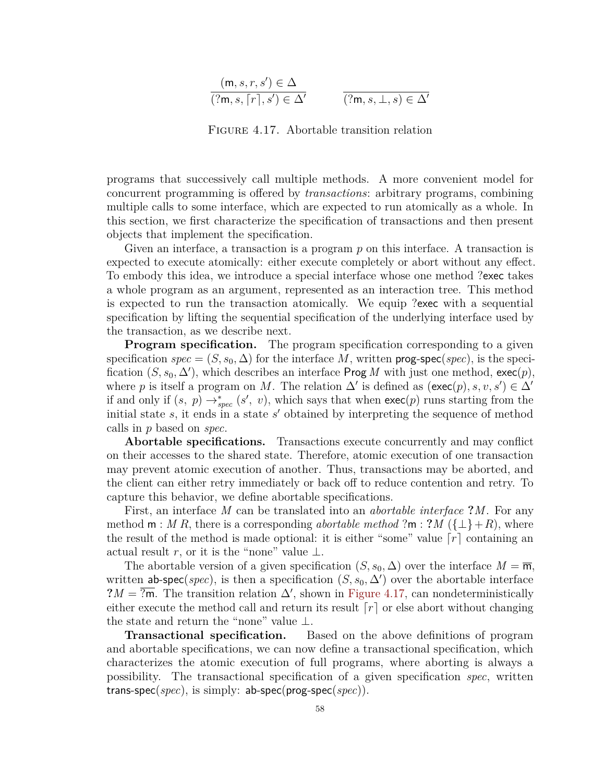<span id="page-64-0"></span>
$$
\frac{(\mathsf{m}, s, r, s') \in \Delta}{(\mathsf{?m}, s, \lceil r \rceil, s') \in \Delta'} \qquad \qquad \frac{}{(\mathsf{?m}, s, \bot, s) \in \Delta'}
$$

Figure 4.17. Abortable transition relation

programs that successively call multiple methods. A more convenient model for concurrent programming is offered by *transactions*: arbitrary programs, combining multiple calls to some interface, which are expected to run atomically as a whole. In this section, we first characterize the specification of transactions and then present objects that implement the specification.

Given an interface, a transaction is a program p on this interface. A transaction is expected to execute atomically: either execute completely or abort without any effect. To embody this idea, we introduce a special interface whose one method ?exec takes a whole program as an argument, represented as an interaction tree. This method is expected to run the transaction atomically. We equip ?exec with a sequential specification by lifting the sequential specification of the underlying interface used by the transaction, as we describe next.

**Program specification.** The program specification corresponding to a given specification  $spec = (S, s_0, \Delta)$  for the interface M, written **prog-spec**(*spec*), is the specification  $(S, s_0, \Delta')$ , which describes an interface Prog *M* with just one method, exec $(p)$ , where *p* is itself a program on *M*. The relation  $\Delta'$  is defined as  $(\text{exec}(p), s, v, s') \in \Delta'$ if and only if  $(s, p) \rightarrow_{spec}^{\ast} (s', v)$ , which says that when  $exec(p)$  runs starting from the initial state *s*, it ends in a state *s* ′ obtained by interpreting the sequence of method calls in *p* based on *spec*.

**Abortable specifications.** Transactions execute concurrently and may conflict on their accesses to the shared state. Therefore, atomic execution of one transaction may prevent atomic execution of another. Thus, transactions may be aborted, and the client can either retry immediately or back off to reduce contention and retry. To capture this behavior, we define abortable specifications.

First, an interface *M* can be translated into an *abortable interface* **?***M*. For any method  $m : M R$ , there is a corresponding *abortable method* ? $m : ?M (\{\perp\} + R)$ , where the result of the method is made optional: it is either "some" value  $\lceil r \rceil$  containing an actual result *r*, or it is the "none" value  $\perp$ .

The abortable version of a given specification  $(S, s_0, \Delta)$  over the interface  $M = \overline{m}$ , written ab-spec(*spec*), is then a specification  $(S, s_0, \Delta')$  over the abortable interface ? $M = \overline{?m}$ . The transition relation  $\Delta'$ , shown in [Figure 4.17,](#page-64-0) can nondeterministically either execute the method call and return its result  $\lceil r \rceil$  or else abort without changing the state and return the "none" value ⊥.

**Transactional specification.** Based on the above definitions of program and abortable specifications, we can now define a transactional specification, which characterizes the atomic execution of full programs, where aborting is always a possibility. The transactional specification of a given specification *spec*, written trans-spec(*spec*), is simply: ab-spec(prog-spec(*spec*)).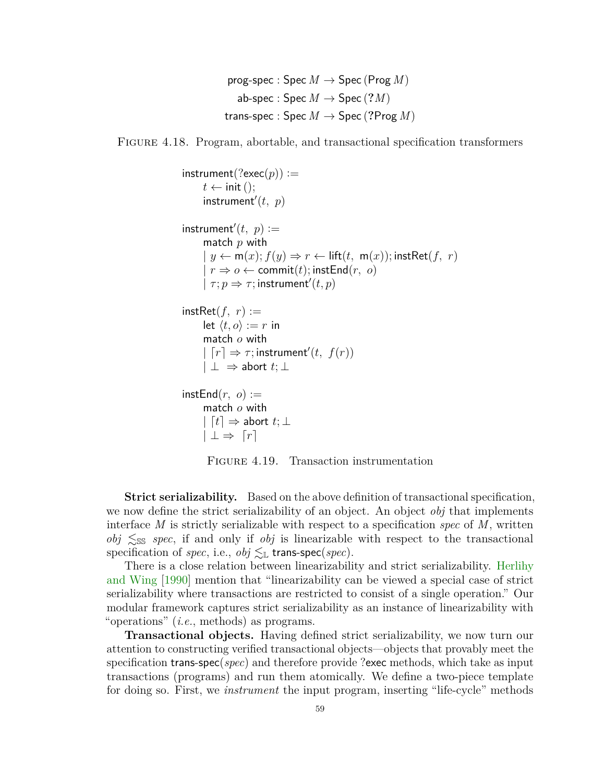```
prog-spec : \text{Spec } M \to \text{Spec } (\text{Prog } M)ab-spec : Spec M \to Spec (?M)trans-spec : Spec M \rightarrow Spec (?Prog M)
```
<span id="page-65-0"></span>Figure 4.18. Program, abortable, and transactional specification transformers

```
\mathsf{instrument}(\text{?exec}(p)) :=t \leftarrow \text{init}();
       \mathsf{instrument}'(t, p)\mathsf{instrument}'(t, p) :=match p with
        y \leftarrow m(x); f(y) \Rightarrow r \leftarrow \text{lift}(t, m(x)); \text{instRet}(f, r)r \Rightarrow o \leftarrow commit(t); instEnd(r, o)
       | \tau; p \Rightarrow \tau; instrument'(t, p)instRet(f, r) :=let \langle t, o \rangle := r in
      match o with
       |\Gamma| \Rightarrow \tau; instrument'(t, f(r))
      |\perp\Rightarrow abort t;\perpinstEnd(r, o) :=match o with
      | [t] \Rightarrow abort t; \perp|\perp \Rightarrow [r]
```


**Strict serializability.** Based on the above definition of transactional specification, we now define the strict serializability of an object. An object *obj* that implements interface *M* is strictly serializable with respect to a specification *spec* of *M*, written  $obj \leq$ ss *spec*, if and only if *obj* is linearizable with respect to the transactional specification of *spec*, i.e., *obj*  $≤$ *L* trans-spec(*spec*).

There is a close relation between linearizability and strict serializability. [Herlihy](#page-95-1) [and Wing](#page-95-1) [\[1990\]](#page-95-1) mention that "linearizability can be viewed a special case of strict serializability where transactions are restricted to consist of a single operation." Our modular framework captures strict serializability as an instance of linearizability with "operations" (*i.e.*, methods) as programs.

**Transactional objects.** Having defined strict serializability, we now turn our attention to constructing verified transactional objects—objects that provably meet the specification trans-spec(*spec*) and therefore provide ?exec methods, which take as input transactions (programs) and run them atomically. We define a two-piece template for doing so. First, we *instrument* the input program, inserting "life-cycle" methods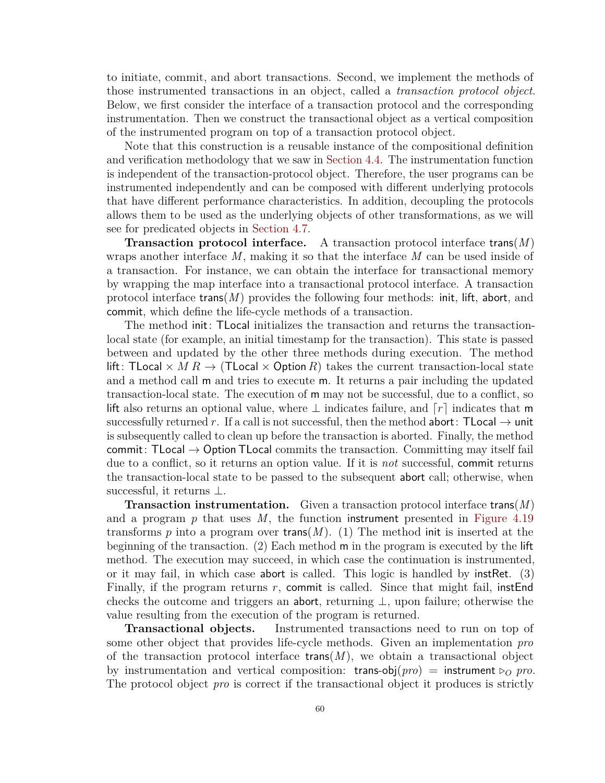to initiate, commit, and abort transactions. Second, we implement the methods of those instrumented transactions in an object, called a *transaction protocol object*. Below, we first consider the interface of a transaction protocol and the corresponding instrumentation. Then we construct the transactional object as a vertical composition of the instrumented program on top of a transaction protocol object.

Note that this construction is a reusable instance of the compositional definition and verification methodology that we saw in [Section 4.4.](#page-52-0) The instrumentation function is independent of the transaction-protocol object. Therefore, the user programs can be instrumented independently and can be composed with different underlying protocols that have different performance characteristics. In addition, decoupling the protocols allows them to be used as the underlying objects of other transformations, as we will see for predicated objects in [Section 4.7.](#page-69-0)

**Transaction protocol interface.** A transaction protocol interface trans(*M*) wraps another interface *M*, making it so that the interface *M* can be used inside of a transaction. For instance, we can obtain the interface for transactional memory by wrapping the map interface into a transactional protocol interface. A transaction protocol interface trans(*M*) provides the following four methods: init, lift, abort, and commit, which define the life-cycle methods of a transaction.

The method init: TLocal initializes the transaction and returns the transactionlocal state (for example, an initial timestamp for the transaction). This state is passed between and updated by the other three methods during execution. The method lift: TLocal  $\times$  *M R*  $\rightarrow$  *(TLocal*  $\times$  *Option R)* takes the current transaction-local state and a method call m and tries to execute m. It returns a pair including the updated transaction-local state. The execution of m may not be successful, due to a conflict, so lift also returns an optional value, where ⊥ indicates failure, and ⌈*r*⌉ indicates that m successfully returned *r*. If a call is not successful, then the method abort: TLocal  $\rightarrow$  unit is subsequently called to clean up before the transaction is aborted. Finally, the method commit: TLocal  $\rightarrow$  Option TLocal commits the transaction. Committing may itself fail due to a conflict, so it returns an option value. If it is *not* successful, commit returns the transaction-local state to be passed to the subsequent abort call; otherwise, when successful, it returns ⊥.

**Transaction instrumentation.** Given a transaction protocol interface trans(*M*) and a program *p* that uses *M*, the function instrument presented in [Figure 4.19](#page-65-0) transforms  $p$  into a program over trans( $M$ ). (1) The method init is inserted at the beginning of the transaction. (2) Each method m in the program is executed by the lift method. The execution may succeed, in which case the continuation is instrumented, or it may fail, in which case abort is called. This logic is handled by instRet. (3) Finally, if the program returns *r*, commit is called. Since that might fail, instEnd checks the outcome and triggers an abort, returning  $\perp$ , upon failure; otherwise the value resulting from the execution of the program is returned.

**Transactional objects.** Instrumented transactions need to run on top of some other object that provides life-cycle methods. Given an implementation *pro* of the transaction protocol interface  $\text{trans}(M)$ , we obtain a transactional object by instrumentation and vertical composition: trans-obj $(pro)$  = instrument  $\rhd$ *o pro*. The protocol object *pro* is correct if the transactional object it produces is strictly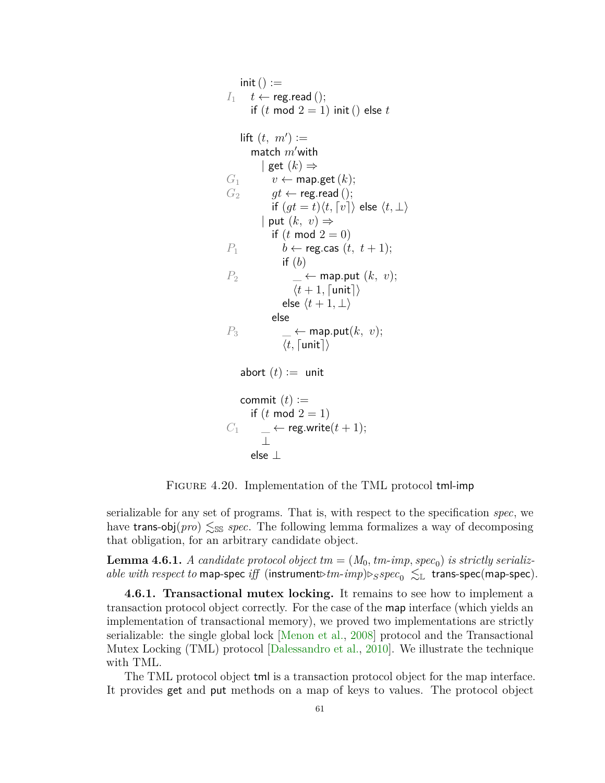```
init() :=I<sup>1</sup> t ← reg.read ();
       if (t \mod 2 = 1) init () else t\mathsf{lift}\left(t, m'\right) :=match m′with
          | get (k) \RightarrowG_1 v ← map.get (k);
G_2 gt ← reg.read ();
             if (gt = t)\langle t, \lceil v \rceil \rangle else \langle t, \perp \rangle| put (k, v) \Rightarrowif (t \mod 2 = 0)P<sup>1</sup> b ← reg.cas (t, t+1);
                 if (b)
P<sub>2</sub> \qquad \qquad ← map.put (k, v);\langle t+1, \lceil \mathsf{unit} \rceil \rangleelse \langle t+1, \perp \rangleelse
P_3 \qquad \qquad \leftarrow map.put(k, v);\langle t, \lceil \text{unit} \rceil \rangleabort (t) := unit
    commit (t) :=if (t \mod 2 = 1)C_1 \qquad \qquad \leftarrow reg.write(t+1);⊥
       else ⊥
```
FIGURE 4.20. Implementation of the TML protocol tml-imp

serializable for any set of programs. That is, with respect to the specification *spec*, we have trans-obj $(pro) \leq$ ss *spec*. The following lemma formalizes a way of decomposing that obligation, for an arbitrary candidate object.

<span id="page-67-2"></span>**Lemma 4.6.1.** *A candidate protocol object*  $tm = (M_0, tm\text{-}imp, spec_0)$  *is strictly serializable with respect to* map-spec *iff* (instrument $\triangleright$ *tm-imp*) $\triangleright$ *Sspec*<sub>0</sub>  $\lesssim$ <sub>L</sub> trans-spec(map-spec).

<span id="page-67-0"></span>**4.6.1. Transactional mutex locking.** It remains to see how to implement a transaction protocol object correctly. For the case of the map interface (which yields an implementation of transactional memory), we proved two implementations are strictly serializable: the single global lock [\[Menon et al.,](#page-100-0) [2008\]](#page-100-0) protocol and the Transactional Mutex Locking (TML) protocol [\[Dalessandro et al.,](#page-92-5) [2010\]](#page-92-5). We illustrate the technique with TML.

The TML protocol object tml is a transaction protocol object for the map interface. It provides get and put methods on a map of keys to values. The protocol object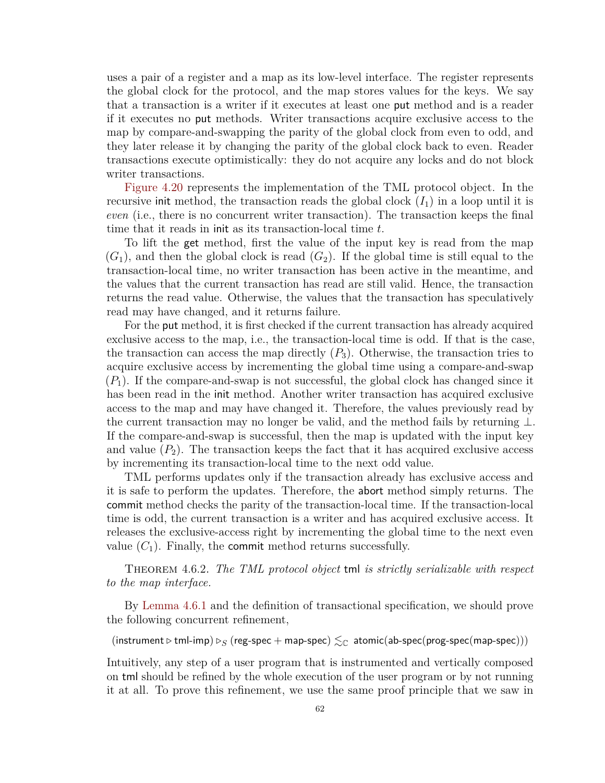uses a pair of a register and a map as its low-level interface. The register represents the global clock for the protocol, and the map stores values for the keys. We say that a transaction is a writer if it executes at least one put method and is a reader if it executes no put methods. Writer transactions acquire exclusive access to the map by compare-and-swapping the parity of the global clock from even to odd, and they later release it by changing the parity of the global clock back to even. Reader transactions execute optimistically: they do not acquire any locks and do not block writer transactions.

[Figure 4.20](#page-67-1) represents the implementation of the TML protocol object. In the recursive init method, the transaction reads the global clock  $(I_1)$  in a loop until it is *even* (i.e., there is no concurrent writer transaction). The transaction keeps the final time that it reads in init as its transaction-local time *t*.

To lift the get method, first the value of the input key is read from the map  $(G_1)$ , and then the global clock is read  $(G_2)$ . If the global time is still equal to the transaction-local time, no writer transaction has been active in the meantime, and the values that the current transaction has read are still valid. Hence, the transaction returns the read value. Otherwise, the values that the transaction has speculatively read may have changed, and it returns failure.

For the put method, it is first checked if the current transaction has already acquired exclusive access to the map, i.e., the transaction-local time is odd. If that is the case, the transaction can access the map directly  $(P_3)$ . Otherwise, the transaction tries to acquire exclusive access by incrementing the global time using a compare-and-swap  $(P_1)$ . If the compare-and-swap is not successful, the global clock has changed since it has been read in the init method. Another writer transaction has acquired exclusive access to the map and may have changed it. Therefore, the values previously read by the current transaction may no longer be valid, and the method fails by returning ⊥. If the compare-and-swap is successful, then the map is updated with the input key and value  $(P_2)$ . The transaction keeps the fact that it has acquired exclusive access by incrementing its transaction-local time to the next odd value.

TML performs updates only if the transaction already has exclusive access and it is safe to perform the updates. Therefore, the abort method simply returns. The commit method checks the parity of the transaction-local time. If the transaction-local time is odd, the current transaction is a writer and has acquired exclusive access. It releases the exclusive-access right by incrementing the global time to the next even value  $(C_1)$ . Finally, the **commit** method returns successfully.

Theorem 4.6.2. *The TML protocol object* tml *is strictly serializable with respect to the map interface.*

By [Lemma 4.6.1](#page-67-2) and the definition of transactional specification, we should prove the following concurrent refinement,

(instrument *▷* tml-imp) *▷<sup>S</sup>* (reg-spec + map-spec) ≲<sup>C</sup> atomic(ab-spec(prog-spec(map-spec)))

Intuitively, any step of a user program that is instrumented and vertically composed on tml should be refined by the whole execution of the user program or by not running it at all. To prove this refinement, we use the same proof principle that we saw in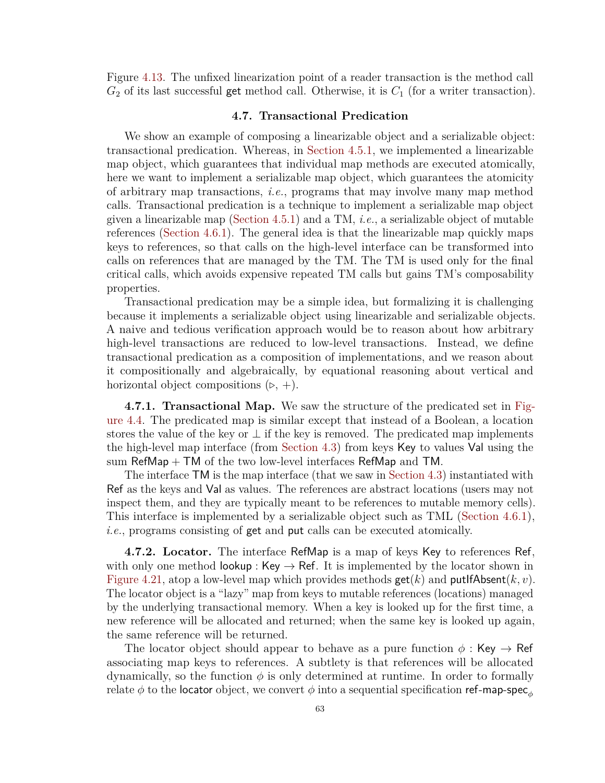Figure [4.13.](#page-57-0) The unfixed linearization point of a reader transaction is the method call *G*<sup>2</sup> of its last successful get method call. Otherwise, it is *C*<sup>1</sup> (for a writer transaction).

## **4.7. Transactional Predication**

<span id="page-69-0"></span>We show an example of composing a linearizable object and a serializable object: transactional predication. Whereas, in [Section 4.5.1,](#page-60-0) we implemented a linearizable map object, which guarantees that individual map methods are executed atomically, here we want to implement a serializable map object, which guarantees the atomicity of arbitrary map transactions, *i.e.*, programs that may involve many map method calls. Transactional predication is a technique to implement a serializable map object given a linearizable map [\(Section 4.5.1\)](#page-60-0) and a TM, *i.e.*, a serializable object of mutable references [\(Section 4.6.1\)](#page-67-0). The general idea is that the linearizable map quickly maps keys to references, so that calls on the high-level interface can be transformed into calls on references that are managed by the TM. The TM is used only for the final critical calls, which avoids expensive repeated TM calls but gains TM's composability properties.

Transactional predication may be a simple idea, but formalizing it is challenging because it implements a serializable object using linearizable and serializable objects. A naive and tedious verification approach would be to reason about how arbitrary high-level transactions are reduced to low-level transactions. Instead, we define transactional predication as a composition of implementations, and we reason about it compositionally and algebraically, by equational reasoning about vertical and horizontal object compositions (*▷*, +).

**4.7.1. Transactional Map.** We saw the structure of the predicated set in [Fig](#page-46-0)[ure 4.4.](#page-46-0) The predicated map is similar except that instead of a Boolean, a location stores the value of the key or  $\perp$  if the key is removed. The predicated map implements the high-level map interface (from [Section 4.3\)](#page-47-1) from keys Key to values Val using the sum  $\mathsf{RefMap} + \mathsf{TM}$  of the two low-level interfaces  $\mathsf{RefMap}$  and  $\mathsf{TM}$ .

The interface TM is the map interface (that we saw in [Section 4.3\)](#page-47-1) instantiated with Ref as the keys and Val as values. The references are abstract locations (users may not inspect them, and they are typically meant to be references to mutable memory cells). This interface is implemented by a serializable object such as TML [\(Section 4.6.1\)](#page-67-0), *i.e.*, programs consisting of get and put calls can be executed atomically.

**4.7.2. Locator.** The interface RefMap is a map of keys Key to references Ref, with only one method lookup : Key  $\rightarrow$  Ref. It is implemented by the locator shown in [Figure 4.21,](#page-70-0) atop a low-level map which provides methods  $\textsf{get}(k)$  and  $\textsf{putlfabsent}(k, v)$ . The locator object is a "lazy" map from keys to mutable references (locations) managed by the underlying transactional memory. When a key is looked up for the first time, a new reference will be allocated and returned; when the same key is looked up again, the same reference will be returned.

The locator object should appear to behave as a pure function  $\phi$ : Key  $\rightarrow$  Ref associating map keys to references. A subtlety is that references will be allocated dynamically, so the function  $\phi$  is only determined at runtime. In order to formally relate  $\phi$  to the locator object, we convert  $\phi$  into a sequential specification ref-map-spec<sub>*A*</sub>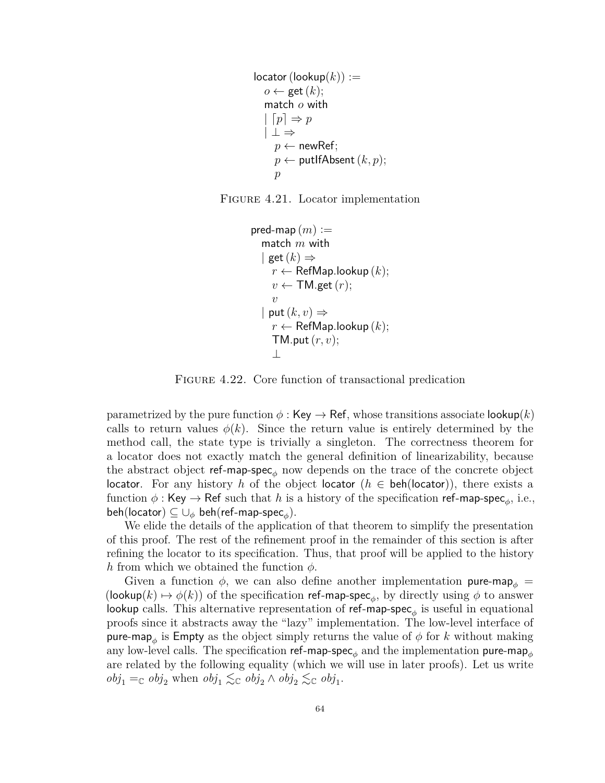```
locator(log(lookup(k)) :=o \leftarrow \text{get}(k);match o with
    [p] \Rightarrow p| ⊥ ⇒
     p \leftarrow newRef;
     p \leftarrow putIfAbsent (k, p);
     p
```
<span id="page-70-1"></span>

```
pred-map (m) :=match m with
   | get(k) \Rightarrowr \leftarrow RefMap.lookup (k);
     v \leftarrow \textsf{TM.get}(r);v
   | put(k, v) \Rightarrowr \leftarrow RefMap.lookup (k);
     TM.put(r, v);
     ⊥
```
FIGURE 4.22. Core function of transactional predication

parametrized by the pure function  $\phi : \mathsf{Key} \to \mathsf{Ref}$ , whose transitions associate lookup(k) calls to return values  $\phi(k)$ . Since the return value is entirely determined by the method call, the state type is trivially a singleton. The correctness theorem for a locator does not exactly match the general definition of linearizability, because the abstract object ref-map-spec*<sup>ϕ</sup>* now depends on the trace of the concrete object locator. For any history *h* of the object locator ( $h \in \text{beh}(\text{locator})$ ), there exists a function  $\phi$  : Key  $\rightarrow$  Ref such that  $h$  is a history of the specification ref-map-spec<sub> $\phi$ </sub>, i.e.,  $\mathsf{beh}(\mathsf{location}) \subseteq \cup_\phi \mathsf{beh}(\mathsf{ref-map\text{-}spec}_\phi).$ 

We elide the details of the application of that theorem to simplify the presentation of this proof. The rest of the refinement proof in the remainder of this section is after refining the locator to its specification. Thus, that proof will be applied to the history *h* from which we obtained the function *ϕ*.

Given a function  $\phi$ , we can also define another implementation pure-map<sub>*b*</sub> = (lookup( $k$ )  $\mapsto \phi(k)$ ) of the specification ref-map-spec<sub> $\phi$ </sub>, by directly using  $\phi$  to answer lookup calls. This alternative representation of ref-map-spec*<sup>ϕ</sup>* is useful in equational proofs since it abstracts away the "lazy" implementation. The low-level interface of pure-map<sub> $\phi$ </sub> is Empty as the object simply returns the value of  $\phi$  for  $k$  without making any low-level calls. The specification  $ref$ -map-spec<sub> $\phi$ </sub> and the implementation pure-map<sub> $\phi$ </sub> are related by the following equality (which we will use in later proofs). Let us write  $obj_1 =_{\mathbb{C}} obj_2$  when  $obj_1 \lesssim_{\mathbb{C}} obj_2 \wedge obj_2 \lesssim_{\mathbb{C}} obj_1$ .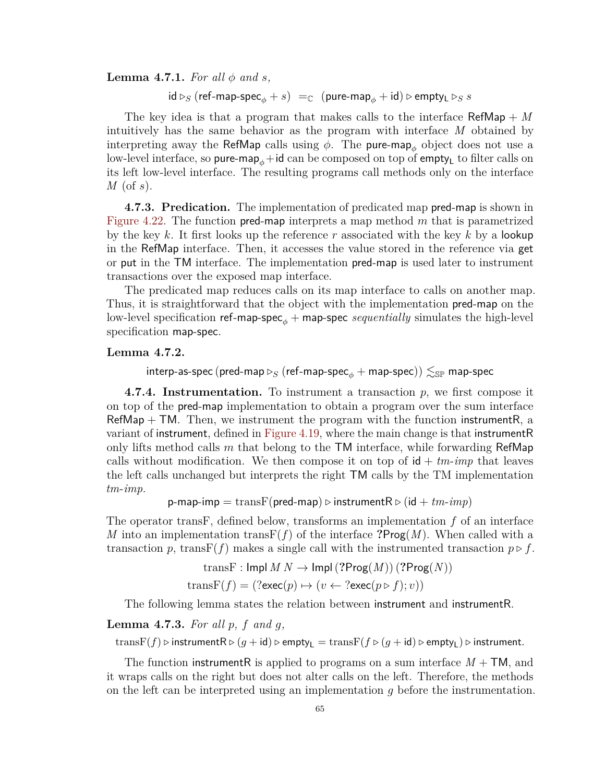**Lemma 4.7.1.** For all  $\phi$  and  $s$ ,

 $\mathsf{id} \triangleright_S (\mathsf{ref-map\text{-}spec}_\phi + s) =_{\mathbb{C}} (\mathsf{pure\text{-}map}_\phi + \mathsf{id}) \triangleright \mathsf{empty}_\mathsf{L} \triangleright_S s$ 

The key idea is that a program that makes calls to the interface RefMap + *M* intuitively has the same behavior as the program with interface *M* obtained by interpreting away the RefMap calls using  $\phi$ . The pure-map<sub> $\phi$ </sub> object does not use a low-level interface, so **pure-map**<sub>φ</sub>+id can be composed on top of **empty**<sub>L</sub> to filter calls on its left low-level interface. The resulting programs call methods only on the interface *M* (of *s*).

**4.7.3. Predication.** The implementation of predicated map pred-map is shown in [Figure 4.22.](#page-70-1) The function pred-map interprets a map method *m* that is parametrized by the key *k*. It first looks up the reference *r* associated with the key *k* by a lookup in the RefMap interface. Then, it accesses the value stored in the reference via get or put in the TM interface. The implementation pred-map is used later to instrument transactions over the exposed map interface.

The predicated map reduces calls on its map interface to calls on another map. Thus, it is straightforward that the object with the implementation pred-map on the low-level specification ref-map-spec*<sup>ϕ</sup>* + map-spec *sequentially* simulates the high-level specification map-spec.

### **Lemma 4.7.2.**

interp-as-spec (pred-map  $\triangleright_S$  (ref-map-spec<sub> $\phi$ </sub> + map-spec))  $\lesssim_{\mathbb{SP}}$  map-spec

**4.7.4. Instrumentation.** To instrument a transaction *p*, we first compose it on top of the pred-map implementation to obtain a program over the sum interface  $RefMap + TM$ . Then, we instrument the program with the function instrument R, a variant of instrument, defined in [Figure 4.19,](#page-65-0) where the main change is that instrumentR only lifts method calls *m* that belong to the TM interface, while forwarding RefMap calls without modification. We then compose it on top of  $id + tm\text{-}imp$  that leaves the left calls unchanged but interprets the right TM calls by the TM implementation *tm*-*imp*.

 $p$ -map-imp  $=$  trans $F$ (pred-map)  $\triangleright$  instrument $R \triangleright (id + tm - imp)$ 

The operator transF, defined below, transforms an implementation *f* of an interface *M* into an implementation trans $F(f)$  of the interface **?Prog** $(M)$ . When called with a transaction *p*, transF(*f*) makes a single call with the instrumented transaction  $p \triangleright f$ .

 ${\rm trans}$   ${\rm F:}$  Impl  $M N \to {\rm Impl}$  ( $?$ Prog $(M)$ ) ( $?$ Prog $(N)$ )

 $transF(f) = (?exec(p) \mapsto (v \leftarrow ?exec(p \triangleright f); v))$ 

The following lemma states the relation between instrument and instrumentR.

**Lemma 4.7.3.** *For all p, f and g,*

trans $F(f) \triangleright$  instrument $R \triangleright (g + id) \triangleright$  empty<sub>L</sub> = trans $F(f \triangleright (g + id) \triangleright$  empty<sub>L</sub>)  $\triangleright$  instrument.

The function instrumentR is applied to programs on a sum interface *M* + TM, and it wraps calls on the right but does not alter calls on the left. Therefore, the methods on the left can be interpreted using an implementation *g* before the instrumentation.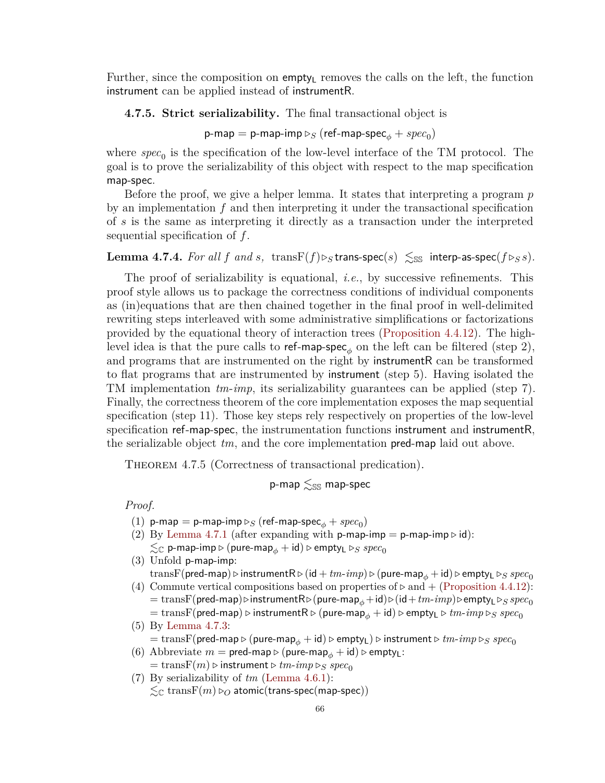Further, since the composition on  $\epsilon$  empty<sub>L</sub> removes the calls on the left, the function instrument can be applied instead of instrumentR.

# **4.7.5. Strict serializability.** The final transactional object is

 $\mathsf{p}\text{-}\mathsf{map} = \mathsf{p}\text{-}\mathsf{map}\text{-}\mathsf{imp}\triangleright_S(\mathsf{ref}\text{-}\mathsf{map}\text{-}\mathsf{spec}_\phi + \mathit{spec}_0)$ 

where  $spec_0$  is the specification of the low-level interface of the TM protocol. The goal is to prove the serializability of this object with respect to the map specification map-spec.

Before the proof, we give a helper lemma. It states that interpreting a program *p* by an implementation *f* and then interpreting it under the transactional specification of *s* is the same as interpreting it directly as a transaction under the interpreted sequential specification of *f*.

# <span id="page-72-0"></span>**Lemma 4.7.4.** *For all f* and *s*, transF(*f*) $\triangleright$ <sub>*S*</sub> trans-spec(*s*)  $\leq$ <sub>SS</sub> interp-as-spec(*f* $\triangleright$ <sub>*SS*</sub>).

The proof of serializability is equational, *i.e.*, by successive refinements. This proof style allows us to package the correctness conditions of individual components as (in)equations that are then chained together in the final proof in well-delimited rewriting steps interleaved with some administrative simplifications or factorizations provided by the equational theory of interaction trees [\(Proposition 4.4.12\)](#page-55-0). The highlevel idea is that the pure calls to ref-map-spec<sub> $\phi$ </sub> on the left can be filtered (step 2), and programs that are instrumented on the right by instrumentR can be transformed to flat programs that are instrumented by instrument (step 5). Having isolated the TM implementation *tm*-*imp*, its serializability guarantees can be applied (step 7). Finally, the correctness theorem of the core implementation exposes the map sequential specification (step 11). Those key steps rely respectively on properties of the low-level specification ref-map-spec, the instrumentation functions instrument and instrumentR, the serializable object *tm*, and the core implementation pred-map laid out above.

THEOREM 4.7.5 (Correctness of transactional predication).

$$
\text{p-map}\lesssim_{\mathbb{SS}}\text{map-spec}
$$

*Proof.*

- $(1)$  p-map  $=$  p-map-imp  $\triangleright_S$  (ref-map-spec $_\phi + spec_0)$
- (2) By [Lemma 4.7.1](#page-70-0) (after expanding with  $p$ -map-imp =  $p$ -map-imp  $\triangleright$  id):  $\lesssim_\mathbb{C}$  p-map-imp  $\triangleright$  (pure-map $_\phi$  + id)  $\triangleright$  empty<sub>L</sub>  $\triangleright_S$   $spec_0$

(3) Unfold p-map-imp:

transF(pred-map) *⊳* instrumentR  $\triangleright$  (id + *tm-imp*)  $\triangleright$  (pure-map<sub> $\phi$ </sub> + id)  $\triangleright$  empty<sub>L</sub>  $\triangleright$ <sub>*S</sub> spec*<sub>0</sub></sub>

(4) Commute vertical compositions based on properties of *▷* and + [\(Proposition 4.4.12\)](#page-55-0): = transF(pred-map)*▷*instrumentR*▷*(pure-map*ϕ*+id)*▷*(id+*tm*-*imp*)*▷*empty<sup>L</sup> *▷<sup>S</sup> spec*<sup>0</sup>  $\lambda = {\rm transF}({\sf pred-map}) \triangleright {\sf instrumentR} \triangleright ({\sf pure-map}_\phi + {\sf id}) \triangleright {\sf empty_L} \triangleright tm\text{-}imp \triangleright_S\; spec_0$ 

(5) By [Lemma 4.7.3:](#page-71-0)  $\lambda = \text{transF}(\text{pred-map} \triangleright (\text{pure-map}_{\phi} + \text{id}) \triangleright \text{empty}_{\bot}) \triangleright \text{instrument} \triangleright \text{tm-imp} \triangleright_{S} \text{spec}_{0}$ 

- (6) Abbreviate  $m = \text{pred-map} \triangleright (\text{pure-map}_{\phi} + \text{id}) \triangleright \text{empty}_L$ :
- $=$  trans $F(m)$   $\triangleright$  instrument  $\triangleright$   $tm\text{-}imp \triangleright_S spec_0$
- (7) By serializability of *tm* [\(Lemma 4.6.1\)](#page-67-0):

 $\lesssim_{\mathbb{C}}$  trans $F(m) \triangleright_{O}$  atomic(trans-spec(map-spec))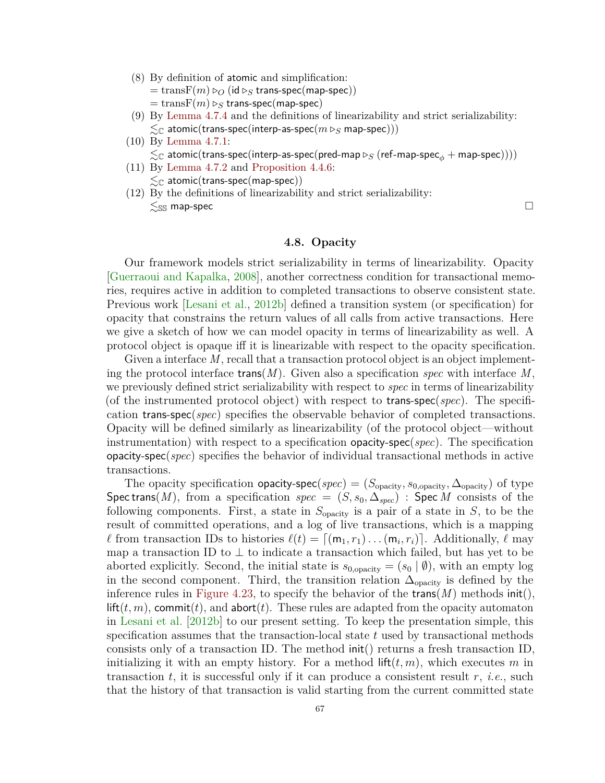(8) By definition of atomic and simplification:

 $=$  trans $F(m) \triangleright_{\mathcal{O}} (id \triangleright_S$  trans-spec(map-spec))  $=$  trans $F(m) \triangleright_S$  trans-spec(map-spec)

- (9) By [Lemma 4.7.4](#page-72-0) and the definitions of linearizability and strict serializability:  $\lesssim_{\mathbb{C}}$  atomic(trans-spec(interp-as-spec $(m \triangleright_{S}$  map-spec)))
- (10) By [Lemma 4.7.1:](#page-70-0)  $\lesssim_\mathbb{C}$  atomic(trans-spec(interp-as-spec(pred-map  $\triangleright_S$  (ref-map-spec $_\phi+$  map-spec))))
- (11) By [Lemma 4.7.2](#page-71-1) and [Proposition 4.4.6:](#page-53-0)  $\lesssim_{\mathbb{C}}$  atomic(trans-spec(map-spec))
- (12) By the definitions of linearizability and strict serializability:  $\leq$ <sub>SS</sub> map-spec  $\Box$

# **4.8. Opacity**

Our framework models strict serializability in terms of linearizability. Opacity [\[Guerraoui and Kapalka,](#page-94-0) [2008\]](#page-94-0), another correctness condition for transactional memories, requires active in addition to completed transactions to observe consistent state. Previous work [\[Lesani et al.,](#page-98-0) [2012b\]](#page-98-0) defined a transition system (or specification) for opacity that constrains the return values of all calls from active transactions. Here we give a sketch of how we can model opacity in terms of linearizability as well. A protocol object is opaque iff it is linearizable with respect to the opacity specification.

Given a interface M, recall that a transaction protocol object is an object implementing the protocol interface trans(*M*). Given also a specification *spec* with interface *M*, we previously defined strict serializability with respect to *spec* in terms of linearizability (of the instrumented protocol object) with respect to trans-spec(*spec*). The specification trans-spec(*spec*) specifies the observable behavior of completed transactions. Opacity will be defined similarly as linearizability (of the protocol object—without instrumentation) with respect to a specification opacity-spec(*spec*). The specification opacity-spec(*spec*) specifies the behavior of individual transactional methods in active transactions.

The opacity specification **opacity-spec**(*spec*) = ( $S_{\text{opacity}}$ ,  $s_{0,\text{opacity}}$ ,  $\Delta_{\text{opacity}}$ ) of type Spec trans(*M*), from a specification *spec* =  $(S, s_0, \Delta_{spec})$  : Spec *M* consists of the following components. First, a state in  $S_{\text{opacity}}$  is a pair of a state in  $S$ , to be the result of committed operations, and a log of live transactions, which is a mapping *ℓ* from transaction IDs to histories  $\ell(t) = [(m_1, r_1) \dots (m_i, r_i)]$ . Additionally,  $\ell$  may map a transaction ID to  $\perp$  to indicate a transaction which failed, but has yet to be aborted explicitly. Second, the initial state is  $s_{0,\text{opacity}} = (s_0 | \emptyset)$ , with an empty log in the second component. Third, the transition relation  $\Delta_{\text{opacity}}$  is defined by the inference rules in [Figure 4.23,](#page-74-0) to specify the behavior of the  $trans(M)$  methods  $init()$ ,  $\mathsf{lift}(t,m)$ , commit $(t)$ , and abort $(t)$ . These rules are adapted from the opacity automaton in [Lesani et al.](#page-98-0) [\[2012b\]](#page-98-0) to our present setting. To keep the presentation simple, this specification assumes that the transaction-local state *t* used by transactional methods consists only of a transaction ID. The method init() returns a fresh transaction ID, initializing it with an empty history. For a method  $\text{lift}(t, m)$ , which executes *m* in transaction *t*, it is successful only if it can produce a consistent result *r*, *i.e.*, such that the history of that transaction is valid starting from the current committed state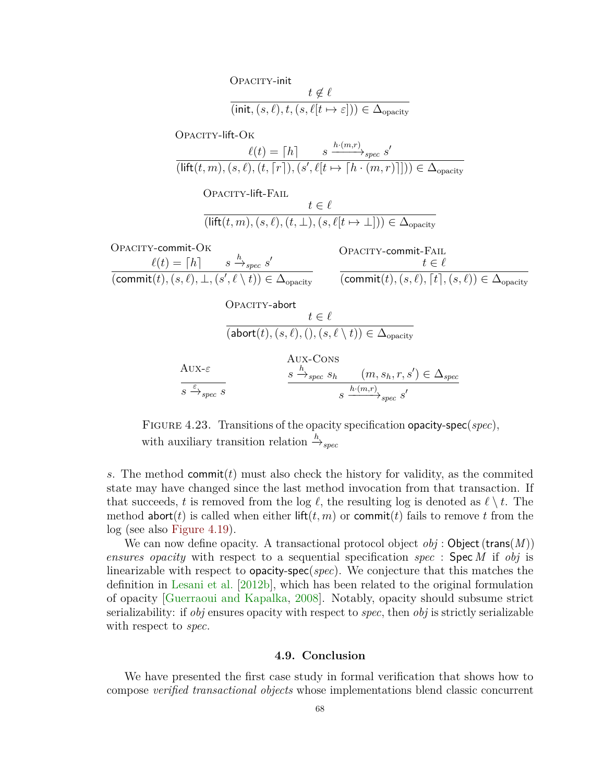<span id="page-74-0"></span>Opacity-init *t* ̸∈ *ℓ* (init*,*(*s, ℓ*)*, t,*(*s, ℓ*[*t* 7→ *ε*])) ∈ ∆opacity Opacity-lift-Ok *ℓ*(*t*) = ⌈*h*⌉ *s h*·(*m,r*) −−−−→*spec s* ′ (lift(*t, m*)*,*(*s, ℓ*)*,*(*t,* ⌈*r*⌉)*,*(*s* ′ *, ℓ*[*t* 7→ ⌈*h* · (*m, r*)⌉])) ∈ ∆opacity Opacity-lift-Fail *t* ∈ *ℓ* (lift(*t, m*)*,*(*s, ℓ*)*,*(*t,* ⊥)*,*(*s, ℓ*[*t* 7→ ⊥])) ∈ ∆opacity Opacity-commit-Ok *ℓ*(*t*) = ⌈*h*⌉ *s h* −→*spec s* ′ (commit(*t*)*,*(*s, ℓ*)*,* ⊥*,*(*s* ′ *, ℓ* \ *t*)) ∈ ∆opacity Opacity-commit-Fail *t* ∈ *ℓ* (commit(*t*)*,*(*s, ℓ*)*,* ⌈*t*⌉*,*(*s, ℓ*)) ∈ ∆opacity Opacity-abort *t* ∈ *ℓ* (abort(*t*)*,*(*s, ℓ*)*,*()*,*(*s, ℓ* \ *t*)) ∈ ∆opacity Aux-*ε s <sup>ε</sup>*−→*spec s* Aux-Cons *s h* −→*spec s<sup>h</sup>* (*m, sh, r, s*′ ) ∈ ∆*spec s h*·(*m,r*) −−−−→*spec s* ′

Figure 4.23. Transitions of the opacity specification opacity-spec(*spec*), with auxiliary transition relation  $\stackrel{h}{\rightarrow}_{spec}$ 

*s*. The method commit(*t*) must also check the history for validity, as the commited state may have changed since the last method invocation from that transaction. If that succeeds, *t* is removed from the log  $\ell$ , the resulting log is denoted as  $\ell \setminus t$ . The method abort(*t*) is called when either lift(*t*, *m*) or commit(*t*) fails to remove *t* from the log (see also [Figure 4.19\)](#page-65-0).

We can now define opacity. A transactional protocol object  $obj$ : Object  $(t\text{rans}(M))$ *ensures opacity* with respect to a sequential specification *spec* : Spec *M* if *obj* is linearizable with respect to opacity-spec(*spec*). We conjecture that this matches the definition in [Lesani et al.](#page-98-0) [\[2012b\]](#page-98-0), which has been related to the original formulation of opacity [\[Guerraoui and Kapalka,](#page-94-0) [2008\]](#page-94-0). Notably, opacity should subsume strict serializability: if *obj* ensures opacity with respect to *spec*, then *obj* is strictly serializable with respect to *spec*.

#### **4.9. Conclusion**

We have presented the first case study in formal verification that shows how to compose *verified transactional objects* whose implementations blend classic concurrent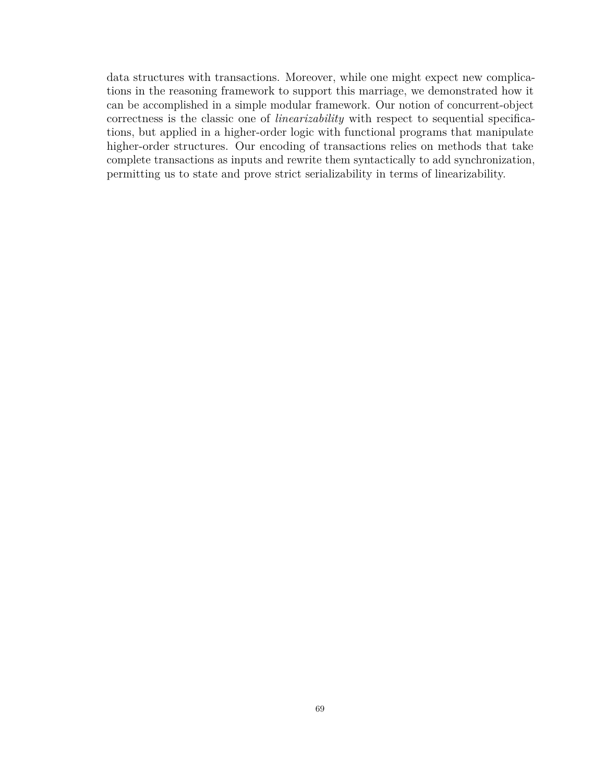data structures with transactions. Moreover, while one might expect new complications in the reasoning framework to support this marriage, we demonstrated how it can be accomplished in a simple modular framework. Our notion of concurrent-object correctness is the classic one of *linearizability* with respect to sequential specifications, but applied in a higher-order logic with functional programs that manipulate higher-order structures. Our encoding of transactions relies on methods that take complete transactions as inputs and rewrite them syntactically to add synchronization, permitting us to state and prove strict serializability in terms of linearizability.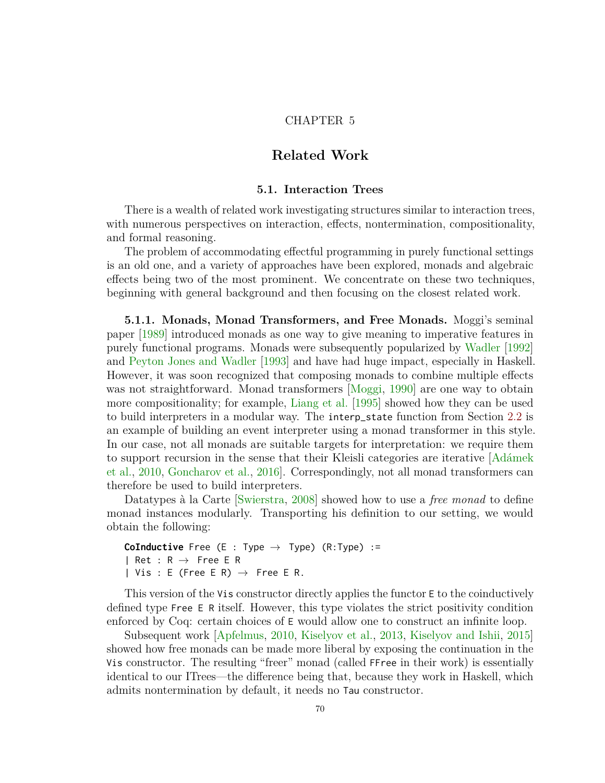# CHAPTER 5

# **Related Work**

#### **5.1. Interaction Trees**

<span id="page-76-0"></span>There is a wealth of related work investigating structures similar to interaction trees, with numerous perspectives on interaction, effects, nontermination, compositionality, and formal reasoning.

The problem of accommodating effectful programming in purely functional settings is an old one, and a variety of approaches have been explored, monads and algebraic effects being two of the most prominent. We concentrate on these two techniques, beginning with general background and then focusing on the closest related work.

**5.1.1. Monads, Monad Transformers, and Free Monads.** Moggi's seminal paper [\[1989\]](#page-100-0) introduced monads as one way to give meaning to imperative features in purely functional programs. Monads were subsequently popularized by [Wadler](#page-103-0) [\[1992\]](#page-103-0) and [Peyton Jones and Wadler](#page-101-0) [\[1993\]](#page-101-0) and have had huge impact, especially in Haskell. However, it was soon recognized that composing monads to combine multiple effects was not straightforward. Monad transformers [\[Moggi,](#page-100-1) [1990\]](#page-100-1) are one way to obtain more compositionality; for example, [Liang et al.](#page-99-0) [\[1995\]](#page-99-0) showed how they can be used to build interpreters in a modular way. The interp\_state function from Section [2.2](#page-18-0) is an example of building an event interpreter using a monad transformer in this style. In our case, not all monads are suitable targets for interpretation: we require them to support recursion in the sense that their Kleisli categories are iterative [\[Adámek](#page-89-0) [et al.,](#page-89-0) [2010,](#page-89-0) [Goncharov et al.,](#page-93-0) [2016\]](#page-93-0). Correspondingly, not all monad transformers can therefore be used to build interpreters.

Datatypes à la Carte [\[Swierstra,](#page-103-1) [2008\]](#page-103-1) showed how to use a *free monad* to define monad instances modularly. Transporting his definition to our setting, we would obtain the following:

```
CoInductive Free (E : Type \rightarrow Type) (R:Type) :=
| Ret : R \rightarrow Free E R
| Vis : E (Free E R) \rightarrow Free E R.
```
This version of the Vis constructor directly applies the functor E to the coinductively defined type Free E R itself. However, this type violates the strict positivity condition enforced by Coq: certain choices of E would allow one to construct an infinite loop.

Subsequent work [\[Apfelmus,](#page-89-1) [2010,](#page-89-1) [Kiselyov et al.,](#page-97-0) [2013,](#page-97-0) [Kiselyov and Ishii,](#page-97-1) [2015\]](#page-97-1) showed how free monads can be made more liberal by exposing the continuation in the Vis constructor. The resulting "freer" monad (called FFree in their work) is essentially identical to our ITrees—the difference being that, because they work in Haskell, which admits nontermination by default, it needs no Tau constructor.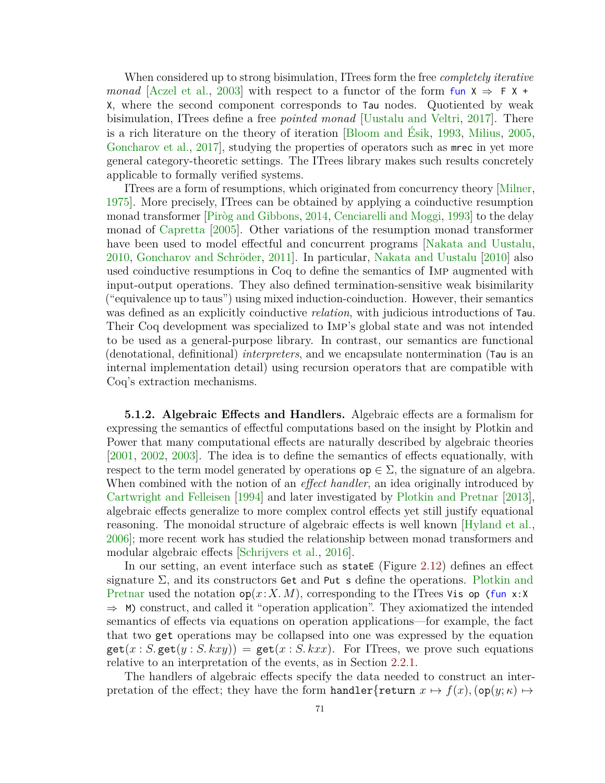When considered up to strong bisimulation, ITrees form the free *completely iterative monad* [\[Aczel et al.,](#page-89-2) [2003\]](#page-89-2) with respect to a functor of the form fun  $X \Rightarrow F X + F$ X, where the second component corresponds to Tau nodes. Quotiented by weak bisimulation, ITrees define a free *pointed monad* [\[Uustalu and Veltri,](#page-103-2) [2017\]](#page-103-2). There is a rich literature on the theory of iteration [\[Bloom and Ésik,](#page-90-0) [1993,](#page-90-0) [Milius,](#page-100-2) [2005,](#page-100-2) [Goncharov et al.,](#page-93-1) [2017\]](#page-93-1), studying the properties of operators such as mrec in yet more general category-theoretic settings. The ITrees library makes such results concretely applicable to formally verified systems.

ITrees are a form of resumptions, which originated from concurrency theory [\[Milner,](#page-100-3) [1975\]](#page-100-3). More precisely, ITrees can be obtained by applying a coinductive resumption monad transformer [\[Piròg and Gibbons,](#page-101-1) [2014,](#page-101-1) [Cenciarelli and Moggi,](#page-91-0) [1993\]](#page-91-0) to the delay monad of [Capretta](#page-91-1) [\[2005\]](#page-91-1). Other variations of the resumption monad transformer have been used to model effectful and concurrent programs [\[Nakata and Uustalu,](#page-100-4) [2010,](#page-100-4) [Goncharov and Schröder,](#page-93-2) [2011\]](#page-93-2). In particular, [Nakata and Uustalu](#page-100-4) [\[2010\]](#page-100-4) also used coinductive resumptions in Coq to define the semantics of Imp augmented with input-output operations. They also defined termination-sensitive weak bisimilarity ("equivalence up to taus") using mixed induction-coinduction. However, their semantics was defined as an explicitly coinductive *relation*, with judicious introductions of Tau. Their Coq development was specialized to Imp's global state and was not intended to be used as a general-purpose library. In contrast, our semantics are functional (denotational, definitional) *interpreters*, and we encapsulate nontermination (Tau is an internal implementation detail) using recursion operators that are compatible with Coq's extraction mechanisms.

**5.1.2. Algebraic Effects and Handlers.** Algebraic effects are a formalism for expressing the semantics of effectful computations based on the insight by Plotkin and Power that many computational effects are naturally described by algebraic theories [\[2001,](#page-101-2) [2002,](#page-101-3) [2003\]](#page-101-4). The idea is to define the semantics of effects equationally, with respect to the term model generated by operations  $op \in \Sigma$ , the signature of an algebra. When combined with the notion of an *effect handler*, an idea originally introduced by [Cartwright and Felleisen](#page-91-2) [\[1994\]](#page-91-2) and later investigated by [Plotkin and Pretnar](#page-101-5) [\[2013\]](#page-101-5), algebraic effects generalize to more complex control effects yet still justify equational reasoning. The monoidal structure of algebraic effects is well known [\[Hyland et al.,](#page-96-0) [2006\]](#page-96-0); more recent work has studied the relationship between monad transformers and modular algebraic effects [\[Schrijvers et al.,](#page-102-0) [2016\]](#page-102-0).

In our setting, an event interface such as state  $(Figure 2.12)$  $(Figure 2.12)$  defines an effect signature  $\Sigma$ , and its constructors Get and Put s define the operations. [Plotkin and](#page-101-5) [Pretnar](#page-101-5) used the notation  $op(x: X, M)$ , corresponding to the ITrees Vis op (fun x:X)  $\Rightarrow$  M) construct, and called it "operation application". They axiomatized the intended semantics of effects via equations on operation applications—for example, the fact that two get operations may be collapsed into one was expressed by the equation  $\text{get}(x : S.\text{get}(y : S.kxy)) = \text{get}(x : S.kxx)$ . For ITrees, we prove such equations relative to an interpretation of the events, as in Section [2.2.1.](#page-18-1)

The handlers of algebraic effects specify the data needed to construct an interpretation of the effect; they have the form handler{return  $x \mapsto f(x)$ ,  $(\mathsf{op}(y; \kappa) \mapsto$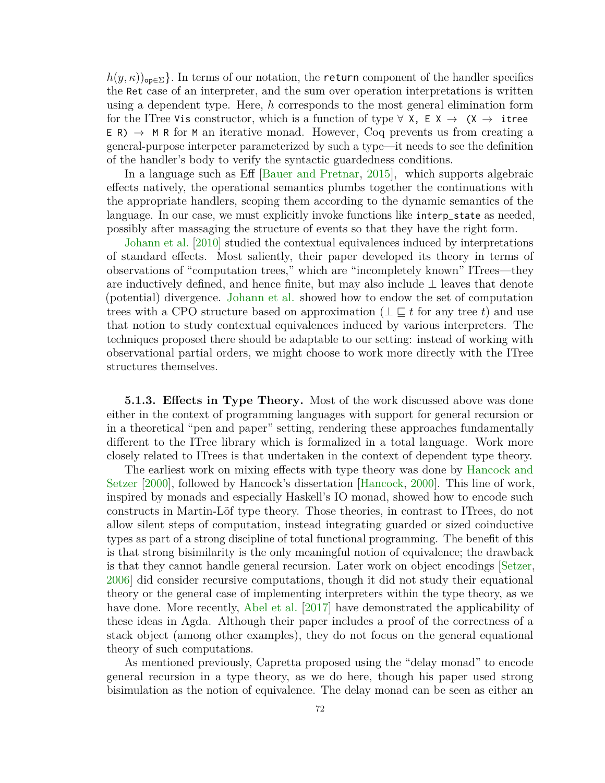$h(y, \kappa)$ <sub>op∈Σ</sub>}. In terms of our notation, the return component of the handler specifies the Ret case of an interpreter, and the sum over operation interpretations is written using a dependent type. Here, *h* corresponds to the most general elimination form for the ITree Vis constructor, which is a function of type  $\forall$  X, E X  $\rightarrow$  (X  $\rightarrow$  itree  $E(R) \rightarrow M R$  for M an iterative monad. However, Coq prevents us from creating a general-purpose interpeter parameterized by such a type—it needs to see the definition of the handler's body to verify the syntactic guardedness conditions.

In a language such as Eff [\[Bauer and Pretnar,](#page-90-1) [2015\]](#page-90-1), which supports algebraic effects natively, the operational semantics plumbs together the continuations with the appropriate handlers, scoping them according to the dynamic semantics of the language. In our case, we must explicitly invoke functions like interp\_state as needed, possibly after massaging the structure of events so that they have the right form.

[Johann et al.](#page-96-1) [\[2010\]](#page-96-1) studied the contextual equivalences induced by interpretations of standard effects. Most saliently, their paper developed its theory in terms of observations of "computation trees," which are "incompletely known" ITrees—they are inductively defined, and hence finite, but may also include ⊥ leaves that denote (potential) divergence. [Johann et al.](#page-96-1) showed how to endow the set of computation trees with a CPO structure based on approximation ( $\perp \subset t$  for any tree *t*) and use that notion to study contextual equivalences induced by various interpreters. The techniques proposed there should be adaptable to our setting: instead of working with observational partial orders, we might choose to work more directly with the ITree structures themselves.

**5.1.3. Effects in Type Theory.** Most of the work discussed above was done either in the context of programming languages with support for general recursion or in a theoretical "pen and paper" setting, rendering these approaches fundamentally different to the ITree library which is formalized in a total language. Work more closely related to ITrees is that undertaken in the context of dependent type theory.

The earliest work on mixing effects with type theory was done by [Hancock and](#page-94-1) [Setzer](#page-94-1) [\[2000\]](#page-94-1), followed by Hancock's dissertation [\[Hancock,](#page-94-2) [2000\]](#page-94-2). This line of work, inspired by monads and especially Haskell's IO monad, showed how to encode such constructs in Martin-Löf type theory. Those theories, in contrast to ITrees, do not allow silent steps of computation, instead integrating guarded or sized coinductive types as part of a strong discipline of total functional programming. The benefit of this is that strong bisimilarity is the only meaningful notion of equivalence; the drawback is that they cannot handle general recursion. Later work on object encodings [\[Setzer,](#page-102-1) [2006\]](#page-102-1) did consider recursive computations, though it did not study their equational theory or the general case of implementing interpreters within the type theory, as we have done. More recently, [Abel et al.](#page-89-3) [\[2017\]](#page-89-3) have demonstrated the applicability of these ideas in Agda. Although their paper includes a proof of the correctness of a stack object (among other examples), they do not focus on the general equational theory of such computations.

As mentioned previously, Capretta proposed using the "delay monad" to encode general recursion in a type theory, as we do here, though his paper used strong bisimulation as the notion of equivalence. The delay monad can be seen as either an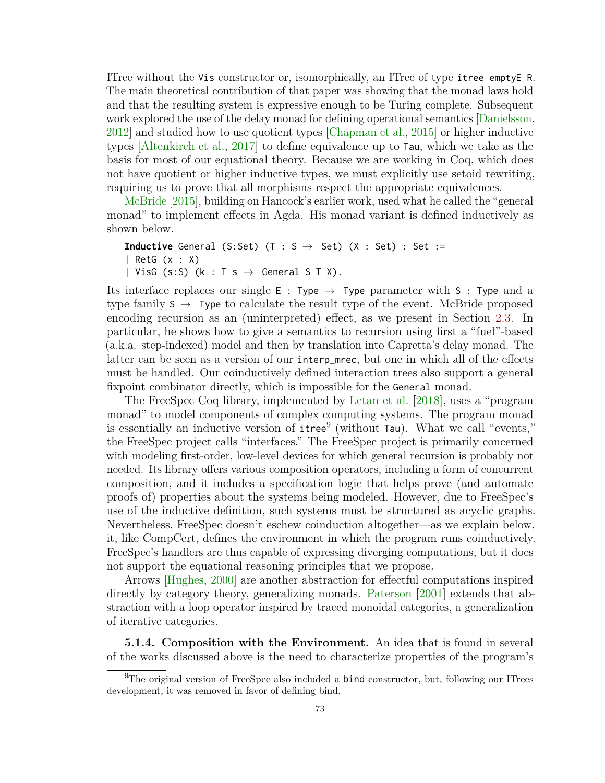ITree without the Vis constructor or, isomorphically, an ITree of type itree emptyE R. The main theoretical contribution of that paper was showing that the monad laws hold and that the resulting system is expressive enough to be Turing complete. Subsequent work explored the use of the delay monad for defining operational semantics [\[Danielsson,](#page-92-0) [2012\]](#page-92-0) and studied how to use quotient types [\[Chapman et al.,](#page-91-3) [2015\]](#page-91-3) or higher inductive types [\[Altenkirch et al.,](#page-89-4) [2017\]](#page-89-4) to define equivalence up to Tau, which we take as the basis for most of our equational theory. Because we are working in Coq, which does not have quotient or higher inductive types, we must explicitly use setoid rewriting, requiring us to prove that all morphisms respect the appropriate equivalences.

[McBride](#page-99-1) [\[2015\]](#page-99-1), building on Hancock's earlier work, used what he called the "general monad" to implement effects in Agda. His monad variant is defined inductively as shown below.

```
Inductive General (S:Set) (T : S \rightarrow Set) (X : Set) : Set :=
| RetG (x : X)
| VisG (s:S) (k : T s \rightarrow General S T X).
```
Its interface replaces our single E : Type  $\rightarrow$  Type parameter with S : Type and a type family  $S \rightarrow$  Type to calculate the result type of the event. McBride proposed encoding recursion as an (uninterpreted) effect, as we present in Section [2.3.](#page-21-0) In particular, he shows how to give a semantics to recursion using first a "fuel"-based (a.k.a. step-indexed) model and then by translation into Capretta's delay monad. The latter can be seen as a version of our interp\_mrec, but one in which all of the effects must be handled. Our coinductively defined interaction trees also support a general fixpoint combinator directly, which is impossible for the General monad.

The FreeSpec Coq library, implemented by [Letan et al.](#page-98-1) [\[2018\]](#page-98-1), uses a "program monad" to model components of complex computing systems. The program monad is essentially an inductive version of  $\mathsf{itree}^9$  $\mathsf{itree}^9$  (without Tau). What we call "events," the FreeSpec project calls "interfaces." The FreeSpec project is primarily concerned with modeling first-order, low-level devices for which general recursion is probably not needed. Its library offers various composition operators, including a form of concurrent composition, and it includes a specification logic that helps prove (and automate proofs of) properties about the systems being modeled. However, due to FreeSpec's use of the inductive definition, such systems must be structured as acyclic graphs. Nevertheless, FreeSpec doesn't eschew coinduction altogether—as we explain below, it, like CompCert, defines the environment in which the program runs coinductively. FreeSpec's handlers are thus capable of expressing diverging computations, but it does not support the equational reasoning principles that we propose.

Arrows [\[Hughes,](#page-95-0) [2000\]](#page-95-0) are another abstraction for effectful computations inspired directly by category theory, generalizing monads. [Paterson](#page-101-6) [\[2001\]](#page-101-6) extends that abstraction with a loop operator inspired by traced monoidal categories, a generalization of iterative categories.

**5.1.4. Composition with the Environment.** An idea that is found in several of the works discussed above is the need to characterize properties of the program's

<span id="page-79-0"></span> $^{9}$ The original version of FreeSpec also included a **bind** constructor, but, following our ITrees development, it was removed in favor of defining bind.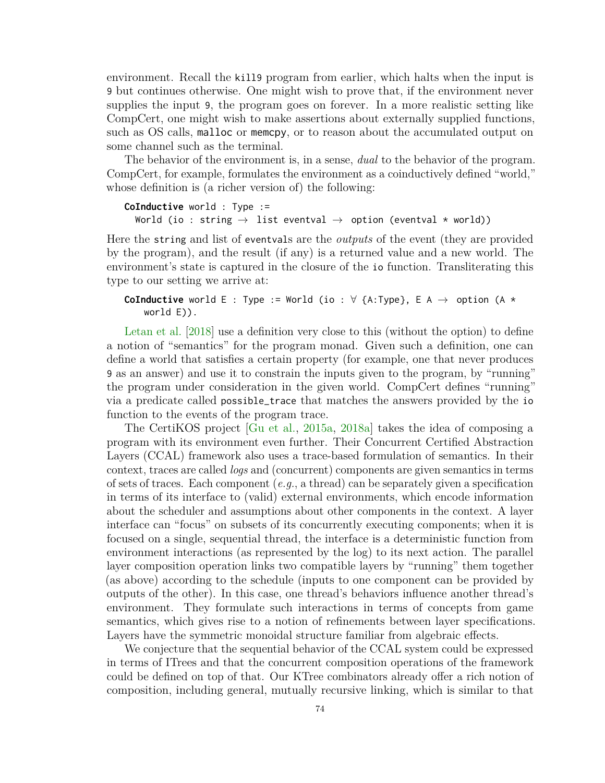environment. Recall the kill9 program from earlier, which halts when the input is 9 but continues otherwise. One might wish to prove that, if the environment never supplies the input 9, the program goes on forever. In a more realistic setting like CompCert, one might wish to make assertions about externally supplied functions, such as OS calls, malloc or memcpy, or to reason about the accumulated output on some channel such as the terminal.

The behavior of the environment is, in a sense, *dual* to the behavior of the program. CompCert, for example, formulates the environment as a coinductively defined "world," whose definition is (a richer version of) the following:

```
CoInductive world : Type :=
  World (io : string \rightarrow list eventval \rightarrow option (eventval * world))
```
Here the string and list of eventvals are the *outputs* of the event (they are provided by the program), and the result (if any) is a returned value and a new world. The environment's state is captured in the closure of the io function. Transliterating this type to our setting we arrive at:

# **CoInductive** world E : Type := World (io :  $\forall$  {A:Type}, E A  $\rightarrow$  option (A  $\star$ world E)).

[Letan et al.](#page-98-1) [\[2018\]](#page-98-1) use a definition very close to this (without the option) to define a notion of "semantics" for the program monad. Given such a definition, one can define a world that satisfies a certain property (for example, one that never produces 9 as an answer) and use it to constrain the inputs given to the program, by "running" the program under consideration in the given world. CompCert defines "running" via a predicate called possible\_trace that matches the answers provided by the io function to the events of the program trace.

The CertiKOS project [\[Gu et al.,](#page-93-3) [2015a,](#page-93-3) [2018a\]](#page-94-3) takes the idea of composing a program with its environment even further. Their Concurrent Certified Abstraction Layers (CCAL) framework also uses a trace-based formulation of semantics. In their context, traces are called *logs* and (concurrent) components are given semantics in terms of sets of traces. Each component (*e.g.*, a thread) can be separately given a specification in terms of its interface to (valid) external environments, which encode information about the scheduler and assumptions about other components in the context. A layer interface can "focus" on subsets of its concurrently executing components; when it is focused on a single, sequential thread, the interface is a deterministic function from environment interactions (as represented by the log) to its next action. The parallel layer composition operation links two compatible layers by "running" them together (as above) according to the schedule (inputs to one component can be provided by outputs of the other). In this case, one thread's behaviors influence another thread's environment. They formulate such interactions in terms of concepts from game semantics, which gives rise to a notion of refinements between layer specifications. Layers have the symmetric monoidal structure familiar from algebraic effects.

We conjecture that the sequential behavior of the CCAL system could be expressed in terms of ITrees and that the concurrent composition operations of the framework could be defined on top of that. Our KTree combinators already offer a rich notion of composition, including general, mutually recursive linking, which is similar to that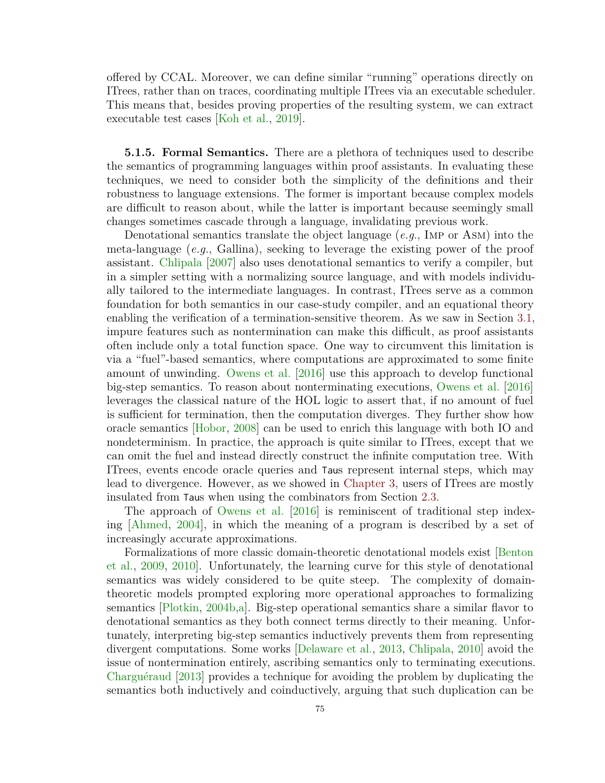offered by CCAL. Moreover, we can define similar "running" operations directly on ITrees, rather than on traces, coordinating multiple ITrees via an executable scheduler. This means that, besides proving properties of the resulting system, we can extract executable test cases [\[Koh et al.,](#page-97-2) [2019\]](#page-97-2).

**5.1.5. Formal Semantics.** There are a plethora of techniques used to describe the semantics of programming languages within proof assistants. In evaluating these techniques, we need to consider both the simplicity of the definitions and their robustness to language extensions. The former is important because complex models are difficult to reason about, while the latter is important because seemingly small changes sometimes cascade through a language, invalidating previous work.

Denotational semantics translate the object language (*e.g.*, Imp or Asm) into the meta-language (*e.g.*, Gallina), seeking to leverage the existing power of the proof assistant. [Chlipala](#page-91-4) [\[2007\]](#page-91-4) also uses denotational semantics to verify a compiler, but in a simpler setting with a normalizing source language, and with models individually tailored to the intermediate languages. In contrast, ITrees serve as a common foundation for both semantics in our case-study compiler, and an equational theory enabling the verification of a termination-sensitive theorem. As we saw in Section [3.1,](#page-27-0) impure features such as nontermination can make this difficult, as proof assistants often include only a total function space. One way to circumvent this limitation is via a "fuel"-based semantics, where computations are approximated to some finite amount of unwinding. [Owens et al.](#page-100-5) [\[2016\]](#page-100-5) use this approach to develop functional big-step semantics. To reason about nonterminating executions, [Owens et al.](#page-100-5) [\[2016\]](#page-100-5) leverages the classical nature of the HOL logic to assert that, if no amount of fuel is sufficient for termination, then the computation diverges. They further show how oracle semantics [\[Hobor,](#page-95-1) [2008\]](#page-95-1) can be used to enrich this language with both IO and nondeterminism. In practice, the approach is quite similar to ITrees, except that we can omit the fuel and instead directly construct the infinite computation tree. With ITrees, events encode oracle queries and Taus represent internal steps, which may lead to divergence. However, as we showed in [Chapter 3,](#page-27-1) users of ITrees are mostly insulated from Taus when using the combinators from Section [2.3.](#page-21-0)

The approach of [Owens et al.](#page-100-5) [\[2016\]](#page-100-5) is reminiscent of traditional step indexing [\[Ahmed,](#page-89-5) [2004\]](#page-89-5), in which the meaning of a program is described by a set of increasingly accurate approximations.

Formalizations of more classic domain-theoretic denotational models exist [\[Benton](#page-90-2) [et al.,](#page-90-2) [2009,](#page-90-2) [2010\]](#page-90-3). Unfortunately, the learning curve for this style of denotational semantics was widely considered to be quite steep. The complexity of domaintheoretic models prompted exploring more operational approaches to formalizing semantics [\[Plotkin,](#page-101-7) [2004b,](#page-101-7)[a\]](#page-101-8). Big-step operational semantics share a similar flavor to denotational semantics as they both connect terms directly to their meaning. Unfortunately, interpreting big-step semantics inductively prevents them from representing divergent computations. Some works [\[Delaware et al.,](#page-92-1) [2013,](#page-92-1) [Chlipala,](#page-92-2) [2010\]](#page-92-2) avoid the issue of nontermination entirely, ascribing semantics only to terminating executions. [Charguéraud](#page-91-5) [\[2013\]](#page-91-5) provides a technique for avoiding the problem by duplicating the semantics both inductively and coinductively, arguing that such duplication can be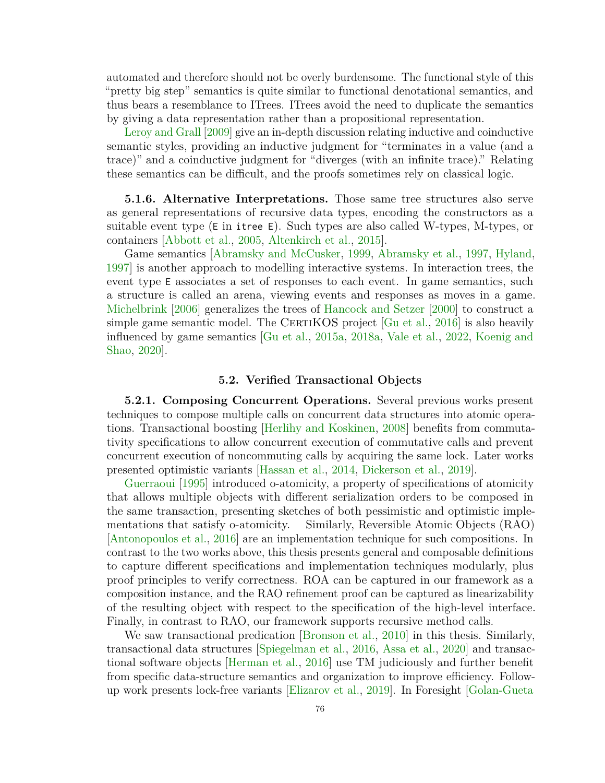automated and therefore should not be overly burdensome. The functional style of this "pretty big step" semantics is quite similar to functional denotational semantics, and thus bears a resemblance to ITrees. ITrees avoid the need to duplicate the semantics by giving a data representation rather than a propositional representation.

[Leroy and Grall](#page-98-2) [\[2009\]](#page-98-2) give an in-depth discussion relating inductive and coinductive semantic styles, providing an inductive judgment for "terminates in a value (and a trace)" and a coinductive judgment for "diverges (with an infinite trace)." Relating these semantics can be difficult, and the proofs sometimes rely on classical logic.

**5.1.6. Alternative Interpretations.** Those same tree structures also serve as general representations of recursive data types, encoding the constructors as a suitable event type (E in itree E). Such types are also called W-types, M-types, or containers [\[Abbott et al.,](#page-89-6) [2005,](#page-89-6) [Altenkirch et al.,](#page-89-7) [2015\]](#page-89-7).

Game semantics [\[Abramsky and McCusker,](#page-89-8) [1999,](#page-89-8) [Abramsky et al.,](#page-89-9) [1997,](#page-89-9) [Hyland,](#page-96-2) [1997\]](#page-96-2) is another approach to modelling interactive systems. In interaction trees, the event type E associates a set of responses to each event. In game semantics, such a structure is called an arena, viewing events and responses as moves in a game. [Michelbrink](#page-100-6) [\[2006\]](#page-100-6) generalizes the trees of [Hancock and Setzer](#page-94-1) [\[2000\]](#page-94-1) to construct a simple game semantic model. The CERTIKOS project  $[Gu et al., 2016]$  $[Gu et al., 2016]$  is also heavily influenced by game semantics [\[Gu et al.,](#page-93-3) [2015a,](#page-93-3) [2018a,](#page-94-3) [Vale et al.,](#page-103-3) [2022,](#page-103-3) [Koenig and](#page-97-3) [Shao,](#page-97-3) [2020\]](#page-97-3).

#### **5.2. Verified Transactional Objects**

**5.2.1. Composing Concurrent Operations.** Several previous works present techniques to compose multiple calls on concurrent data structures into atomic operations. Transactional boosting [\[Herlihy and Koskinen,](#page-95-2) [2008\]](#page-95-2) benefits from commutativity specifications to allow concurrent execution of commutative calls and prevent concurrent execution of noncommuting calls by acquiring the same lock. Later works presented optimistic variants [\[Hassan et al.,](#page-95-3) [2014,](#page-95-3) [Dickerson et al.,](#page-92-3) [2019\]](#page-92-3).

[Guerraoui](#page-94-5) [\[1995\]](#page-94-5) introduced o-atomicity, a property of specifications of atomicity that allows multiple objects with different serialization orders to be composed in the same transaction, presenting sketches of both pessimistic and optimistic implementations that satisfy o-atomicity. Similarly, Reversible Atomic Objects (RAO) [\[Antonopoulos et al.,](#page-89-10) [2016\]](#page-89-10) are an implementation technique for such compositions. In contrast to the two works above, this thesis presents general and composable definitions to capture different specifications and implementation techniques modularly, plus proof principles to verify correctness. ROA can be captured in our framework as a composition instance, and the RAO refinement proof can be captured as linearizability of the resulting object with respect to the specification of the high-level interface. Finally, in contrast to RAO, our framework supports recursive method calls.

We saw transactional predication [\[Bronson et al.,](#page-91-6) [2010\]](#page-91-6) in this thesis. Similarly, transactional data structures [\[Spiegelman et al.,](#page-102-2) [2016,](#page-102-2) [Assa et al.,](#page-90-4) [2020\]](#page-90-4) and transactional software objects [\[Herman et al.,](#page-95-4) [2016\]](#page-95-4) use TM judiciously and further benefit from specific data-structure semantics and organization to improve efficiency. Followup work presents lock-free variants [\[Elizarov et al.,](#page-92-4) [2019\]](#page-92-4). In Foresight [\[Golan-Gueta](#page-93-4)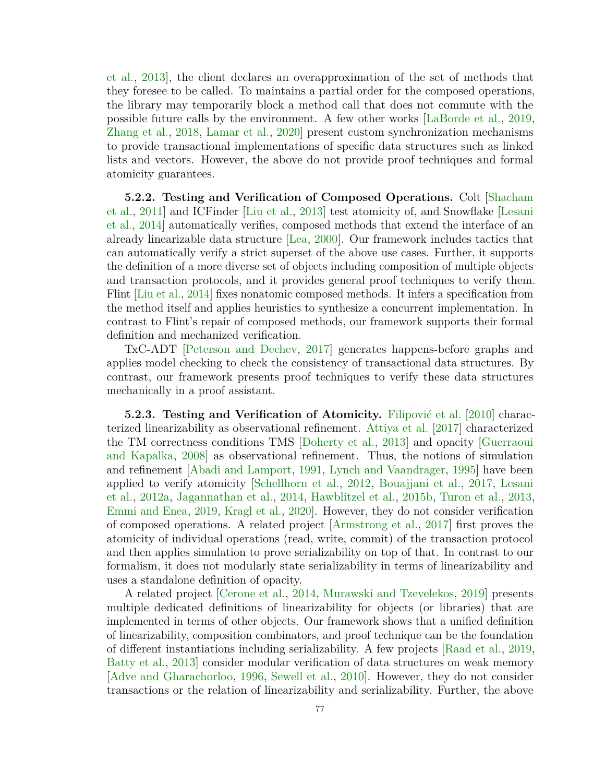[et al.,](#page-93-4) [2013\], the client declares an overapproximation of the set of methods that](#page-93-4) they foresee to be called. To maintains a partial order for the composed operations, the library may temporarily block a method call that does not commute with the possible future calls by the environment. A few other works [\[LaBorde et al.,](#page-97-4) [2019,](#page-97-4) [Zhang et al.,](#page-104-0) [2018,](#page-104-0) [Lamar et al.,](#page-97-5) [2020\]](#page-97-5) present custom synchronization mechanisms to provide transactional implementations of specific data structures such as linked lists and vectors. However, the above do not provide proof techniques and formal atomicity guarantees.

**5.2.2. Testing and Verification of Composed Operations.** Colt [\[Shacham](#page-102-3) [et al.,](#page-102-3) [2011\]](#page-102-3) and ICFinder [\[Liu et al.,](#page-99-2) [2013\]](#page-99-2) test atomicity of, and Snowflake [\[Lesani](#page-98-3) [et al.,](#page-98-3) [2014\]](#page-98-3) automatically verifies, composed methods that extend the interface of an already linearizable data structure [\[Lea,](#page-98-4) [2000\]](#page-98-4). Our framework includes tactics that can automatically verify a strict superset of the above use cases. Further, it supports the definition of a more diverse set of objects including composition of multiple objects and transaction protocols, and it provides general proof techniques to verify them. Flint [\[Liu et al.,](#page-99-3) [2014\]](#page-99-3) fixes nonatomic composed methods. It infers a specification from the method itself and applies heuristics to synthesize a concurrent implementation. In contrast to Flint's repair of composed methods, our framework supports their formal definition and mechanized verification.

TxC-ADT [\[Peterson and Dechev,](#page-101-9) [2017\]](#page-101-9) generates happens-before graphs and applies model checking to check the consistency of transactional data structures. By contrast, our framework presents proof techniques to verify these data structures mechanically in a proof assistant.

**5.2.3. Testing and Verification of Atomicity.** [Filipović et al.](#page-93-5) [\[2010\]](#page-93-5) characterized linearizability as observational refinement. [Attiya et al.](#page-90-5) [\[2017\]](#page-90-5) characterized the TM correctness conditions TMS [\[Doherty et al.,](#page-92-5) [2013\]](#page-92-5) and opacity [\[Guerraoui](#page-94-0) [and Kapalka,](#page-94-0) [2008\]](#page-94-0) as observational refinement. Thus, the notions of simulation and refinement [\[Abadi and Lamport,](#page-89-11) [1991,](#page-89-11) [Lynch and Vaandrager,](#page-99-4) [1995\]](#page-99-4) have been applied to verify atomicity [\[Schellhorn et al.,](#page-102-4) [2012,](#page-102-4) [Bouajjani et al.,](#page-91-7) [2017,](#page-91-7) [Lesani](#page-98-5) [et al.,](#page-98-5) [2012a,](#page-98-5) [Jagannathan et al.,](#page-96-3) [2014,](#page-96-3) [Hawblitzel et al.,](#page-95-5) [2015b,](#page-95-5) [Turon et al.,](#page-103-4) [2013,](#page-103-4) [Emmi and Enea,](#page-92-6) [2019,](#page-92-6) [Kragl et al.,](#page-97-6) [2020\]](#page-97-6). However, they do not consider verification of composed operations. A related project [\[Armstrong et al.,](#page-90-6) [2017\]](#page-90-6) first proves the atomicity of individual operations (read, write, commit) of the transaction protocol and then applies simulation to prove serializability on top of that. In contrast to our formalism, it does not modularly state serializability in terms of linearizability and uses a standalone definition of opacity.

A related project [\[Cerone et al.,](#page-91-8) [2014,](#page-91-8) [Murawski and Tzevelekos,](#page-100-7) [2019\]](#page-100-7) presents multiple dedicated definitions of linearizability for objects (or libraries) that are implemented in terms of other objects. Our framework shows that a unified definition of linearizability, composition combinators, and proof technique can be the foundation of different instantiations including serializability. A few projects [\[Raad et al.,](#page-101-10) [2019,](#page-101-10) [Batty et al.,](#page-90-7) [2013\]](#page-90-7) consider modular verification of data structures on weak memory [\[Adve and Gharachorloo,](#page-89-12) [1996,](#page-89-12) [Sewell et al.,](#page-102-5) [2010\]](#page-102-5). However, they do not consider transactions or the relation of linearizability and serializability. Further, the above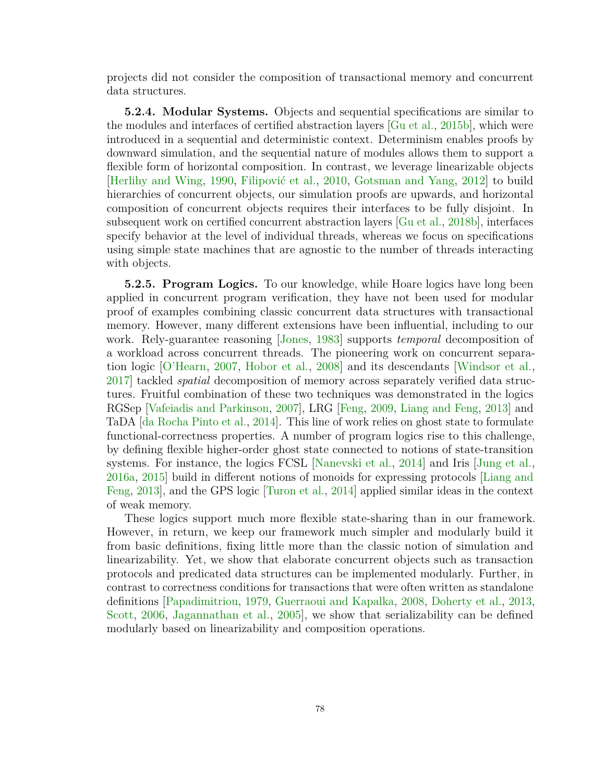projects did not consider the composition of transactional memory and concurrent data structures.

**5.2.4. Modular Systems.** Objects and sequential specifications are similar to the modules and interfaces of certified abstraction layers [\[Gu et al.,](#page-93-6) [2015b\]](#page-93-6), which were introduced in a sequential and deterministic context. Determinism enables proofs by downward simulation, and the sequential nature of modules allows them to support a flexible form of horizontal composition. In contrast, we leverage linearizable objects [\[Herlihy and Wing,](#page-95-6) [1990,](#page-95-6) [Filipović et al.,](#page-93-5) [2010,](#page-93-5) [Gotsman and Yang,](#page-93-7) [2012\]](#page-93-7) to build hierarchies of concurrent objects, our simulation proofs are upwards, and horizontal composition of concurrent objects requires their interfaces to be fully disjoint. In subsequent work on certified concurrent abstraction layers [\[Gu et al.,](#page-94-6) [2018b\]](#page-94-6), interfaces specify behavior at the level of individual threads, whereas we focus on specifications using simple state machines that are agnostic to the number of threads interacting with objects.

**5.2.5. Program Logics.** To our knowledge, while Hoare logics have long been applied in concurrent program verification, they have not been used for modular proof of examples combining classic concurrent data structures with transactional memory. However, many different extensions have been influential, including to our work. Rely-guarantee reasoning [\[Jones,](#page-96-4) [1983\]](#page-96-4) supports *temporal* decomposition of a workload across concurrent threads. The pioneering work on concurrent separation logic [\[O'Hearn,](#page-100-8) [2007,](#page-100-8) [Hobor et al.,](#page-95-7) [2008\]](#page-95-7) and its descendants [\[Windsor et al.,](#page-103-5) [2017\]](#page-103-5) tackled *spatial* decomposition of memory across separately verified data structures. Fruitful combination of these two techniques was demonstrated in the logics RGSep [\[Vafeiadis and Parkinson,](#page-103-6) [2007\]](#page-103-6), LRG [\[Feng,](#page-92-7) [2009,](#page-92-7) [Liang and Feng,](#page-98-6) [2013\]](#page-98-6) and TaDA [\[da Rocha Pinto et al.,](#page-92-8) [2014\]](#page-92-8). This line of work relies on ghost state to formulate functional-correctness properties. A number of program logics rise to this challenge, by defining flexible higher-order ghost state connected to notions of state-transition systems. For instance, the logics FCSL [\[Nanevski et al.,](#page-100-9) [2014\]](#page-100-9) and Iris [\[Jung et al.,](#page-96-5) [2016a,](#page-96-5) [2015\]](#page-96-6) build in different notions of monoids for expressing protocols [\[Liang and](#page-98-6) [Feng,](#page-98-6) [2013\]](#page-98-6), and the GPS logic [\[Turon et al.,](#page-103-7) [2014\]](#page-103-7) applied similar ideas in the context of weak memory.

These logics support much more flexible state-sharing than in our framework. However, in return, we keep our framework much simpler and modularly build it from basic definitions, fixing little more than the classic notion of simulation and linearizability. Yet, we show that elaborate concurrent objects such as transaction protocols and predicated data structures can be implemented modularly. Further, in contrast to correctness conditions for transactions that were often written as standalone definitions [\[Papadimitriou,](#page-101-11) [1979,](#page-101-11) [Guerraoui and Kapalka,](#page-94-0) [2008,](#page-94-0) [Doherty et al.,](#page-92-5) [2013,](#page-92-5) [Scott,](#page-102-6) [2006,](#page-102-6) [Jagannathan et al.,](#page-96-7) [2005\]](#page-96-7), we show that serializability can be defined modularly based on linearizability and composition operations.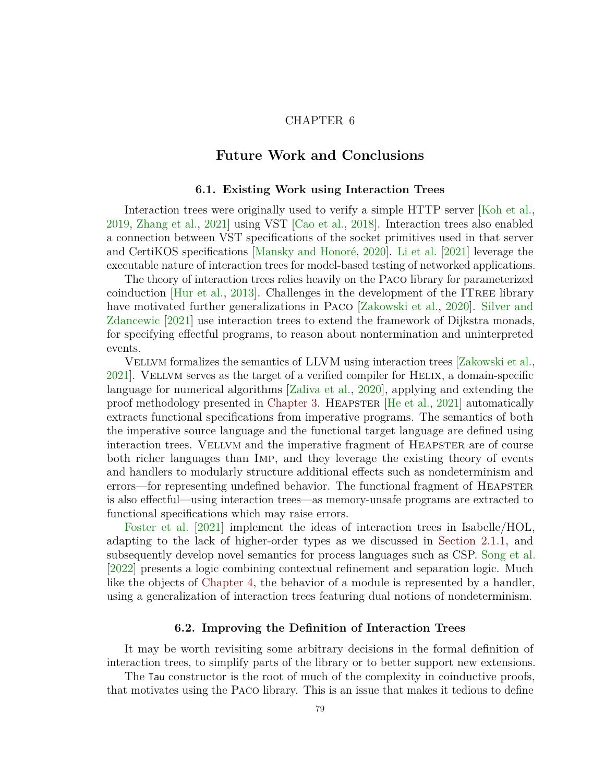# CHAPTER 6

# **Future Work and Conclusions**

#### **6.1. Existing Work using Interaction Trees**

Interaction trees were originally used to verify a simple HTTP server [\[Koh et al.,](#page-97-2) [2019,](#page-97-2) [Zhang et al.,](#page-104-1) [2021\]](#page-104-1) using VST [\[Cao et al.,](#page-91-9) [2018\]](#page-91-9). Interaction trees also enabled a connection between VST specifications of the socket primitives used in that server and CertiKOS specifications [\[Mansky and Honoré,](#page-99-5) [2020\]](#page-99-5). [Li et al.](#page-98-7) [\[2021\]](#page-98-7) leverage the executable nature of interaction trees for model-based testing of networked applications.

The theory of interaction trees relies heavily on the Paco library for parameterized coinduction  $[Hur et al., 2013]$  $[Hur et al., 2013]$ . Challenges in the development of the ITREE library have motivated further generalizations in Paco [\[Zakowski et al.,](#page-104-2) [2020\]](#page-104-2). [Silver and](#page-102-7) [Zdancewic](#page-102-7) [\[2021\]](#page-102-7) use interaction trees to extend the framework of Dijkstra monads, for specifying effectful programs, to reason about nontermination and uninterpreted events.

Vellvm formalizes the semantics of LLVM using interaction trees [\[Zakowski et al.,](#page-104-3) [2021\]](#page-104-3). Vellvm serves as the target of a verified compiler for Helix, a domain-specific language for numerical algorithms [\[Zaliva et al.,](#page-104-4) [2020\]](#page-104-4), applying and extending the proof methodology presented in [Chapter 3.](#page-27-1) Heapster [\[He et al.,](#page-95-8) [2021\]](#page-95-8) automatically extracts functional specifications from imperative programs. The semantics of both the imperative source language and the functional target language are defined using interaction trees. VELLVM and the imperative fragment of HEAPSTER are of course both richer languages than Imp, and they leverage the existing theory of events and handlers to modularly structure additional effects such as nondeterminism and errors—for representing undefined behavior. The functional fragment of HEAPSTER is also effectful—using interaction trees—as memory-unsafe programs are extracted to functional specifications which may raise errors.

[Foster et al.](#page-93-8) [\[2021\]](#page-93-8) implement the ideas of interaction trees in Isabelle/HOL, adapting to the lack of higher-order types as we discussed in [Section 2.1.1,](#page-11-0) and subsequently develop novel semantics for process languages such as CSP. [Song et al.](#page-102-8) [\[2022\]](#page-102-8) presents a logic combining contextual refinement and separation logic. Much like the objects of [Chapter 4,](#page-37-0) the behavior of a module is represented by a handler, using a generalization of interaction trees featuring dual notions of nondeterminism.

#### **6.2. Improving the Definition of Interaction Trees**

<span id="page-85-0"></span>It may be worth revisiting some arbitrary decisions in the formal definition of interaction trees, to simplify parts of the library or to better support new extensions.

The Tau constructor is the root of much of the complexity in coinductive proofs, that motivates using the Paco library. This is an issue that makes it tedious to define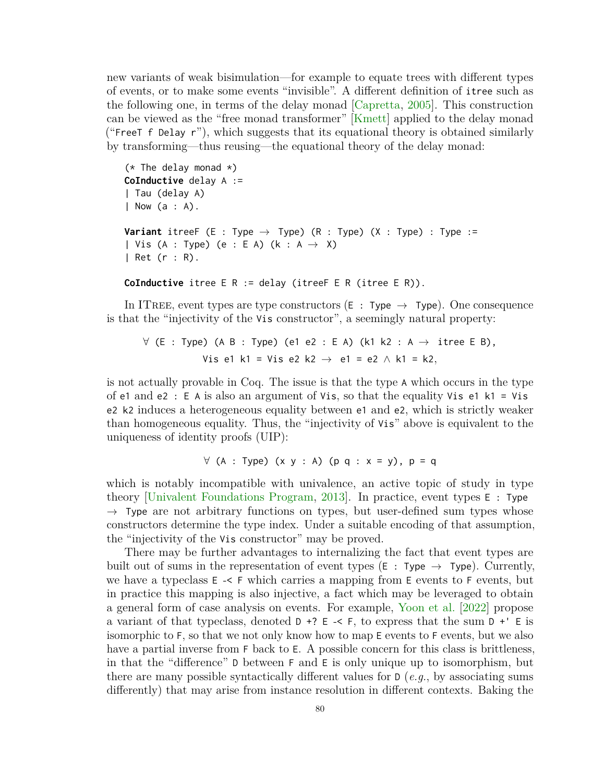new variants of weak bisimulation—for example to equate trees with different types of events, or to make some events "invisible". A different definition of itree such as the following one, in terms of the delay monad [\[Capretta,](#page-91-1) [2005\]](#page-91-1). This construction can be viewed as the "free monad transformer" [\[Kmett\]](#page-97-7) applied to the delay monad ("FreeT f Delay  $r$ "), which suggests that its equational theory is obtained similarly by transforming—thus reusing—the equational theory of the delay monad:

```
(* The delay monad *)
CoInductive delay A :=
| Tau (delay A)
| Now (a : A).
Variant itreeF (E : Type \rightarrow Type) (R : Type) (X : Type) : Type :=
| Vis (A : Type) (e : E A) (k : A \rightarrow X)
| Ret (r : R).
```
**CoInductive** itree E R := delay (itreeF E R (itree E R)).

In ITREE, event types are type constructors ( $E : Type \rightarrow Type$ ). One consequence is that the "injectivity of the Vis constructor", a seemingly natural property:

 $\forall$  (E : Type) (A B : Type) (e1 e2 : E A) (k1 k2 : A  $\rightarrow$  itree E B), Vis e1 k1 = Vis e2 k2 → e1 = e2 ∧ k1 = k2*,*

is not actually provable in Coq. The issue is that the type A which occurs in the type of e1 and e2 :  $E$  A is also an argument of Vis, so that the equality Vis e1 k1 = Vis e2 k2 induces a heterogeneous equality between e1 and e2, which is strictly weaker than homogeneous equality. Thus, the "injectivity of Vis" above is equivalent to the uniqueness of identity proofs (UIP):

$$
\forall
$$
 (A : Type) (x y : A) (p q : x = y), p = q

which is notably incompatible with univalence, an active topic of study in type theory [\[Univalent Foundations Program,](#page-103-8) [2013\]](#page-103-8). In practice, event types E : Type  $\rightarrow$  Type are not arbitrary functions on types, but user-defined sum types whose constructors determine the type index. Under a suitable encoding of that assumption, the "injectivity of the Vis constructor" may be proved.

There may be further advantages to internalizing the fact that event types are built out of sums in the representation of event types ( $E : Type \rightarrow Type$ ). Currently, we have a typeclass E -< F which carries a mapping from E events to F events, but in practice this mapping is also injective, a fact which may be leveraged to obtain a general form of case analysis on events. For example, [Yoon et al.](#page-104-5) [\[2022\]](#page-104-5) propose a variant of that typeclass, denoted  $D \div ? E \div \div$  f, to express that the sum  $D \div ' E$  is isomorphic to F, so that we not only know how to map E events to F events, but we also have a partial inverse from F back to E. A possible concern for this class is brittleness, in that the "difference" D between F and E is only unique up to isomorphism, but there are many possible syntactically different values for D (*e.g.*, by associating sums differently) that may arise from instance resolution in different contexts. Baking the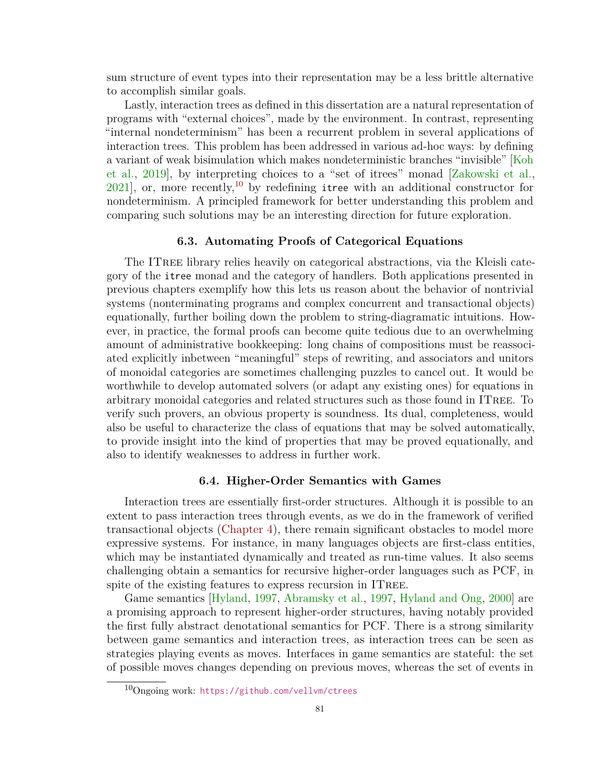sum structure of event types into their representation may be a less brittle alternative to accomplish similar goals.

Lastly, interaction trees as defined in this dissertation are a natural representation of programs with "external choices", made by the environment. In contrast, representing "internal nondeterminism" has been a recurrent problem in several applications of interaction trees. This problem has been addressed in various ad-hoc ways: by defining a variant of weak bisimulation which makes nondeterministic branches "invisible" [\[Koh](#page-97-2) [et al.,](#page-97-2) [2019\]](#page-97-2), by interpreting choices to a "set of itrees" monad [\[Zakowski et al.,](#page-104-3)  $2021$ , or, more recently,<sup>[10](#page-87-0)</sup> by redefining itree with an additional constructor for nondeterminism. A principled framework for better understanding this problem and comparing such solutions may be an interesting direction for future exploration.

#### **6.3. Automating Proofs of Categorical Equations**

The ITree library relies heavily on categorical abstractions, via the Kleisli category of the itree monad and the category of handlers. Both applications presented in previous chapters exemplify how this lets us reason about the behavior of nontrivial systems (nonterminating programs and complex concurrent and transactional objects) equationally, further boiling down the problem to string-diagramatic intuitions. However, in practice, the formal proofs can become quite tedious due to an overwhelming amount of administrative bookkeeping: long chains of compositions must be reassociated explicitly inbetween "meaningful" steps of rewriting, and associators and unitors of monoidal categories are sometimes challenging puzzles to cancel out. It would be worthwhile to develop automated solvers (or adapt any existing ones) for equations in arbitrary monoidal categories and related structures such as those found in ITree. To verify such provers, an obvious property is soundness. Its dual, completeness, would also be useful to characterize the class of equations that may be solved automatically, to provide insight into the kind of properties that may be proved equationally, and also to identify weaknesses to address in further work.

### **6.4. Higher-Order Semantics with Games**

Interaction trees are essentially first-order structures. Although it is possible to an extent to pass interaction trees through events, as we do in the framework of verified transactional objects [\(Chapter 4\)](#page-37-0), there remain significant obstacles to model more expressive systems. For instance, in many languages objects are first-class entities, which may be instantiated dynamically and treated as run-time values. It also seems challenging obtain a semantics for recursive higher-order languages such as PCF, in spite of the existing features to express recursion in ITREE.

Game semantics [\[Hyland,](#page-96-2) [1997,](#page-96-2) [Abramsky et al.,](#page-89-9) [1997,](#page-89-9) [Hyland and Ong,](#page-96-9) [2000\]](#page-96-9) are a promising approach to represent higher-order structures, having notably provided the first fully abstract denotational semantics for PCF. There is a strong similarity between game semantics and interaction trees, as interaction trees can be seen as strategies playing events as moves. Interfaces in game semantics are stateful: the set of possible moves changes depending on previous moves, whereas the set of events in

<span id="page-87-0"></span><sup>10</sup>Ongoing work: <https://github.com/vellvm/ctrees>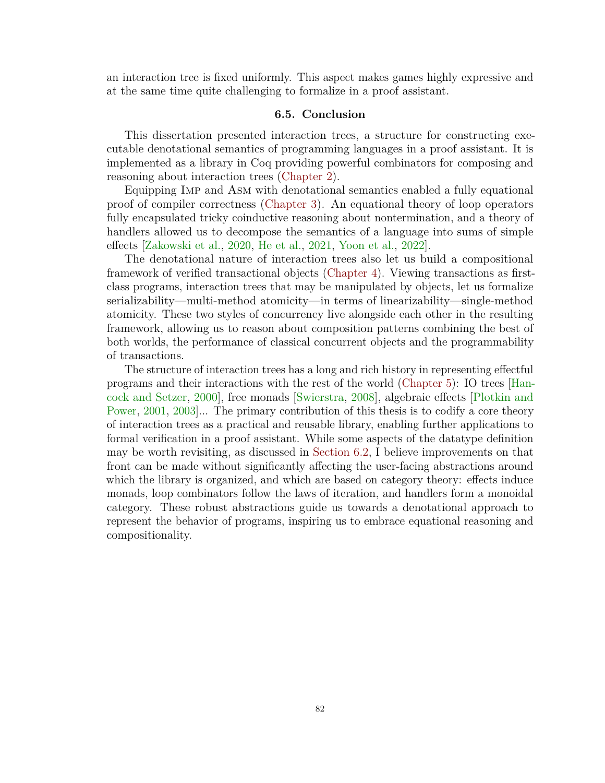an interaction tree is fixed uniformly. This aspect makes games highly expressive and at the same time quite challenging to formalize in a proof assistant.

#### **6.5. Conclusion**

This dissertation presented interaction trees, a structure for constructing executable denotational semantics of programming languages in a proof assistant. It is implemented as a library in Coq providing powerful combinators for composing and reasoning about interaction trees [\(Chapter 2\)](#page-10-0).

Equipping Imp and Asm with denotational semantics enabled a fully equational proof of compiler correctness [\(Chapter 3\)](#page-27-1). An equational theory of loop operators fully encapsulated tricky coinductive reasoning about nontermination, and a theory of handlers allowed us to decompose the semantics of a language into sums of simple effects [\[Zakowski et al.,](#page-104-2) [2020,](#page-104-2) [He et al.,](#page-95-8) [2021,](#page-95-8) [Yoon et al.,](#page-104-5) [2022\]](#page-104-5).

The denotational nature of interaction trees also let us build a compositional framework of verified transactional objects [\(Chapter 4\)](#page-37-0). Viewing transactions as firstclass programs, interaction trees that may be manipulated by objects, let us formalize serializability—multi-method atomicity—in terms of linearizability—single-method atomicity. These two styles of concurrency live alongside each other in the resulting framework, allowing us to reason about composition patterns combining the best of both worlds, the performance of classical concurrent objects and the programmability of transactions.

The structure of interaction trees has a long and rich history in representing effectful programs and their interactions with the rest of the world [\(Chapter 5\)](#page-76-0): IO trees [\[Han](#page-94-1)[cock and Setzer,](#page-94-1) [2000\]](#page-94-1), free monads [\[Swierstra,](#page-103-1) [2008\]](#page-103-1), algebraic effects [\[Plotkin and](#page-101-2) [Power,](#page-101-2) [2001,](#page-101-2) [2003\]](#page-101-4)... The primary contribution of this thesis is to codify a core theory of interaction trees as a practical and reusable library, enabling further applications to formal verification in a proof assistant. While some aspects of the datatype definition may be worth revisiting, as discussed in [Section 6.2,](#page-85-0) I believe improvements on that front can be made without significantly affecting the user-facing abstractions around which the library is organized, and which are based on category theory: effects induce monads, loop combinators follow the laws of iteration, and handlers form a monoidal category. These robust abstractions guide us towards a denotational approach to represent the behavior of programs, inspiring us to embrace equational reasoning and compositionality.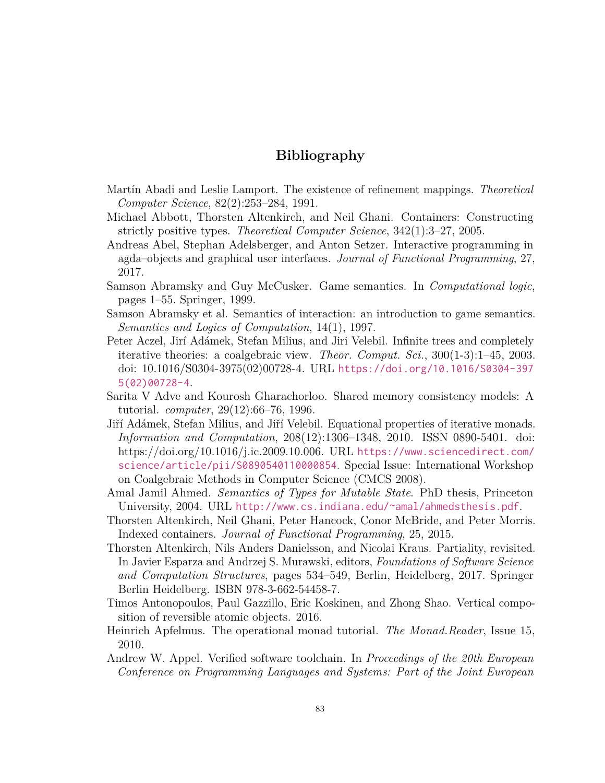# **Bibliography**

- <span id="page-89-11"></span>Martín Abadi and Leslie Lamport. The existence of refinement mappings. *Theoretical Computer Science*, 82(2):253–284, 1991.
- <span id="page-89-6"></span>Michael Abbott, Thorsten Altenkirch, and Neil Ghani. Containers: Constructing strictly positive types. *Theoretical Computer Science*, 342(1):3–27, 2005.
- <span id="page-89-3"></span>Andreas Abel, Stephan Adelsberger, and Anton Setzer. Interactive programming in agda–objects and graphical user interfaces. *Journal of Functional Programming*, 27, 2017.
- <span id="page-89-8"></span>Samson Abramsky and Guy McCusker. Game semantics. In *Computational logic*, pages 1–55. Springer, 1999.
- <span id="page-89-9"></span>Samson Abramsky et al. Semantics of interaction: an introduction to game semantics. *Semantics and Logics of Computation*, 14(1), 1997.
- <span id="page-89-2"></span>Peter Aczel, Jirí Adámek, Stefan Milius, and Jiri Velebil. Infinite trees and completely iterative theories: a coalgebraic view. *Theor. Comput. Sci.*, 300(1-3):1–45, 2003. doi: 10.1016/S0304-3975(02)00728-4. URL [https://doi.org/10.1016/S0304-397](https://doi.org/10.1016/S0304-3975(02)00728-4) [5\(02\)00728-4](https://doi.org/10.1016/S0304-3975(02)00728-4).
- <span id="page-89-12"></span>Sarita V Adve and Kourosh Gharachorloo. Shared memory consistency models: A tutorial. *computer*, 29(12):66–76, 1996.
- <span id="page-89-0"></span>Jiří Adámek, Stefan Milius, and Jiří Velebil. Equational properties of iterative monads. *Information and Computation*, 208(12):1306–1348, 2010. ISSN 0890-5401. doi: https://doi.org/10.1016/j.ic.2009.10.006. URL [https://www.sciencedirect.com/](https://www.sciencedirect.com/science/article/pii/S0890540110000854) [science/article/pii/S0890540110000854](https://www.sciencedirect.com/science/article/pii/S0890540110000854). Special Issue: International Workshop on Coalgebraic Methods in Computer Science (CMCS 2008).
- <span id="page-89-5"></span>Amal Jamil Ahmed. *Semantics of Types for Mutable State*. PhD thesis, Princeton University, 2004. URL <http://www.cs.indiana.edu/~amal/ahmedsthesis.pdf>.
- <span id="page-89-7"></span>Thorsten Altenkirch, Neil Ghani, Peter Hancock, Conor McBride, and Peter Morris. Indexed containers. *Journal of Functional Programming*, 25, 2015.
- <span id="page-89-4"></span>Thorsten Altenkirch, Nils Anders Danielsson, and Nicolai Kraus. Partiality, revisited. In Javier Esparza and Andrzej S. Murawski, editors, *Foundations of Software Science and Computation Structures*, pages 534–549, Berlin, Heidelberg, 2017. Springer Berlin Heidelberg. ISBN 978-3-662-54458-7.
- <span id="page-89-10"></span>Timos Antonopoulos, Paul Gazzillo, Eric Koskinen, and Zhong Shao. Vertical composition of reversible atomic objects. 2016.
- <span id="page-89-1"></span>Heinrich Apfelmus. The operational monad tutorial. *The Monad.Reader*, Issue 15, 2010.
- Andrew W. Appel. Verified software toolchain. In *Proceedings of the 20th European Conference on Programming Languages and Systems: Part of the Joint European*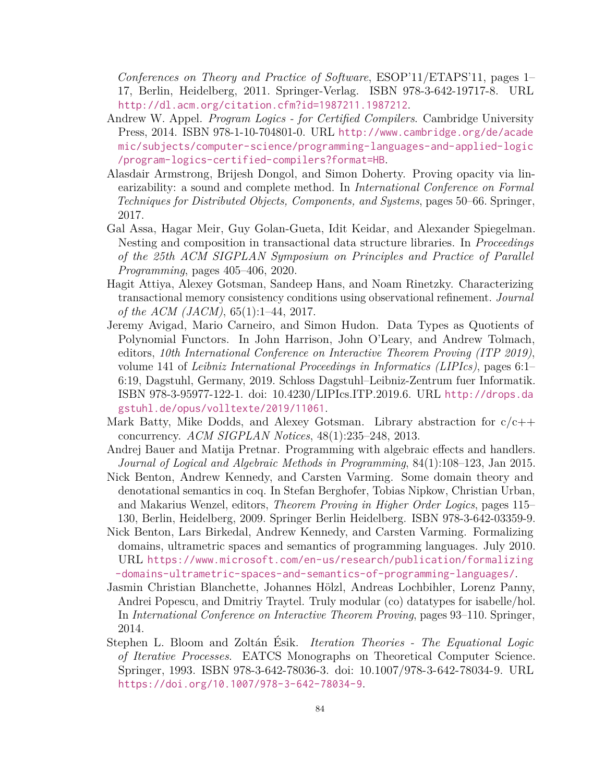*Conferences on Theory and Practice of Software*, ESOP'11/ETAPS'11, pages 1– 17, Berlin, Heidelberg, 2011. Springer-Verlag. ISBN 978-3-642-19717-8. URL <http://dl.acm.org/citation.cfm?id=1987211.1987212>.

- Andrew W. Appel. *Program Logics for Certified Compilers*. Cambridge University Press, 2014. ISBN 978-1-10-704801-0. URL [http://www.cambridge.org/de/acade](http://www.cambridge.org/de/academic/subjects/computer-science/programming-languages-and-applied-logic/program-logics-certified-compilers?format=HB) [mic/subjects/computer-science/programming-languages-and-applied-logic](http://www.cambridge.org/de/academic/subjects/computer-science/programming-languages-and-applied-logic/program-logics-certified-compilers?format=HB) [/program-logics-certified-compilers?format=HB](http://www.cambridge.org/de/academic/subjects/computer-science/programming-languages-and-applied-logic/program-logics-certified-compilers?format=HB).
- <span id="page-90-6"></span>Alasdair Armstrong, Brijesh Dongol, and Simon Doherty. Proving opacity via linearizability: a sound and complete method. In *International Conference on Formal Techniques for Distributed Objects, Components, and Systems*, pages 50–66. Springer, 2017.
- <span id="page-90-4"></span>Gal Assa, Hagar Meir, Guy Golan-Gueta, Idit Keidar, and Alexander Spiegelman. Nesting and composition in transactional data structure libraries. In *Proceedings of the 25th ACM SIGPLAN Symposium on Principles and Practice of Parallel Programming*, pages 405–406, 2020.
- <span id="page-90-5"></span>Hagit Attiya, Alexey Gotsman, Sandeep Hans, and Noam Rinetzky. Characterizing transactional memory consistency conditions using observational refinement. *Journal of the ACM (JACM)*, 65(1):1–44, 2017.
- Jeremy Avigad, Mario Carneiro, and Simon Hudon. Data Types as Quotients of Polynomial Functors. In John Harrison, John O'Leary, and Andrew Tolmach, editors, *10th International Conference on Interactive Theorem Proving (ITP 2019)*, volume 141 of *Leibniz International Proceedings in Informatics (LIPIcs)*, pages 6:1– 6:19, Dagstuhl, Germany, 2019. Schloss Dagstuhl–Leibniz-Zentrum fuer Informatik. ISBN 978-3-95977-122-1. doi: 10.4230/LIPIcs.ITP.2019.6. URL [http://drops.da](http://drops.dagstuhl.de/opus/volltexte/2019/11061) [gstuhl.de/opus/volltexte/2019/11061](http://drops.dagstuhl.de/opus/volltexte/2019/11061).
- <span id="page-90-7"></span>Mark Batty, Mike Dodds, and Alexey Gotsman. Library abstraction for  $c/c++$ concurrency. *ACM SIGPLAN Notices*, 48(1):235–248, 2013.
- <span id="page-90-1"></span>Andrej Bauer and Matija Pretnar. Programming with algebraic effects and handlers. *Journal of Logical and Algebraic Methods in Programming*, 84(1):108–123, Jan 2015.
- <span id="page-90-2"></span>Nick Benton, Andrew Kennedy, and Carsten Varming. Some domain theory and denotational semantics in coq. In Stefan Berghofer, Tobias Nipkow, Christian Urban, and Makarius Wenzel, editors, *Theorem Proving in Higher Order Logics*, pages 115– 130, Berlin, Heidelberg, 2009. Springer Berlin Heidelberg. ISBN 978-3-642-03359-9.
- <span id="page-90-3"></span>Nick Benton, Lars Birkedal, Andrew Kennedy, and Carsten Varming. Formalizing domains, ultrametric spaces and semantics of programming languages. July 2010. URL [https://www.microsoft.com/en-us/research/publication/formalizing](https://www.microsoft.com/en-us/research/publication/formalizing-domains-ultrametric-spaces-and-semantics-of-programming-languages/) [-domains-ultrametric-spaces-and-semantics-of-programming-languages/](https://www.microsoft.com/en-us/research/publication/formalizing-domains-ultrametric-spaces-and-semantics-of-programming-languages/).
- Jasmin Christian Blanchette, Johannes Hölzl, Andreas Lochbihler, Lorenz Panny, Andrei Popescu, and Dmitriy Traytel. Truly modular (co) datatypes for isabelle/hol. In *International Conference on Interactive Theorem Proving*, pages 93–110. Springer, 2014.
- <span id="page-90-0"></span>Stephen L. Bloom and Zoltán Ésik. *Iteration Theories - The Equational Logic of Iterative Processes*. EATCS Monographs on Theoretical Computer Science. Springer, 1993. ISBN 978-3-642-78036-3. doi: 10.1007/978-3-642-78034-9. URL <https://doi.org/10.1007/978-3-642-78034-9>.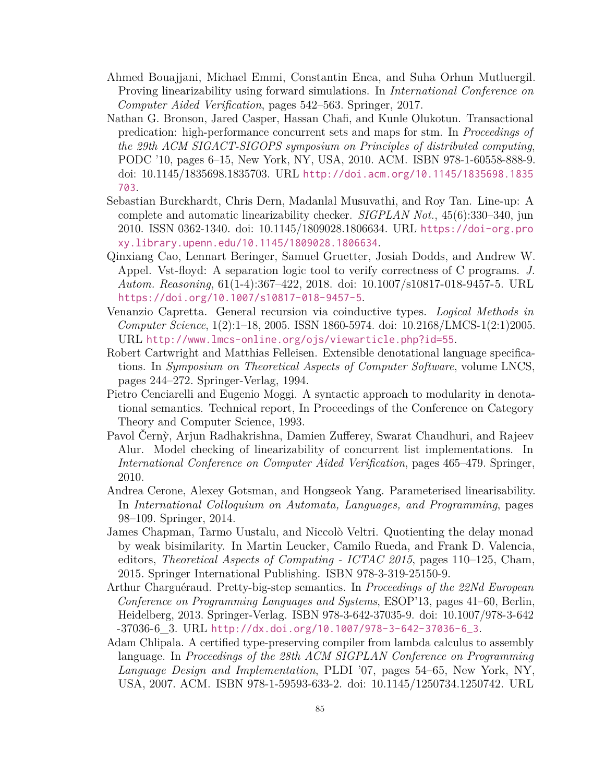- <span id="page-91-7"></span>Ahmed Bouajjani, Michael Emmi, Constantin Enea, and Suha Orhun Mutluergil. Proving linearizability using forward simulations. In *International Conference on Computer Aided Verification*, pages 542–563. Springer, 2017.
- <span id="page-91-6"></span>Nathan G. Bronson, Jared Casper, Hassan Chafi, and Kunle Olukotun. Transactional predication: high-performance concurrent sets and maps for stm. In *Proceedings of the 29th ACM SIGACT-SIGOPS symposium on Principles of distributed computing*, PODC '10, pages 6–15, New York, NY, USA, 2010. ACM. ISBN 978-1-60558-888-9. doi: 10.1145/1835698.1835703. URL [http://doi.acm.org/10.1145/1835698.1835](http://doi.acm.org/10.1145/1835698.1835703) [703](http://doi.acm.org/10.1145/1835698.1835703).
- Sebastian Burckhardt, Chris Dern, Madanlal Musuvathi, and Roy Tan. Line-up: A complete and automatic linearizability checker. *SIGPLAN Not.*, 45(6):330–340, jun 2010. ISSN 0362-1340. doi: 10.1145/1809028.1806634. URL [https://doi-org.pro](https://doi-org.proxy.library.upenn.edu/10.1145/1809028.1806634) [xy.library.upenn.edu/10.1145/1809028.1806634](https://doi-org.proxy.library.upenn.edu/10.1145/1809028.1806634).
- <span id="page-91-9"></span>Qinxiang Cao, Lennart Beringer, Samuel Gruetter, Josiah Dodds, and Andrew W. Appel. Vst-floyd: A separation logic tool to verify correctness of C programs. *J. Autom. Reasoning*, 61(1-4):367–422, 2018. doi: 10.1007/s10817-018-9457-5. URL <https://doi.org/10.1007/s10817-018-9457-5>.
- <span id="page-91-1"></span>Venanzio Capretta. General recursion via coinductive types. *Logical Methods in Computer Science*, 1(2):1–18, 2005. ISSN 1860-5974. doi: 10.2168/LMCS-1(2:1)2005. URL <http://www.lmcs-online.org/ojs/viewarticle.php?id=55>.
- <span id="page-91-2"></span>Robert Cartwright and Matthias Felleisen. Extensible denotational language specifications. In *Symposium on Theoretical Aspects of Computer Software*, volume LNCS, pages 244–272. Springer-Verlag, 1994.
- <span id="page-91-0"></span>Pietro Cenciarelli and Eugenio Moggi. A syntactic approach to modularity in denotational semantics. Technical report, In Proceedings of the Conference on Category Theory and Computer Science, 1993.
- Pavol Čern`y, Arjun Radhakrishna, Damien Zufferey, Swarat Chaudhuri, and Rajeev Alur. Model checking of linearizability of concurrent list implementations. In *International Conference on Computer Aided Verification*, pages 465–479. Springer, 2010.
- <span id="page-91-8"></span>Andrea Cerone, Alexey Gotsman, and Hongseok Yang. Parameterised linearisability. In *International Colloquium on Automata, Languages, and Programming*, pages 98–109. Springer, 2014.
- <span id="page-91-3"></span>James Chapman, Tarmo Uustalu, and Niccolò Veltri. Quotienting the delay monad by weak bisimilarity. In Martin Leucker, Camilo Rueda, and Frank D. Valencia, editors, *Theoretical Aspects of Computing - ICTAC 2015*, pages 110–125, Cham, 2015. Springer International Publishing. ISBN 978-3-319-25150-9.
- <span id="page-91-5"></span>Arthur Charguéraud. Pretty-big-step semantics. In *Proceedings of the 22Nd European Conference on Programming Languages and Systems*, ESOP'13, pages 41–60, Berlin, Heidelberg, 2013. Springer-Verlag. ISBN 978-3-642-37035-9. doi: 10.1007/978-3-642 -37036-6\_3. URL [http://dx.doi.org/10.1007/978-3-642-37036-6\\_3](http://dx.doi.org/10.1007/978-3-642-37036-6_3).
- <span id="page-91-4"></span>Adam Chlipala. A certified type-preserving compiler from lambda calculus to assembly language. In *Proceedings of the 28th ACM SIGPLAN Conference on Programming Language Design and Implementation*, PLDI '07, pages 54–65, New York, NY, USA, 2007. ACM. ISBN 978-1-59593-633-2. doi: 10.1145/1250734.1250742. URL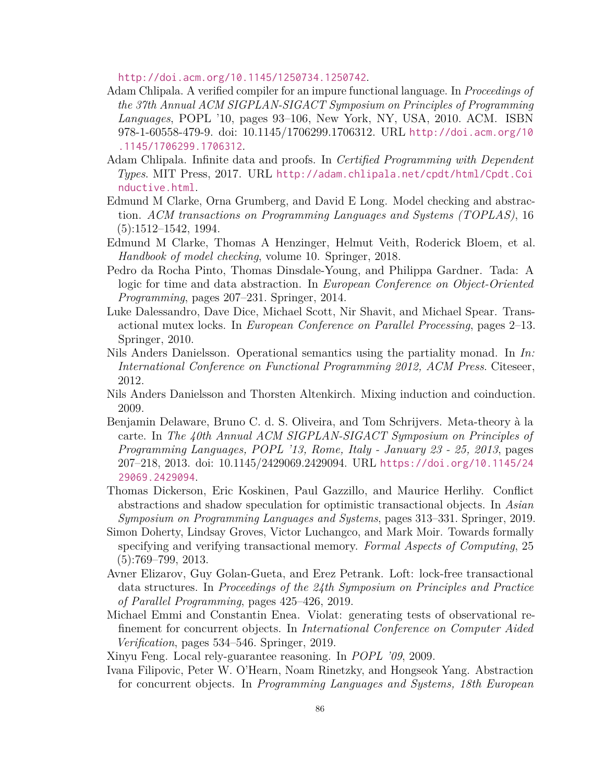<http://doi.acm.org/10.1145/1250734.1250742>.

- <span id="page-92-2"></span>Adam Chlipala. A verified compiler for an impure functional language. In *Proceedings of the 37th Annual ACM SIGPLAN-SIGACT Symposium on Principles of Programming Languages*, POPL '10, pages 93–106, New York, NY, USA, 2010. ACM. ISBN 978-1-60558-479-9. doi: 10.1145/1706299.1706312. URL [http://doi.acm.org/10](http://doi.acm.org/10.1145/1706299.1706312) [.1145/1706299.1706312](http://doi.acm.org/10.1145/1706299.1706312).
- Adam Chlipala. Infinite data and proofs. In *Certified Programming with Dependent Types*. MIT Press, 2017. URL [http://adam.chlipala.net/cpdt/html/Cpdt.Coi](http://adam.chlipala.net/cpdt/html/Cpdt.Coinductive.html) [nductive.html](http://adam.chlipala.net/cpdt/html/Cpdt.Coinductive.html).
- Edmund M Clarke, Orna Grumberg, and David E Long. Model checking and abstraction. *ACM transactions on Programming Languages and Systems (TOPLAS)*, 16 (5):1512–1542, 1994.
- Edmund M Clarke, Thomas A Henzinger, Helmut Veith, Roderick Bloem, et al. *Handbook of model checking*, volume 10. Springer, 2018.
- <span id="page-92-8"></span>Pedro da Rocha Pinto, Thomas Dinsdale-Young, and Philippa Gardner. Tada: A logic for time and data abstraction. In *European Conference on Object-Oriented Programming*, pages 207–231. Springer, 2014.
- Luke Dalessandro, Dave Dice, Michael Scott, Nir Shavit, and Michael Spear. Transactional mutex locks. In *European Conference on Parallel Processing*, pages 2–13. Springer, 2010.
- <span id="page-92-0"></span>Nils Anders Danielsson. Operational semantics using the partiality monad. In *In: International Conference on Functional Programming 2012, ACM Press*. Citeseer, 2012.
- Nils Anders Danielsson and Thorsten Altenkirch. Mixing induction and coinduction. 2009.
- <span id="page-92-1"></span>Benjamin Delaware, Bruno C. d. S. Oliveira, and Tom Schrijvers. Meta-theory à la carte. In *The 40th Annual ACM SIGPLAN-SIGACT Symposium on Principles of Programming Languages, POPL '13, Rome, Italy - January 23 - 25, 2013*, pages 207–218, 2013. doi: 10.1145/2429069.2429094. URL [https://doi.org/10.1145/24](https://doi.org/10.1145/2429069.2429094) [29069.2429094](https://doi.org/10.1145/2429069.2429094).
- <span id="page-92-3"></span>Thomas Dickerson, Eric Koskinen, Paul Gazzillo, and Maurice Herlihy. Conflict abstractions and shadow speculation for optimistic transactional objects. In *Asian Symposium on Programming Languages and Systems*, pages 313–331. Springer, 2019.
- <span id="page-92-5"></span>Simon Doherty, Lindsay Groves, Victor Luchangco, and Mark Moir. Towards formally specifying and verifying transactional memory. *Formal Aspects of Computing*, 25  $(5):769-799, 2013.$
- <span id="page-92-4"></span>Avner Elizarov, Guy Golan-Gueta, and Erez Petrank. Loft: lock-free transactional data structures. In *Proceedings of the 24th Symposium on Principles and Practice of Parallel Programming*, pages 425–426, 2019.
- <span id="page-92-6"></span>Michael Emmi and Constantin Enea. Violat: generating tests of observational refinement for concurrent objects. In *International Conference on Computer Aided Verification*, pages 534–546. Springer, 2019.
- <span id="page-92-7"></span>Xinyu Feng. Local rely-guarantee reasoning. In *POPL '09*, 2009.
- Ivana Filipovic, Peter W. O'Hearn, Noam Rinetzky, and Hongseok Yang. Abstraction for concurrent objects. In *Programming Languages and Systems, 18th European*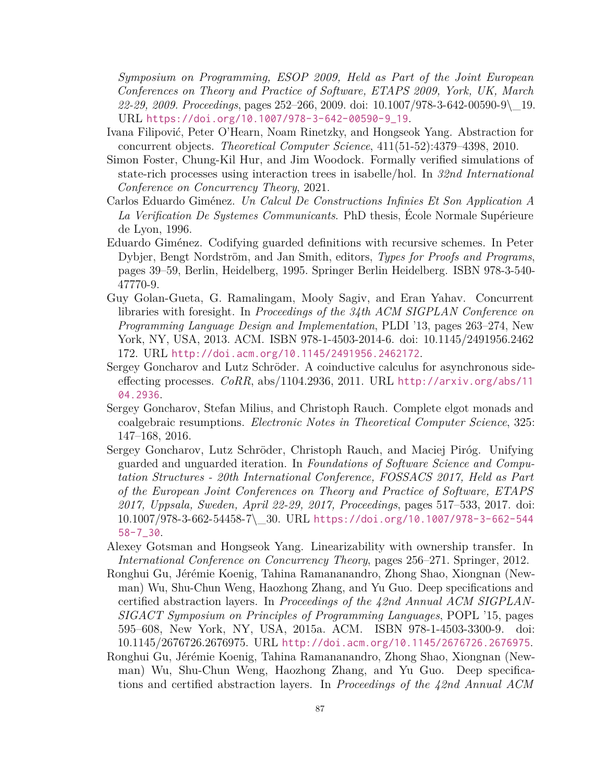*Symposium on Programming, ESOP 2009, Held as Part of the Joint European Conferences on Theory and Practice of Software, ETAPS 2009, York, UK, March 22-29, 2009. Proceedings*, pages 252–266, 2009. doi: 10.1007/978-3-642-00590-9\\_19. URL [https://doi.org/10.1007/978-3-642-00590-9\\_19](https://doi.org/10.1007/978-3-642-00590-9_19).

- <span id="page-93-5"></span>Ivana Filipović, Peter O'Hearn, Noam Rinetzky, and Hongseok Yang. Abstraction for concurrent objects. *Theoretical Computer Science*, 411(51-52):4379–4398, 2010.
- <span id="page-93-8"></span>Simon Foster, Chung-Kil Hur, and Jim Woodock. Formally verified simulations of state-rich processes using interaction trees in isabelle/hol. In *32nd International Conference on Concurrency Theory*, 2021.
- Carlos Eduardo Giménez. *Un Calcul De Constructions Infinies Et Son Application A La Verification De Systemes Communicants*. PhD thesis, École Normale Supérieure de Lyon, 1996.
- Eduardo Giménez. Codifying guarded definitions with recursive schemes. In Peter Dybjer, Bengt Nordström, and Jan Smith, editors, *Types for Proofs and Programs*, pages 39–59, Berlin, Heidelberg, 1995. Springer Berlin Heidelberg. ISBN 978-3-540- 47770-9.
- <span id="page-93-4"></span>Guy Golan-Gueta, G. Ramalingam, Mooly Sagiv, and Eran Yahav. Concurrent libraries with foresight. In *Proceedings of the 34th ACM SIGPLAN Conference on Programming Language Design and Implementation*, PLDI '13, pages 263–274, New York, NY, USA, 2013. ACM. ISBN 978-1-4503-2014-6. doi: 10.1145/2491956.2462 172. URL <http://doi.acm.org/10.1145/2491956.2462172>.
- <span id="page-93-2"></span>Sergey Goncharov and Lutz Schröder. A coinductive calculus for asynchronous sideeffecting processes. *CoRR*, abs/1104.2936, 2011. URL [http://arxiv.org/abs/11](http://arxiv.org/abs/1104.2936) [04.2936](http://arxiv.org/abs/1104.2936).
- <span id="page-93-0"></span>Sergey Goncharov, Stefan Milius, and Christoph Rauch. Complete elgot monads and coalgebraic resumptions. *Electronic Notes in Theoretical Computer Science*, 325: 147–168, 2016.
- <span id="page-93-1"></span>Sergey Goncharov, Lutz Schröder, Christoph Rauch, and Maciej Piróg. Unifying guarded and unguarded iteration. In *Foundations of Software Science and Computation Structures - 20th International Conference, FOSSACS 2017, Held as Part of the European Joint Conferences on Theory and Practice of Software, ETAPS 2017, Uppsala, Sweden, April 22-29, 2017, Proceedings*, pages 517–533, 2017. doi: 10.1007/978-3-662-54458-7\\_30. URL [https://doi.org/10.1007/978-3-662-544](https://doi.org/10.1007/978-3-662-54458-7_30) [58-7\\_30](https://doi.org/10.1007/978-3-662-54458-7_30).
- <span id="page-93-7"></span>Alexey Gotsman and Hongseok Yang. Linearizability with ownership transfer. In *International Conference on Concurrency Theory*, pages 256–271. Springer, 2012.
- <span id="page-93-3"></span>Ronghui Gu, Jérémie Koenig, Tahina Ramananandro, Zhong Shao, Xiongnan (Newman) Wu, Shu-Chun Weng, Haozhong Zhang, and Yu Guo. Deep specifications and certified abstraction layers. In *Proceedings of the 42nd Annual ACM SIGPLAN-SIGACT Symposium on Principles of Programming Languages*, POPL '15, pages 595–608, New York, NY, USA, 2015a. ACM. ISBN 978-1-4503-3300-9. doi: 10.1145/2676726.2676975. URL <http://doi.acm.org/10.1145/2676726.2676975>.
- <span id="page-93-6"></span>Ronghui Gu, Jérémie Koenig, Tahina Ramananandro, Zhong Shao, Xiongnan (Newman) Wu, Shu-Chun Weng, Haozhong Zhang, and Yu Guo. Deep specifications and certified abstraction layers. In *Proceedings of the 42nd Annual ACM*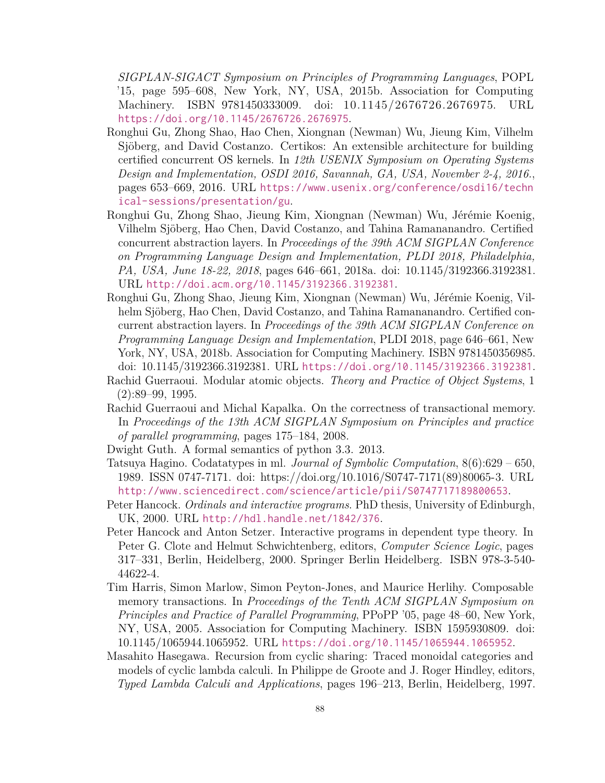*SIGPLAN-SIGACT Symposium on Principles of Programming Languages*, POPL '15, page 595–608, New York, NY, USA, 2015b. Association for Computing Machinery. ISBN 9781450333009. doi: 10.1145/2676726.2676975. URL <https://doi.org/10.1145/2676726.2676975>.

- <span id="page-94-4"></span>Ronghui Gu, Zhong Shao, Hao Chen, Xiongnan (Newman) Wu, Jieung Kim, Vilhelm Sjöberg, and David Costanzo. Certikos: An extensible architecture for building certified concurrent OS kernels. In *12th USENIX Symposium on Operating Systems Design and Implementation, OSDI 2016, Savannah, GA, USA, November 2-4, 2016.*, pages 653–669, 2016. URL [https://www.usenix.org/conference/osdi16/techn](https://www.usenix.org/conference/osdi16/technical-sessions/presentation/gu) [ical-sessions/presentation/gu](https://www.usenix.org/conference/osdi16/technical-sessions/presentation/gu).
- <span id="page-94-3"></span>Ronghui Gu, Zhong Shao, Jieung Kim, Xiongnan (Newman) Wu, Jérémie Koenig, Vilhelm Sjöberg, Hao Chen, David Costanzo, and Tahina Ramananandro. Certified concurrent abstraction layers. In *Proceedings of the 39th ACM SIGPLAN Conference on Programming Language Design and Implementation, PLDI 2018, Philadelphia, PA, USA, June 18-22, 2018*, pages 646–661, 2018a. doi: 10.1145/3192366.3192381. URL <http://doi.acm.org/10.1145/3192366.3192381>.
- <span id="page-94-6"></span>Ronghui Gu, Zhong Shao, Jieung Kim, Xiongnan (Newman) Wu, Jérémie Koenig, Vilhelm Sjöberg, Hao Chen, David Costanzo, and Tahina Ramananandro. Certified concurrent abstraction layers. In *Proceedings of the 39th ACM SIGPLAN Conference on Programming Language Design and Implementation*, PLDI 2018, page 646–661, New York, NY, USA, 2018b. Association for Computing Machinery. ISBN 9781450356985. doi: 10.1145/3192366.3192381. URL <https://doi.org/10.1145/3192366.3192381>.
- <span id="page-94-5"></span>Rachid Guerraoui. Modular atomic objects. *Theory and Practice of Object Systems*, 1 (2):89–99, 1995.
- <span id="page-94-0"></span>Rachid Guerraoui and Michal Kapalka. On the correctness of transactional memory. In *Proceedings of the 13th ACM SIGPLAN Symposium on Principles and practice of parallel programming*, pages 175–184, 2008.
- Dwight Guth. A formal semantics of python 3.3. 2013.
- Tatsuya Hagino. Codatatypes in ml. *Journal of Symbolic Computation*, 8(6):629 650, 1989. ISSN 0747-7171. doi: https://doi.org/10.1016/S0747-7171(89)80065-3. URL <http://www.sciencedirect.com/science/article/pii/S0747717189800653>.
- <span id="page-94-2"></span>Peter Hancock. *Ordinals and interactive programs*. PhD thesis, University of Edinburgh, UK, 2000. URL <http://hdl.handle.net/1842/376>.
- <span id="page-94-1"></span>Peter Hancock and Anton Setzer. Interactive programs in dependent type theory. In Peter G. Clote and Helmut Schwichtenberg, editors, *Computer Science Logic*, pages 317–331, Berlin, Heidelberg, 2000. Springer Berlin Heidelberg. ISBN 978-3-540- 44622-4.
- Tim Harris, Simon Marlow, Simon Peyton-Jones, and Maurice Herlihy. Composable memory transactions. In *Proceedings of the Tenth ACM SIGPLAN Symposium on Principles and Practice of Parallel Programming*, PPoPP '05, page 48–60, New York, NY, USA, 2005. Association for Computing Machinery. ISBN 1595930809. doi: 10.1145/1065944.1065952. URL <https://doi.org/10.1145/1065944.1065952>.
- Masahito Hasegawa. Recursion from cyclic sharing: Traced monoidal categories and models of cyclic lambda calculi. In Philippe de Groote and J. Roger Hindley, editors, *Typed Lambda Calculi and Applications*, pages 196–213, Berlin, Heidelberg, 1997.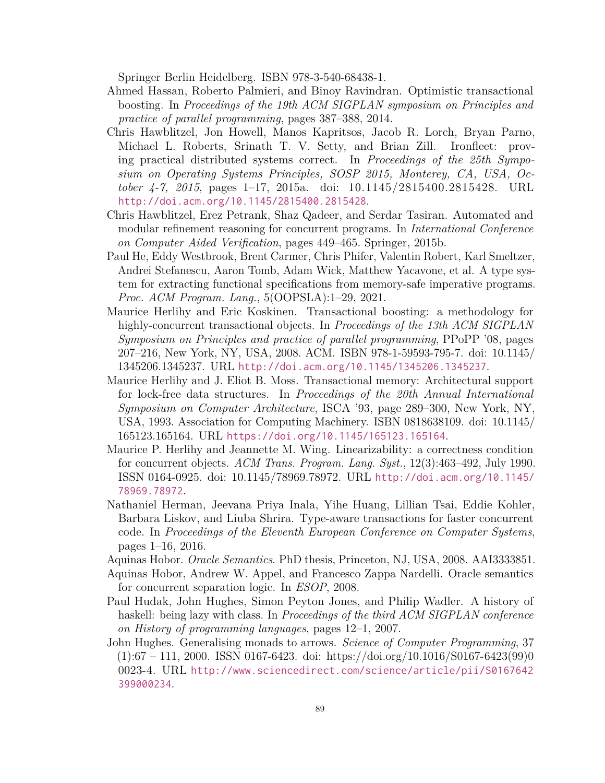Springer Berlin Heidelberg. ISBN 978-3-540-68438-1.

- <span id="page-95-3"></span>Ahmed Hassan, Roberto Palmieri, and Binoy Ravindran. Optimistic transactional boosting. In *Proceedings of the 19th ACM SIGPLAN symposium on Principles and practice of parallel programming*, pages 387–388, 2014.
- Chris Hawblitzel, Jon Howell, Manos Kapritsos, Jacob R. Lorch, Bryan Parno, Michael L. Roberts, Srinath T. V. Setty, and Brian Zill. Ironfleet: proving practical distributed systems correct. In *Proceedings of the 25th Symposium on Operating Systems Principles, SOSP 2015, Monterey, CA, USA, October 4-7, 2015*, pages 1–17, 2015a. doi: 10.1145/2815400.2815428. URL <http://doi.acm.org/10.1145/2815400.2815428>.
- <span id="page-95-5"></span>Chris Hawblitzel, Erez Petrank, Shaz Qadeer, and Serdar Tasiran. Automated and modular refinement reasoning for concurrent programs. In *International Conference on Computer Aided Verification*, pages 449–465. Springer, 2015b.
- <span id="page-95-8"></span>Paul He, Eddy Westbrook, Brent Carmer, Chris Phifer, Valentin Robert, Karl Smeltzer, Andrei Stefanescu, Aaron Tomb, Adam Wick, Matthew Yacavone, et al. A type system for extracting functional specifications from memory-safe imperative programs. *Proc. ACM Program. Lang.*, 5(OOPSLA):1–29, 2021.
- <span id="page-95-2"></span>Maurice Herlihy and Eric Koskinen. Transactional boosting: a methodology for highly-concurrent transactional objects. In *Proceedings of the 13th ACM SIGPLAN Symposium on Principles and practice of parallel programming*, PPoPP '08, pages 207–216, New York, NY, USA, 2008. ACM. ISBN 978-1-59593-795-7. doi: 10.1145/ 1345206.1345237. URL <http://doi.acm.org/10.1145/1345206.1345237>.
- Maurice Herlihy and J. Eliot B. Moss. Transactional memory: Architectural support for lock-free data structures. In *Proceedings of the 20th Annual International Symposium on Computer Architecture*, ISCA '93, page 289–300, New York, NY, USA, 1993. Association for Computing Machinery. ISBN 0818638109. doi: 10.1145/ 165123.165164. URL <https://doi.org/10.1145/165123.165164>.
- <span id="page-95-6"></span>Maurice P. Herlihy and Jeannette M. Wing. Linearizability: a correctness condition for concurrent objects. *ACM Trans. Program. Lang. Syst.*, 12(3):463–492, July 1990. ISSN 0164-0925. doi: 10.1145/78969.78972. URL [http://doi.acm.org/10.1145/](http://doi.acm.org/10.1145/78969.78972) [78969.78972](http://doi.acm.org/10.1145/78969.78972).
- <span id="page-95-4"></span>Nathaniel Herman, Jeevana Priya Inala, Yihe Huang, Lillian Tsai, Eddie Kohler, Barbara Liskov, and Liuba Shrira. Type-aware transactions for faster concurrent code. In *Proceedings of the Eleventh European Conference on Computer Systems*, pages 1–16, 2016.
- <span id="page-95-1"></span>Aquinas Hobor. *Oracle Semantics*. PhD thesis, Princeton, NJ, USA, 2008. AAI3333851.
- <span id="page-95-7"></span>Aquinas Hobor, Andrew W. Appel, and Francesco Zappa Nardelli. Oracle semantics for concurrent separation logic. In *ESOP*, 2008.
- Paul Hudak, John Hughes, Simon Peyton Jones, and Philip Wadler. A history of haskell: being lazy with class. In *Proceedings of the third ACM SIGPLAN conference on History of programming languages*, pages 12–1, 2007.
- <span id="page-95-0"></span>John Hughes. Generalising monads to arrows. *Science of Computer Programming*, 37 (1):67 – 111, 2000. ISSN 0167-6423. doi: https://doi.org/10.1016/S0167-6423(99)0 0023-4. URL [http://www.sciencedirect.com/science/article/pii/S0167642](http://www.sciencedirect.com/science/article/pii/S0167642399000234) [399000234](http://www.sciencedirect.com/science/article/pii/S0167642399000234).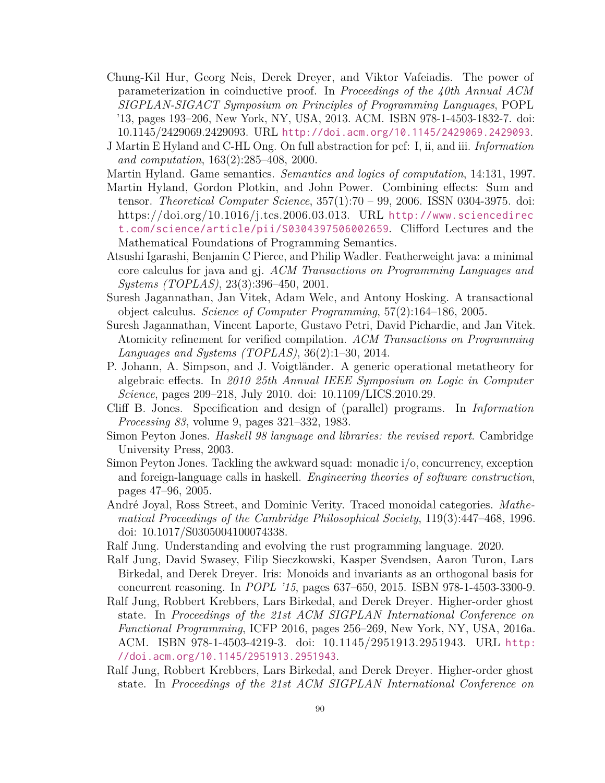- <span id="page-96-8"></span>Chung-Kil Hur, Georg Neis, Derek Dreyer, and Viktor Vafeiadis. The power of parameterization in coinductive proof. In *Proceedings of the 40th Annual ACM SIGPLAN-SIGACT Symposium on Principles of Programming Languages*, POPL '13, pages 193–206, New York, NY, USA, 2013. ACM. ISBN 978-1-4503-1832-7. doi: 10.1145/2429069.2429093. URL <http://doi.acm.org/10.1145/2429069.2429093>.
- <span id="page-96-9"></span>J Martin E Hyland and C-HL Ong. On full abstraction for pcf: I, ii, and iii. *Information and computation*, 163(2):285–408, 2000.
- <span id="page-96-2"></span>Martin Hyland. Game semantics. *Semantics and logics of computation*, 14:131, 1997.
- <span id="page-96-0"></span>Martin Hyland, Gordon Plotkin, and John Power. Combining effects: Sum and tensor. *Theoretical Computer Science*, 357(1):70 – 99, 2006. ISSN 0304-3975. doi: https://doi.org/10.1016/j.tcs.2006.03.013. URL [http://www.sciencedirec](http://www.sciencedirect.com/science/article/pii/S0304397506002659) [t.com/science/article/pii/S0304397506002659](http://www.sciencedirect.com/science/article/pii/S0304397506002659). Clifford Lectures and the Mathematical Foundations of Programming Semantics.
- Atsushi Igarashi, Benjamin C Pierce, and Philip Wadler. Featherweight java: a minimal core calculus for java and gj. *ACM Transactions on Programming Languages and Systems (TOPLAS)*, 23(3):396–450, 2001.
- <span id="page-96-7"></span>Suresh Jagannathan, Jan Vitek, Adam Welc, and Antony Hosking. A transactional object calculus. *Science of Computer Programming*, 57(2):164–186, 2005.
- <span id="page-96-3"></span>Suresh Jagannathan, Vincent Laporte, Gustavo Petri, David Pichardie, and Jan Vitek. Atomicity refinement for verified compilation. *ACM Transactions on Programming Languages and Systems (TOPLAS)*, 36(2):1–30, 2014.
- <span id="page-96-1"></span>P. Johann, A. Simpson, and J. Voigtländer. A generic operational metatheory for algebraic effects. In *2010 25th Annual IEEE Symposium on Logic in Computer Science*, pages 209–218, July 2010. doi: 10.1109/LICS.2010.29.
- <span id="page-96-4"></span>Cliff B. Jones. Specification and design of (parallel) programs. In *Information Processing 83*, volume 9, pages 321–332, 1983.
- Simon Peyton Jones. *Haskell 98 language and libraries: the revised report*. Cambridge University Press, 2003.
- Simon Peyton Jones. Tackling the awkward squad: monadic i/o, concurrency, exception and foreign-language calls in haskell. *Engineering theories of software construction*, pages 47–96, 2005.
- André Joyal, Ross Street, and Dominic Verity. Traced monoidal categories. *Mathematical Proceedings of the Cambridge Philosophical Society*, 119(3):447–468, 1996. doi: 10.1017/S0305004100074338.
- Ralf Jung. Understanding and evolving the rust programming language. 2020.
- <span id="page-96-6"></span>Ralf Jung, David Swasey, Filip Sieczkowski, Kasper Svendsen, Aaron Turon, Lars Birkedal, and Derek Dreyer. Iris: Monoids and invariants as an orthogonal basis for concurrent reasoning. In *POPL '15*, pages 637–650, 2015. ISBN 978-1-4503-3300-9.
- <span id="page-96-5"></span>Ralf Jung, Robbert Krebbers, Lars Birkedal, and Derek Dreyer. Higher-order ghost state. In *Proceedings of the 21st ACM SIGPLAN International Conference on Functional Programming*, ICFP 2016, pages 256–269, New York, NY, USA, 2016a. ACM. ISBN 978-1-4503-4219-3. doi: 10.1145/2951913.2951943. URL [http:](http://doi.acm.org/10.1145/2951913.2951943) [//doi.acm.org/10.1145/2951913.2951943](http://doi.acm.org/10.1145/2951913.2951943).
- Ralf Jung, Robbert Krebbers, Lars Birkedal, and Derek Dreyer. Higher-order ghost state. In *Proceedings of the 21st ACM SIGPLAN International Conference on*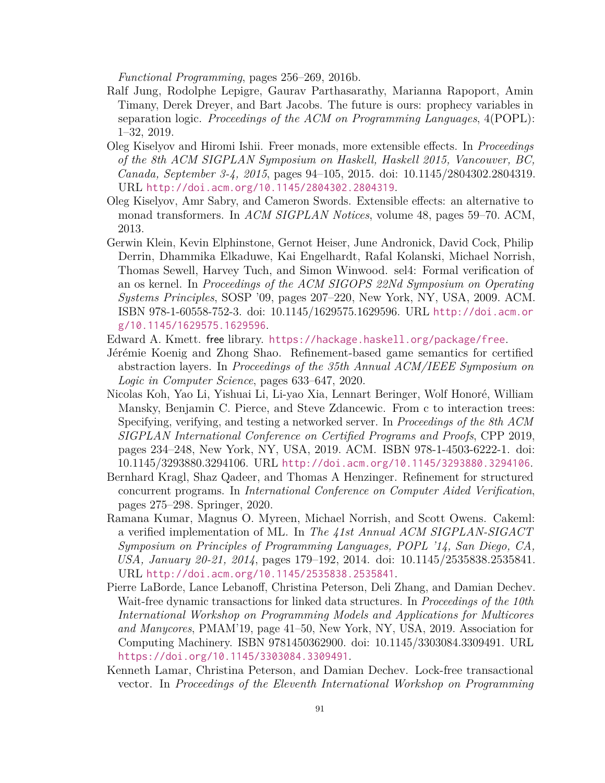*Functional Programming*, pages 256–269, 2016b.

- Ralf Jung, Rodolphe Lepigre, Gaurav Parthasarathy, Marianna Rapoport, Amin Timany, Derek Dreyer, and Bart Jacobs. The future is ours: prophecy variables in separation logic. *Proceedings of the ACM on Programming Languages*, 4(POPL): 1–32, 2019.
- <span id="page-97-1"></span>Oleg Kiselyov and Hiromi Ishii. Freer monads, more extensible effects. In *Proceedings of the 8th ACM SIGPLAN Symposium on Haskell, Haskell 2015, Vancouver, BC, Canada, September 3-4, 2015*, pages 94–105, 2015. doi: 10.1145/2804302.2804319. URL <http://doi.acm.org/10.1145/2804302.2804319>.
- <span id="page-97-0"></span>Oleg Kiselyov, Amr Sabry, and Cameron Swords. Extensible effects: an alternative to monad transformers. In *ACM SIGPLAN Notices*, volume 48, pages 59–70. ACM, 2013.
- Gerwin Klein, Kevin Elphinstone, Gernot Heiser, June Andronick, David Cock, Philip Derrin, Dhammika Elkaduwe, Kai Engelhardt, Rafal Kolanski, Michael Norrish, Thomas Sewell, Harvey Tuch, and Simon Winwood. sel4: Formal verification of an os kernel. In *Proceedings of the ACM SIGOPS 22Nd Symposium on Operating Systems Principles*, SOSP '09, pages 207–220, New York, NY, USA, 2009. ACM. ISBN 978-1-60558-752-3. doi: 10.1145/1629575.1629596. URL [http://doi.acm.or](http://doi.acm.org/10.1145/1629575.1629596) [g/10.1145/1629575.1629596](http://doi.acm.org/10.1145/1629575.1629596).
- <span id="page-97-7"></span>Edward A. Kmett. free library. <https://hackage.haskell.org/package/free>.
- <span id="page-97-3"></span>Jérémie Koenig and Zhong Shao. Refinement-based game semantics for certified abstraction layers. In *Proceedings of the 35th Annual ACM/IEEE Symposium on Logic in Computer Science*, pages 633–647, 2020.
- <span id="page-97-2"></span>Nicolas Koh, Yao Li, Yishuai Li, Li-yao Xia, Lennart Beringer, Wolf Honoré, William Mansky, Benjamin C. Pierce, and Steve Zdancewic. From c to interaction trees: Specifying, verifying, and testing a networked server. In *Proceedings of the 8th ACM SIGPLAN International Conference on Certified Programs and Proofs*, CPP 2019, pages 234–248, New York, NY, USA, 2019. ACM. ISBN 978-1-4503-6222-1. doi: 10.1145/3293880.3294106. URL <http://doi.acm.org/10.1145/3293880.3294106>.
- <span id="page-97-6"></span>Bernhard Kragl, Shaz Qadeer, and Thomas A Henzinger. Refinement for structured concurrent programs. In *International Conference on Computer Aided Verification*, pages 275–298. Springer, 2020.
- Ramana Kumar, Magnus O. Myreen, Michael Norrish, and Scott Owens. Cakeml: a verified implementation of ML. In *The 41st Annual ACM SIGPLAN-SIGACT Symposium on Principles of Programming Languages, POPL '14, San Diego, CA, USA, January 20-21, 2014*, pages 179–192, 2014. doi: 10.1145/2535838.2535841. URL <http://doi.acm.org/10.1145/2535838.2535841>.
- <span id="page-97-4"></span>Pierre LaBorde, Lance Lebanoff, Christina Peterson, Deli Zhang, and Damian Dechev. Wait-free dynamic transactions for linked data structures. In *Proceedings of the 10th International Workshop on Programming Models and Applications for Multicores and Manycores*, PMAM'19, page 41–50, New York, NY, USA, 2019. Association for Computing Machinery. ISBN 9781450362900. doi: 10.1145/3303084.3309491. URL <https://doi.org/10.1145/3303084.3309491>.
- <span id="page-97-5"></span>Kenneth Lamar, Christina Peterson, and Damian Dechev. Lock-free transactional vector. In *Proceedings of the Eleventh International Workshop on Programming*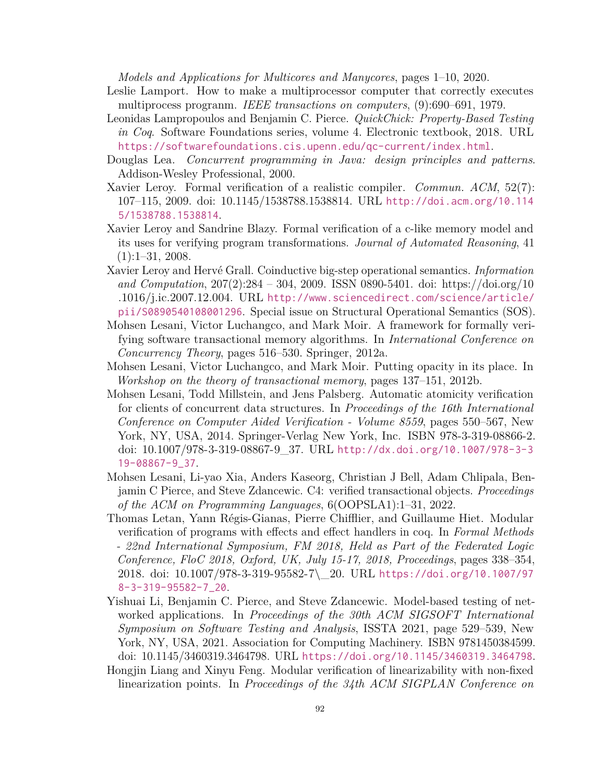*Models and Applications for Multicores and Manycores*, pages 1–10, 2020.

- Leslie Lamport. How to make a multiprocessor computer that correctly executes multiprocess progranm. *IEEE transactions on computers*, (9):690–691, 1979.
- Leonidas Lampropoulos and Benjamin C. Pierce. *QuickChick: Property-Based Testing in Coq*. Software Foundations series, volume 4. Electronic textbook, 2018. URL <https://softwarefoundations.cis.upenn.edu/qc-current/index.html>.
- <span id="page-98-4"></span>Douglas Lea. *Concurrent programming in Java: design principles and patterns*. Addison-Wesley Professional, 2000.
- Xavier Leroy. Formal verification of a realistic compiler. *Commun. ACM*, 52(7): 107–115, 2009. doi: 10.1145/1538788.1538814. URL [http://doi.acm.org/10.114](http://doi.acm.org/10.1145/1538788.1538814) [5/1538788.1538814](http://doi.acm.org/10.1145/1538788.1538814).
- Xavier Leroy and Sandrine Blazy. Formal verification of a c-like memory model and its uses for verifying program transformations. *Journal of Automated Reasoning*, 41  $(1):1-31, 2008.$
- <span id="page-98-2"></span>Xavier Leroy and Hervé Grall. Coinductive big-step operational semantics. *Information and Computation*, 207(2):284 – 304, 2009. ISSN 0890-5401. doi: https://doi.org/10 .1016/j.ic.2007.12.004. URL [http://www.sciencedirect.com/science/article/](http://www.sciencedirect.com/science/article/pii/S0890540108001296) [pii/S0890540108001296](http://www.sciencedirect.com/science/article/pii/S0890540108001296). Special issue on Structural Operational Semantics (SOS).
- <span id="page-98-5"></span>Mohsen Lesani, Victor Luchangco, and Mark Moir. A framework for formally verifying software transactional memory algorithms. In *International Conference on Concurrency Theory*, pages 516–530. Springer, 2012a.
- <span id="page-98-0"></span>Mohsen Lesani, Victor Luchangco, and Mark Moir. Putting opacity in its place. In *Workshop on the theory of transactional memory*, pages 137–151, 2012b.
- <span id="page-98-3"></span>Mohsen Lesani, Todd Millstein, and Jens Palsberg. Automatic atomicity verification for clients of concurrent data structures. In *Proceedings of the 16th International Conference on Computer Aided Verification - Volume 8559*, pages 550–567, New York, NY, USA, 2014. Springer-Verlag New York, Inc. ISBN 978-3-319-08866-2. doi: 10.1007/978-3-319-08867-9\_37. URL [http://dx.doi.org/10.1007/978-3-3](http://dx.doi.org/10.1007/978-3-319-08867-9_37) [19-08867-9\\_37](http://dx.doi.org/10.1007/978-3-319-08867-9_37).
- Mohsen Lesani, Li-yao Xia, Anders Kaseorg, Christian J Bell, Adam Chlipala, Benjamin C Pierce, and Steve Zdancewic. C4: verified transactional objects. *Proceedings of the ACM on Programming Languages*, 6(OOPSLA1):1–31, 2022.
- <span id="page-98-1"></span>Thomas Letan, Yann Régis-Gianas, Pierre Chifflier, and Guillaume Hiet. Modular verification of programs with effects and effect handlers in coq. In *Formal Methods - 22nd International Symposium, FM 2018, Held as Part of the Federated Logic Conference, FloC 2018, Oxford, UK, July 15-17, 2018, Proceedings*, pages 338–354, 2018. doi: 10.1007/978-3-319-95582-7\\_20. URL [https://doi.org/10.1007/97](https://doi.org/10.1007/978-3-319-95582-7_20) [8-3-319-95582-7\\_20](https://doi.org/10.1007/978-3-319-95582-7_20).
- <span id="page-98-7"></span>Yishuai Li, Benjamin C. Pierce, and Steve Zdancewic. Model-based testing of networked applications. In *Proceedings of the 30th ACM SIGSOFT International Symposium on Software Testing and Analysis*, ISSTA 2021, page 529–539, New York, NY, USA, 2021. Association for Computing Machinery. ISBN 9781450384599. doi: 10.1145/3460319.3464798. URL <https://doi.org/10.1145/3460319.3464798>.
- <span id="page-98-6"></span>Hongjin Liang and Xinyu Feng. Modular verification of linearizability with non-fixed linearization points. In *Proceedings of the 34th ACM SIGPLAN Conference on*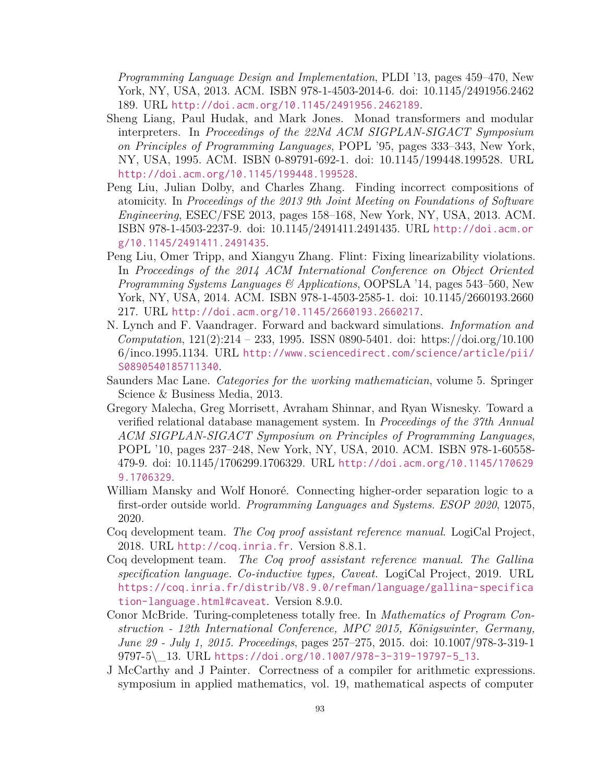*Programming Language Design and Implementation*, PLDI '13, pages 459–470, New York, NY, USA, 2013. ACM. ISBN 978-1-4503-2014-6. doi: 10.1145/2491956.2462 189. URL <http://doi.acm.org/10.1145/2491956.2462189>.

- <span id="page-99-0"></span>Sheng Liang, Paul Hudak, and Mark Jones. Monad transformers and modular interpreters. In *Proceedings of the 22Nd ACM SIGPLAN-SIGACT Symposium on Principles of Programming Languages*, POPL '95, pages 333–343, New York, NY, USA, 1995. ACM. ISBN 0-89791-692-1. doi: 10.1145/199448.199528. URL <http://doi.acm.org/10.1145/199448.199528>.
- <span id="page-99-2"></span>Peng Liu, Julian Dolby, and Charles Zhang. Finding incorrect compositions of atomicity. In *Proceedings of the 2013 9th Joint Meeting on Foundations of Software Engineering*, ESEC/FSE 2013, pages 158–168, New York, NY, USA, 2013. ACM. ISBN 978-1-4503-2237-9. doi: 10.1145/2491411.2491435. URL [http://doi.acm.or](http://doi.acm.org/10.1145/2491411.2491435) [g/10.1145/2491411.2491435](http://doi.acm.org/10.1145/2491411.2491435).
- <span id="page-99-3"></span>Peng Liu, Omer Tripp, and Xiangyu Zhang. Flint: Fixing linearizability violations. In *Proceedings of the 2014 ACM International Conference on Object Oriented Programming Systems Languages & Applications*, OOPSLA '14, pages 543–560, New York, NY, USA, 2014. ACM. ISBN 978-1-4503-2585-1. doi: 10.1145/2660193.2660 217. URL <http://doi.acm.org/10.1145/2660193.2660217>.
- <span id="page-99-4"></span>N. Lynch and F. Vaandrager. Forward and backward simulations. *Information and Computation*, 121(2):214 – 233, 1995. ISSN 0890-5401. doi: https://doi.org/10.100 6/inco.1995.1134. URL [http://www.sciencedirect.com/science/article/pii/](http://www.sciencedirect.com/science/article/pii/S0890540185711340) [S0890540185711340](http://www.sciencedirect.com/science/article/pii/S0890540185711340).
- Saunders Mac Lane. *Categories for the working mathematician*, volume 5. Springer Science & Business Media, 2013.
- Gregory Malecha, Greg Morrisett, Avraham Shinnar, and Ryan Wisnesky. Toward a verified relational database management system. In *Proceedings of the 37th Annual ACM SIGPLAN-SIGACT Symposium on Principles of Programming Languages*, POPL '10, pages 237–248, New York, NY, USA, 2010. ACM. ISBN 978-1-60558- 479-9. doi: 10.1145/1706299.1706329. URL [http://doi.acm.org/10.1145/170629](http://doi.acm.org/10.1145/1706299.1706329) [9.1706329](http://doi.acm.org/10.1145/1706299.1706329).
- <span id="page-99-5"></span>William Mansky and Wolf Honoré. Connecting higher-order separation logic to a first-order outside world. *Programming Languages and Systems. ESOP 2020*, 12075, 2020.
- Coq development team. *The Coq proof assistant reference manual*. LogiCal Project, 2018. URL <http://coq.inria.fr>. Version 8.8.1.
- Coq development team. *The Coq proof assistant reference manual. The Gallina specification language. Co-inductive types, Caveat.* LogiCal Project, 2019. URL [https://coq.inria.fr/distrib/V8.9.0/refman/language/gallina-specifica](https://coq.inria.fr/distrib/V8.9.0/refman/language/gallina-specification-language.html#caveat) [tion-language.html#caveat](https://coq.inria.fr/distrib/V8.9.0/refman/language/gallina-specification-language.html#caveat). Version 8.9.0.
- <span id="page-99-1"></span>Conor McBride. Turing-completeness totally free. In *Mathematics of Program Construction - 12th International Conference, MPC 2015, Königswinter, Germany, June 29 - July 1, 2015. Proceedings*, pages 257–275, 2015. doi: 10.1007/978-3-319-1 9797-5\\_13. URL [https://doi.org/10.1007/978-3-319-19797-5\\_13](https://doi.org/10.1007/978-3-319-19797-5_13).
- J McCarthy and J Painter. Correctness of a compiler for arithmetic expressions. symposium in applied mathematics, vol. 19, mathematical aspects of computer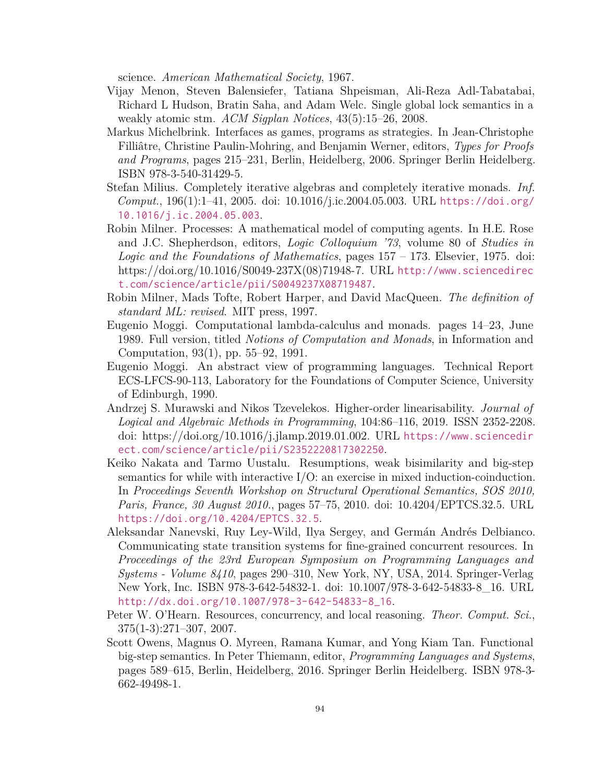science. *American Mathematical Society*, 1967.

- Vijay Menon, Steven Balensiefer, Tatiana Shpeisman, Ali-Reza Adl-Tabatabai, Richard L Hudson, Bratin Saha, and Adam Welc. Single global lock semantics in a weakly atomic stm. *ACM Sigplan Notices*, 43(5):15–26, 2008.
- <span id="page-100-6"></span>Markus Michelbrink. Interfaces as games, programs as strategies. In Jean-Christophe Filliâtre, Christine Paulin-Mohring, and Benjamin Werner, editors, *Types for Proofs and Programs*, pages 215–231, Berlin, Heidelberg, 2006. Springer Berlin Heidelberg. ISBN 978-3-540-31429-5.
- <span id="page-100-2"></span>Stefan Milius. Completely iterative algebras and completely iterative monads. *Inf. Comput.*, 196(1):1–41, 2005. doi: 10.1016/j.ic.2004.05.003. URL [https://doi.org/](https://doi.org/10.1016/j.ic.2004.05.003) [10.1016/j.ic.2004.05.003](https://doi.org/10.1016/j.ic.2004.05.003).
- <span id="page-100-3"></span>Robin Milner. Processes: A mathematical model of computing agents. In H.E. Rose and J.C. Shepherdson, editors, *Logic Colloquium '73*, volume 80 of *Studies in Logic and the Foundations of Mathematics*, pages 157 – 173. Elsevier, 1975. doi: https://doi.org/10.1016/S0049-237X(08)71948-7. URL [http://www.sciencedirec](http://www.sciencedirect.com/science/article/pii/S0049237X08719487) [t.com/science/article/pii/S0049237X08719487](http://www.sciencedirect.com/science/article/pii/S0049237X08719487).
- Robin Milner, Mads Tofte, Robert Harper, and David MacQueen. *The definition of standard ML: revised*. MIT press, 1997.
- <span id="page-100-0"></span>Eugenio Moggi. Computational lambda-calculus and monads. pages 14–23, June 1989. Full version, titled *Notions of Computation and Monads*, in Information and Computation, 93(1), pp. 55–92, 1991.
- <span id="page-100-1"></span>Eugenio Moggi. An abstract view of programming languages. Technical Report ECS-LFCS-90-113, Laboratory for the Foundations of Computer Science, University of Edinburgh, 1990.
- <span id="page-100-7"></span>Andrzej S. Murawski and Nikos Tzevelekos. Higher-order linearisability. *Journal of Logical and Algebraic Methods in Programming*, 104:86–116, 2019. ISSN 2352-2208. doi: https://doi.org/10.1016/j.jlamp.2019.01.002. URL [https://www.sciencedir](https://www.sciencedirect.com/science/article/pii/S2352220817302250) [ect.com/science/article/pii/S2352220817302250](https://www.sciencedirect.com/science/article/pii/S2352220817302250).
- <span id="page-100-4"></span>Keiko Nakata and Tarmo Uustalu. Resumptions, weak bisimilarity and big-step semantics for while with interactive I/O: an exercise in mixed induction-coinduction. In *Proceedings Seventh Workshop on Structural Operational Semantics, SOS 2010, Paris, France, 30 August 2010.*, pages 57–75, 2010. doi: 10.4204/EPTCS.32.5. URL <https://doi.org/10.4204/EPTCS.32.5>.
- <span id="page-100-9"></span>Aleksandar Nanevski, Ruy Ley-Wild, Ilya Sergey, and Germán Andrés Delbianco. Communicating state transition systems for fine-grained concurrent resources. In *Proceedings of the 23rd European Symposium on Programming Languages and Systems - Volume 8410*, pages 290–310, New York, NY, USA, 2014. Springer-Verlag New York, Inc. ISBN 978-3-642-54832-1. doi: 10.1007/978-3-642-54833-8\_16. URL [http://dx.doi.org/10.1007/978-3-642-54833-8\\_16](http://dx.doi.org/10.1007/978-3-642-54833-8_16).
- <span id="page-100-8"></span>Peter W. O'Hearn. Resources, concurrency, and local reasoning. *Theor. Comput. Sci.*, 375(1-3):271–307, 2007.
- <span id="page-100-5"></span>Scott Owens, Magnus O. Myreen, Ramana Kumar, and Yong Kiam Tan. Functional big-step semantics. In Peter Thiemann, editor, *Programming Languages and Systems*, pages 589–615, Berlin, Heidelberg, 2016. Springer Berlin Heidelberg. ISBN 978-3- 662-49498-1.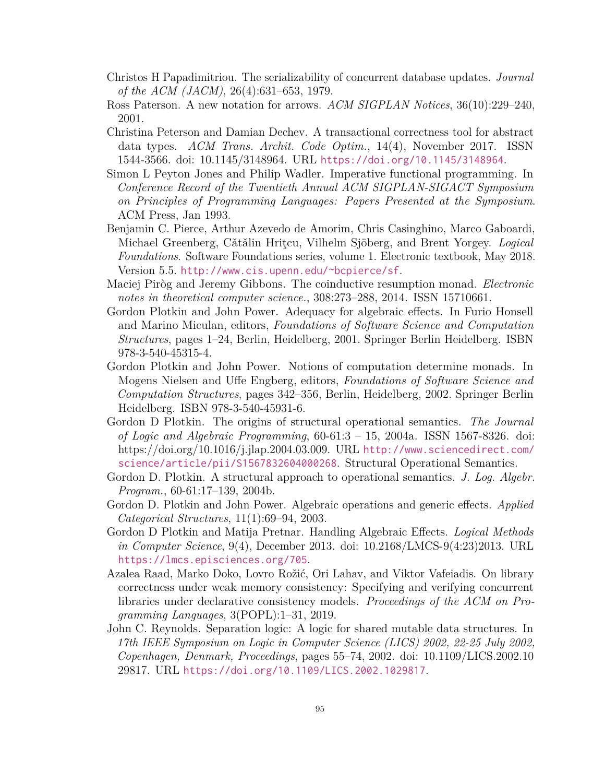- <span id="page-101-11"></span>Christos H Papadimitriou. The serializability of concurrent database updates. *Journal of the ACM (JACM)*, 26(4):631–653, 1979.
- <span id="page-101-6"></span>Ross Paterson. A new notation for arrows. *ACM SIGPLAN Notices*, 36(10):229–240, 2001.
- <span id="page-101-9"></span>Christina Peterson and Damian Dechev. A transactional correctness tool for abstract data types. *ACM Trans. Archit. Code Optim.*, 14(4), November 2017. ISSN 1544-3566. doi: 10.1145/3148964. URL <https://doi.org/10.1145/3148964>.
- <span id="page-101-0"></span>Simon L Peyton Jones and Philip Wadler. Imperative functional programming. In *Conference Record of the Twentieth Annual ACM SIGPLAN-SIGACT Symposium on Principles of Programming Languages: Papers Presented at the Symposium*. ACM Press, Jan 1993.
- Benjamin C. Pierce, Arthur Azevedo de Amorim, Chris Casinghino, Marco Gaboardi, Michael Greenberg, Cˇatˇalin Hriţcu, Vilhelm Sjöberg, and Brent Yorgey. *Logical Foundations*. Software Foundations series, volume 1. Electronic textbook, May 2018. Version 5.5. <http://www.cis.upenn.edu/~bcpierce/sf>.
- <span id="page-101-1"></span>Maciej Piròg and Jeremy Gibbons. The coinductive resumption monad. *Electronic notes in theoretical computer science.*, 308:273–288, 2014. ISSN 15710661.
- <span id="page-101-2"></span>Gordon Plotkin and John Power. Adequacy for algebraic effects. In Furio Honsell and Marino Miculan, editors, *Foundations of Software Science and Computation Structures*, pages 1–24, Berlin, Heidelberg, 2001. Springer Berlin Heidelberg. ISBN 978-3-540-45315-4.
- <span id="page-101-3"></span>Gordon Plotkin and John Power. Notions of computation determine monads. In Mogens Nielsen and Uffe Engberg, editors, *Foundations of Software Science and Computation Structures*, pages 342–356, Berlin, Heidelberg, 2002. Springer Berlin Heidelberg. ISBN 978-3-540-45931-6.
- <span id="page-101-8"></span>Gordon D Plotkin. The origins of structural operational semantics. *The Journal of Logic and Algebraic Programming*, 60-61:3 – 15, 2004a. ISSN 1567-8326. doi: https://doi.org/10.1016/j.jlap.2004.03.009. URL [http://www.sciencedirect.com/](http://www.sciencedirect.com/science/article/pii/S1567832604000268) [science/article/pii/S1567832604000268](http://www.sciencedirect.com/science/article/pii/S1567832604000268). Structural Operational Semantics.
- <span id="page-101-7"></span>Gordon D. Plotkin. A structural approach to operational semantics. *J. Log. Algebr. Program.*, 60-61:17–139, 2004b.
- <span id="page-101-4"></span>Gordon D. Plotkin and John Power. Algebraic operations and generic effects. *Applied Categorical Structures*, 11(1):69–94, 2003.
- <span id="page-101-5"></span>Gordon D Plotkin and Matija Pretnar. Handling Algebraic Effects. *Logical Methods in Computer Science*, 9(4), December 2013. doi: 10.2168/LMCS-9(4:23)2013. URL <https://lmcs.episciences.org/705>.
- <span id="page-101-10"></span>Azalea Raad, Marko Doko, Lovro Rožić, Ori Lahav, and Viktor Vafeiadis. On library correctness under weak memory consistency: Specifying and verifying concurrent libraries under declarative consistency models. *Proceedings of the ACM on Programming Languages*, 3(POPL):1–31, 2019.
- John C. Reynolds. Separation logic: A logic for shared mutable data structures. In *17th IEEE Symposium on Logic in Computer Science (LICS) 2002, 22-25 July 2002, Copenhagen, Denmark, Proceedings*, pages 55–74, 2002. doi: 10.1109/LICS.2002.10 29817. URL <https://doi.org/10.1109/LICS.2002.1029817>.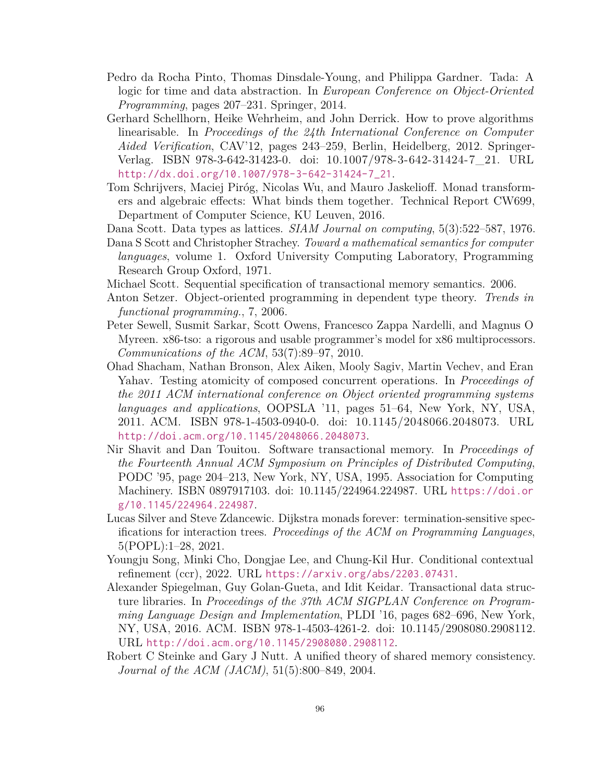- Pedro da Rocha Pinto, Thomas Dinsdale-Young, and Philippa Gardner. Tada: A logic for time and data abstraction. In *European Conference on Object-Oriented Programming*, pages 207–231. Springer, 2014.
- <span id="page-102-4"></span>Gerhard Schellhorn, Heike Wehrheim, and John Derrick. How to prove algorithms linearisable. In *Proceedings of the 24th International Conference on Computer Aided Verification*, CAV'12, pages 243–259, Berlin, Heidelberg, 2012. Springer-Verlag. ISBN 978-3-642-31423-0. doi: 10.1007/978-3-642-31424-7\_21. URL [http://dx.doi.org/10.1007/978-3-642-31424-7\\_21](http://dx.doi.org/10.1007/978-3-642-31424-7_21).
- <span id="page-102-0"></span>Tom Schrijvers, Maciej Piróg, Nicolas Wu, and Mauro Jaskelioff. Monad transformers and algebraic effects: What binds them together. Technical Report CW699, Department of Computer Science, KU Leuven, 2016.
- Dana Scott. Data types as lattices. *SIAM Journal on computing*, 5(3):522–587, 1976.
- Dana S Scott and Christopher Strachey. *Toward a mathematical semantics for computer languages*, volume 1. Oxford University Computing Laboratory, Programming Research Group Oxford, 1971.
- <span id="page-102-6"></span>Michael Scott. Sequential specification of transactional memory semantics. 2006.
- <span id="page-102-1"></span>Anton Setzer. Object-oriented programming in dependent type theory. *Trends in functional programming.*, 7, 2006.
- <span id="page-102-5"></span>Peter Sewell, Susmit Sarkar, Scott Owens, Francesco Zappa Nardelli, and Magnus O Myreen. x86-tso: a rigorous and usable programmer's model for x86 multiprocessors. *Communications of the ACM*, 53(7):89–97, 2010.
- <span id="page-102-3"></span>Ohad Shacham, Nathan Bronson, Alex Aiken, Mooly Sagiv, Martin Vechev, and Eran Yahav. Testing atomicity of composed concurrent operations. In *Proceedings of the 2011 ACM international conference on Object oriented programming systems languages and applications*, OOPSLA '11, pages 51–64, New York, NY, USA, 2011. ACM. ISBN 978-1-4503-0940-0. doi: 10.1145/2048066.2048073. URL <http://doi.acm.org/10.1145/2048066.2048073>.
- Nir Shavit and Dan Touitou. Software transactional memory. In *Proceedings of the Fourteenth Annual ACM Symposium on Principles of Distributed Computing*, PODC '95, page 204–213, New York, NY, USA, 1995. Association for Computing Machinery. ISBN 0897917103. doi: 10.1145/224964.224987. URL [https://doi.or](https://doi.org/10.1145/224964.224987) [g/10.1145/224964.224987](https://doi.org/10.1145/224964.224987).
- <span id="page-102-7"></span>Lucas Silver and Steve Zdancewic. Dijkstra monads forever: termination-sensitive specifications for interaction trees. *Proceedings of the ACM on Programming Languages*, 5(POPL):1–28, 2021.
- <span id="page-102-8"></span>Youngju Song, Minki Cho, Dongjae Lee, and Chung-Kil Hur. Conditional contextual refinement (ccr), 2022. URL <https://arxiv.org/abs/2203.07431>.
- <span id="page-102-2"></span>Alexander Spiegelman, Guy Golan-Gueta, and Idit Keidar. Transactional data structure libraries. In *Proceedings of the 37th ACM SIGPLAN Conference on Programming Language Design and Implementation*, PLDI '16, pages 682–696, New York, NY, USA, 2016. ACM. ISBN 978-1-4503-4261-2. doi: 10.1145/2908080.2908112. URL <http://doi.acm.org/10.1145/2908080.2908112>.
- Robert C Steinke and Gary J Nutt. A unified theory of shared memory consistency. *Journal of the ACM (JACM)*, 51(5):800–849, 2004.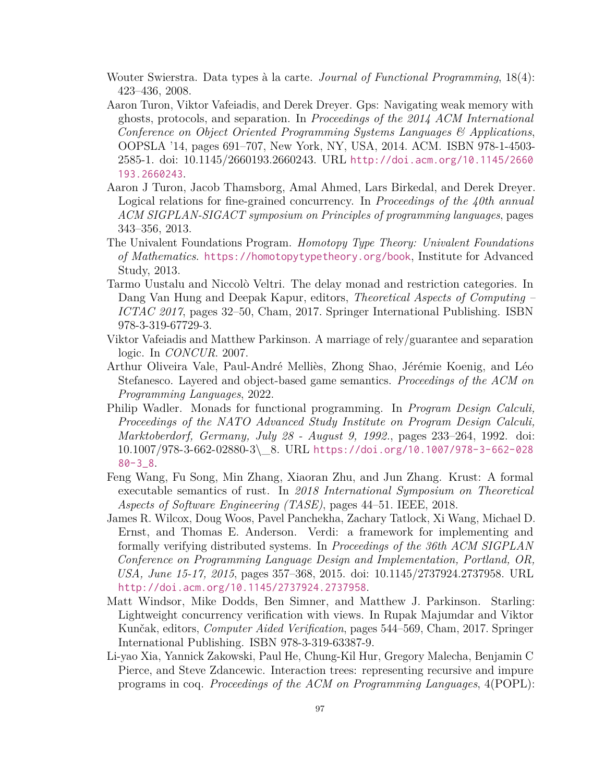- <span id="page-103-1"></span>Wouter Swierstra. Data types à la carte. *Journal of Functional Programming*, 18(4): 423–436, 2008.
- <span id="page-103-7"></span>Aaron Turon, Viktor Vafeiadis, and Derek Dreyer. Gps: Navigating weak memory with ghosts, protocols, and separation. In *Proceedings of the 2014 ACM International Conference on Object Oriented Programming Systems Languages & Applications*, OOPSLA '14, pages 691–707, New York, NY, USA, 2014. ACM. ISBN 978-1-4503- 2585-1. doi: 10.1145/2660193.2660243. URL [http://doi.acm.org/10.1145/2660](http://doi.acm.org/10.1145/2660193.2660243) [193.2660243](http://doi.acm.org/10.1145/2660193.2660243).
- <span id="page-103-4"></span>Aaron J Turon, Jacob Thamsborg, Amal Ahmed, Lars Birkedal, and Derek Dreyer. Logical relations for fine-grained concurrency. In *Proceedings of the 40th annual ACM SIGPLAN-SIGACT symposium on Principles of programming languages*, pages 343–356, 2013.
- <span id="page-103-8"></span>The Univalent Foundations Program. *Homotopy Type Theory: Univalent Foundations of Mathematics*. <https://homotopytypetheory.org/book>, Institute for Advanced Study, 2013.
- <span id="page-103-2"></span>Tarmo Uustalu and Niccolò Veltri. The delay monad and restriction categories. In Dang Van Hung and Deepak Kapur, editors, *Theoretical Aspects of Computing – ICTAC 2017*, pages 32–50, Cham, 2017. Springer International Publishing. ISBN 978-3-319-67729-3.
- <span id="page-103-6"></span>Viktor Vafeiadis and Matthew Parkinson. A marriage of rely/guarantee and separation logic. In *CONCUR*. 2007.
- <span id="page-103-3"></span>Arthur Oliveira Vale, Paul-André Melliès, Zhong Shao, Jérémie Koenig, and Léo Stefanesco. Layered and object-based game semantics. *Proceedings of the ACM on Programming Languages*, 2022.
- <span id="page-103-0"></span>Philip Wadler. Monads for functional programming. In *Program Design Calculi, Proceedings of the NATO Advanced Study Institute on Program Design Calculi, Marktoberdorf, Germany, July 28 - August 9, 1992.*, pages 233–264, 1992. doi: 10.1007/978-3-662-02880-3\\_8. URL [https://doi.org/10.1007/978-3-662-028](https://doi.org/10.1007/978-3-662-02880-3_8) [80-3\\_8](https://doi.org/10.1007/978-3-662-02880-3_8).
- Feng Wang, Fu Song, Min Zhang, Xiaoran Zhu, and Jun Zhang. Krust: A formal executable semantics of rust. In *2018 International Symposium on Theoretical Aspects of Software Engineering (TASE)*, pages 44–51. IEEE, 2018.
- James R. Wilcox, Doug Woos, Pavel Panchekha, Zachary Tatlock, Xi Wang, Michael D. Ernst, and Thomas E. Anderson. Verdi: a framework for implementing and formally verifying distributed systems. In *Proceedings of the 36th ACM SIGPLAN Conference on Programming Language Design and Implementation, Portland, OR, USA, June 15-17, 2015*, pages 357–368, 2015. doi: 10.1145/2737924.2737958. URL <http://doi.acm.org/10.1145/2737924.2737958>.
- <span id="page-103-5"></span>Matt Windsor, Mike Dodds, Ben Simner, and Matthew J. Parkinson. Starling: Lightweight concurrency verification with views. In Rupak Majumdar and Viktor Kunčak, editors, *Computer Aided Verification*, pages 544–569, Cham, 2017. Springer International Publishing. ISBN 978-3-319-63387-9.
- Li-yao Xia, Yannick Zakowski, Paul He, Chung-Kil Hur, Gregory Malecha, Benjamin C Pierce, and Steve Zdancewic. Interaction trees: representing recursive and impure programs in coq. *Proceedings of the ACM on Programming Languages*, 4(POPL):